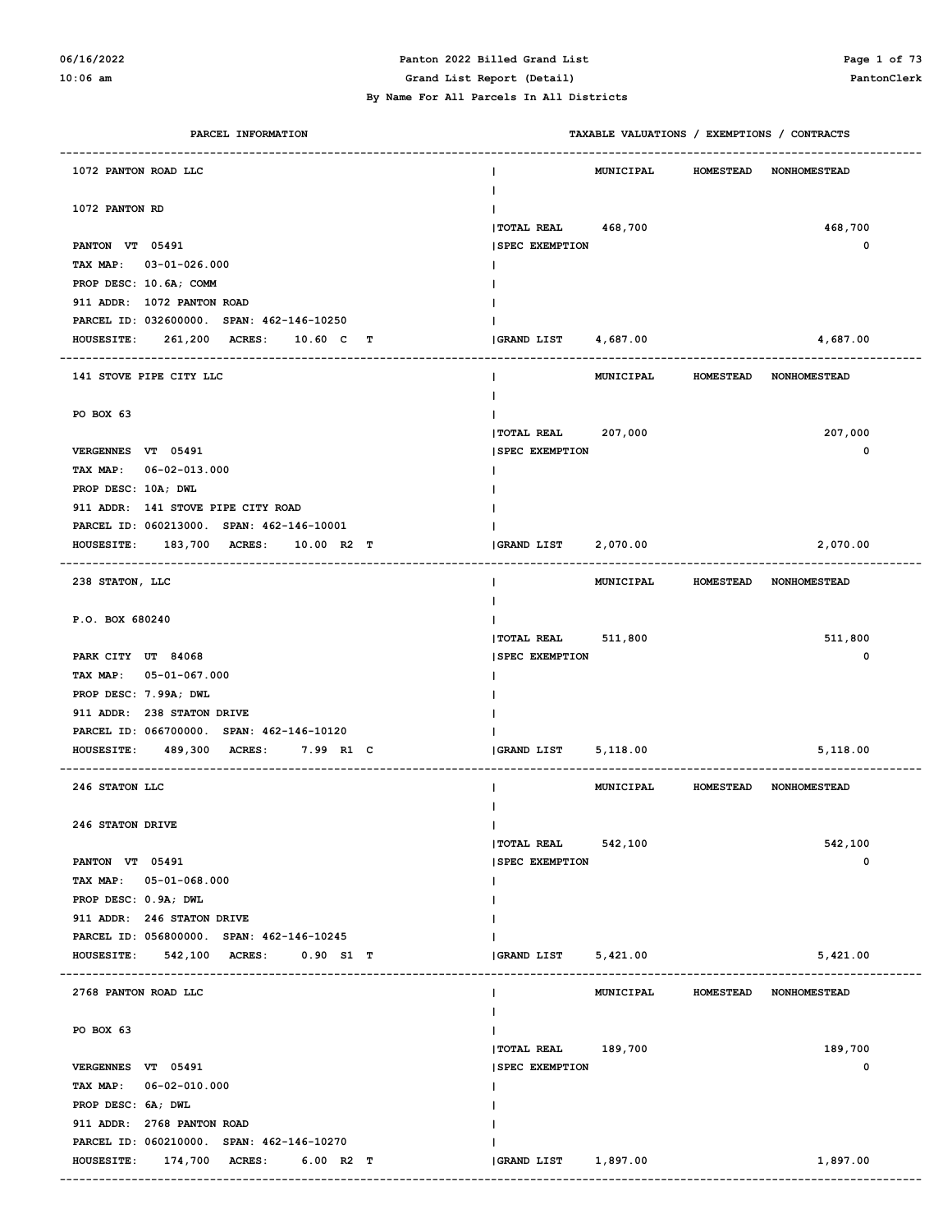# **06/16/2022 Panton 2022 Billed Grand List Page 1 of 73**

**10:06 am Grand List Report (Detail) PantonClerk**

 **By Name For All Parcels In All Districts**

| PARCEL INFORMATION                                  |                                             | TAXABLE VALUATIONS / EXEMPTIONS / CONTRACTS |                  |                        |
|-----------------------------------------------------|---------------------------------------------|---------------------------------------------|------------------|------------------------|
| 1072 PANTON ROAD LLC                                |                                             | MUNICIPAL                                   | <b>HOMESTEAD</b> | <b>NONHOMESTEAD</b>    |
| 1072 PANTON RD                                      |                                             |                                             |                  |                        |
| PANTON VT 05491                                     | <b> TOTAL REAL</b><br><b>SPEC EXEMPTION</b> | 468,700                                     |                  | 468,700<br>0           |
| TAX MAP: 03-01-026.000                              |                                             |                                             |                  |                        |
| PROP DESC: 10.6A; COMM                              |                                             |                                             |                  |                        |
| 911 ADDR: 1072 PANTON ROAD                          |                                             |                                             |                  |                        |
| PARCEL ID: 032600000. SPAN: 462-146-10250           |                                             |                                             |                  |                        |
| 261,200 ACRES:<br>10.60 C<br><b>HOUSESITE:</b><br>т | <b>GRAND LIST</b>                           | 4,687.00                                    |                  | 4,687.00               |
| 141 STOVE PIPE CITY LLC                             |                                             | <b>MUNICIPAL</b>                            | <b>HOMESTEAD</b> | <b>NONHOMESTEAD</b>    |
| PO BOX 63                                           |                                             |                                             |                  |                        |
|                                                     | <b> TOTAL REAL</b>                          | 207,000                                     |                  | 207,000                |
| VERGENNES VT 05491                                  | <b>SPEC EXEMPTION</b>                       |                                             |                  | 0                      |
| TAX MAP: 06-02-013.000                              |                                             |                                             |                  |                        |
| PROP DESC: 10A; DWL                                 |                                             |                                             |                  |                        |
| 911 ADDR: 141 STOVE PIPE CITY ROAD                  |                                             |                                             |                  |                        |
| PARCEL ID: 060213000. SPAN: 462-146-10001           |                                             |                                             |                  |                        |
| HOUSESITE: 183,700 ACRES:<br>10.00 R2 T             | GRAND LIST                                  | 2,070.00                                    |                  | 2,070.00               |
| 238 STATON, LLC                                     | L                                           | MUNICIPAL                                   | <b>HOMESTEAD</b> | <b>NONHOMESTEAD</b>    |
| P.O. BOX 680240                                     |                                             |                                             |                  |                        |
|                                                     | TOTAL REAL 511,800                          |                                             |                  | 511,800                |
| PARK CITY UT 84068                                  | <b>SPEC EXEMPTION</b>                       |                                             |                  | 0                      |
| TAX MAP: 05-01-067.000                              |                                             |                                             |                  |                        |
| PROP DESC: 7.99A; DWL                               |                                             |                                             |                  |                        |
| 911 ADDR: 238 STATON DRIVE                          |                                             |                                             |                  |                        |
| PARCEL ID: 066700000. SPAN: 462-146-10120           |                                             |                                             |                  |                        |
| HOUSESITE: 489,300 ACRES:<br>7.99 R1 C              | GRAND LIST                                  | 5,118.00                                    |                  | 5,118.00               |
| 246 STATON LLC                                      |                                             | MUNICIPAL                                   |                  | HOMESTEAD NONHOMESTEAD |
| 246 STATON DRIVE                                    | L                                           |                                             |                  |                        |
|                                                     | TOTAL REAL 542,100                          |                                             |                  | 542,100                |
| PANTON VT 05491                                     | <b>SPEC EXEMPTION</b>                       |                                             |                  | 0                      |
| TAX MAP: 05-01-068.000                              |                                             |                                             |                  |                        |
| PROP DESC: 0.9A; DWL                                |                                             |                                             |                  |                        |
| 911 ADDR: 246 STATON DRIVE                          |                                             |                                             |                  |                        |
| PARCEL ID: 056800000. SPAN: 462-146-10245           |                                             |                                             |                  |                        |
| HOUSESITE: 542,100 ACRES:<br>0.90 S1 T              | <b>GRAND LIST</b>                           | 5,421.00                                    |                  | 5,421.00               |
| 2768 PANTON ROAD LLC                                | L                                           | MUNICIPAL                                   | <b>HOMESTEAD</b> | <b>NONHOMESTEAD</b>    |
|                                                     |                                             |                                             |                  |                        |
| PO BOX 63                                           |                                             |                                             |                  |                        |
|                                                     | TOTAL REAL 189,700                          |                                             |                  | 189,700                |
| VERGENNES VT 05491                                  | <b>SPEC EXEMPTION</b>                       |                                             |                  | 0                      |
| TAX MAP: 06-02-010.000                              |                                             |                                             |                  |                        |
| PROP DESC: 6A; DWL                                  |                                             |                                             |                  |                        |
| 911 ADDR: 2768 PANTON ROAD                          |                                             |                                             |                  |                        |
| PARCEL ID: 060210000. SPAN: 462-146-10270           |                                             |                                             |                  |                        |
| HOUSESITE: 174,700 ACRES:<br>$6.00$ R2 T            | GRAND LIST                                  | 1,897.00                                    |                  | 1,897.00               |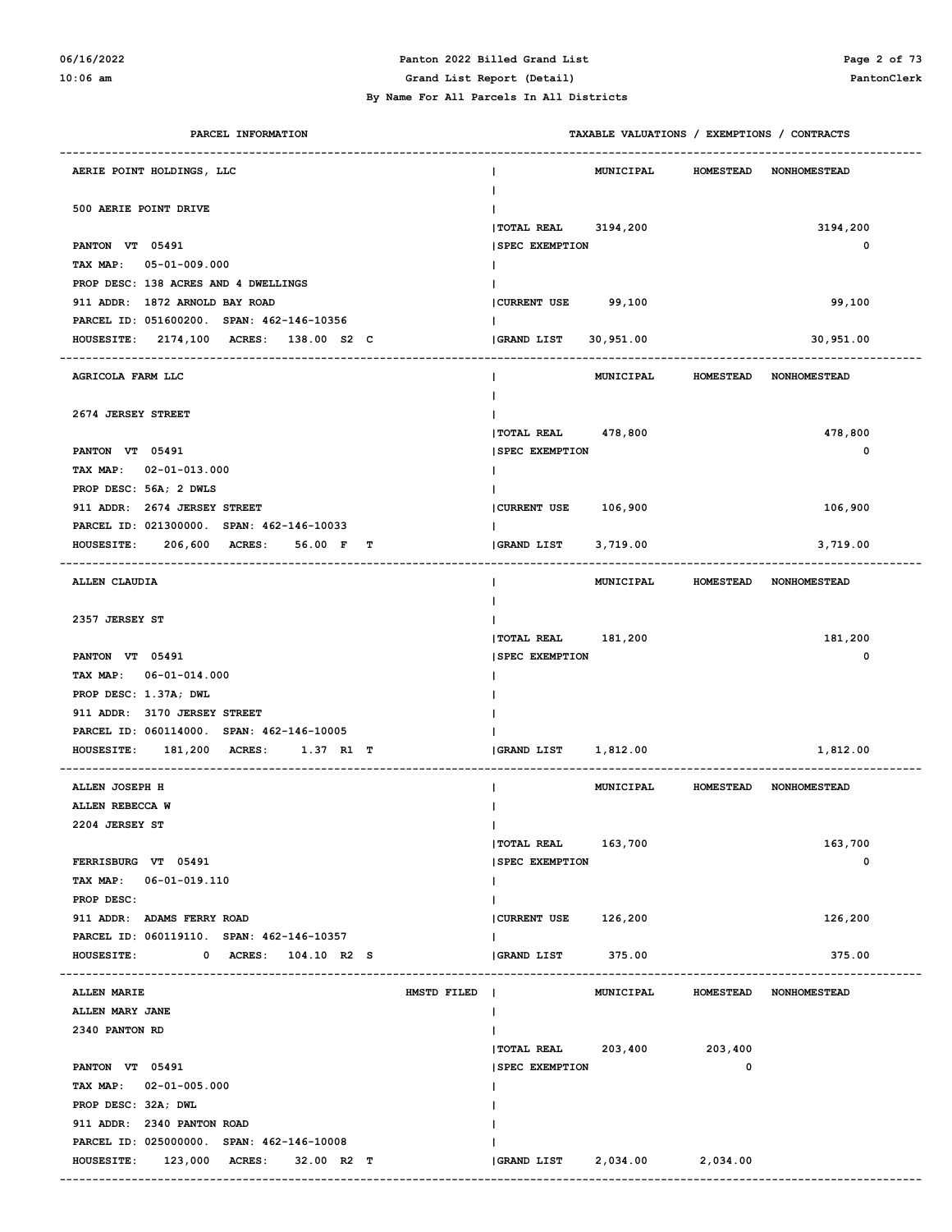# **06/16/2022 Panton 2022 Billed Grand List Page 2 of 73**

#### **By Name For All Parcels In All Districts**

**10:06 am Grand List Report (Detail) PantonClerk**

| PARCEL INFORMATION                                  | TAXABLE VALUATIONS / EXEMPTIONS / CONTRACTS                 |
|-----------------------------------------------------|-------------------------------------------------------------|
| AERIE POINT HOLDINGS, LLC                           | MUNICIPAL<br>HOMESTEAD NONHOMESTEAD                         |
| 500 AERIE POINT DRIVE                               | TOTAL REAL 3194,200<br>3194,200                             |
| PANTON VT 05491                                     | <b>SPEC EXEMPTION</b><br>0                                  |
| TAX MAP: 05-01-009.000                              |                                                             |
| PROP DESC: 138 ACRES AND 4 DWELLINGS                |                                                             |
| 911 ADDR: 1872 ARNOLD BAY ROAD                      | 99,100<br>CURRENT USE 99,100                                |
| PARCEL ID: 051600200. SPAN: 462-146-10356           |                                                             |
| HOUSESITE: 2174,100 ACRES: 138.00 S2 C              | <b>GRAND LIST</b><br>30,951.00<br>30,951.00                 |
| AGRICOLA FARM LLC                                   | MUNICIPAL<br><b>HOMESTEAD</b><br><b>NONHOMESTEAD</b>        |
|                                                     |                                                             |
| 2674 JERSEY STREET                                  |                                                             |
|                                                     | TOTAL REAL 478,800<br>478,800                               |
| PANTON VT 05491                                     | <b>SPEC EXEMPTION</b><br>0                                  |
| TAX MAP: 02-01-013.000                              |                                                             |
| PROP DESC: 56A; 2 DWLS                              |                                                             |
| 911 ADDR: 2674 JERSEY STREET                        | CURRENT USE 106,900<br>106,900                              |
| PARCEL ID: 021300000. SPAN: 462-146-10033           |                                                             |
| 206,600 ACRES:<br>56.00 F<br><b>HOUSESITE:</b><br>т | <b>GRAND LIST</b><br>3,719.00<br>3,719.00                   |
| ALLEN CLAUDIA                                       | MUNICIPAL<br><b>HOMESTEAD</b><br><b>NONHOMESTEAD</b>        |
|                                                     |                                                             |
| 2357 JERSEY ST                                      |                                                             |
|                                                     | TOTAL REAL 181,200<br>181,200                               |
| PANTON VT 05491                                     | 0<br><b>SPEC EXEMPTION</b>                                  |
| TAX MAP: 06-01-014.000                              |                                                             |
| PROP DESC: 1.37A; DWL                               |                                                             |
| 911 ADDR: 3170 JERSEY STREET                        |                                                             |
| PARCEL ID: 060114000. SPAN: 462-146-10005           |                                                             |
| 181,200 ACRES:<br><b>HOUSESITE:</b><br>1.37 R1 T    | <b>GRAND LIST</b><br>1,812.00<br>1,812.00                   |
| ALLEN JOSEPH H                                      | MUNICIPAL<br>HOMESTEAD NONHOMESTEAD                         |
| ALLEN REBECCA W                                     |                                                             |
| 2204 JERSEY ST                                      | I.                                                          |
|                                                     | TOTAL REAL 163,700<br>163,700                               |
| FERRISBURG VT 05491                                 | <b>SPEC EXEMPTION</b><br>0                                  |
| TAX MAP: 06-01-019.110                              | Ι.                                                          |
| PROP DESC:                                          |                                                             |
| 911 ADDR: ADAMS FERRY ROAD                          | CURRENT USE 126,200<br>126,200                              |
| PARCEL ID: 060119110. SPAN: 462-146-10357           | $\mathbf{I}$                                                |
| <b>HOUSESITE:</b><br>0 ACRES: 104.10 R2 S           | GRAND LIST<br>375.00<br>375.00                              |
| <b>ALLEN MARIE</b><br>HMSTD FILED                   | <b>MUNICIPAL</b><br><b>HOMESTEAD</b><br><b>NONHOMESTEAD</b> |
| ALLEN MARY JANE                                     |                                                             |
| 2340 PANTON RD                                      |                                                             |
|                                                     | TOTAL REAL 203,400 203,400                                  |
| PANTON VT 05491                                     | <b>SPEC EXEMPTION</b><br>0                                  |
| TAX MAP: 02-01-005.000                              |                                                             |
| PROP DESC: 32A; DWL                                 |                                                             |
| 911 ADDR: 2340 PANTON ROAD                          |                                                             |
| PARCEL ID: 025000000. SPAN: 462-146-10008           |                                                             |
| HOUSESITE: 123,000 ACRES: 32.00 R2 T                | <b>GRAND LIST</b><br>2,034.00<br>2,034.00                   |
|                                                     |                                                             |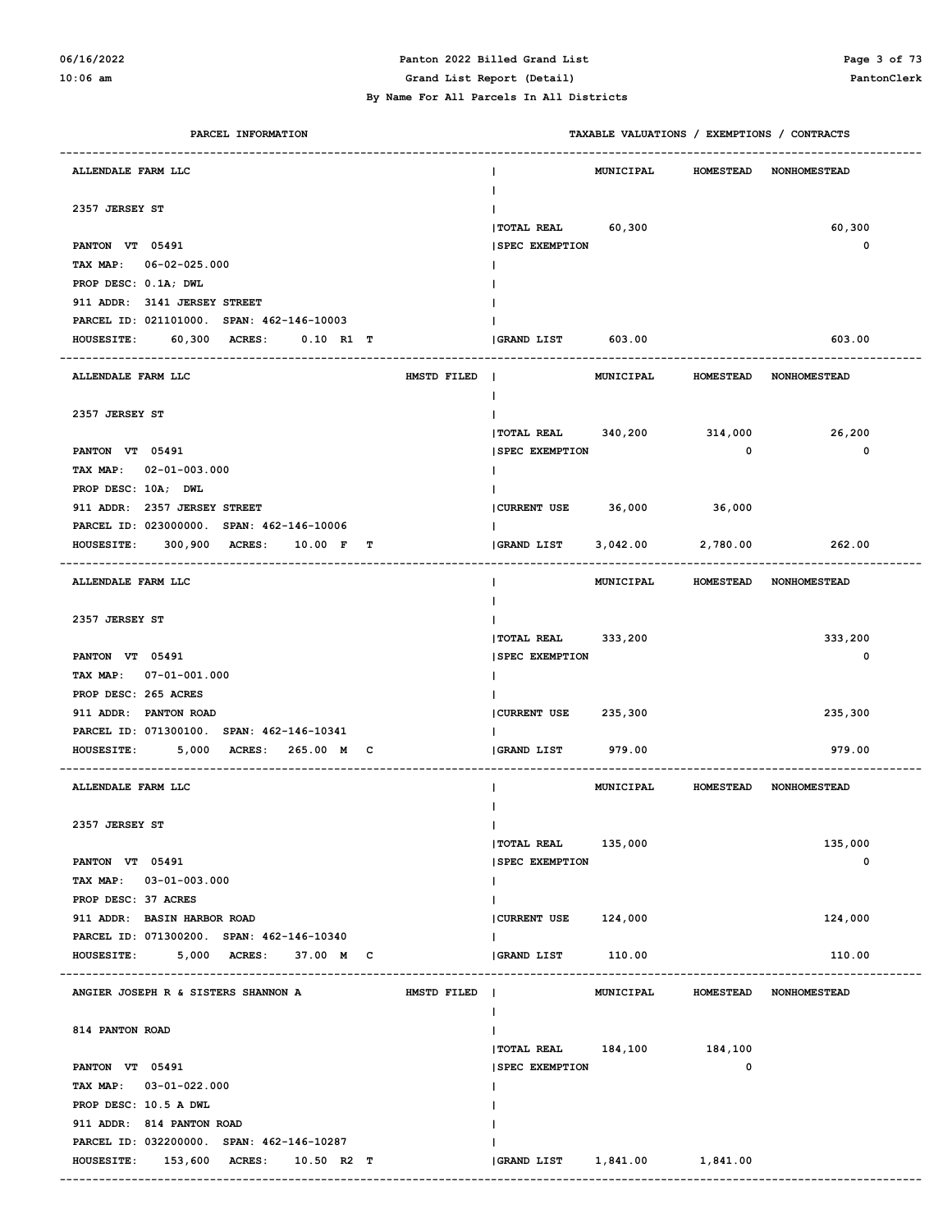### **06/16/2022 Panton 2022 Billed Grand List Page 3 of 73**

**10:06 am Grand List Report (Detail) PantonClerk**

| PARCEL INFORMATION                                 | TAXABLE VALUATIONS / EXEMPTIONS / CONTRACTS |                         |                                  |
|----------------------------------------------------|---------------------------------------------|-------------------------|----------------------------------|
| ALLENDALE FARM LLC                                 | <b>MUNICIPAL</b>                            | <b>HOMESTEAD</b>        | <b>NONHOMESTEAD</b>              |
| 2357 JERSEY ST                                     |                                             |                         |                                  |
|                                                    | TOTAL REAL 60,300                           |                         | 60,300                           |
| PANTON VT 05491                                    | <b>SPEC EXEMPTION</b>                       |                         | $\mathbf{o}$                     |
| TAX MAP: 06-02-025.000                             |                                             |                         |                                  |
| PROP DESC: 0.1A; DWL                               |                                             |                         |                                  |
| 911 ADDR: 3141 JERSEY STREET                       |                                             |                         |                                  |
| PARCEL ID: 021101000. SPAN: 462-146-10003          |                                             |                         |                                  |
| 60,300 ACRES:<br>$0.10$ R1 T<br><b>HOUSESITE:</b>  | GRAND LIST 603.00                           |                         | 603.00                           |
|                                                    |                                             |                         |                                  |
| HMSTD FILED  <br>ALLENDALE FARM LLC                | <b>MUNICIPAL</b>                            | <b>HOMESTEAD</b>        | <b>NONHOMESTEAD</b>              |
|                                                    | I.                                          |                         |                                  |
| 2357 JERSEY ST                                     |                                             |                         |                                  |
|                                                    | TOTAL REAL 340,200 314,000                  |                         | 26,200                           |
| PANTON VT 05491                                    | <b>SPEC EXEMPTION</b>                       | $\overline{\mathbf{0}}$ | 0                                |
| TAX MAP: 02-01-003.000                             |                                             |                         |                                  |
| PROP DESC: 10A; DWL                                |                                             |                         |                                  |
| 911 ADDR: 2357 JERSEY STREET                       | CURRENT USE 36,000                          | 36,000                  |                                  |
| PARCEL ID: 023000000. SPAN: 462-146-10006          |                                             |                         |                                  |
| 300,900 ACRES:<br>10.00 F T<br><b>HOUSESITE:</b>   | <b>GRAND LIST</b>                           | $3,042.00$ 2,780.00     | 262.00                           |
|                                                    |                                             |                         |                                  |
| ALLENDALE FARM LLC                                 |                                             |                         | MUNICIPAL HOMESTEAD NONHOMESTEAD |
|                                                    |                                             |                         |                                  |
| 2357 JERSEY ST                                     |                                             |                         |                                  |
|                                                    | TOTAL REAL 333,200                          |                         | 333,200                          |
| PANTON VT 05491                                    | <b>SPEC EXEMPTION</b>                       |                         | 0                                |
| TAX MAP: 07-01-001.000                             |                                             |                         |                                  |
| PROP DESC: 265 ACRES                               |                                             |                         |                                  |
| 911 ADDR: PANTON ROAD                              | CURRENT USE 235,300                         |                         | 235,300                          |
| PARCEL ID: 071300100. SPAN: 462-146-10341          |                                             |                         |                                  |
| 5,000 ACRES: 265.00 M C<br><b>HOUSESITE:</b>       | GRAND LIST<br>979.00                        |                         | 979.00                           |
| ALLENDALE FARM LLC                                 | MUNICIPAL                                   | <b>HOMESTEAD</b>        | <b>NONHOMESTEAD</b>              |
|                                                    |                                             |                         |                                  |
| 2357 JERSEY ST                                     | L                                           |                         |                                  |
|                                                    | TOTAL REAL 135,000                          |                         | 135,000                          |
| PANTON VT 05491                                    | <b>SPEC EXEMPTION</b>                       |                         | 0                                |
| TAX MAP: 03-01-003.000                             | L                                           |                         |                                  |
| PROP DESC: 37 ACRES                                |                                             |                         |                                  |
| 911 ADDR: BASIN HARBOR ROAD                        | CURRENT USE 124,000                         |                         | 124,000                          |
| PARCEL ID: 071300200. SPAN: 462-146-10340          | L                                           |                         |                                  |
| <b>HOUSESITE:</b><br>5,000 ACRES: 37.00 M C        | GRAND LIST<br>110.00                        |                         | 110.00                           |
|                                                    |                                             |                         |                                  |
| ANGIER JOSEPH R & SISTERS SHANNON A<br>HMSTD FILED | MUNICIPAL                                   | <b>HOMESTEAD</b>        | NONHOMESTEAD                     |
|                                                    |                                             |                         |                                  |
| 814 PANTON ROAD                                    |                                             |                         |                                  |
|                                                    | TOTAL REAL 184,100 184,100                  |                         |                                  |
| PANTON VT 05491                                    | <b>SPEC EXEMPTION</b>                       | 0                       |                                  |
| TAX MAP: 03-01-022.000                             |                                             |                         |                                  |
| PROP DESC: 10.5 A DWL                              |                                             |                         |                                  |
| 911 ADDR: 814 PANTON ROAD                          |                                             |                         |                                  |
| PARCEL ID: 032200000. SPAN: 462-146-10287          |                                             |                         |                                  |
| HOUSESITE: 153,600 ACRES: 10.50 R2 T               | 1,841.00 1,841.00<br><b>GRAND LIST</b>      |                         |                                  |
|                                                    |                                             |                         |                                  |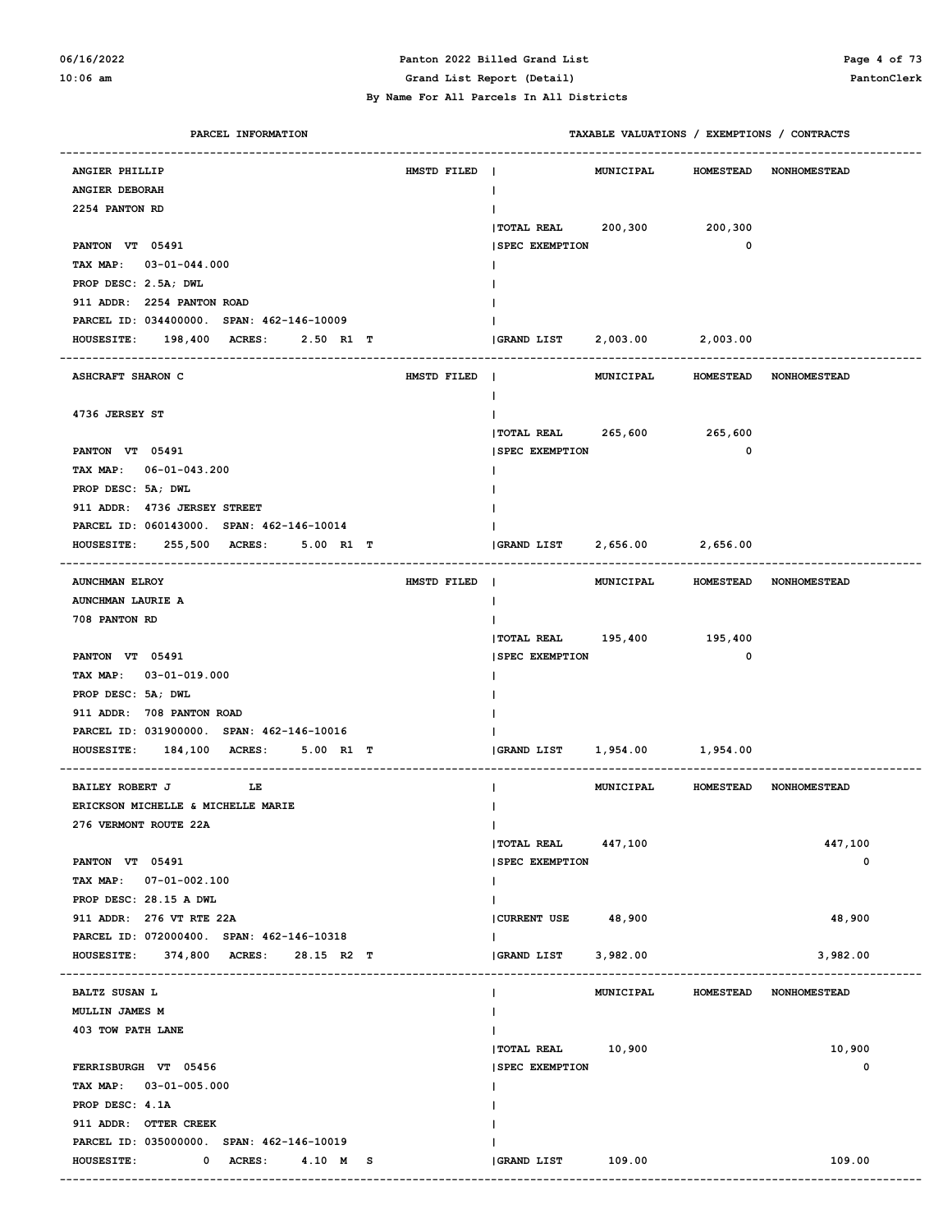#### **06/16/2022 Panton 2022 Billed Grand List Page 4 of 73 10:06 am Grand List Report (Detail) PantonClerk**

| PARCEL INFORMATION                               |             |                       | TAXABLE VALUATIONS / EXEMPTIONS / CONTRACTS |                   |                        |
|--------------------------------------------------|-------------|-----------------------|---------------------------------------------|-------------------|------------------------|
| ANGIER PHILLIP                                   | HMSTD FILED |                       | <b>MUNICIPAL</b>                            | <b>HOMESTEAD</b>  | <b>NONHOMESTEAD</b>    |
| ANGIER DEBORAH                                   |             | L                     |                                             |                   |                        |
| 2254 PANTON RD                                   |             |                       |                                             |                   |                        |
|                                                  |             |                       | TOTAL REAL 200,300 200,300                  |                   |                        |
| PANTON VT 05491                                  |             | <b>SPEC EXEMPTION</b> |                                             | 0                 |                        |
| TAX MAP: 03-01-044.000                           |             |                       |                                             |                   |                        |
| PROP DESC: 2.5A; DWL                             |             |                       |                                             |                   |                        |
| 911 ADDR: 2254 PANTON ROAD                       |             |                       |                                             |                   |                        |
| PARCEL ID: 034400000. SPAN: 462-146-10009        |             |                       |                                             |                   |                        |
| <b>HOUSESITE:</b><br>198,400 ACRES:<br>2.50 R1 T |             |                       |                                             |                   |                        |
|                                                  |             |                       |                                             |                   |                        |
| <b>ASHCRAFT SHARON C</b>                         | HMSTD FILED | $\blacksquare$        | MUNICIPAL                                   | <b>HOMESTEAD</b>  | <b>NONHOMESTEAD</b>    |
|                                                  |             | L                     |                                             |                   |                        |
| 4736 JERSEY ST                                   |             |                       |                                             |                   |                        |
|                                                  |             |                       | TOTAL REAL 265,600 265,600                  |                   |                        |
| PANTON VT 05491                                  |             | <b>SPEC EXEMPTION</b> |                                             | $\mathbf 0$       |                        |
| TAX MAP: 06-01-043.200                           |             |                       |                                             |                   |                        |
| PROP DESC: 5A; DWL                               |             |                       |                                             |                   |                        |
| 911 ADDR: 4736 JERSEY STREET                     |             |                       |                                             |                   |                        |
| PARCEL ID: 060143000. SPAN: 462-146-10014        |             |                       |                                             |                   |                        |
| HOUSESITE: 255,500 ACRES:<br>5.00 R1 T           |             | GRAND LIST            |                                             | 2,656.00 2,656.00 |                        |
| <b>AUNCHMAN ELROY</b>                            | HMSTD FILED | $\blacksquare$        | MUNICIPAL                                   |                   | HOMESTEAD NONHOMESTEAD |
| AUNCHMAN LAURIE A                                |             | L                     |                                             |                   |                        |
| 708 PANTON RD                                    |             |                       |                                             |                   |                        |
|                                                  |             |                       | TOTAL REAL 195,400 195,400                  |                   |                        |
| PANTON VT 05491                                  |             | <b>SPEC EXEMPTION</b> |                                             | 0                 |                        |
| TAX MAP: 03-01-019.000                           |             |                       |                                             |                   |                        |
| PROP DESC: 5A; DWL                               |             |                       |                                             |                   |                        |
| 911 ADDR: 708 PANTON ROAD                        |             |                       |                                             |                   |                        |
| PARCEL ID: 031900000. SPAN: 462-146-10016        |             |                       |                                             |                   |                        |
| HOUSESITE: 184,100 ACRES:<br>5.00 R1 T           |             | <b>GRAND LIST</b>     | 1,954.00 1,954.00                           |                   |                        |
|                                                  |             |                       |                                             |                   |                        |
| <b>BAILEY ROBERT J</b><br>LE                     |             | L                     | <b>MUNICIPAL</b>                            |                   | HOMESTEAD NONHOMESTEAD |
| ERICKSON MICHELLE & MICHELLE MARIE               |             |                       |                                             |                   |                        |
| 276 VERMONT ROUTE 22A                            |             | L                     |                                             |                   |                        |
|                                                  |             | <b>TOTAL REAL</b>     | 447,100                                     |                   | 447,100                |
| PANTON VT 05491                                  |             | <b>SPEC EXEMPTION</b> |                                             |                   | $\mathbf 0$            |
| TAX MAP: 07-01-002.100                           |             | I.                    |                                             |                   |                        |
| PROP DESC: 28.15 A DWL                           |             |                       |                                             |                   |                        |
| 911 ADDR: 276 VT RTE 22A                         |             | CURRENT USE 48,900    |                                             |                   | 48,900                 |
| PARCEL ID: 072000400. SPAN: 462-146-10318        |             | L                     |                                             |                   |                        |
| HOUSESITE: 374,800 ACRES: 28.15 R2 T             |             | <b>GRAND LIST</b>     | 3,982.00                                    |                   | 3,982.00               |
| <b>BALTZ SUSAN L</b>                             |             | L                     | <b>MUNICIPAL</b>                            | <b>HOMESTEAD</b>  | <b>NONHOMESTEAD</b>    |
| MULLIN JAMES M                                   |             |                       |                                             |                   |                        |
| 403 TOW PATH LANE                                |             |                       |                                             |                   |                        |
|                                                  |             | TOTAL REAL 10,900     |                                             |                   | 10,900                 |
| FERRISBURGH VT 05456                             |             | <b>SPEC EXEMPTION</b> |                                             |                   | 0                      |
| TAX MAP: 03-01-005.000                           |             |                       |                                             |                   |                        |
| PROP DESC: 4.1A                                  |             |                       |                                             |                   |                        |
| 911 ADDR: OTTER CREEK                            |             |                       |                                             |                   |                        |
| PARCEL ID: 035000000. SPAN: 462-146-10019        |             |                       |                                             |                   |                        |
| <b>HOUSESITE:</b><br>0 ACRES:<br>4.10 M S        |             | GRAND LIST 109.00     |                                             |                   | 109.00                 |
|                                                  |             |                       |                                             |                   |                        |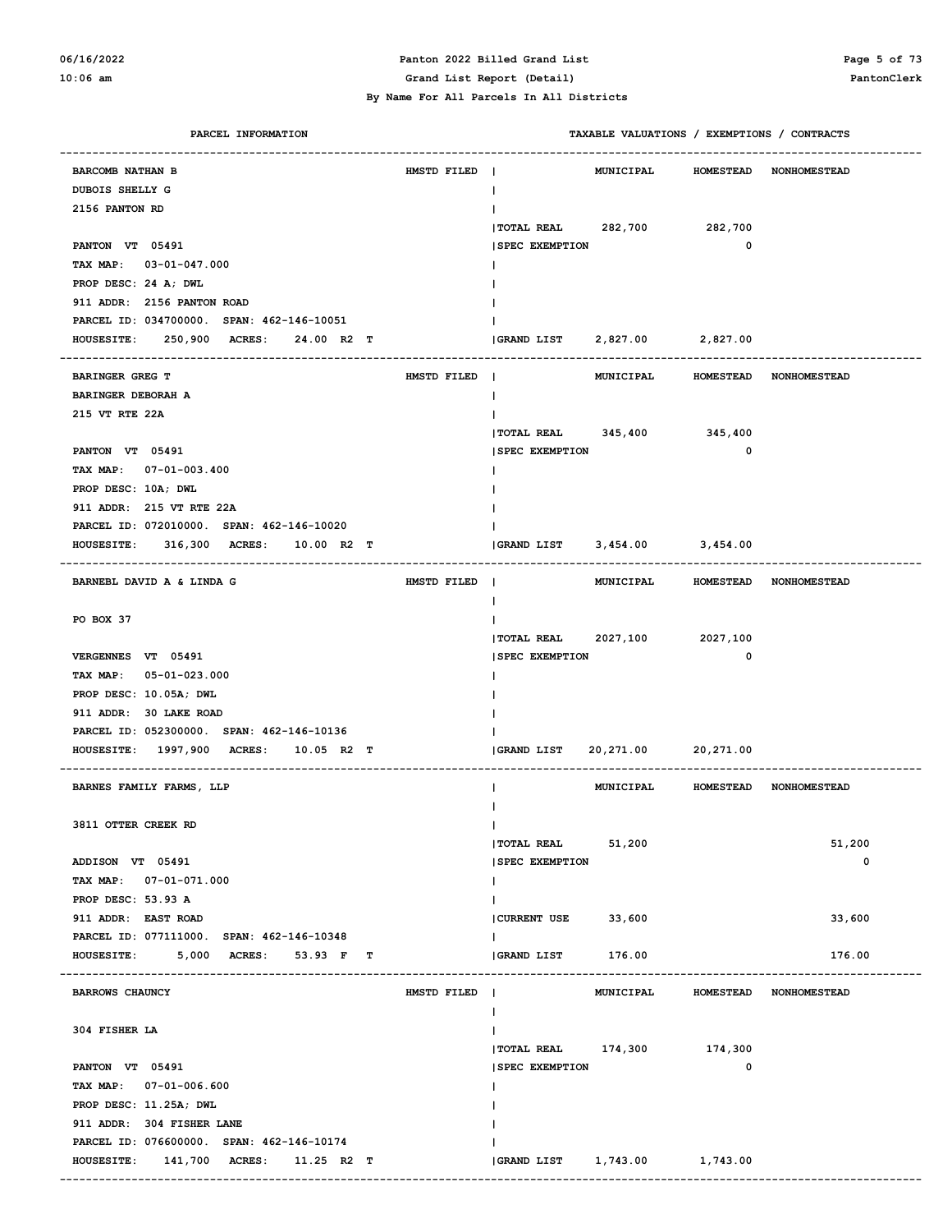#### **06/16/2022 Panton 2022 Billed Grand List Page 5 of 73 10:06 am Grand List Report (Detail) PantonClerk**

| PARCEL INFORMATION                                          |             | TAXABLE VALUATIONS / EXEMPTIONS / CONTRACTS |                  |                                  |
|-------------------------------------------------------------|-------------|---------------------------------------------|------------------|----------------------------------|
| <b>BARCOMB NATHAN B</b>                                     | HMSTD FILED | <b>MUNICIPAL</b>                            |                  | HOMESTEAD NONHOMESTEAD           |
| DUBOIS SHELLY G                                             |             | $\mathbf{I}$                                |                  |                                  |
| 2156 PANTON RD                                              |             |                                             |                  |                                  |
|                                                             |             | TOTAL REAL 282,700 282,700                  |                  |                                  |
| PANTON VT 05491                                             |             | <b>SPEC EXEMPTION</b>                       | 0                |                                  |
| TAX MAP: 03-01-047.000                                      |             |                                             |                  |                                  |
| PROP DESC: 24 A; DWL                                        |             |                                             |                  |                                  |
| 911 ADDR: 2156 PANTON ROAD                                  |             |                                             |                  |                                  |
| PARCEL ID: 034700000. SPAN: 462-146-10051                   |             |                                             |                  |                                  |
| 250,900<br><b>ACRES:</b><br>24.00 R2 T<br><b>HOUSESITE:</b> |             | GRAND LIST 2,827.00 2,827.00                |                  |                                  |
| ---------------------------<br><b>BARINGER GREG T</b>       | HMSTD FILED |                                             |                  |                                  |
| BARINGER DEBORAH A                                          |             | $\mathbf{I}$                                |                  | MUNICIPAL HOMESTEAD NONHOMESTEAD |
| 215 VT RTE 22A                                              |             |                                             |                  |                                  |
|                                                             |             | TOTAL REAL 345,400 345,400                  |                  |                                  |
| PANTON VT 05491                                             |             | <b>SPEC EXEMPTION</b>                       | 0                |                                  |
| TAX MAP: 07-01-003.400                                      |             |                                             |                  |                                  |
| PROP DESC: 10A; DWL                                         |             |                                             |                  |                                  |
| 911 ADDR: 215 VT RTE 22A                                    |             |                                             |                  |                                  |
| PARCEL ID: 072010000. SPAN: 462-146-10020                   |             |                                             |                  |                                  |
| 316,300 ACRES: 10.00 R2 T<br><b>HOUSESITE:</b>              |             | GRAND LIST 3,454.00 3,454.00                |                  |                                  |
|                                                             |             |                                             |                  |                                  |
| BARNEBL DAVID A & LINDA G                                   | HMSTD FILED |                                             |                  | MUNICIPAL HOMESTEAD NONHOMESTEAD |
|                                                             |             | $\mathbf{I}$                                |                  |                                  |
| PO BOX 37                                                   |             |                                             |                  |                                  |
|                                                             |             | TOTAL REAL 2027,100 2027,100                |                  |                                  |
| VERGENNES VT 05491                                          |             | <b>SPEC EXEMPTION</b>                       | 0                |                                  |
| TAX MAP: 05-01-023.000                                      |             |                                             |                  |                                  |
| PROP DESC: 10.05A; DWL                                      |             |                                             |                  |                                  |
| 911 ADDR: 30 LAKE ROAD                                      |             |                                             |                  |                                  |
| PARCEL ID: 052300000. SPAN: 462-146-10136                   |             |                                             |                  |                                  |
| HOUSESITE: 1997,900 ACRES: 10.05 R2 T                       |             | 20,271.00 20,271.00<br>GRAND LIST           |                  |                                  |
| BARNES FAMILY FARMS, LLP                                    |             |                                             |                  | MUNICIPAL HOMESTEAD NONHOMESTEAD |
|                                                             |             |                                             |                  |                                  |
| 3811 OTTER CREEK RD                                         |             | Ι.                                          |                  |                                  |
|                                                             |             | <b>TOTAL REAL</b><br>51,200                 |                  | 51,200                           |
| ADDISON VT 05491                                            |             | <b>SPEC EXEMPTION</b>                       |                  | $\mathbf 0$                      |
| TAX MAP: 07-01-071.000                                      |             | L                                           |                  |                                  |
| PROP DESC: 53.93 A                                          |             | L                                           |                  |                                  |
| 911 ADDR: EAST ROAD                                         |             | CURRENT USE<br>33,600                       |                  | 33,600                           |
| PARCEL ID: 077111000. SPAN: 462-146-10348                   |             |                                             |                  |                                  |
| 5,000<br><b>ACRES:</b><br><b>HOUSESITE:</b><br>53.93 F T    |             | GRAND LIST<br>176.00                        |                  | 176.00                           |
| <b>BARROWS CHAUNCY</b>                                      | HMSTD FILED | $\blacksquare$<br><b>MUNICIPAL</b>          | <b>HOMESTEAD</b> | <b>NONHOMESTEAD</b>              |
|                                                             |             |                                             |                  |                                  |
| 304 FISHER LA                                               |             |                                             |                  |                                  |
|                                                             |             | TOTAL REAL 174,300 174,300                  |                  |                                  |
| PANTON VT 05491                                             |             | <b>SPEC EXEMPTION</b>                       | 0                |                                  |
| TAX MAP: 07-01-006.600                                      |             |                                             |                  |                                  |
| PROP DESC: 11.25A; DWL                                      |             |                                             |                  |                                  |
| 911 ADDR: 304 FISHER LANE                                   |             |                                             |                  |                                  |
| PARCEL ID: 076600000. SPAN: 462-146-10174                   |             |                                             |                  |                                  |
| 141,700 ACRES:<br>$11.25$ R2 T<br><b>HOUSESITE:</b>         |             |                                             |                  |                                  |
|                                                             |             |                                             |                  |                                  |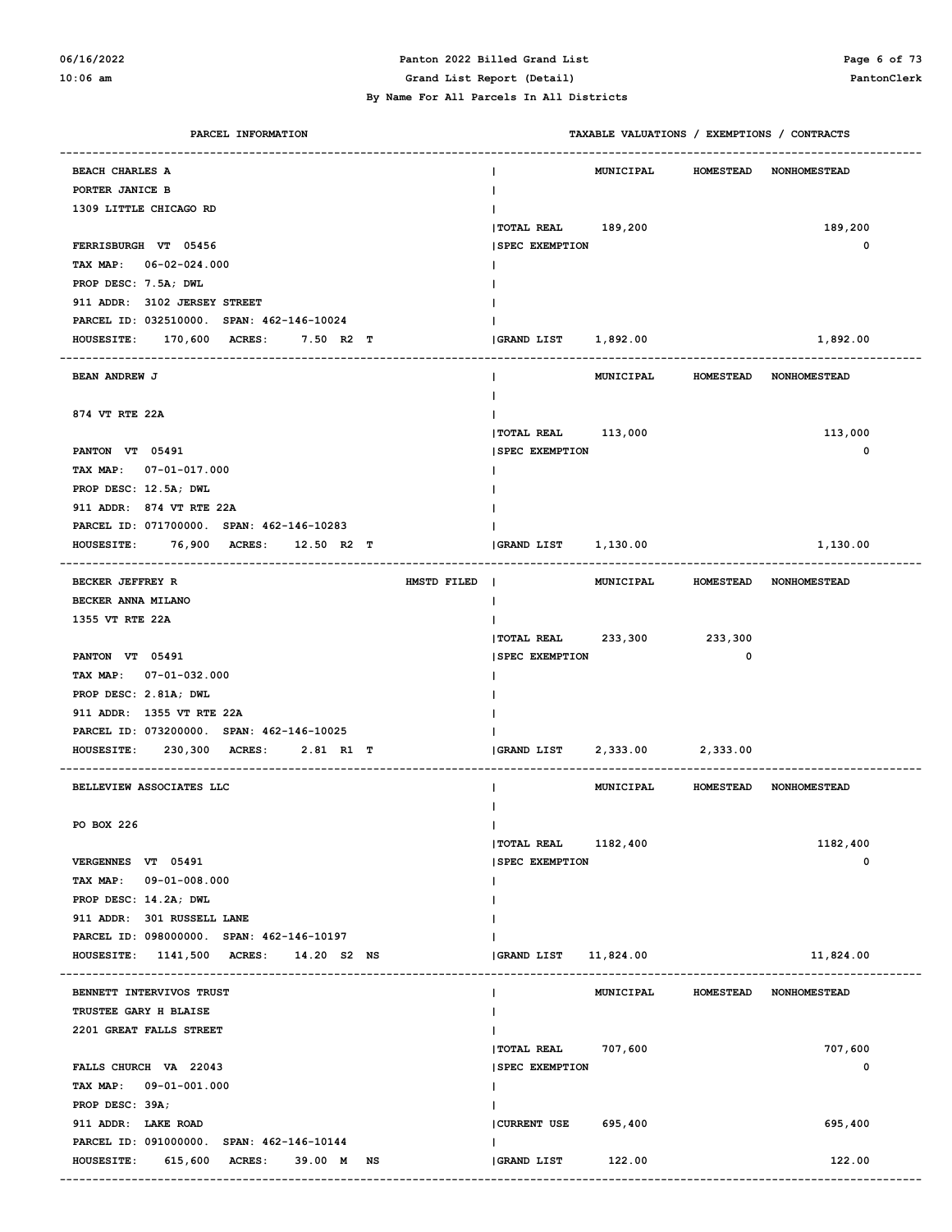#### **06/16/2022 Panton 2022 Billed Grand List Page 6 of 73 10:06 am Grand List Report (Detail) PantonClerk**

| PARCEL INFORMATION                        | TAXABLE VALUATIONS / EXEMPTIONS / CONTRACTS |                  |                                  |
|-------------------------------------------|---------------------------------------------|------------------|----------------------------------|
| <b>BEACH CHARLES A</b>                    | <b>MUNICIPAL</b>                            | <b>HOMESTEAD</b> | <b>NONHOMESTEAD</b>              |
| PORTER JANICE B                           |                                             |                  |                                  |
| 1309 LITTLE CHICAGO RD                    |                                             |                  |                                  |
|                                           | TOTAL REAL 189,200                          |                  | 189,200                          |
| FERRISBURGH VT 05456                      | <b>SPEC EXEMPTION</b>                       |                  | 0                                |
| TAX MAP: 06-02-024.000                    |                                             |                  |                                  |
| PROP DESC: 7.5A; DWL                      |                                             |                  |                                  |
| 911 ADDR: 3102 JERSEY STREET              |                                             |                  |                                  |
| PARCEL ID: 032510000. SPAN: 462-146-10024 |                                             |                  |                                  |
| HOUSESITE: 170,600 ACRES:<br>7.50 R2 T    | <b>GRAND LIST</b><br>1,892.00               |                  | 1,892.00                         |
|                                           |                                             |                  |                                  |
| <b>BEAN ANDREW J</b>                      | <b>MUNICIPAL</b>                            | <b>HOMESTEAD</b> | <b>NONHOMESTEAD</b>              |
|                                           |                                             |                  |                                  |
| 874 VT RTE 22A                            |                                             |                  |                                  |
|                                           | TOTAL REAL 113,000                          |                  | 113,000                          |
| PANTON VT 05491                           | <b>SPEC EXEMPTION</b>                       |                  | 0                                |
| TAX MAP: 07-01-017.000                    |                                             |                  |                                  |
| PROP DESC: 12.5A; DWL                     |                                             |                  |                                  |
| 911 ADDR: 874 VT RTE 22A                  |                                             |                  |                                  |
| PARCEL ID: 071700000. SPAN: 462-146-10283 |                                             |                  |                                  |
| HOUSESITE: 76,900 ACRES: 12.50 R2 T       | <b>GRAND LIST</b><br>1,130.00               |                  | 1,130.00                         |
|                                           |                                             |                  |                                  |
| <b>BECKER JEFFREY R</b><br>HMSTD FILED    | $\blacksquare$                              |                  | MUNICIPAL HOMESTEAD NONHOMESTEAD |
| BECKER ANNA MILANO                        |                                             |                  |                                  |
| 1355 VT RTE 22A                           |                                             |                  |                                  |
|                                           | TOTAL REAL 233,300 233,300                  |                  |                                  |
| PANTON VT 05491                           | <b>SPEC EXEMPTION</b>                       | 0                |                                  |
| TAX MAP: 07-01-032.000                    |                                             |                  |                                  |
| PROP DESC: 2.81A; DWL                     |                                             |                  |                                  |
| 911 ADDR: 1355 VT RTE 22A                 |                                             |                  |                                  |
| PARCEL ID: 073200000. SPAN: 462-146-10025 |                                             |                  |                                  |
| HOUSESITE: 230,300 ACRES: 2.81 R1 T       | <b>GRAND LIST</b><br>2,333.00               | 2,333.00         |                                  |
|                                           |                                             |                  |                                  |
| BELLEVIEW ASSOCIATES LLC                  | MUNICIPAL                                   |                  | HOMESTEAD NONHOMESTEAD           |
|                                           |                                             |                  |                                  |
| PO BOX 226                                | T                                           |                  |                                  |
|                                           | TOTAL REAL 1182,400                         |                  | 1182,400                         |
| VERGENNES VT 05491                        | <b>SPEC EXEMPTION</b>                       |                  | 0                                |
| TAX MAP: 09-01-008.000                    |                                             |                  |                                  |
| PROP DESC: 14.2A; DWL                     |                                             |                  |                                  |
| 911 ADDR: 301 RUSSELL LANE                |                                             |                  |                                  |
| PARCEL ID: 098000000. SPAN: 462-146-10197 |                                             |                  |                                  |
| HOUSESITE: 1141,500 ACRES: 14.20 S2 NS    | <b>GRAND LIST</b><br>11,824.00              |                  | 11,824.00                        |
| BENNETT INTERVIVOS TRUST                  | <b>MUNICIPAL</b><br>ı.                      |                  | HOMESTEAD NONHOMESTEAD           |
| TRUSTEE GARY H BLAISE                     | I.                                          |                  |                                  |
| 2201 GREAT FALLS STREET                   |                                             |                  |                                  |
|                                           | <b> TOTAL REAL</b><br>707,600               |                  | 707,600                          |
| FALLS CHURCH VA 22043                     | <b>SPEC EXEMPTION</b>                       |                  | 0                                |
| TAX MAP: 09-01-001.000                    | T                                           |                  |                                  |
| PROP DESC: 39A;                           |                                             |                  |                                  |
| 911 ADDR: LAKE ROAD                       | 695,400<br><b>CURRENT USE</b>               |                  | 695,400                          |
| PARCEL ID: 091000000. SPAN: 462-146-10144 | I.                                          |                  |                                  |
| HOUSESITE: 615,600 ACRES:<br>39.00 M NS   | 122.00<br><b>GRAND LIST</b>                 |                  | 122.00                           |
|                                           |                                             |                  |                                  |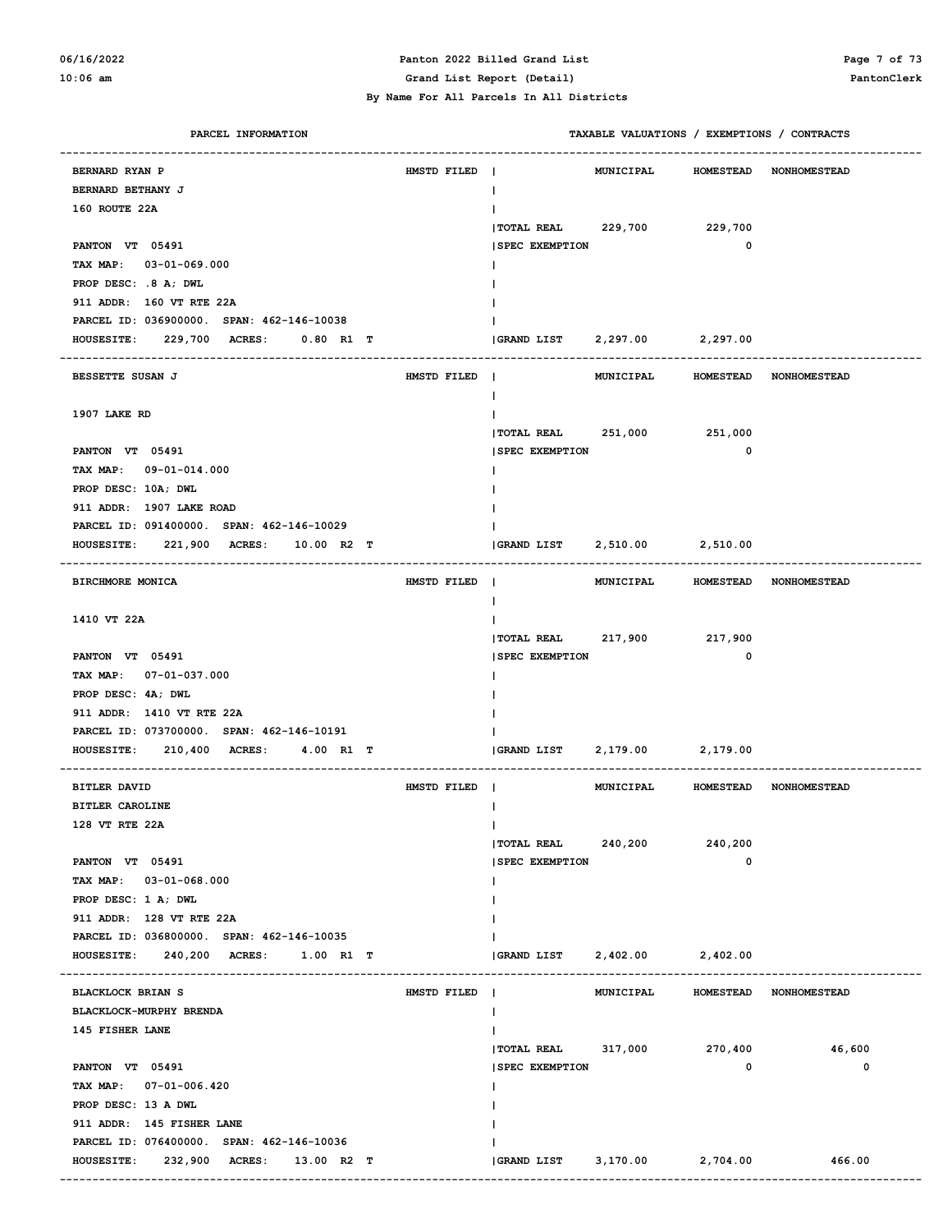#### **06/16/2022 Panton 2022 Billed Grand List Page 7 of 73 10:06 am Grand List Report (Detail) PantonClerk**

| PARCEL INFORMATION                        |             |                            |                  |                  | TAXABLE VALUATIONS / EXEMPTIONS / CONTRACTS |
|-------------------------------------------|-------------|----------------------------|------------------|------------------|---------------------------------------------|
| <b>BERNARD RYAN P</b>                     | HMSTD FILED | $\mathbf{I}$               | <b>MUNICIPAL</b> | <b>HOMESTEAD</b> | <b>NONHOMESTEAD</b>                         |
| BERNARD BETHANY J                         |             | $\mathbf{I}$               |                  |                  |                                             |
| 160 ROUTE 22A                             |             |                            |                  |                  |                                             |
|                                           |             | TOTAL REAL 229,700         |                  | 229,700          |                                             |
| PANTON VT 05491                           |             | <b>SPEC EXEMPTION</b>      |                  | 0                |                                             |
| TAX MAP: 03-01-069.000                    |             |                            |                  |                  |                                             |
| PROP DESC: .8 A; DWL                      |             |                            |                  |                  |                                             |
| 911 ADDR: 160 VT RTE 22A                  |             |                            |                  |                  |                                             |
| PARCEL ID: 036900000. SPAN: 462-146-10038 |             |                            |                  |                  |                                             |
| HOUSESITE: 229,700 ACRES:<br>0.80 R1 T    |             | <b>GRAND LIST</b>          | 2,297.00         | 2,297.00         |                                             |
|                                           |             |                            |                  |                  |                                             |
| BESSETTE SUSAN J                          | HMSTD FILED | $\blacksquare$             | <b>MUNICIPAL</b> | <b>HOMESTEAD</b> | <b>NONHOMESTEAD</b>                         |
|                                           |             | $\mathbf{I}$               |                  |                  |                                             |
| 1907 LAKE RD                              |             |                            |                  |                  |                                             |
|                                           |             | $ $ TOTAL REAL 251,000     |                  | 251,000          |                                             |
| PANTON VT 05491                           |             | <b>SPEC EXEMPTION</b>      |                  | 0                |                                             |
| TAX MAP: 09-01-014.000                    |             |                            |                  |                  |                                             |
| PROP DESC: 10A; DWL                       |             |                            |                  |                  |                                             |
| 911 ADDR: 1907 LAKE ROAD                  |             |                            |                  |                  |                                             |
| PARCEL ID: 091400000. SPAN: 462-146-10029 |             |                            |                  |                  |                                             |
| HOUSESITE: 221,900 ACRES:<br>10.00 R2 T   |             | GRAND LIST                 | 2,510.00         | 2,510.00         |                                             |
| BIRCHMORE MONICA                          | HMSTD FILED | $\blacksquare$             |                  |                  | MUNICIPAL HOMESTEAD NONHOMESTEAD            |
|                                           |             | $\mathbf{I}$               |                  |                  |                                             |
| 1410 VT 22A                               |             |                            |                  |                  |                                             |
|                                           |             | TOTAL REAL 217,900 217,900 |                  |                  |                                             |
| PANTON VT 05491                           |             | <b>SPEC EXEMPTION</b>      |                  | $\mathbf 0$      |                                             |
| TAX MAP: 07-01-037.000                    |             |                            |                  |                  |                                             |
| PROP DESC: 4A; DWL                        |             |                            |                  |                  |                                             |
| 911 ADDR: 1410 VT RTE 22A                 |             |                            |                  |                  |                                             |
| PARCEL ID: 073700000. SPAN: 462-146-10191 |             |                            |                  |                  |                                             |
| HOUSESITE: 210,400 ACRES:<br>4.00 R1 T    |             | <b>GRAND LIST</b>          | 2,179.00         | 2,179.00         |                                             |
| <b>BITLER DAVID</b>                       | HMSTD FILED |                            | <b>MUNICIPAL</b> |                  | HOMESTEAD NONHOMESTEAD                      |
| <b>BITLER CAROLINE</b>                    |             |                            |                  |                  |                                             |
| 128 VT RTE 22A                            |             | $\mathbf{I}$               |                  |                  |                                             |
|                                           |             | <b>  TOTAL REAL</b>        | 240,200          | 240,200          |                                             |
| PANTON VT 05491                           |             | <b>SPEC EXEMPTION</b>      |                  | 0                |                                             |
| TAX MAP: 03-01-068.000                    |             | Ι.                         |                  |                  |                                             |
| PROP DESC: 1 A; DWL                       |             |                            |                  |                  |                                             |
| 911 ADDR: 128 VT RTE 22A                  |             |                            |                  |                  |                                             |
| PARCEL ID: 036800000. SPAN: 462-146-10035 |             |                            |                  |                  |                                             |
| HOUSESITE: 240,200 ACRES: 1.00 R1 T       |             | GRAND LIST                 | 2,402.00         | 2,402.00         |                                             |
| <b>BLACKLOCK BRIAN S</b>                  | HMSTD FILED |                            | <b>MUNICIPAL</b> |                  | HOMESTEAD NONHOMESTEAD                      |
| BLACKLOCK-MURPHY BRENDA                   |             | Ι.                         |                  |                  |                                             |
| 145 FISHER LANE                           |             |                            |                  |                  |                                             |
|                                           |             | $ $ TOTAL REAL 317,000     |                  | 270,400          | 46,600                                      |
| PANTON VT 05491                           |             | <b>SPEC EXEMPTION</b>      |                  | $\mathbf 0$      | 0                                           |
| TAX MAP: 07-01-006.420                    |             | Ι.                         |                  |                  |                                             |
| PROP DESC: 13 A DWL                       |             |                            |                  |                  |                                             |
| 911 ADDR: 145 FISHER LANE                 |             |                            |                  |                  |                                             |
| PARCEL ID: 076400000. SPAN: 462-146-10036 |             |                            |                  |                  |                                             |
| HOUSESITE: 232,900 ACRES: 13.00 R2 T      |             | $ GRAND$ $LIST$ $3,170.00$ |                  | 2,704.00         | 466.00                                      |
|                                           |             |                            |                  |                  |                                             |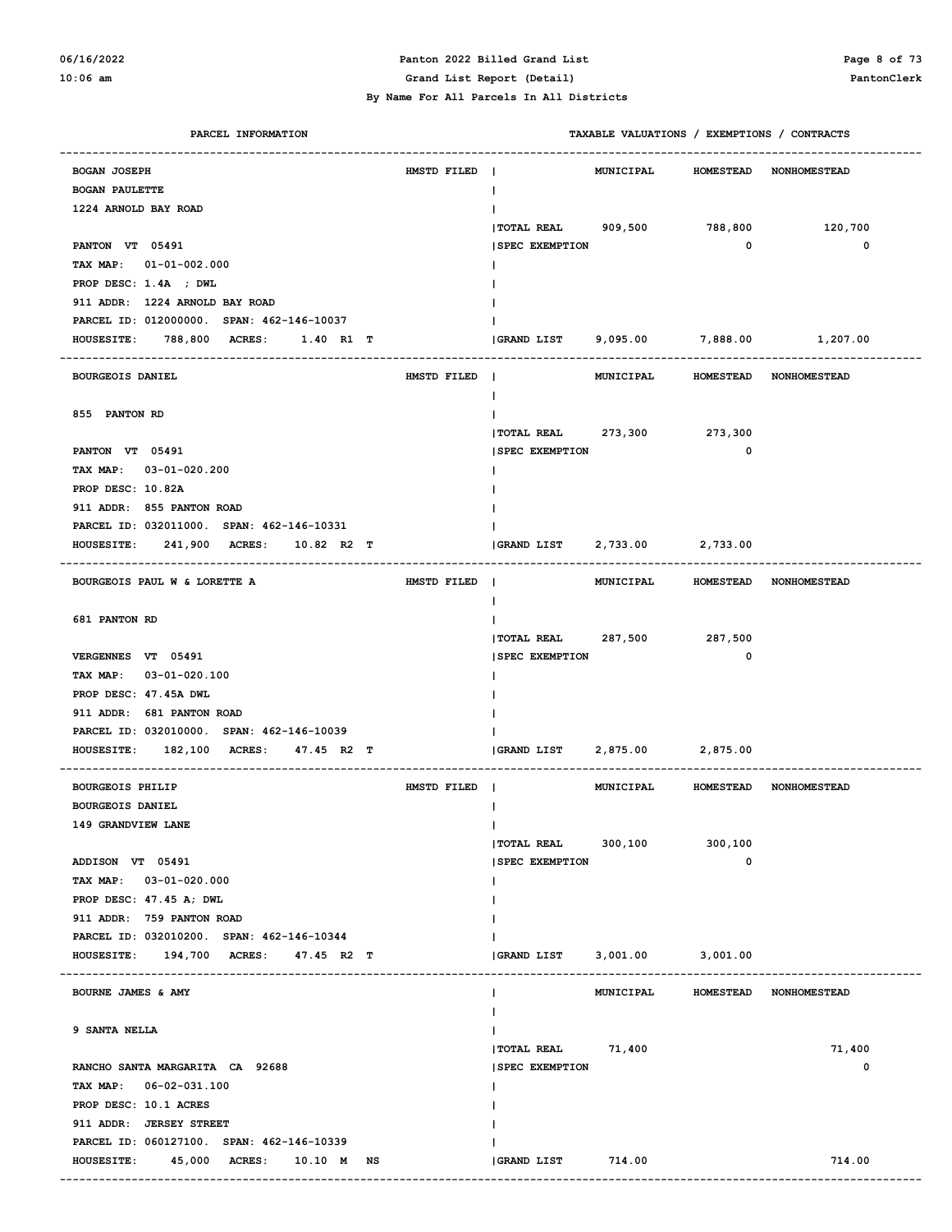#### **06/16/2022 Panton 2022 Billed Grand List Page 8 of 73 10:06 am Grand List Report (Detail) PantonClerk**

| PARCEL INFORMATION                                           |             |                                |                   |                  | TAXABLE VALUATIONS / EXEMPTIONS / CONTRACTS |
|--------------------------------------------------------------|-------------|--------------------------------|-------------------|------------------|---------------------------------------------|
| <b>BOGAN JOSEPH</b>                                          | HMSTD FILED | $\sim$ 1                       | MUNICIPAL         |                  | HOMESTEAD NONHOMESTEAD                      |
| <b>BOGAN PAULETTE</b>                                        |             | $\mathbf{I}$                   |                   |                  |                                             |
| 1224 ARNOLD BAY ROAD                                         |             |                                |                   |                  |                                             |
|                                                              |             | TOTAL REAL 909,500             |                   | 788,800          | 120,700                                     |
| PANTON VT 05491                                              |             | <b>SPEC EXEMPTION</b>          |                   | $\mathbf 0$      | 0                                           |
| TAX MAP: 01-01-002.000                                       |             |                                |                   |                  |                                             |
| PROP DESC: 1.4A ; DWL                                        |             |                                |                   |                  |                                             |
| 911 ADDR: 1224 ARNOLD BAY ROAD                               |             |                                |                   |                  |                                             |
| PARCEL ID: 012000000. SPAN: 462-146-10037                    |             |                                |                   |                  |                                             |
| 788,800 ACRES:<br>1.40 R1 T<br><b>HOUSESITE:</b>             |             |                                |                   |                  | GRAND LIST 9,095.00 7,888.00 1,207.00       |
|                                                              |             |                                |                   |                  |                                             |
| <b>BOURGEOIS DANIEL</b>                                      | HMSTD FILED | $\blacksquare$<br>$\mathbf{I}$ | MUNICIPAL         |                  | HOMESTEAD NONHOMESTEAD                      |
| 855 PANTON RD                                                |             |                                |                   |                  |                                             |
|                                                              |             | $ $ TOTAL REAL 273, 300        |                   | 273,300          |                                             |
| PANTON VT 05491                                              |             | <b>SPEC EXEMPTION</b>          |                   | $\mathbf 0$      |                                             |
| TAX MAP: 03-01-020.200                                       |             |                                |                   |                  |                                             |
| PROP DESC: 10.82A                                            |             |                                |                   |                  |                                             |
| 911 ADDR: 855 PANTON ROAD                                    |             |                                |                   |                  |                                             |
| PARCEL ID: 032011000. SPAN: 462-146-10331                    |             |                                |                   |                  |                                             |
| 241,900 ACRES: 10.82 R2 T<br><b>HOUSESITE:</b>               |             | GRAND LIST 2,733.00 2,733.00   |                   |                  |                                             |
|                                                              |             |                                |                   |                  |                                             |
| BOURGEOIS PAUL W & LORETTE A                                 | HMSTD FILED | $\blacksquare$                 | MUNICIPAL         |                  | HOMESTEAD NONHOMESTEAD                      |
|                                                              |             | ш                              |                   |                  |                                             |
| 681 PANTON RD                                                |             |                                |                   |                  |                                             |
|                                                              |             | TOTAL REAL 287,500 287,500     |                   |                  |                                             |
| VERGENNES VT 05491                                           |             | <b>SPEC EXEMPTION</b>          |                   | $\mathbf 0$      |                                             |
| TAX MAP: 03-01-020.100                                       |             |                                |                   |                  |                                             |
| PROP DESC: 47.45A DWL                                        |             |                                |                   |                  |                                             |
| 911 ADDR: 681 PANTON ROAD                                    |             |                                |                   |                  |                                             |
| PARCEL ID: 032010000. SPAN: 462-146-10039                    |             |                                |                   |                  |                                             |
| <b>HOUSESITE:</b><br>182,100<br><b>ACRES :</b><br>47.45 R2 T |             | <b>GRAND LIST</b>              | 2,875.00 2,875.00 |                  |                                             |
| <b>BOURGEOIS PHILIP</b>                                      | HMSTD FILED |                                | MUNICIPAL         |                  | HOMESTEAD NONHOMESTEAD                      |
| <b>BOURGEOIS DANIEL</b>                                      |             |                                |                   |                  |                                             |
| 149 GRANDVIEW LANE                                           |             |                                |                   |                  |                                             |
|                                                              |             | TOTAL REAL 300,100             |                   | 300,100          |                                             |
| ADDISON VT 05491                                             |             | <b>SPEC EXEMPTION</b>          |                   | 0                |                                             |
| TAX MAP: 03-01-020.000                                       |             |                                |                   |                  |                                             |
| PROP DESC: 47.45 A; DWL                                      |             |                                |                   |                  |                                             |
| 911 ADDR: 759 PANTON ROAD                                    |             |                                |                   |                  |                                             |
| PARCEL ID: 032010200. SPAN: 462-146-10344                    |             |                                |                   |                  |                                             |
| HOUSESITE: 194,700 ACRES:<br>47.45 R2 T                      |             | <b>GRAND LIST</b>              | 3,001.00 3,001.00 |                  |                                             |
|                                                              |             |                                |                   |                  |                                             |
| BOURNE JAMES & AMY                                           |             |                                | MUNICIPAL         | <b>HOMESTEAD</b> | <b>NONHOMESTEAD</b>                         |
| 9 SANTA NELLA                                                |             |                                |                   |                  |                                             |
|                                                              |             | $ TOTAL REAL$ 71,400           |                   |                  | 71,400                                      |
| RANCHO SANTA MARGARITA CA 92688                              |             | <b>SPEC EXEMPTION</b>          |                   |                  | 0                                           |
| TAX MAP: 06-02-031.100                                       |             |                                |                   |                  |                                             |
| PROP DESC: 10.1 ACRES                                        |             |                                |                   |                  |                                             |
| 911 ADDR: JERSEY STREET                                      |             |                                |                   |                  |                                             |
| PARCEL ID: 060127100. SPAN: 462-146-10339                    |             |                                |                   |                  |                                             |
| HOUSESITE: 45,000 ACRES: 10.10 M NS                          |             | GRAND LIST                     | 714.00            |                  | 714.00                                      |
|                                                              |             |                                |                   |                  |                                             |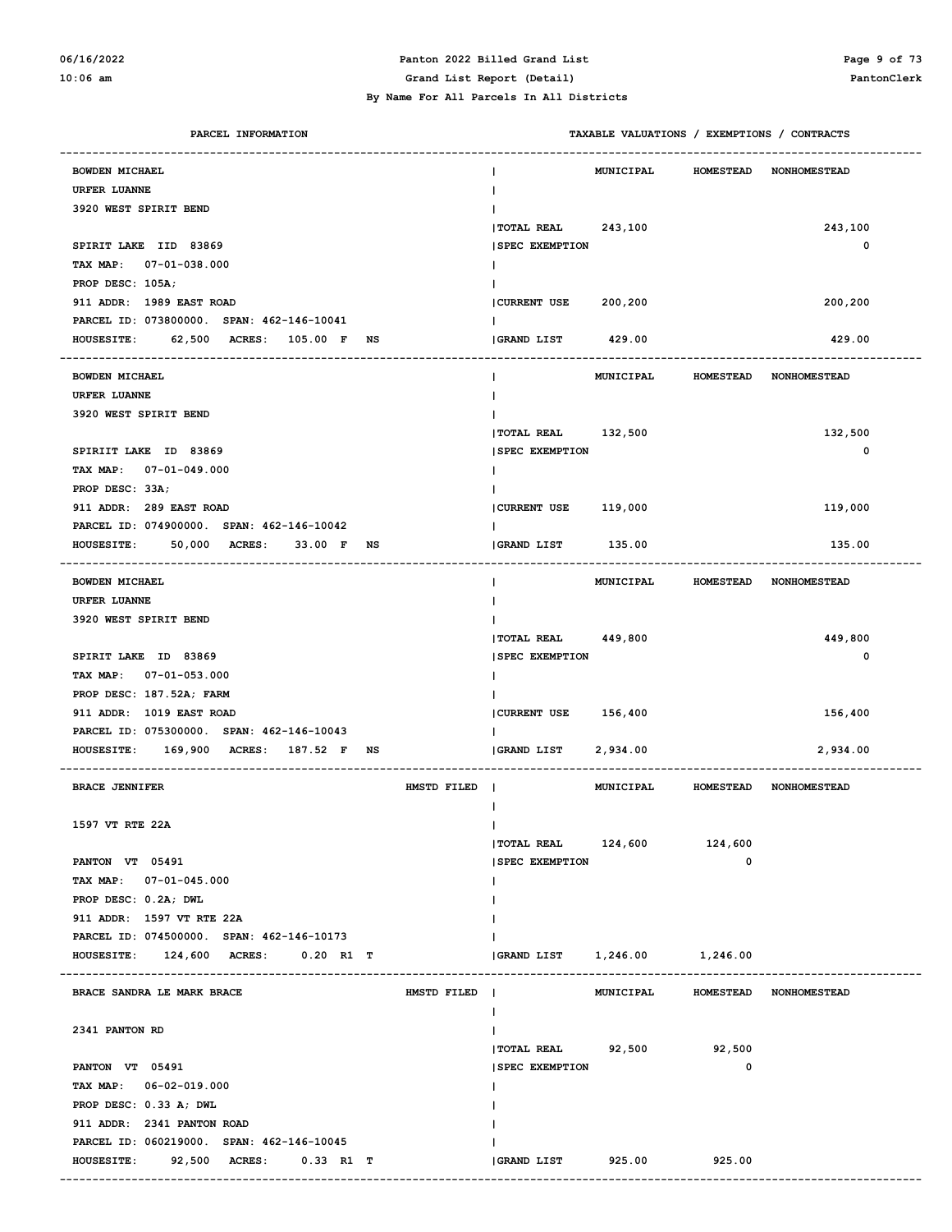# **06/16/2022 Panton 2022 Billed Grand List Page 9 of 73**

#### **By Name For All Parcels In All Districts**

**10:06 am Grand List Report (Detail) PantonClerk**

| PARCEL INFORMATION                        |                               |                               | TAXABLE VALUATIONS / EXEMPTIONS / CONTRACTS |                  |                        |
|-------------------------------------------|-------------------------------|-------------------------------|---------------------------------------------|------------------|------------------------|
| <b>BOWDEN MICHAEL</b>                     |                               |                               | <b>MUNICIPAL</b>                            | <b>HOMESTEAD</b> | <b>NONHOMESTEAD</b>    |
| <b>URFER LUANNE</b>                       |                               |                               |                                             |                  |                        |
| 3920 WEST SPIRIT BEND                     |                               |                               |                                             |                  |                        |
|                                           |                               | TOTAL REAL 243,100            |                                             |                  | 243,100                |
| SPIRIT LAKE IID 83869                     |                               | <b>SPEC EXEMPTION</b>         |                                             |                  | 0                      |
| TAX MAP: 07-01-038.000                    |                               |                               |                                             |                  |                        |
| PROP DESC: 105A;                          |                               |                               |                                             |                  |                        |
| 911 ADDR: 1989 EAST ROAD                  |                               | CURRENT USE                   | 200,200                                     |                  | 200,200                |
| PARCEL ID: 073800000. SPAN: 462-146-10041 |                               |                               |                                             |                  |                        |
| HOUSESITE: 62,500 ACRES: 105.00 F NS      |                               | <b>GRAND LIST</b>             | 429.00                                      |                  | 429.00                 |
|                                           |                               |                               |                                             |                  |                        |
| <b>BOWDEN MICHAEL</b>                     |                               | н                             | MUNICIPAL                                   | <b>HOMESTEAD</b> | <b>NONHOMESTEAD</b>    |
| <b>URFER LUANNE</b>                       |                               |                               |                                             |                  |                        |
| 3920 WEST SPIRIT BEND                     |                               |                               |                                             |                  |                        |
|                                           |                               | TOTAL REAL 132,500            |                                             |                  | 132,500                |
| SPIRIIT LAKE ID 83869                     |                               | <b>SPEC EXEMPTION</b>         |                                             |                  | 0                      |
| TAX MAP: 07-01-049.000                    |                               |                               |                                             |                  |                        |
| PROP DESC: 33A;                           |                               |                               |                                             |                  |                        |
| 911 ADDR: 289 EAST ROAD                   |                               | CURRENT USE 119,000           |                                             |                  | 119,000                |
| PARCEL ID: 074900000. SPAN: 462-146-10042 |                               |                               |                                             |                  |                        |
| HOUSESITE: 50,000 ACRES: 33.00 F NS       |                               | <b>GRAND LIST</b>             | 135.00                                      |                  | 135.00                 |
|                                           |                               |                               |                                             |                  |                        |
| <b>BOWDEN MICHAEL</b>                     |                               | $\mathbf{I}$                  | MUNICIPAL HOMESTEAD                         |                  | <b>NONHOMESTEAD</b>    |
| <b>URFER LUANNE</b>                       |                               |                               |                                             |                  |                        |
| 3920 WEST SPIRIT BEND                     |                               |                               |                                             |                  |                        |
|                                           |                               | TOTAL REAL 449,800            |                                             |                  | 449,800                |
| SPIRIT LAKE ID 83869                      |                               | <b>SPEC EXEMPTION</b>         |                                             |                  | 0                      |
| TAX MAP: 07-01-053.000                    |                               |                               |                                             |                  |                        |
| PROP DESC: 187.52A; FARM                  |                               |                               |                                             |                  |                        |
| 911 ADDR: 1019 EAST ROAD                  |                               | CURRENT USE 156,400           |                                             |                  | 156,400                |
| PARCEL ID: 075300000. SPAN: 462-146-10043 |                               |                               |                                             |                  |                        |
| HOUSESITE: 169,900 ACRES: 187.52 F NS     |                               | GRAND LIST                    | 2,934.00                                    |                  | 2,934.00               |
|                                           |                               |                               |                                             |                  |                        |
| <b>BRACE JENNIFER</b>                     | HMSTD FILED<br>$\blacksquare$ |                               | <b>MUNICIPAL</b>                            | <b>HOMESTEAD</b> | <b>NONHOMESTEAD</b>    |
|                                           |                               |                               |                                             |                  |                        |
| 1597 VT RTE 22A                           |                               | L                             |                                             |                  |                        |
|                                           |                               | <b>TOTAL REAL</b>             | 124,600                                     | 124,600          |                        |
| PANTON VT 05491                           |                               | <b>SPEC EXEMPTION</b>         |                                             | $\mathbf 0$      |                        |
| TAX MAP: 07-01-045.000                    |                               |                               |                                             |                  |                        |
| PROP DESC: 0.2A; DWL                      |                               |                               |                                             |                  |                        |
| 911 ADDR: 1597 VT RTE 22A                 |                               |                               |                                             |                  |                        |
| PARCEL ID: 074500000. SPAN: 462-146-10173 |                               |                               |                                             |                  |                        |
| HOUSESITE: 124,600 ACRES:<br>$0.20$ R1 T  |                               | (GRAND LIST 1,246.00 1,246.00 |                                             |                  |                        |
| ------------------------------------      |                               |                               |                                             |                  |                        |
| BRACE SANDRA LE MARK BRACE                | HMSTD FILED                   |                               | MUNICIPAL                                   |                  | HOMESTEAD NONHOMESTEAD |
|                                           |                               | Ι.                            |                                             |                  |                        |
| 2341 PANTON RD                            |                               | $\mathbf{I}$                  |                                             |                  |                        |
|                                           |                               | <b>TOTAL REAL</b>             | 92,500                                      | 92,500           |                        |
| PANTON VT 05491                           |                               | <b>SPEC EXEMPTION</b>         |                                             | 0                |                        |
| TAX MAP: 06-02-019.000                    |                               |                               |                                             |                  |                        |
| PROP DESC: 0.33 A; DWL                    |                               |                               |                                             |                  |                        |
| 911 ADDR: 2341 PANTON ROAD                |                               |                               |                                             |                  |                        |
| PARCEL ID: 060219000. SPAN: 462-146-10045 |                               |                               |                                             |                  |                        |
| HOUSESITE: 92,500 ACRES: 0.33 R1 T        |                               | <b>GRAND LIST</b>             | 925.00                                      | 925.00           |                        |
|                                           |                               |                               |                                             |                  |                        |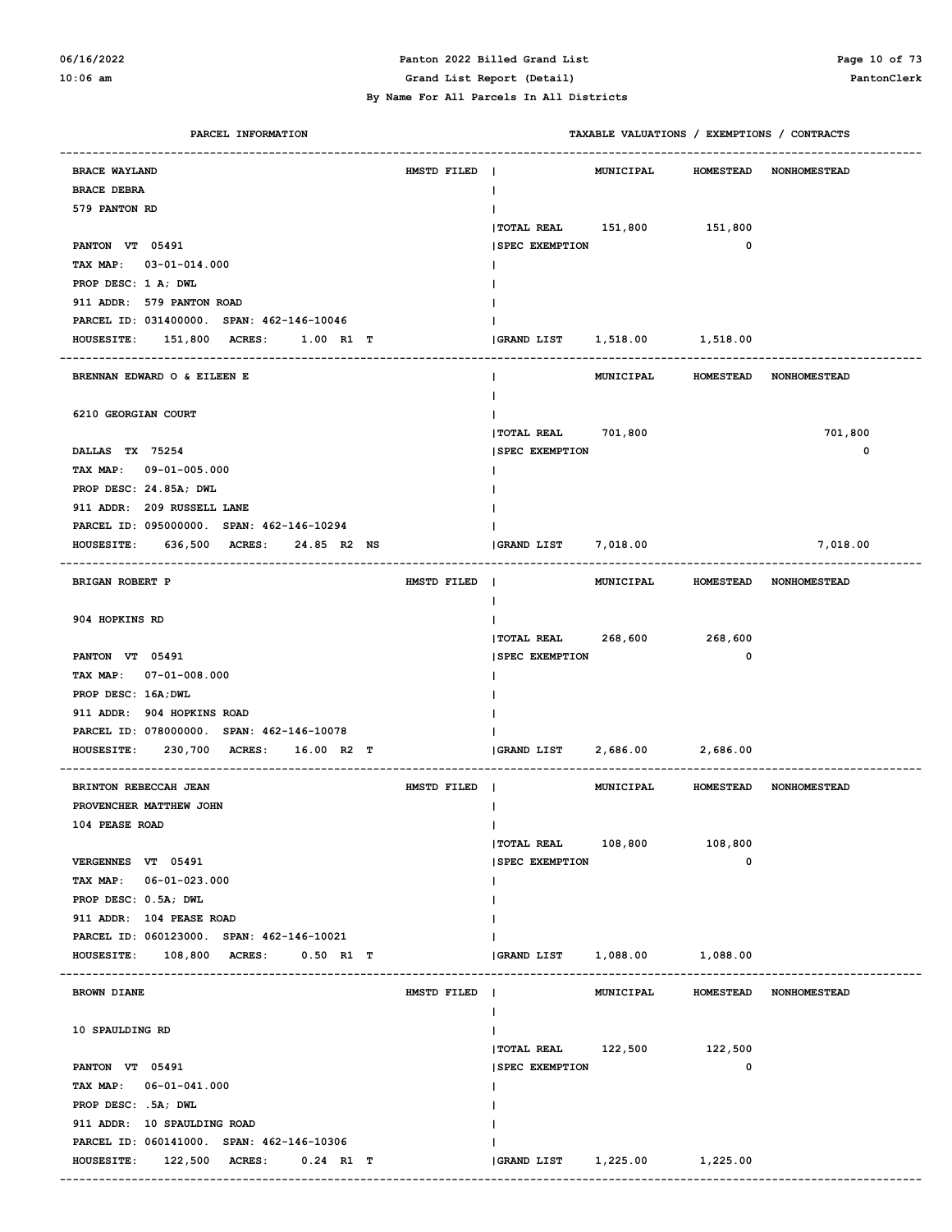#### **06/16/2022 Panton 2022 Billed Grand List Page 10 of 73 10:06 am Grand List Report (Detail) PantonClerk**

| PARCEL INFORMATION                             |             |                              | TAXABLE VALUATIONS / EXEMPTIONS / CONTRACTS |          |
|------------------------------------------------|-------------|------------------------------|---------------------------------------------|----------|
| <b>BRACE WAYLAND</b>                           |             |                              | MUNICIPAL                                   |          |
| <b>BRACE DEBRA</b>                             | HMSTD FILED |                              | <b>HOMESTEAD NONHOMESTEAD</b>               |          |
| 579 PANTON RD                                  |             | I.                           |                                             |          |
|                                                |             | TOTAL REAL 151,800 151,800   |                                             |          |
| PANTON VT 05491                                |             | <b>SPEC EXEMPTION</b>        | $\mathbf{o}$                                |          |
| TAX MAP: 03-01-014.000                         |             |                              |                                             |          |
| PROP DESC: 1 A; DWL                            |             |                              |                                             |          |
| 911 ADDR: 579 PANTON ROAD                      |             |                              |                                             |          |
| PARCEL ID: 031400000. SPAN: 462-146-10046      |             |                              |                                             |          |
| HOUSESITE: 151,800 ACRES: 1.00 R1 T            |             | GRAND LIST 1,518.00 1,518.00 |                                             |          |
|                                                |             |                              |                                             |          |
| BRENNAN EDWARD O & EILEEN E                    |             |                              | MUNICIPAL HOMESTEAD NONHOMESTEAD            |          |
|                                                |             |                              |                                             |          |
| 6210 GEORGIAN COURT                            |             |                              |                                             |          |
|                                                |             | TOTAL REAL 701,800           |                                             | 701,800  |
| DALLAS TX 75254                                |             | <b>SPEC EXEMPTION</b>        |                                             | 0        |
| TAX MAP: 09-01-005.000                         |             |                              |                                             |          |
| PROP DESC: 24.85A; DWL                         |             |                              |                                             |          |
| 911 ADDR: 209 RUSSELL LANE                     |             |                              |                                             |          |
| PARCEL ID: 095000000. SPAN: 462-146-10294      |             |                              |                                             |          |
| HOUSESITE: 636,500 ACRES: 24.85 R2 NS          |             | GRAND LIST 7,018.00          |                                             | 7,018.00 |
|                                                |             |                              |                                             |          |
| BRIGAN ROBERT P                                | HMSTD FILED |                              | MUNICIPAL HOMESTEAD NONHOMESTEAD            |          |
|                                                |             | I.                           |                                             |          |
| 904 HOPKINS RD                                 |             |                              |                                             |          |
|                                                |             | <b>TOTAL REAL</b>            | 268,600 268,600<br>$\mathbf 0$              |          |
| PANTON VT 05491<br>TAX MAP: 07-01-008.000      |             | <b>SPEC EXEMPTION</b>        |                                             |          |
| PROP DESC: 16A; DWL                            |             |                              |                                             |          |
| 911 ADDR: 904 HOPKINS ROAD                     |             |                              |                                             |          |
| PARCEL ID: 078000000. SPAN: 462-146-10078      |             |                              |                                             |          |
| 230,700 ACRES: 16.00 R2 T<br><b>HOUSESITE:</b> |             | GRAND LIST                   | 2,686.00<br>2,686.00                        |          |
|                                                |             |                              |                                             |          |
| BRINTON REBECCAH JEAN                          | HMSTD FILED |                              | MUNICIPAL HOMESTEAD NONHOMESTEAD            |          |
| PROVENCHER MATTHEW JOHN                        |             |                              |                                             |          |
| 104 PEASE ROAD                                 |             | Ι.                           |                                             |          |
|                                                |             | TOTAL REAL 108,800 108,800   |                                             |          |
| VERGENNES VT 05491                             |             | <b>SPEC EXEMPTION</b>        | 0                                           |          |
| TAX MAP: 06-01-023.000                         |             |                              |                                             |          |
| PROP DESC: 0.5A; DWL                           |             |                              |                                             |          |
| 911 ADDR: 104 PEASE ROAD                       |             |                              |                                             |          |
| PARCEL ID: 060123000. SPAN: 462-146-10021      |             |                              |                                             |          |
| HOUSESITE: 108,800 ACRES: 0.50 R1 T            |             | GRAND LIST                   | 1,088.00 1,088.00                           |          |
|                                                |             |                              |                                             |          |
| <b>BROWN DIANE</b>                             | HMSTD FILED |                              | MUNICIPAL HOMESTEAD NONHOMESTEAD            |          |
|                                                |             | I.                           |                                             |          |
| 10 SPAULDING RD                                |             |                              |                                             |          |
|                                                |             | TOTAL REAL 122,500 122,500   |                                             |          |
| PANTON VT 05491                                |             | <b>SPEC EXEMPTION</b>        | 0                                           |          |
| TAX MAP: 06-01-041.000                         |             |                              |                                             |          |
| PROP DESC: .5A; DWL                            |             |                              |                                             |          |
| 911 ADDR: 10 SPAULDING ROAD                    |             |                              |                                             |          |
| PARCEL ID: 060141000. SPAN: 462-146-10306      |             |                              |                                             |          |
| HOUSESITE: 122,500 ACRES: 0.24 R1 T            |             |                              |                                             |          |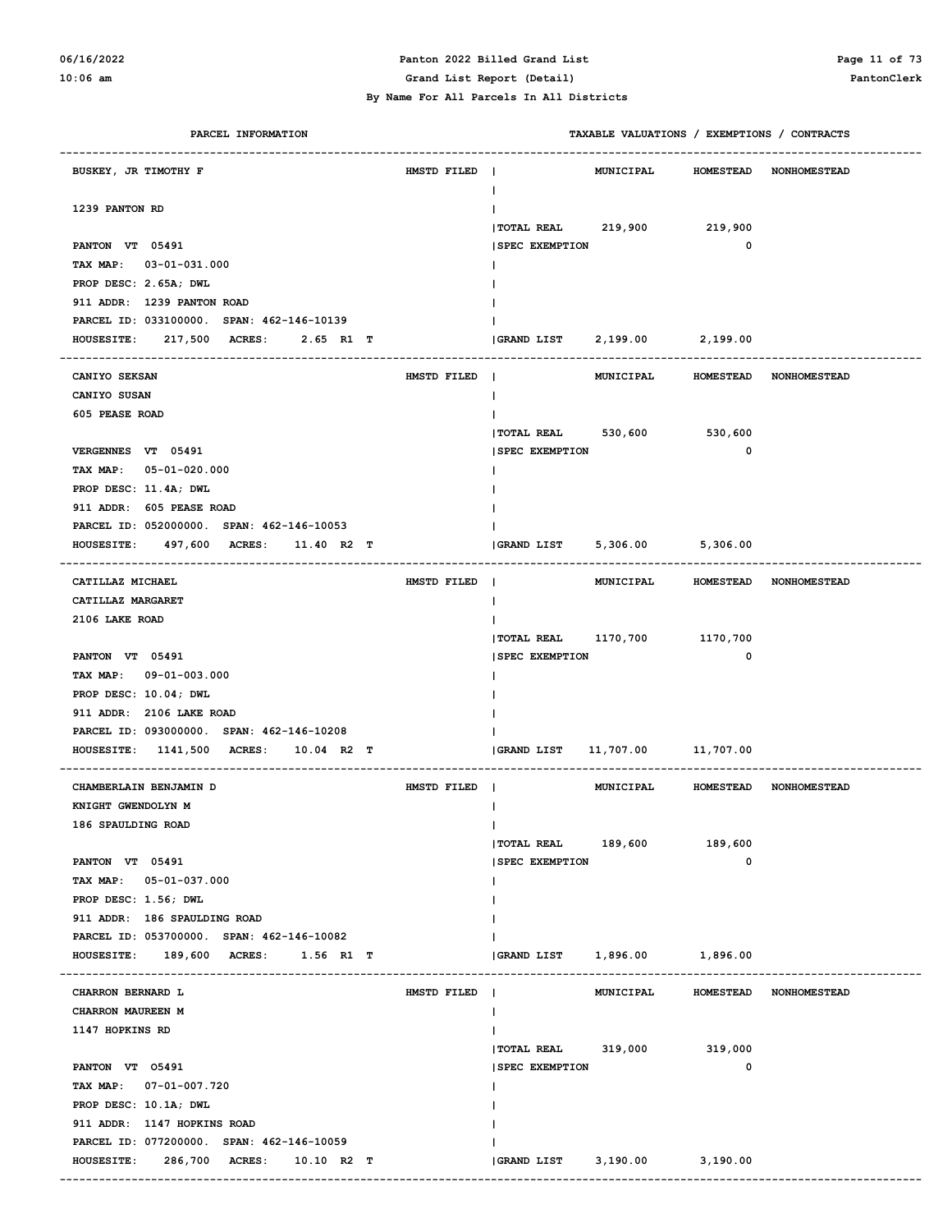### **06/16/2022 Panton 2022 Billed Grand List Page 11 of 73**

**10:06 am Grand List Report (Detail) PantonClerk**

| PARCEL INFORMATION                              |             |                              | TAXABLE VALUATIONS / EXEMPTIONS / CONTRACTS |                        |                        |
|-------------------------------------------------|-------------|------------------------------|---------------------------------------------|------------------------|------------------------|
| BUSKEY, JR TIMOTHY F                            | HMSTD FILED | $\blacksquare$<br>ı.         | MUNICIPAL                                   |                        | HOMESTEAD NONHOMESTEAD |
| 1239 PANTON RD                                  |             |                              |                                             |                        |                        |
|                                                 |             | $ $ TOTAL REAL 219,900       |                                             | 219,900<br>$\mathbf 0$ |                        |
| PANTON VT 05491                                 |             | <b>SPEC EXEMPTION</b>        |                                             |                        |                        |
| TAX MAP: 03-01-031.000<br>PROP DESC: 2.65A; DWL |             |                              |                                             |                        |                        |
| 911 ADDR: 1239 PANTON ROAD                      |             |                              |                                             |                        |                        |
| PARCEL ID: 033100000. SPAN: 462-146-10139       |             |                              |                                             |                        |                        |
| HOUSESITE: 217,500 ACRES: 2.65 R1 T             |             | GRAND LIST 2, 199.00         |                                             | 2,199.00               |                        |
| -------------------                             |             |                              |                                             |                        |                        |
| CANIYO SEKSAN                                   | HMSTD FILED |                              | MUNICIPAL                                   |                        | HOMESTEAD NONHOMESTEAD |
| CANIYO SUSAN                                    |             | ı.                           |                                             |                        |                        |
| 605 PEASE ROAD                                  |             |                              |                                             |                        |                        |
|                                                 |             | TOTAL REAL 530,600 530,600   |                                             |                        |                        |
| VERGENNES VT 05491                              |             | <b>SPEC EXEMPTION</b>        |                                             | $\mathbf 0$            |                        |
| TAX MAP: 05-01-020.000                          |             |                              |                                             |                        |                        |
| PROP DESC: 11.4A; DWL                           |             |                              |                                             |                        |                        |
| 911 ADDR: 605 PEASE ROAD                        |             |                              |                                             |                        |                        |
| PARCEL ID: 052000000. SPAN: 462-146-10053       |             |                              |                                             |                        |                        |
| HOUSESITE: 497,600 ACRES: 11.40 R2 T            |             | $ GRAND$ $LIST$ $5,306.00$   |                                             | 5,306.00               |                        |
| CATILLAZ MICHAEL                                | HMSTD FILED |                              | MUNICIPAL                                   |                        | HOMESTEAD NONHOMESTEAD |
| CATILLAZ MARGARET                               |             | I.                           |                                             |                        |                        |
| 2106 LAKE ROAD                                  |             |                              |                                             |                        |                        |
|                                                 |             | TOTAL REAL 1170,700 1170,700 |                                             |                        |                        |
| PANTON VT 05491                                 |             | <b>SPEC EXEMPTION</b>        |                                             | $\mathbf{o}$           |                        |
| TAX MAP: 09-01-003.000                          |             |                              |                                             |                        |                        |
| PROP DESC: 10.04; DWL                           |             |                              |                                             |                        |                        |
| 911 ADDR: 2106 LAKE ROAD                        |             |                              |                                             |                        |                        |
| PARCEL ID: 093000000. SPAN: 462-146-10208       |             |                              |                                             |                        |                        |
| HOUSESITE: 1141,500 ACRES: 10.04 R2 T           |             | <b>GRAND LIST</b>            | 11,707.00 11,707.00                         |                        |                        |
|                                                 |             |                              |                                             |                        |                        |
| CHAMBERLAIN BENJAMIN D                          | HMSTD FILED |                              | MUNICIPAL                                   |                        | HOMESTEAD NONHOMESTEAD |
| KNIGHT GWENDOLYN M                              |             |                              |                                             |                        |                        |
| 186 SPAULDING ROAD                              |             | л.                           |                                             |                        |                        |
|                                                 |             | TOTAL REAL 189,600 189,600   |                                             |                        |                        |
| PANTON VT 05491                                 |             | <b>SPEC EXEMPTION</b>        |                                             | 0                      |                        |
| TAX MAP: 05-01-037.000                          |             |                              |                                             |                        |                        |
| PROP DESC: 1.56; DWL                            |             |                              |                                             |                        |                        |
| 911 ADDR: 186 SPAULDING ROAD                    |             |                              |                                             |                        |                        |
| PARCEL ID: 053700000. SPAN: 462-146-10082       |             |                              |                                             |                        |                        |
| HOUSESITE: 189,600 ACRES: 1.56 R1 T             |             | $ GRAND$ $LIST$ $1,896.00$   |                                             | 1,896.00               |                        |
| CHARRON BERNARD L                               | HMSTD FILED |                              | MUNICIPAL                                   |                        | HOMESTEAD NONHOMESTEAD |
| CHARRON MAUREEN M                               |             |                              |                                             |                        |                        |
| 1147 HOPKINS RD                                 |             |                              |                                             |                        |                        |
|                                                 |             | TOTAL REAL 319,000 319,000   |                                             |                        |                        |
| PANTON VT 05491                                 |             | <b>SPEC EXEMPTION</b>        |                                             | 0                      |                        |
| TAX MAP: 07-01-007.720                          |             |                              |                                             |                        |                        |
| PROP DESC: 10.1A; DWL                           |             |                              |                                             |                        |                        |
| 911 ADDR: 1147 HOPKINS ROAD                     |             |                              |                                             |                        |                        |
| PARCEL ID: 077200000. SPAN: 462-146-10059       |             |                              |                                             |                        |                        |
| HOUSESITE: 286,700 ACRES: 10.10 R2 T            |             | GRAND LIST 3,190.00 3,190.00 |                                             |                        |                        |
|                                                 |             |                              |                                             |                        |                        |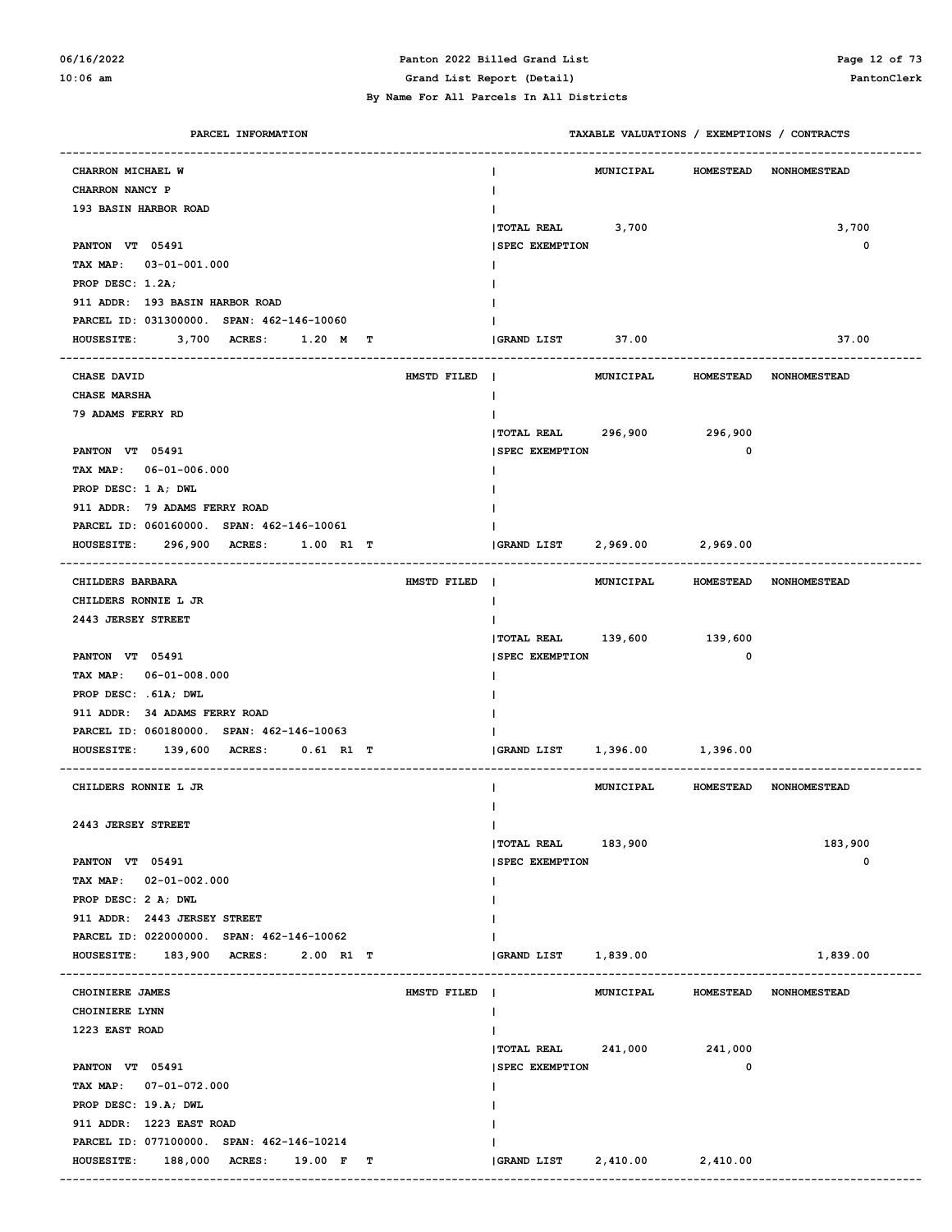#### **06/16/2022 Panton 2022 Billed Grand List Page 12 of 73 10:06 am Grand List Report (Detail) PantonClerk**

| PARCEL INFORMATION                                             | TAXABLE VALUATIONS / EXEMPTIONS / CONTRACTS                                   |
|----------------------------------------------------------------|-------------------------------------------------------------------------------|
| CHARRON MICHAEL W                                              | <b>HOMESTEAD</b><br>MUNICIPAL<br><b>NONHOMESTEAD</b>                          |
| CHARRON NANCY P                                                |                                                                               |
| 193 BASIN HARBOR ROAD                                          |                                                                               |
|                                                                | 3,700<br><b>TOTAL REAL</b><br>3,700                                           |
| PANTON VT 05491                                                | 0<br><b>SPEC EXEMPTION</b>                                                    |
| TAX MAP: 03-01-001.000                                         |                                                                               |
| PROP DESC: 1.2A;                                               |                                                                               |
| 911 ADDR: 193 BASIN HARBOR ROAD                                |                                                                               |
| PARCEL ID: 031300000. SPAN: 462-146-10060                      |                                                                               |
| <b>HOUSESITE:</b><br>3,700 ACRES:<br>$1.20$ M<br>т             | GRAND LIST<br>37.00<br>37.00                                                  |
|                                                                |                                                                               |
| <b>CHASE DAVID</b><br>HMSTD FILED                              | <b>MUNICIPAL</b><br><b>HOMESTEAD</b><br><b>NONHOMESTEAD</b><br>$\mathbf{I}$   |
| CHASE MARSHA                                                   |                                                                               |
| 79 ADAMS FERRY RD                                              |                                                                               |
|                                                                | 296,900 296,900<br><b>TOTAL REAL</b>                                          |
| PANTON VT 05491                                                | 0<br><b>SPEC EXEMPTION</b>                                                    |
| TAX MAP: 06-01-006.000                                         |                                                                               |
| PROP DESC: 1 A; DWL                                            |                                                                               |
| 911 ADDR: 79 ADAMS FERRY ROAD                                  |                                                                               |
| PARCEL ID: 060160000. SPAN: 462-146-10061                      |                                                                               |
| 296,900 ACRES:<br><b>HOUSESITE:</b><br>1.00 R1 T               | 2,969.00 2,969.00<br><b>GRAND LIST</b>                                        |
|                                                                |                                                                               |
| CHILDERS BARBARA<br>HMSTD FILED                                | $\blacksquare$<br><b>MUNICIPAL</b><br>HOMESTEAD NONHOMESTEAD                  |
| CHILDERS RONNIE L JR                                           |                                                                               |
| 2443 JERSEY STREET                                             | TOTAL REAL 139,600 139,600                                                    |
| PANTON VT 05491                                                | 0<br><b>SPEC EXEMPTION</b>                                                    |
| TAX MAP: 06-01-008.000                                         |                                                                               |
| PROP DESC: . 61A; DWL                                          |                                                                               |
| 911 ADDR: 34 ADAMS FERRY ROAD                                  |                                                                               |
| PARCEL ID: 060180000. SPAN: 462-146-10063                      |                                                                               |
| <b>HOUSESITE:</b><br>139,600 ACRES:<br>$0.61$ R1 T             | 1,396.00 1,396.00<br>GRAND LIST                                               |
|                                                                |                                                                               |
| CHILDERS RONNIE L JR                                           | <b>MUNICIPAL</b><br>HOMESTEAD NONHOMESTEAD                                    |
|                                                                |                                                                               |
| 2443 JERSEY STREET                                             | T                                                                             |
|                                                                | 183,900<br><b> TOTAL REAL</b><br>183,900                                      |
| PANTON VT 05491                                                | 0<br><b>SPEC EXEMPTION</b>                                                    |
| $02 - 01 - 002.000$<br>TAX MAP:                                |                                                                               |
| PROP DESC: 2 A; DWL                                            |                                                                               |
| 911 ADDR: 2443 JERSEY STREET                                   |                                                                               |
| PARCEL ID: 022000000. SPAN: 462-146-10062                      |                                                                               |
| 183,900 ACRES:<br>$2.00$ R1 T<br><b>HOUSESITE:</b>             | <b>GRAND LIST</b><br>1,839.00<br>1,839.00                                     |
| CHOINIERE JAMES<br>HMSTD FILED                                 | $\blacksquare$<br><b>MUNICIPAL</b><br><b>HOMESTEAD</b><br><b>NONHOMESTEAD</b> |
| CHOINIERE LYNN                                                 |                                                                               |
| 1223 EAST ROAD                                                 |                                                                               |
|                                                                | <b>TOTAL REAL</b><br>241,000<br>241,000                                       |
| PANTON VT 05491                                                | 0<br><b>SPEC EXEMPTION</b>                                                    |
| TAX MAP: 07-01-072.000                                         |                                                                               |
| PROP DESC: 19.A; DWL                                           |                                                                               |
| 911 ADDR: 1223 EAST ROAD                                       |                                                                               |
| PARCEL ID: 077100000. SPAN: 462-146-10214                      |                                                                               |
| <b>HOUSESITE:</b><br>188,000<br><b>ACRES :</b><br>19.00 F<br>т | GRAND LIST<br>2,410.00<br>2,410.00                                            |
|                                                                |                                                                               |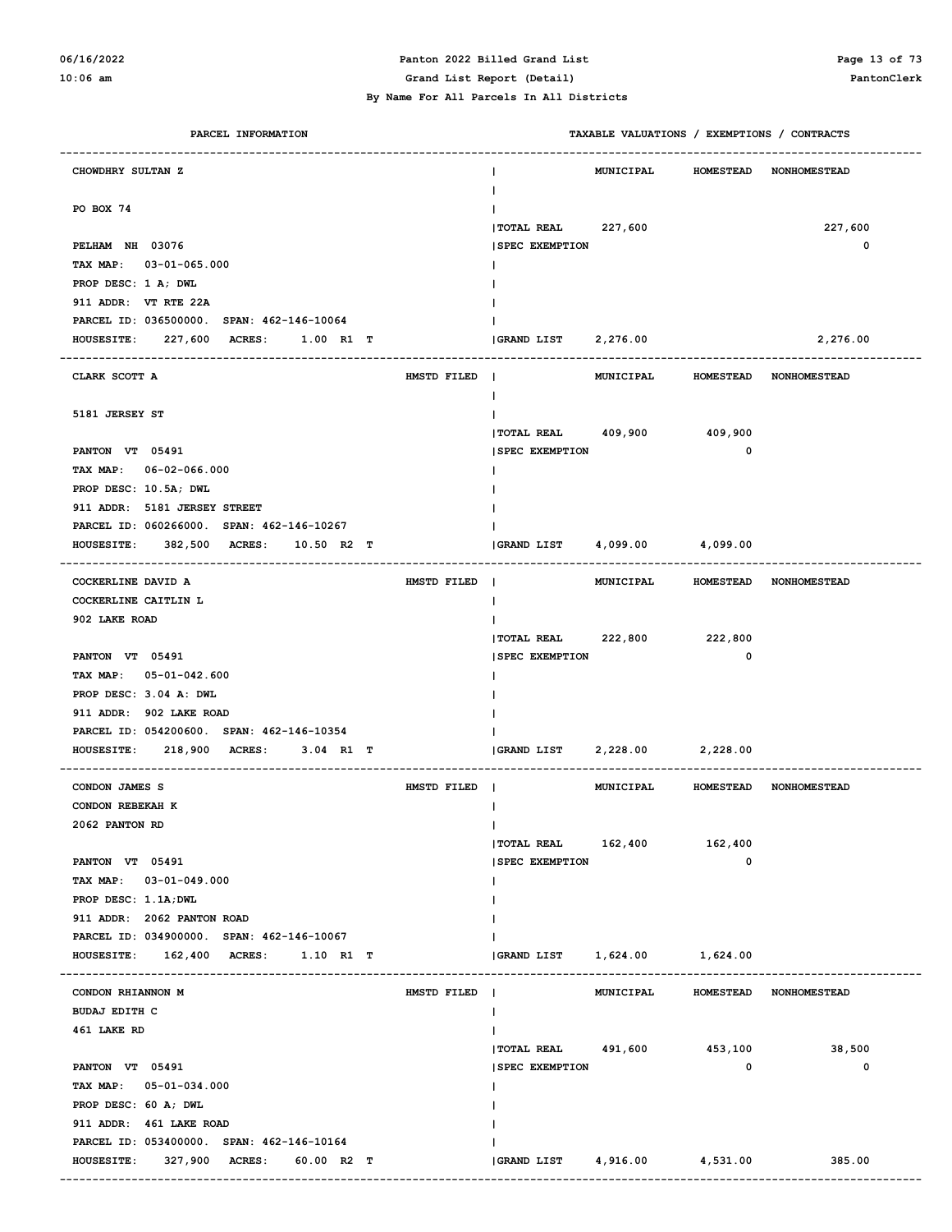# **06/16/2022 Panton 2022 Billed Grand List Page 13 of 73**

| PARCEL INFORMATION                                  |             | TAXABLE VALUATIONS / EXEMPTIONS / CONTRACTS |                  |                        |
|-----------------------------------------------------|-------------|---------------------------------------------|------------------|------------------------|
| CHOWDHRY SULTAN Z                                   |             | <b>MUNICIPAL</b>                            | <b>HOMESTEAD</b> | <b>NONHOMESTEAD</b>    |
| PO BOX 74                                           |             | Ι.                                          |                  |                        |
|                                                     |             | <b>TOTAL REAL</b><br>227,600                |                  | 227,600                |
| PELHAM NH 03076                                     |             | <b>SPEC EXEMPTION</b>                       |                  | $\mathbf 0$            |
| TAX MAP: 03-01-065.000                              |             |                                             |                  |                        |
| PROP DESC: 1 A; DWL                                 |             |                                             |                  |                        |
| 911 ADDR: VT RTE 22A                                |             |                                             |                  |                        |
| PARCEL ID: 036500000. SPAN: 462-146-10064           |             |                                             |                  |                        |
| 227,600 ACRES:<br><b>HOUSESITE:</b><br>1.00 R1 T    |             | <b>GRAND LIST</b><br>2,276.00               |                  | 2,276.00               |
|                                                     |             |                                             |                  |                        |
| CLARK SCOTT A                                       | HMSTD FILED | MUNICIPAL                                   | <b>HOMESTEAD</b> | <b>NONHOMESTEAD</b>    |
|                                                     |             | $\mathbf{I}$                                |                  |                        |
| 5181 JERSEY ST                                      |             | Ι.                                          |                  |                        |
|                                                     |             | TOTAL REAL 409,900 409,900                  |                  |                        |
| PANTON VT 05491                                     |             | <b>ISPEC EXEMPTION</b>                      | $\mathbf 0$      |                        |
| TAX MAP: 06-02-066.000                              |             |                                             |                  |                        |
| PROP DESC: 10.5A; DWL                               |             |                                             |                  |                        |
| 911 ADDR: 5181 JERSEY STREET                        |             |                                             |                  |                        |
| PARCEL ID: 060266000. SPAN: 462-146-10267           |             |                                             |                  |                        |
| <b>HOUSESITE:</b><br>382,500 ACRES:<br>$10.50$ R2 T |             | GRAND LIST<br>4,099.00 4,099.00             |                  |                        |
|                                                     |             |                                             |                  |                        |
| COCKERLINE DAVID A                                  | HMSTD FILED | MUNICIPAL                                   |                  | HOMESTEAD NONHOMESTEAD |
| COCKERLINE CAITLIN L                                |             | $\mathbf{I}$                                |                  |                        |
| 902 LAKE ROAD                                       |             | I.<br>222,800 222,800<br><b>TOTAL REAL</b>  |                  |                        |
| PANTON VT 05491                                     |             | <b>SPEC EXEMPTION</b>                       | $\mathbf 0$      |                        |
| TAX MAP: 05-01-042.600                              |             |                                             |                  |                        |
| PROP DESC: 3.04 A: DWL                              |             |                                             |                  |                        |
| 911 ADDR: 902 LAKE ROAD                             |             |                                             |                  |                        |
| PARCEL ID: 054200600. SPAN: 462-146-10354           |             |                                             |                  |                        |
| <b>HOUSESITE:</b><br>218,900 ACRES:<br>$3.04$ R1 T  |             | 2,228.00 2,228.00<br>GRAND LIST             |                  |                        |
|                                                     |             |                                             |                  |                        |
| CONDON JAMES S                                      | HMSTD FILED | MUNICIPAL                                   |                  | HOMESTEAD NONHOMESTEAD |
| CONDON REBEKAH K                                    |             | ш                                           |                  |                        |
| 2062 PANTON RD                                      |             | Ι.                                          |                  |                        |
|                                                     |             | $ $ TOTAL REAL $162,400$                    | 162,400          |                        |
| PANTON VT 05491                                     |             | <b>SPEC EXEMPTION</b>                       | $\mathbf 0$      |                        |
| TAX MAP: 03-01-049.000                              |             | Ι.                                          |                  |                        |
| PROP DESC: 1.1A; DWL                                |             | I.                                          |                  |                        |
| 911 ADDR: 2062 PANTON ROAD                          |             |                                             |                  |                        |
| PARCEL ID: 034900000. SPAN: 462-146-10067           |             |                                             |                  |                        |
| 162,400 ACRES: 1.10 R1 T<br><b>HOUSESITE:</b>       |             | 1,624.00 1,624.00<br>GRAND LIST             |                  |                        |
|                                                     |             |                                             |                  |                        |
| CONDON RHIANNON M                                   | HMSTD FILED | MUNICIPAL                                   | <b>HOMESTEAD</b> | <b>NONHOMESTEAD</b>    |
| <b>BUDAJ EDITH C</b>                                |             | $\mathbf{I}$                                |                  |                        |
| 461 LAKE RD                                         |             | $\mathbf{I}$                                |                  |                        |
|                                                     |             | TOTAL REAL 491,600 453,100                  |                  | 38,500                 |
| PANTON VT 05491                                     |             | <b>SPEC EXEMPTION</b>                       | 0                | 0                      |
| TAX MAP: 05-01-034.000                              |             | Ι.                                          |                  |                        |
| PROP DESC: 60 A; DWL                                |             | ı.                                          |                  |                        |
| 911 ADDR: 461 LAKE ROAD                             |             |                                             |                  |                        |
| PARCEL ID: 053400000. SPAN: 462-146-10164           |             |                                             |                  |                        |
| 327,900 ACRES:<br>60.00 R2 T<br><b>HOUSESITE:</b>   |             | 4,916.00<br>GRAND LIST                      | 4,531.00         | 385.00                 |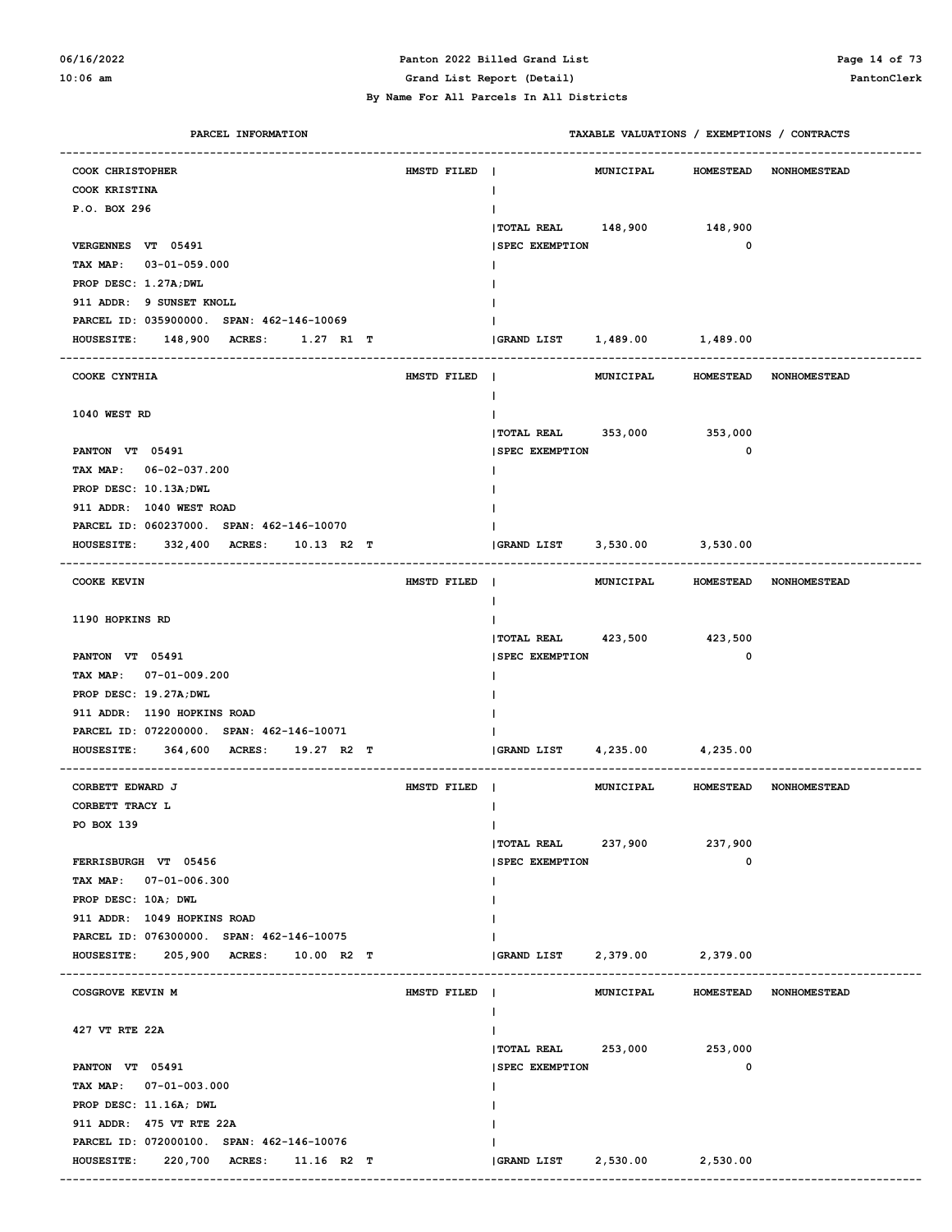#### **06/16/2022 Panton 2022 Billed Grand List Page 14 of 73 10:06 am Grand List Report (Detail) PantonClerk**

| PARCEL INFORMATION                                        |             |                            |                   | TAXABLE VALUATIONS / EXEMPTIONS / CONTRACTS |                        |
|-----------------------------------------------------------|-------------|----------------------------|-------------------|---------------------------------------------|------------------------|
| COOK CHRISTOPHER                                          | HMSTD FILED |                            | <b>MUNICIPAL</b>  | <b>HOMESTEAD</b>                            | <b>NONHOMESTEAD</b>    |
| COOK KRISTINA                                             |             | ı.                         |                   |                                             |                        |
| P.O. BOX 296                                              |             |                            |                   |                                             |                        |
|                                                           |             | <b>  TOTAL REAL</b>        | 148,900 148,900   |                                             |                        |
| VERGENNES VT 05491                                        |             | <b>SPEC EXEMPTION</b>      |                   | 0                                           |                        |
| TAX MAP: 03-01-059.000                                    |             |                            |                   |                                             |                        |
| PROP DESC: 1.27A; DWL                                     |             |                            |                   |                                             |                        |
| 911 ADDR: 9 SUNSET KNOLL                                  |             |                            |                   |                                             |                        |
| PARCEL ID: 035900000. SPAN: 462-146-10069                 |             |                            |                   |                                             |                        |
| <b>148,900 ACRES:</b><br>$1.27$ R1 T<br><b>HOUSESITE:</b> |             | GRAND LIST                 | 1,489.00          | 1,489.00                                    |                        |
|                                                           |             |                            |                   |                                             |                        |
| COOKE CYNTHIA                                             | HMSTD FILED |                            | <b>MUNICIPAL</b>  | <b>HOMESTEAD</b>                            | <b>NONHOMESTEAD</b>    |
|                                                           |             |                            |                   |                                             |                        |
| 1040 WEST RD                                              |             |                            |                   |                                             |                        |
|                                                           |             | TOTAL REAL                 | 353,000           | 353,000                                     |                        |
| PANTON VT 05491                                           |             | <b>SPEC EXEMPTION</b>      |                   | 0                                           |                        |
| TAX MAP: 06-02-037.200                                    |             |                            |                   |                                             |                        |
| PROP DESC: 10.13A; DWL                                    |             |                            |                   |                                             |                        |
| 911 ADDR: 1040 WEST ROAD                                  |             |                            |                   |                                             |                        |
| PARCEL ID: 060237000. SPAN: 462-146-10070                 |             |                            |                   |                                             |                        |
| 332,400 ACRES:<br><b>HOUSESITE:</b><br>$10.13$ R2 T       |             | <b>GRAND LIST</b>          | 3,530.00 3,530.00 |                                             |                        |
|                                                           |             |                            |                   |                                             |                        |
| <b>COOKE KEVIN</b>                                        | HMSTD FILED | $\mathbf{I}$               | MUNICIPAL         | <b>HOMESTEAD</b>                            | <b>NONHOMESTEAD</b>    |
|                                                           |             |                            |                   |                                             |                        |
| 1190 HOPKINS RD                                           |             |                            |                   |                                             |                        |
|                                                           |             | TOTAL REAL 423,500 423,500 |                   |                                             |                        |
| PANTON VT 05491                                           |             | <b>SPEC EXEMPTION</b>      |                   | 0                                           |                        |
| TAX MAP: 07-01-009.200                                    |             |                            |                   |                                             |                        |
| PROP DESC: 19.27A; DWL                                    |             |                            |                   |                                             |                        |
| 911 ADDR: 1190 HOPKINS ROAD                               |             |                            |                   |                                             |                        |
| PARCEL ID: 072200000. SPAN: 462-146-10071                 |             |                            |                   |                                             |                        |
| <b>HOUSESITE:</b><br>364,600 ACRES:<br>19.27 R2 T         |             | <b>GRAND LIST</b>          | 4,235.00 4,235.00 |                                             |                        |
|                                                           |             |                            |                   |                                             |                        |
| CORBETT EDWARD J                                          | HMSTD FILED | $\mathbf{I}$               | MUNICIPAL         | <b>HOMESTEAD</b>                            | <b>NONHOMESTEAD</b>    |
| CORBETT TRACY L                                           |             |                            |                   |                                             |                        |
| PO BOX 139                                                |             | $\mathsf{I}$               |                   |                                             |                        |
|                                                           |             | <b>TOTAL REAL</b>          | 237,900           | 237,900                                     |                        |
| FERRISBURGH VT 05456                                      |             | <b>SPEC EXEMPTION</b>      |                   | 0                                           |                        |
| TAX MAP: 07-01-006.300                                    |             |                            |                   |                                             |                        |
| PROP DESC: 10A; DWL                                       |             |                            |                   |                                             |                        |
| 911 ADDR: 1049 HOPKINS ROAD                               |             |                            |                   |                                             |                        |
| PARCEL ID: 076300000. SPAN: 462-146-10075                 |             |                            |                   |                                             |                        |
| 205,900 ACRES: 10.00 R2 T<br><b>HOUSESITE:</b>            |             | <b>GRAND LIST</b>          | 2,379.00          | 2,379.00                                    |                        |
|                                                           |             |                            |                   |                                             |                        |
| COSGROVE KEVIN M                                          | HMSTD FILED | $\blacksquare$             | MUNICIPAL         |                                             | HOMESTEAD NONHOMESTEAD |
|                                                           |             |                            |                   |                                             |                        |
| 427 VT RTE 22A                                            |             |                            |                   |                                             |                        |
|                                                           |             | $ $ TOTAL REAL 253,000     |                   | 253,000                                     |                        |
| PANTON VT 05491                                           |             | <b>SPEC EXEMPTION</b>      |                   | 0                                           |                        |
| TAX MAP: 07-01-003.000                                    |             |                            |                   |                                             |                        |
| PROP DESC: 11.16A; DWL                                    |             |                            |                   |                                             |                        |
| 911 ADDR: 475 VT RTE 22A                                  |             |                            |                   |                                             |                        |
| PARCEL ID: 072000100. SPAN: 462-146-10076                 |             |                            |                   |                                             |                        |
| 220,700 ACRES:<br><b>HOUSESITE:</b><br>11.16 R2 T         |             | <b>GRAND LIST</b>          | 2,530.00          | 2,530.00                                    |                        |
|                                                           |             |                            |                   |                                             |                        |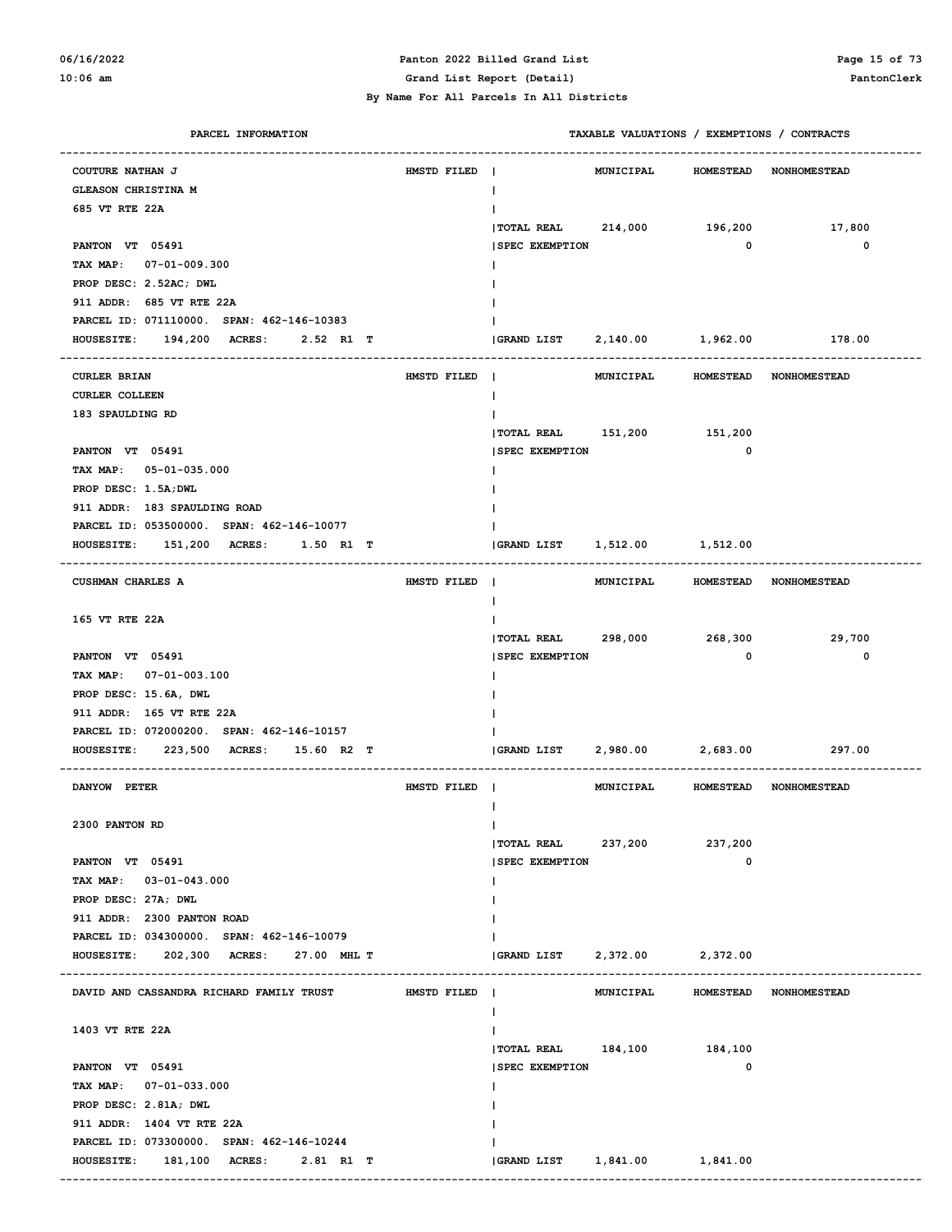#### **06/16/2022 Panton 2022 Billed Grand List Page 15 of 73 10:06 am Grand List Report (Detail) PantonClerk**

| PARCEL INFORMATION                                                    |             |                          |                  |                   | TAXABLE VALUATIONS / EXEMPTIONS / CONTRACTS |
|-----------------------------------------------------------------------|-------------|--------------------------|------------------|-------------------|---------------------------------------------|
| <b>COUTURE NATHAN J</b>                                               | HMSTD FILED |                          | <b>MUNICIPAL</b> | <b>HOMESTEAD</b>  | <b>NONHOMESTEAD</b>                         |
| GLEASON CHRISTINA M                                                   |             |                          |                  |                   |                                             |
| 685 VT RTE 22A                                                        |             |                          |                  |                   |                                             |
|                                                                       |             | <b>TOTAL REAL</b>        | 214,000          | 196,200           | 17,800                                      |
| PANTON VT 05491                                                       |             | <b>SPEC EXEMPTION</b>    |                  | $\mathbf 0$       | 0                                           |
| TAX MAP: 07-01-009.300                                                |             |                          |                  |                   |                                             |
| PROP DESC: 2.52AC; DWL                                                |             |                          |                  |                   |                                             |
| 911 ADDR: 685 VT RTE 22A                                              |             |                          |                  |                   |                                             |
| PARCEL ID: 071110000. SPAN: 462-146-10383                             |             |                          |                  |                   |                                             |
| HOUSESITE: 194,200 ACRES:<br>2.52 R1 T                                |             | <b>GRAND LIST</b>        | 2,140.00         | 1,962.00          | 178.00                                      |
|                                                                       |             |                          |                  |                   |                                             |
| <b>CURLER BRIAN</b>                                                   | HMSTD FILED | $\mathbf{I}$             | MUNICIPAL        | <b>HOMESTEAD</b>  | <b>NONHOMESTEAD</b>                         |
| <b>CURLER COLLEEN</b>                                                 |             |                          |                  |                   |                                             |
| 183 SPAULDING RD                                                      |             |                          |                  |                   |                                             |
|                                                                       |             | $ $ TOTAL REAL $151,200$ |                  | 151,200           |                                             |
| PANTON VT 05491                                                       |             | <b>SPEC EXEMPTION</b>    |                  | $\mathbf 0$       |                                             |
| TAX MAP: 05-01-035.000                                                |             |                          |                  |                   |                                             |
| PROP DESC: 1.5A; DWL                                                  |             |                          |                  |                   |                                             |
| 911 ADDR: 183 SPAULDING ROAD                                          |             |                          |                  |                   |                                             |
| PARCEL ID: 053500000. SPAN: 462-146-10077                             |             |                          |                  |                   |                                             |
| HOUSESITE: 151,200 ACRES:<br>$1.50$ R1 T                              |             | <b>GRAND LIST</b>        | 1,512.00         | 1,512.00          |                                             |
| CUSHMAN CHARLES A                                                     | HMSTD FILED | $\blacksquare$           | MUNICIPAL        |                   | HOMESTEAD NONHOMESTEAD                      |
|                                                                       |             |                          |                  |                   |                                             |
| 165 VT RTE 22A                                                        |             |                          |                  |                   |                                             |
|                                                                       |             | $ $ TOTAL REAL 298,000   |                  | 268,300           | 29,700                                      |
| PANTON VT 05491                                                       |             | <b>SPEC EXEMPTION</b>    |                  | $\mathbf 0$       | 0                                           |
| TAX MAP: 07-01-003.100                                                |             |                          |                  |                   |                                             |
| PROP DESC: 15.6A, DWL                                                 |             |                          |                  |                   |                                             |
| 911 ADDR: 165 VT RTE 22A<br>PARCEL ID: 072000200. SPAN: 462-146-10157 |             |                          |                  |                   |                                             |
| HOUSESITE: 223,500 ACRES: 15.60 R2 T                                  |             | <b>GRAND LIST</b>        |                  | 2,980.00 2,683.00 | 297.00                                      |
|                                                                       |             |                          |                  |                   |                                             |
| DANYOW PETER                                                          | HMSTD FILED |                          | MUNICIPAL        |                   | HOMESTEAD NONHOMESTEAD                      |
| 2300 PANTON RD                                                        |             |                          |                  |                   |                                             |
|                                                                       |             | <b> TOTAL REAL</b>       | 237,200          | 237,200           |                                             |
| PANTON VT 05491                                                       |             | <b>SPEC EXEMPTION</b>    |                  | 0                 |                                             |
| TAX MAP: 03-01-043.000                                                |             |                          |                  |                   |                                             |
| PROP DESC: 27A; DWL                                                   |             |                          |                  |                   |                                             |
| 911 ADDR: 2300 PANTON ROAD                                            |             |                          |                  |                   |                                             |
| PARCEL ID: 034300000. SPAN: 462-146-10079                             |             |                          |                  |                   |                                             |
| HOUSESITE: 202,300 ACRES: 27.00 MHL T                                 |             | GRAND LIST               | 2,372.00         | 2,372.00          |                                             |
|                                                                       |             |                          |                  |                   |                                             |
| DAVID AND CASSANDRA RICHARD FAMILY TRUST                              | HMSTD FILED |                          | MUNICIPAL        |                   | HOMESTEAD NONHOMESTEAD                      |
| 1403 VT RTE 22A                                                       |             |                          |                  |                   |                                             |
|                                                                       |             | TOTAL REAL 184,100       |                  | 184,100           |                                             |
| PANTON VT 05491                                                       |             | <b>SPEC EXEMPTION</b>    |                  | 0                 |                                             |
| TAX MAP: 07-01-033.000                                                |             |                          |                  |                   |                                             |
| PROP DESC: 2.81A; DWL                                                 |             |                          |                  |                   |                                             |
| 911 ADDR: 1404 VT RTE 22A                                             |             |                          |                  |                   |                                             |
| PARCEL ID: 073300000. SPAN: 462-146-10244                             |             |                          |                  |                   |                                             |
| HOUSESITE: 181,100 ACRES: 2.81 R1 T                                   |             | GRAND LIST 1,841.00      |                  | 1,841.00          |                                             |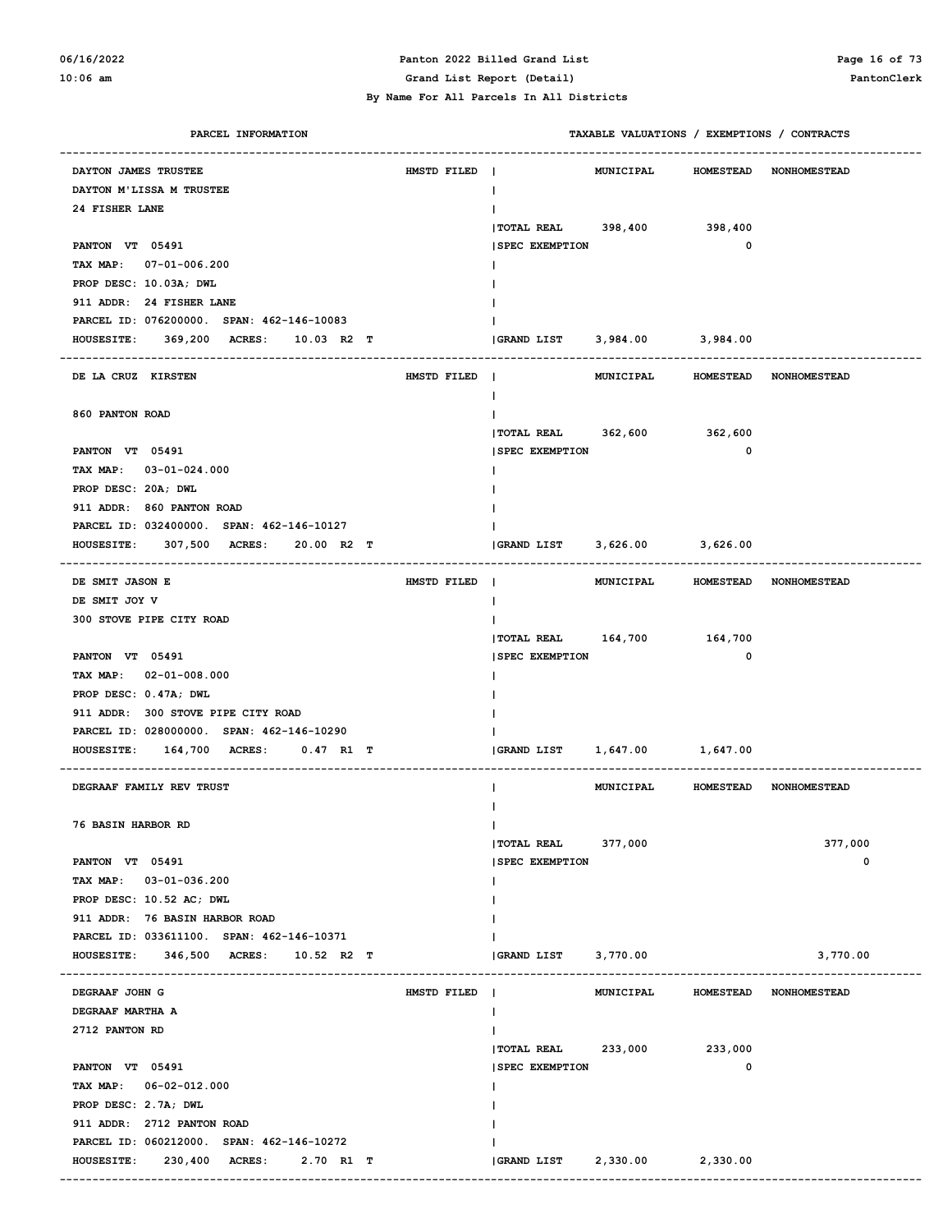### **06/16/2022 Panton 2022 Billed Grand List Page 16 of 73 10:06 am Grand List Report (Detail) PantonClerk**

| PARCEL INFORMATION                                                              |             | TAXABLE VALUATIONS / EXEMPTIONS / CONTRACTS                 |
|---------------------------------------------------------------------------------|-------------|-------------------------------------------------------------|
| DAYTON JAMES TRUSTEE                                                            | HMSTD FILED | MUNICIPAL<br>HOMESTEAD NONHOMESTEAD                         |
| DAYTON M'LISSA M TRUSTEE                                                        |             | $\mathbf{I}$                                                |
| 24 FISHER LANE                                                                  |             | Ι.                                                          |
|                                                                                 |             | TOTAL REAL 398,400 398,400                                  |
| PANTON VT 05491                                                                 |             | $\mathbf 0$<br><b>SPEC EXEMPTION</b>                        |
| TAX MAP: 07-01-006.200                                                          |             |                                                             |
| PROP DESC: 10.03A; DWL                                                          |             |                                                             |
| 911 ADDR: 24 FISHER LANE                                                        |             |                                                             |
| PARCEL ID: 076200000. SPAN: 462-146-10083                                       |             |                                                             |
| HOUSESITE: 369,200 ACRES: 10.03 R2 T                                            |             | GRAND LIST 3,984.00 3,984.00                                |
| -------------------------------------                                           |             | --------------                                              |
| DE LA CRUZ KIRSTEN                                                              | HMSTD FILED | MUNICIPAL HOMESTEAD NONHOMESTEAD                            |
|                                                                                 |             | $\mathbf{I}$                                                |
| 860 PANTON ROAD                                                                 |             | Ι.                                                          |
|                                                                                 |             | TOTAL REAL 362,600 362,600                                  |
| PANTON VT 05491                                                                 |             | $\mathbf 0$<br><b>SPEC EXEMPTION</b>                        |
| TAX MAP: 03-01-024.000                                                          |             |                                                             |
| PROP DESC: 20A; DWL                                                             |             |                                                             |
| 911 ADDR: 860 PANTON ROAD                                                       |             |                                                             |
| PARCEL ID: 032400000. SPAN: 462-146-10127                                       |             |                                                             |
| 307,500 ACRES:<br>20.00 R2 T<br><b>HOUSESITE:</b>                               |             | GRAND LIST 3,626.00 3,626.00                                |
| --------------------------------------                                          |             | --------------                                              |
| DE SMIT JASON E                                                                 | HMSTD FILED | MUNICIPAL HOMESTEAD NONHOMESTEAD                            |
| DE SMIT JOY V                                                                   |             | $\mathbf{I}$                                                |
| 300 STOVE PIPE CITY ROAD                                                        |             | Ι.                                                          |
|                                                                                 |             | TOTAL REAL 164,700 164,700<br>$\mathbf 0$                   |
| PANTON VT 05491                                                                 |             | <b>SPEC EXEMPTION</b>                                       |
| TAX MAP: 02-01-008.000                                                          |             |                                                             |
| PROP DESC: 0.47A; DWL                                                           |             |                                                             |
| 911 ADDR: 300 STOVE PIPE CITY ROAD<br>PARCEL ID: 028000000. SPAN: 462-146-10290 |             |                                                             |
| 164,700 ACRES: 0.47 R1 T<br><b>HOUSESITE:</b>                                   |             | 1,647.00 1,647.00<br>GRAND LIST                             |
|                                                                                 |             |                                                             |
| DEGRAAF FAMILY REV TRUST                                                        |             | <b>MUNICIPAL</b><br>HOMESTEAD NONHOMESTEAD                  |
|                                                                                 |             |                                                             |
| <b>76 BASIN HARBOR RD</b>                                                       |             | $\mathbf{I}$                                                |
|                                                                                 |             | 377,000<br>  TOTAL REAL 377,000                             |
| PANTON VT 05491                                                                 |             | 0<br><b>SPEC EXEMPTION</b>                                  |
| TAX MAP: 03-01-036.200                                                          |             |                                                             |
| PROP DESC: 10.52 AC; DWL                                                        |             |                                                             |
| 911 ADDR: 76 BASIN HARBOR ROAD                                                  |             |                                                             |
| PARCEL ID: 033611100. SPAN: 462-146-10371                                       |             |                                                             |
| HOUSESITE: 346,500 ACRES: 10.52 R2 T                                            |             | <b>GRAND LIST</b><br>3,770.00<br>3,770.00                   |
|                                                                                 |             |                                                             |
| DEGRAAF JOHN G                                                                  | HMSTD FILED | <b>MUNICIPAL</b><br><b>HOMESTEAD</b><br><b>NONHOMESTEAD</b> |
| DEGRAAF MARTHA A                                                                |             | Ι.                                                          |
| 2712 PANTON RD                                                                  |             |                                                             |
|                                                                                 |             | TOTAL REAL 233,000 233,000                                  |
| PANTON VT 05491                                                                 |             | 0<br><b>SPEC EXEMPTION</b>                                  |
| TAX MAP: 06-02-012.000                                                          |             |                                                             |
| PROP DESC: 2.7A; DWL                                                            |             |                                                             |
| 911 ADDR: 2712 PANTON ROAD                                                      |             |                                                             |
| PARCEL ID: 060212000. SPAN: 462-146-10272                                       |             |                                                             |
| 230,400 ACRES:<br>2.70 R1 T<br><b>HOUSESITE:</b>                                |             |                                                             |
|                                                                                 |             |                                                             |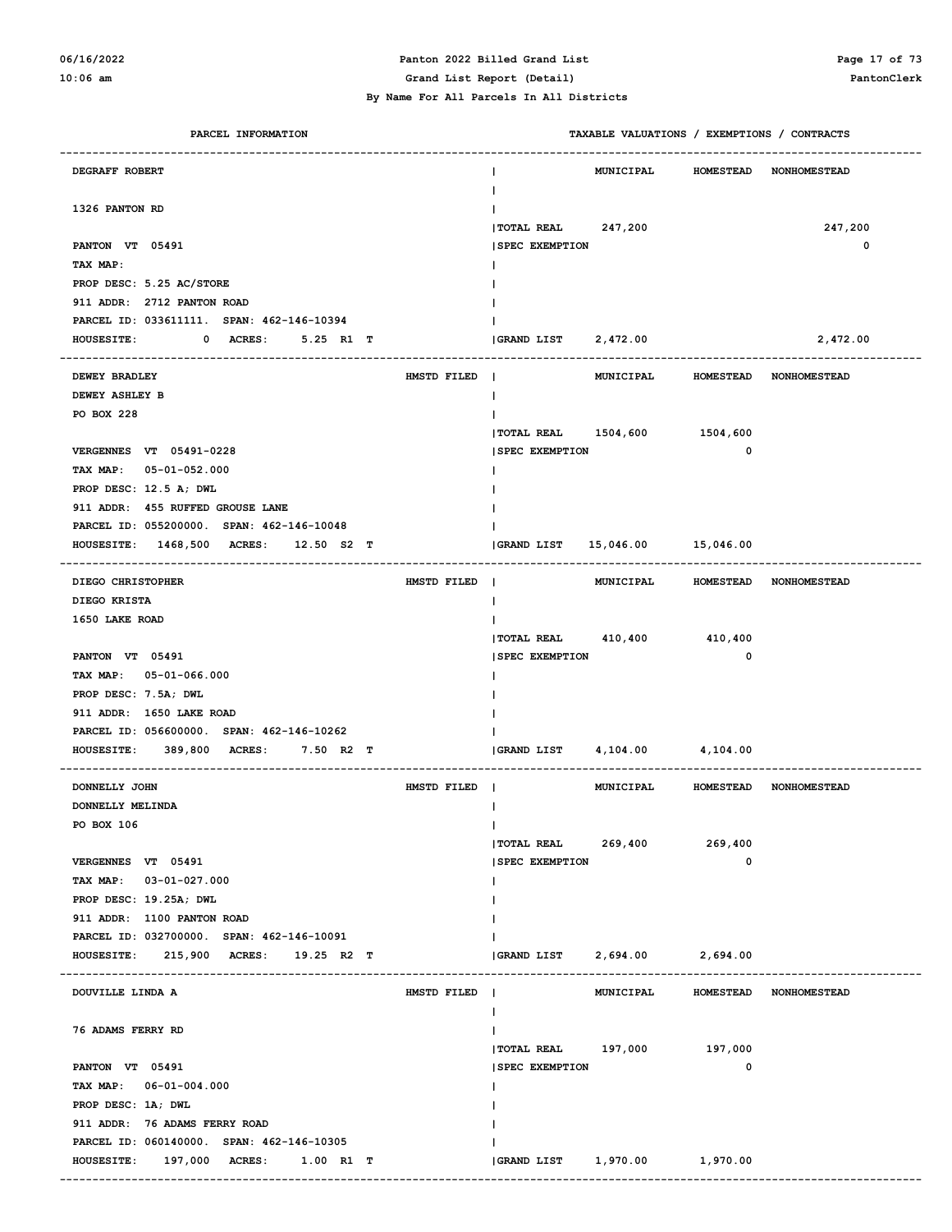# **06/16/2022 Panton 2022 Billed Grand List Page 17 of 73**

| PARCEL INFORMATION                                               |             |                              | TAXABLE VALUATIONS / EXEMPTIONS / CONTRACTS |                  |                        |
|------------------------------------------------------------------|-------------|------------------------------|---------------------------------------------|------------------|------------------------|
| DEGRAFF ROBERT                                                   |             |                              | MUNICIPAL                                   | <b>HOMESTEAD</b> | <b>NONHOMESTEAD</b>    |
| 1326 PANTON RD                                                   |             |                              |                                             |                  |                        |
|                                                                  |             | TOTAL REAL 247,200           |                                             |                  | 247,200                |
| PANTON VT 05491                                                  |             | <b>SPEC EXEMPTION</b>        |                                             |                  | $\mathbf 0$            |
| TAX MAP:                                                         |             |                              |                                             |                  |                        |
| PROP DESC: 5.25 AC/STORE                                         |             |                              |                                             |                  |                        |
| 911 ADDR: 2712 PANTON ROAD                                       |             |                              |                                             |                  |                        |
| PARCEL ID: 033611111. SPAN: 462-146-10394                        |             |                              |                                             |                  |                        |
| <b>HOUSESITE:</b><br>$\mathbf{0}$<br><b>ACRES :</b><br>5.25 R1 T |             | GRAND LIST 2,472.00          |                                             |                  | 2,472.00               |
| <b>DEWEY BRADLEY</b>                                             | HMSTD FILED | $\mathbf{I}$                 | MUNICIPAL                                   | <b>HOMESTEAD</b> | <b>NONHOMESTEAD</b>    |
| DEWEY ASHLEY B                                                   |             | L                            |                                             |                  |                        |
| PO BOX 228                                                       |             |                              |                                             |                  |                        |
|                                                                  |             | TOTAL REAL 1504,600 1504,600 |                                             |                  |                        |
| VERGENNES VT 05491-0228                                          |             | <b>ISPEC EXEMPTION</b>       |                                             | 0                |                        |
| TAX MAP: 05-01-052.000                                           |             |                              |                                             |                  |                        |
| PROP DESC: 12.5 A; DWL                                           |             |                              |                                             |                  |                        |
| 911 ADDR: 455 RUFFED GROUSE LANE                                 |             |                              |                                             |                  |                        |
| PARCEL ID: 055200000. SPAN: 462-146-10048                        |             |                              |                                             |                  |                        |
| HOUSESITE: 1468,500 ACRES:<br>$12.50$ S2 T                       |             | <b>GRAND LIST</b>            | 15,046.00 15,046.00                         |                  |                        |
| DIEGO CHRISTOPHER                                                | HMSTD FILED | $\mathbf{I}$                 | MUNICIPAL                                   |                  | HOMESTEAD NONHOMESTEAD |
| DIEGO KRISTA                                                     |             | L                            |                                             |                  |                        |
| 1650 LAKE ROAD                                                   |             |                              |                                             |                  |                        |
|                                                                  |             | TOTAL REAL 410,400 410,400   |                                             |                  |                        |
| PANTON VT 05491                                                  |             | <b>SPEC EXEMPTION</b>        |                                             | 0                |                        |
| TAX MAP: 05-01-066.000                                           |             |                              |                                             |                  |                        |
| PROP DESC: 7.5A; DWL                                             |             |                              |                                             |                  |                        |
| 911 ADDR: 1650 LAKE ROAD                                         |             |                              |                                             |                  |                        |
| PARCEL ID: 056600000. SPAN: 462-146-10262                        |             |                              |                                             |                  |                        |
| <b>HOUSESITE:</b><br>389,800 ACRES:<br>7.50 R2 T                 |             | GRAND LIST                   | 4, 104.00 4, 104.00                         |                  |                        |
| DONNELLY JOHN                                                    | HMSTD FILED |                              | MUNICIPAL                                   |                  | HOMESTEAD NONHOMESTEAD |
| DONNELLY MELINDA                                                 |             |                              |                                             |                  |                        |
| PO BOX 106                                                       |             | L                            |                                             |                  |                        |
|                                                                  |             | $ $ TOTAL REAL 269,400       |                                             | 269,400          |                        |
| VERGENNES VT 05491                                               |             | <b>SPEC EXEMPTION</b>        |                                             | 0                |                        |
| TAX MAP: 03-01-027.000                                           |             |                              |                                             |                  |                        |
| PROP DESC: 19.25A; DWL                                           |             |                              |                                             |                  |                        |
| 911 ADDR: 1100 PANTON ROAD                                       |             |                              |                                             |                  |                        |
| PARCEL ID: 032700000. SPAN: 462-146-10091                        |             |                              |                                             |                  |                        |
| HOUSESITE: 215,900 ACRES: 19.25 R2 T                             |             | GRAND LIST                   | 2,694.00 2,694.00                           |                  |                        |
| DOUVILLE LINDA A                                                 | HMSTD FILED |                              | MUNICIPAL                                   | <b>HOMESTEAD</b> | <b>NONHOMESTEAD</b>    |
| 76 ADAMS FERRY RD                                                |             |                              |                                             |                  |                        |
|                                                                  |             | TOTAL REAL 197,000 197,000   |                                             |                  |                        |
| PANTON VT 05491                                                  |             | <b>SPEC EXEMPTION</b>        |                                             | 0                |                        |
| TAX MAP: 06-01-004.000                                           |             |                              |                                             |                  |                        |
| PROP DESC: 1A; DWL                                               |             |                              |                                             |                  |                        |
| 911 ADDR: 76 ADAMS FERRY ROAD                                    |             |                              |                                             |                  |                        |
| PARCEL ID: 060140000. SPAN: 462-146-10305                        |             |                              |                                             |                  |                        |
| HOUSESITE: 197,000 ACRES: 1.00 R1 T                              |             |                              |                                             |                  |                        |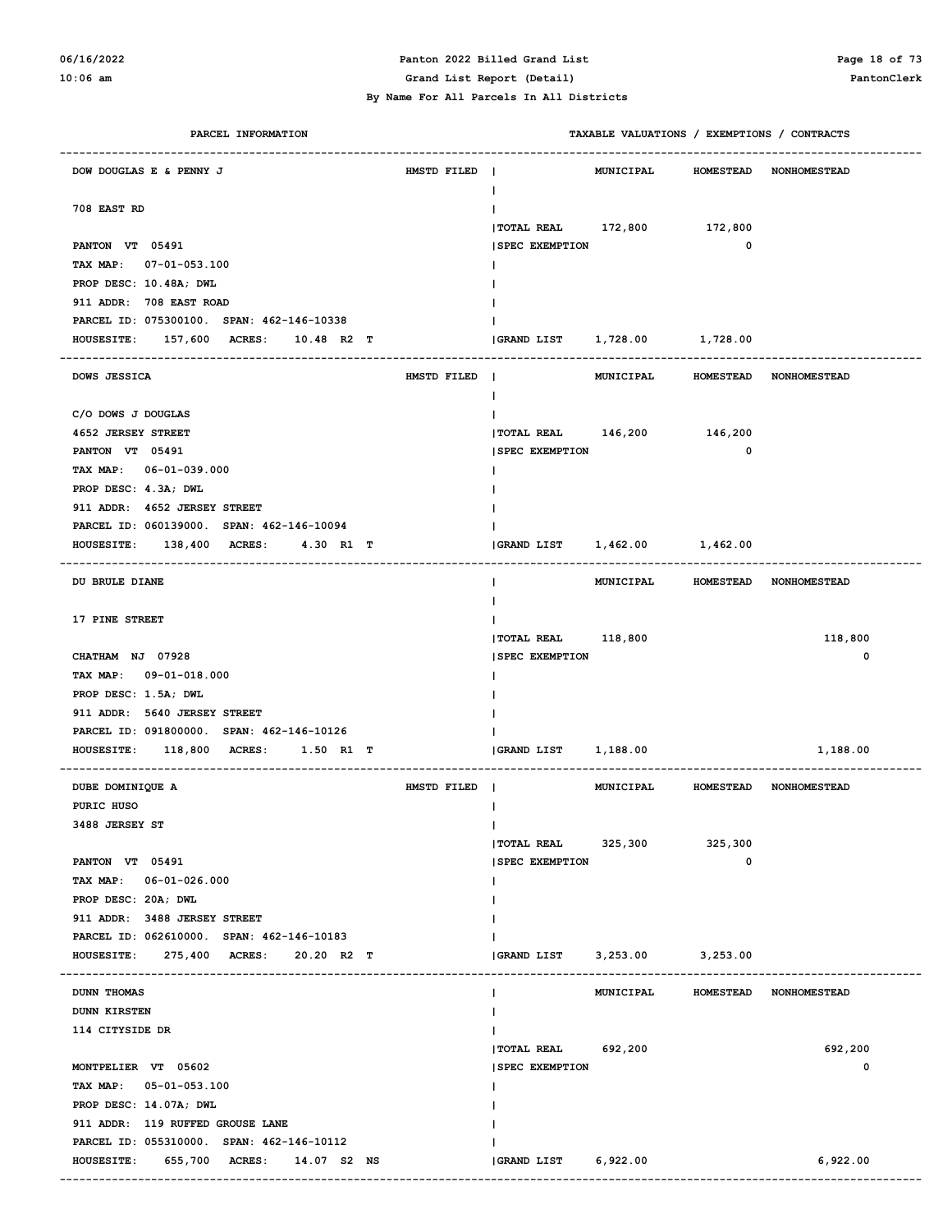# **06/16/2022 Panton 2022 Billed Grand List Page 18 of 73**

**10:06 am Grand List Report (Detail) PantonClerk**

 **By Name For All Parcels In All Districts**

| PARCEL INFORMATION                                |             |                                    |                   |         | TAXABLE VALUATIONS / EXEMPTIONS / CONTRACTS |
|---------------------------------------------------|-------------|------------------------------------|-------------------|---------|---------------------------------------------|
| DOW DOUGLAS E & PENNY J                           | HMSTD FILED | T                                  | <b>MUNICIPAL</b>  |         | HOMESTEAD NONHOMESTEAD                      |
| 708 EAST RD                                       |             |                                    |                   |         |                                             |
|                                                   |             | TOTAL REAL 172,800 172,800         |                   |         |                                             |
| PANTON VT 05491                                   |             | <b>SPEC EXEMPTION</b>              |                   | 0       |                                             |
| TAX MAP: 07-01-053.100                            |             |                                    |                   |         |                                             |
| PROP DESC: 10.48A; DWL                            |             |                                    |                   |         |                                             |
| 911 ADDR: 708 EAST ROAD                           |             |                                    |                   |         |                                             |
| PARCEL ID: 075300100. SPAN: 462-146-10338         |             |                                    |                   |         |                                             |
| <b>HOUSESITE:</b><br>157,600 ACRES:<br>10.48 R2 T |             | GRAND LIST    1,728.00    1,728.00 |                   |         |                                             |
| DOWS JESSICA                                      | HMSTD FILED | T                                  |                   |         | MUNICIPAL HOMESTEAD NONHOMESTEAD            |
| C/O DOWS J DOUGLAS                                |             |                                    |                   |         |                                             |
| <b>4652 JERSEY STREET</b>                         |             | TOTAL REAL 146,200 146,200         |                   |         |                                             |
| PANTON VT 05491                                   |             | <b>SPEC EXEMPTION</b>              |                   | 0       |                                             |
| TAX MAP: 06-01-039.000                            |             |                                    |                   |         |                                             |
| PROP DESC: 4.3A; DWL                              |             |                                    |                   |         |                                             |
| 911 ADDR: 4652 JERSEY STREET                      |             |                                    |                   |         |                                             |
| PARCEL ID: 060139000. SPAN: 462-146-10094         |             |                                    |                   |         |                                             |
| 138,400 ACRES:<br>4.30 R1 T<br><b>HOUSESITE:</b>  |             | <b>GRAND LIST</b>                  | 1,462.00 1,462.00 |         |                                             |
| DU BRULE DIANE                                    |             |                                    |                   |         | MUNICIPAL HOMESTEAD NONHOMESTEAD            |
| 17 PINE STREET                                    |             |                                    |                   |         |                                             |
|                                                   |             | <b> TOTAL REAL</b>                 | 118,800           |         | 118,800                                     |
| CHATHAM NJ 07928                                  |             | <b>SPEC EXEMPTION</b>              |                   |         | 0                                           |
| TAX MAP: 09-01-018.000                            |             |                                    |                   |         |                                             |
| PROP DESC: 1.5A; DWL                              |             |                                    |                   |         |                                             |
| 911 ADDR: 5640 JERSEY STREET                      |             |                                    |                   |         |                                             |
| PARCEL ID: 091800000. SPAN: 462-146-10126         |             |                                    |                   |         |                                             |
| 118,800 ACRES:<br>1.50 R1 T<br><b>HOUSESITE:</b>  |             | <b>GRAND LIST</b>                  | 1,188.00          |         | 1,188.00                                    |
|                                                   |             |                                    |                   |         |                                             |
| DUBE DOMINIQUE A                                  | HMSTD FILED |                                    |                   |         | MUNICIPAL HOMESTEAD NONHOMESTEAD            |
| PURIC HUSO                                        |             |                                    |                   |         |                                             |
| 3488 JERSEY ST                                    |             |                                    |                   |         |                                             |
|                                                   |             | $ $ TOTAL REAL 325, 300            |                   | 325,300 |                                             |
| PANTON VT 05491                                   |             | <b>SPEC EXEMPTION</b>              |                   | 0       |                                             |
| TAX MAP: 06-01-026.000                            |             |                                    |                   |         |                                             |
| PROP DESC: 20A; DWL                               |             |                                    |                   |         |                                             |
| 911 ADDR: 3488 JERSEY STREET                      |             |                                    |                   |         |                                             |
| PARCEL ID: 062610000. SPAN: 462-146-10183         |             |                                    |                   |         |                                             |
| HOUSESITE: 275,400 ACRES:<br>20.20 R2 T           |             | <b>GRAND LIST</b>                  | 3,253.00 3,253.00 |         |                                             |
| DUNN THOMAS                                       |             | L                                  |                   |         | MUNICIPAL HOMESTEAD NONHOMESTEAD            |
| <b>DUNN KIRSTEN</b>                               |             |                                    |                   |         |                                             |
| 114 CITYSIDE DR                                   |             |                                    |                   |         |                                             |
|                                                   |             | TOTAL REAL 692,200                 |                   |         | 692,200                                     |
| MONTPELIER VT 05602                               |             | <b>SPEC EXEMPTION</b>              |                   |         | 0                                           |
| TAX MAP: 05-01-053.100                            |             |                                    |                   |         |                                             |
| PROP DESC: 14.07A; DWL                            |             |                                    |                   |         |                                             |
| 911 ADDR: 119 RUFFED GROUSE LANE                  |             |                                    |                   |         |                                             |
| PARCEL ID: 055310000. SPAN: 462-146-10112         |             |                                    |                   |         |                                             |
| HOUSESITE: 655,700 ACRES: 14.07 S2 NS             |             | <b>GRAND LIST</b>                  | 6,922.00          |         | 6,922.00                                    |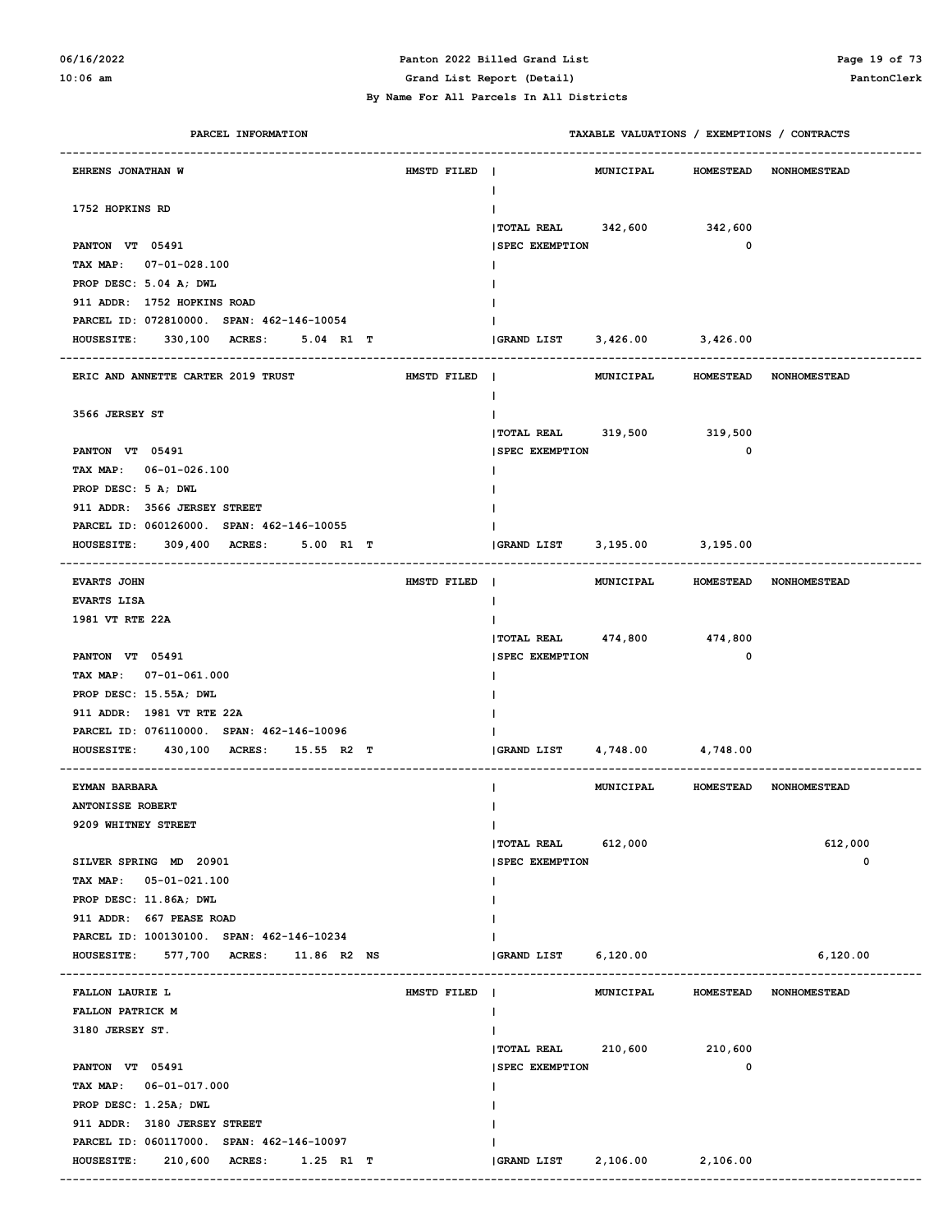# **06/16/2022 Panton 2022 Billed Grand List Page 19 of 73**

#### **By Name For All Parcels In All Districts**

**10:06 am Grand List Report (Detail) PantonClerk**

| PARCEL INFORMATION                                                      |             |                              |                   |                  | TAXABLE VALUATIONS / EXEMPTIONS / CONTRACTS |
|-------------------------------------------------------------------------|-------------|------------------------------|-------------------|------------------|---------------------------------------------|
| EHRENS JONATHAN W                                                       | HMSTD FILED | $\mathbf{I}$                 | MUNICIPAL         |                  | HOMESTEAD NONHOMESTEAD                      |
|                                                                         |             | T                            |                   |                  |                                             |
| 1752 HOPKINS RD                                                         |             |                              |                   |                  |                                             |
|                                                                         |             | TOTAL REAL 342,600 342,600   |                   |                  |                                             |
| PANTON VT 05491                                                         |             | <b>SPEC EXEMPTION</b>        |                   | 0                |                                             |
| TAX MAP: 07-01-028.100                                                  |             |                              |                   |                  |                                             |
| PROP DESC: 5.04 A; DWL<br>911 ADDR: 1752 HOPKINS ROAD                   |             |                              |                   |                  |                                             |
| PARCEL ID: 072810000. SPAN: 462-146-10054                               |             |                              |                   |                  |                                             |
| <b>HOUSESITE:</b><br>330,100 ACRES: 5.04 R1 T                           |             | GRAND LIST 3,426.00 3,426.00 |                   |                  |                                             |
|                                                                         |             |                              |                   |                  |                                             |
| ERIC AND ANNETTE CARTER 2019 TRUST                                      | HMSTD FILED | $\blacksquare$               | MUNICIPAL         |                  | HOMESTEAD NONHOMESTEAD                      |
|                                                                         |             | L                            |                   |                  |                                             |
| 3566 JERSEY ST                                                          |             |                              |                   |                  |                                             |
|                                                                         |             | TOTAL REAL 319,500 319,500   |                   |                  |                                             |
| PANTON VT 05491                                                         |             | <b>SPEC EXEMPTION</b>        |                   | 0                |                                             |
| TAX MAP: 06-01-026.100                                                  |             |                              |                   |                  |                                             |
| PROP DESC: 5 A; DWL                                                     |             |                              |                   |                  |                                             |
| 911 ADDR: 3566 JERSEY STREET                                            |             |                              |                   |                  |                                             |
| PARCEL ID: 060126000. SPAN: 462-146-10055                               |             |                              |                   |                  |                                             |
| 309,400 ACRES:<br>5.00 R1 T<br><b>HOUSESITE:</b><br>------------------- |             | GRAND LIST 3,195.00 3,195.00 |                   |                  |                                             |
| <b>EVARTS JOHN</b>                                                      | HMSTD FILED |                              | MUNICIPAL         |                  | HOMESTEAD NONHOMESTEAD                      |
| <b>EVARTS LISA</b>                                                      |             | L                            |                   |                  |                                             |
| 1981 VT RTE 22A                                                         |             |                              |                   |                  |                                             |
|                                                                         |             | TOTAL REAL 474,800 474,800   |                   |                  |                                             |
| PANTON VT 05491                                                         |             | <b>SPEC EXEMPTION</b>        |                   | 0                |                                             |
| TAX MAP: 07-01-061.000                                                  |             |                              |                   |                  |                                             |
| PROP DESC: 15.55A; DWL                                                  |             |                              |                   |                  |                                             |
| 911 ADDR: 1981 VT RTE 22A                                               |             |                              |                   |                  |                                             |
| PARCEL ID: 076110000. SPAN: 462-146-10096                               |             |                              |                   |                  |                                             |
| 430,100 ACRES: 15.55 R2 T<br><b>HOUSESITE:</b>                          |             | <b>GRAND LIST</b>            | 4,748.00 4,748.00 |                  |                                             |
| EYMAN BARBARA                                                           |             |                              | MUNICIPAL         |                  | HOMESTEAD NONHOMESTEAD                      |
| <b>ANTONISSE ROBERT</b>                                                 |             |                              |                   |                  |                                             |
| 9209 WHITNEY STREET                                                     |             | Ι.                           |                   |                  |                                             |
|                                                                         |             | TOTAL REAL 612,000           |                   |                  | 612,000                                     |
| SILVER SPRING MD 20901                                                  |             | <b>SPEC EXEMPTION</b>        |                   |                  | $\mathbf 0$                                 |
| TAX MAP: 05-01-021.100                                                  |             |                              |                   |                  |                                             |
| PROP DESC: 11.86A; DWL                                                  |             |                              |                   |                  |                                             |
| 911 ADDR: 667 PEASE ROAD                                                |             |                              |                   |                  |                                             |
| PARCEL ID: 100130100. SPAN: 462-146-10234                               |             |                              |                   |                  |                                             |
| 577,700 ACRES:<br><b>HOUSESITE:</b><br>11.86 R2 NS                      |             | <b>GRAND LIST</b>            | 6,120.00          |                  | 6,120.00                                    |
| <b>FALLON LAURIE L</b>                                                  | HMSTD FILED |                              | MUNICIPAL         | <b>HOMESTEAD</b> | <b>NONHOMESTEAD</b>                         |
| FALLON PATRICK M                                                        |             |                              |                   |                  |                                             |
| 3180 JERSEY ST.                                                         |             |                              |                   |                  |                                             |
|                                                                         |             | $ $ TOTAL REAL 210,600       |                   | 210,600          |                                             |
| PANTON VT 05491                                                         |             | <b>SPEC EXEMPTION</b>        |                   | $\mathbf 0$      |                                             |
| TAX MAP: 06-01-017.000                                                  |             |                              |                   |                  |                                             |
| PROP DESC: 1.25A; DWL                                                   |             |                              |                   |                  |                                             |
| 911 ADDR: 3180 JERSEY STREET                                            |             |                              |                   |                  |                                             |
| PARCEL ID: 060117000. SPAN: 462-146-10097                               |             |                              |                   |                  |                                             |
| <b>HOUSESITE:</b><br>210,600 ACRES:<br>$1.25$ R1 T                      |             | GRAND LIST 2,106.00 2,106.00 |                   |                  |                                             |
|                                                                         |             |                              |                   |                  |                                             |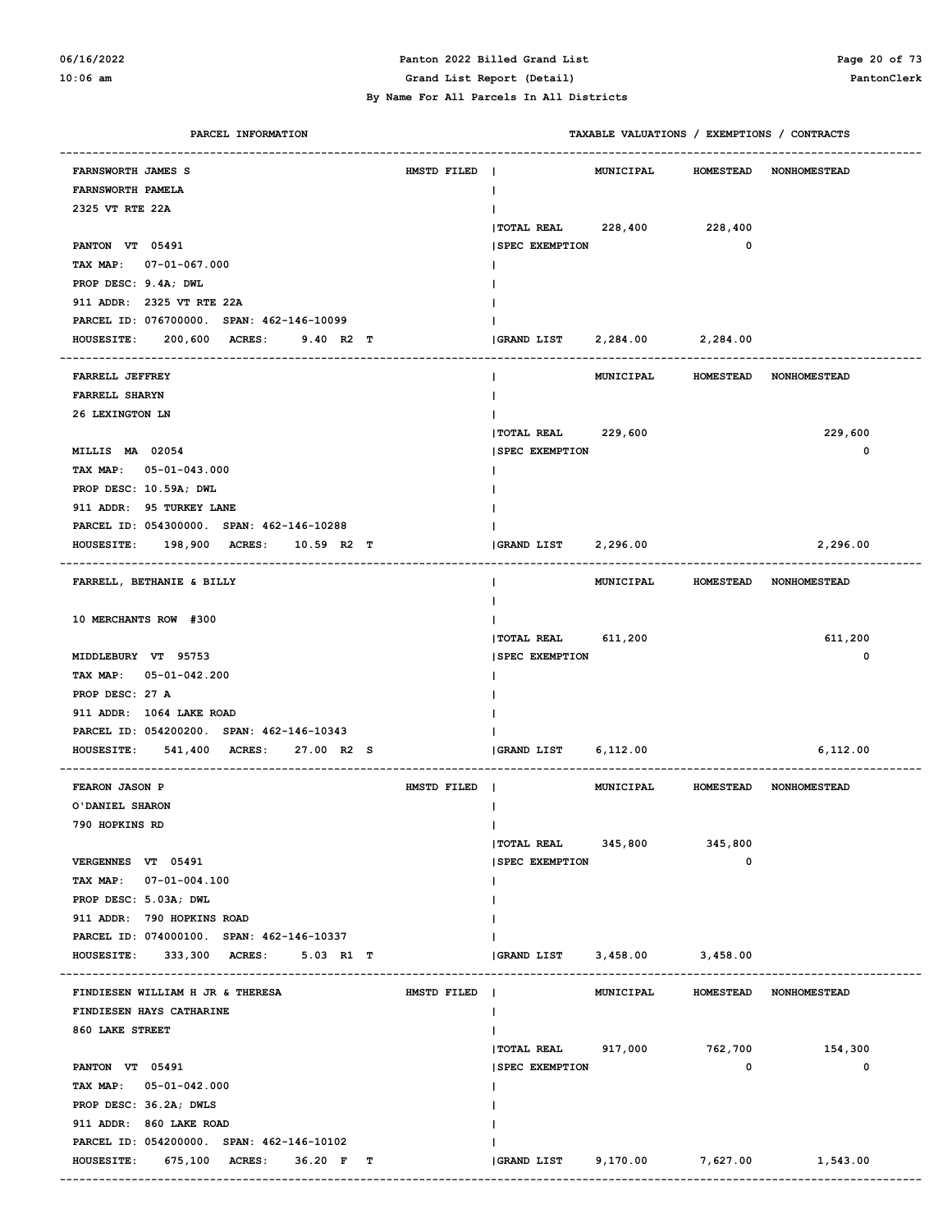#### **06/16/2022 Panton 2022 Billed Grand List Page 20 of 73 10:06 am Grand List Report (Detail) PantonClerk**

| PARCEL INFORMATION                        |             |                              | TAXABLE VALUATIONS / EXEMPTIONS / CONTRACTS |              |                                        |
|-------------------------------------------|-------------|------------------------------|---------------------------------------------|--------------|----------------------------------------|
| FARNSWORTH JAMES S                        | HMSTD FILED |                              | MUNICIPAL HOMESTEAD NONHOMESTEAD            |              |                                        |
| FARNSWORTH PAMELA                         |             |                              |                                             |              |                                        |
| 2325 VT RTE 22A                           |             |                              |                                             |              |                                        |
|                                           |             | $ $ TOTAL REAL 228,400       |                                             | 228,400      |                                        |
| PANTON VT 05491                           |             | <b>SPEC EXEMPTION</b>        |                                             | $\mathbf 0$  |                                        |
| TAX MAP: 07-01-067.000                    |             |                              |                                             |              |                                        |
| PROP DESC: 9.4A; DWL                      |             |                              |                                             |              |                                        |
| 911 ADDR: 2325 VT RTE 22A                 |             |                              |                                             |              |                                        |
| PARCEL ID: 076700000. SPAN: 462-146-10099 |             |                              |                                             |              |                                        |
| HOUSESITE: 200,600 ACRES: 9.40 R2 T       |             | GRAND LIST 2,284.00 2,284.00 |                                             |              |                                        |
|                                           |             |                              |                                             |              |                                        |
| FARRELL JEFFREY                           |             |                              | MUNICIPAL HOMESTEAD NONHOMESTEAD            |              |                                        |
| FARRELL SHARYN                            |             |                              |                                             |              |                                        |
| 26 LEXINGTON LN                           |             |                              |                                             |              |                                        |
|                                           |             | <b>TOTAL REAL</b>            | 229,600                                     |              | 229,600                                |
| MILLIS MA 02054                           |             | <b>ISPEC EXEMPTION</b>       |                                             |              | 0                                      |
| TAX MAP: 05-01-043.000                    |             |                              |                                             |              |                                        |
| PROP DESC: 10.59A; DWL                    |             |                              |                                             |              |                                        |
| 911 ADDR: 95 TURKEY LANE                  |             |                              |                                             |              |                                        |
| PARCEL ID: 054300000. SPAN: 462-146-10288 |             |                              |                                             |              |                                        |
| HOUSESITE: 198,900 ACRES: 10.59 R2 T      |             | GRAND LIST 2,296.00          |                                             |              | 2,296.00                               |
|                                           |             |                              |                                             |              |                                        |
| FARRELL, BETHANIE & BILLY                 |             |                              | MUNICIPAL HOMESTEAD NONHOMESTEAD            |              |                                        |
|                                           |             |                              |                                             |              |                                        |
| 10 MERCHANTS ROW #300                     |             |                              |                                             |              |                                        |
|                                           |             | <b>TOTAL REAL</b>            | 611,200                                     |              | 611,200                                |
| MIDDLEBURY VT 95753                       |             | <b>SPEC EXEMPTION</b>        |                                             |              | 0                                      |
| TAX MAP: 05-01-042.200                    |             |                              |                                             |              |                                        |
| PROP DESC: 27 A                           |             |                              |                                             |              |                                        |
| 911 ADDR: 1064 LAKE ROAD                  |             |                              |                                             |              |                                        |
| PARCEL ID: 054200200. SPAN: 462-146-10343 |             |                              |                                             |              |                                        |
| HOUSESITE: 541,400 ACRES: 27.00 R2 S      |             | GRAND LIST 6,112.00          |                                             |              | 6,112.00                               |
| FEARON JASON P                            | HMSTD FILED |                              | MUNICIPAL HOMESTEAD NONHOMESTEAD            |              |                                        |
| O'DANIEL SHARON                           |             |                              |                                             |              |                                        |
| 790 HOPKINS RD                            |             |                              |                                             |              |                                        |
|                                           |             | $ $ TOTAL REAL $345,800$     |                                             | 345,800      |                                        |
| VERGENNES VT 05491                        |             | <b>SPEC EXEMPTION</b>        |                                             | $\mathbf 0$  |                                        |
| TAX MAP: 07-01-004.100                    |             |                              |                                             |              |                                        |
| PROP DESC: 5.03A; DWL                     |             |                              |                                             |              |                                        |
| 911 ADDR: 790 HOPKINS ROAD                |             |                              |                                             |              |                                        |
| PARCEL ID: 074000100. SPAN: 462-146-10337 |             |                              |                                             |              |                                        |
| HOUSESITE: 333,300 ACRES: 5.03 R1 T       |             | GRAND LIST 3,458.00 3,458.00 |                                             |              |                                        |
|                                           |             |                              |                                             |              |                                        |
| FINDIESEN WILLIAM H JR & THERESA          | HMSTD FILED |                              | MUNICIPAL                                   |              | HOMESTEAD NONHOMESTEAD                 |
| FINDIESEN HAYS CATHARINE                  |             |                              |                                             |              |                                        |
| 860 LAKE STREET                           |             |                              |                                             |              |                                        |
|                                           |             | TOTAL REAL 917,000 762,700   |                                             |              | 154,300                                |
| PANTON VT 05491                           |             | <b>SPEC EXEMPTION</b>        |                                             | $\mathbf{0}$ | 0                                      |
| TAX MAP: 05-01-042.000                    |             |                              |                                             |              |                                        |
| PROP DESC: 36.2A; DWLS                    |             |                              |                                             |              |                                        |
| 911 ADDR: 860 LAKE ROAD                   |             |                              |                                             |              |                                        |
| PARCEL ID: 054200000. SPAN: 462-146-10102 |             |                              |                                             |              |                                        |
| HOUSESITE: 675,100 ACRES: 36.20 F T       |             |                              |                                             |              | (GRAND LIST 9,170.00 7,627.00 1,543.00 |
|                                           |             |                              |                                             |              |                                        |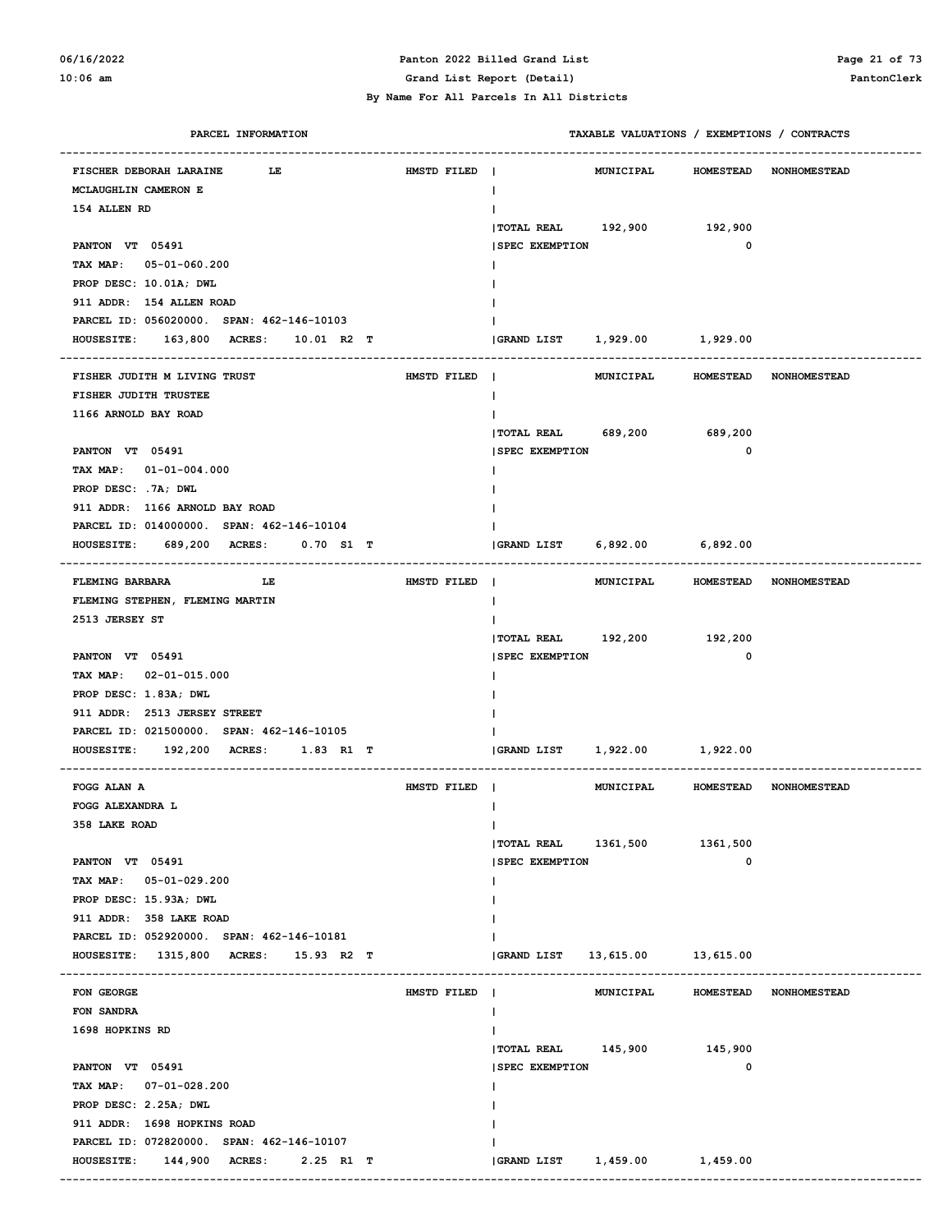### **06/16/2022 Panton 2022 Billed Grand List Page 21 of 73 10:06 am Grand List Report (Detail) PantonClerk**

#### **By Name For All Parcels In All Districts**

 **PARCEL INFORMATION TAXABLE VALUATIONS / EXEMPTIONS / CONTRACTS**

| FISCHER DEBORAH LARAINE<br>LE                                              | HMSTD FILED | $\blacksquare$                | MUNICIPAL HOMESTEAD              |             | <b>NONHOMESTEAD</b>    |
|----------------------------------------------------------------------------|-------------|-------------------------------|----------------------------------|-------------|------------------------|
| MCLAUGHLIN CAMERON E                                                       |             |                               |                                  |             |                        |
| 154 ALLEN RD                                                               |             |                               |                                  |             |                        |
|                                                                            |             | TOTAL REAL 192,900 192,900    |                                  |             |                        |
| PANTON VT 05491                                                            |             | <b>ISPEC EXEMPTION</b>        |                                  | $\mathbf 0$ |                        |
| TAX MAP: 05-01-060.200                                                     |             |                               |                                  |             |                        |
| PROP DESC: 10.01A; DWL                                                     |             |                               |                                  |             |                        |
| 911 ADDR: 154 ALLEN ROAD                                                   |             |                               |                                  |             |                        |
| PARCEL ID: 056020000. SPAN: 462-146-10103                                  |             |                               |                                  |             |                        |
| HOUSESITE: 163,800 ACRES: 10.01 R2 T                                       |             |                               |                                  |             |                        |
|                                                                            |             |                               |                                  |             |                        |
| FISHER JUDITH M LIVING TRUST                                               | HMSTD FILED |                               | MUNICIPAL                        |             | HOMESTEAD NONHOMESTEAD |
| FISHER JUDITH TRUSTEE                                                      |             |                               |                                  |             |                        |
| 1166 ARNOLD BAY ROAD                                                       |             |                               |                                  |             |                        |
|                                                                            |             | TOTAL REAL 689,200 689,200    |                                  |             |                        |
| PANTON VT 05491                                                            |             | <b>SPEC EXEMPTION</b>         |                                  | $\mathbf 0$ |                        |
| TAX MAP: $01-01-004.000$                                                   |             |                               |                                  |             |                        |
| PROP DESC: . 7A; DWL                                                       |             |                               |                                  |             |                        |
| 911 ADDR: 1166 ARNOLD BAY ROAD                                             |             |                               |                                  |             |                        |
| PARCEL ID: 014000000. SPAN: 462-146-10104                                  |             |                               |                                  |             |                        |
| HOUSESITE: 689,200 ACRES: 0.70 S1 T                                        |             | GRAND LIST 6,892.00 6,892.00  |                                  |             |                        |
|                                                                            |             |                               |                                  |             |                        |
| <b>FLEMING BARBARA</b><br><b>Example 19</b> The Little State 19 The Little | HMSTD FILED |                               | MUNICIPAL HOMESTEAD NONHOMESTEAD |             |                        |
| FLEMING STEPHEN, FLEMING MARTIN<br>2513 JERSEY ST                          |             |                               |                                  |             |                        |
|                                                                            |             | TOTAL REAL 192,200 192,200    |                                  |             |                        |
| PANTON VT 05491                                                            |             | <b>SPEC EXEMPTION</b>         |                                  | $\mathbf 0$ |                        |
| TAX MAP: 02-01-015.000                                                     |             |                               |                                  |             |                        |
| PROP DESC: 1.83A; DWL                                                      |             |                               |                                  |             |                        |
| 911 ADDR: 2513 JERSEY STREET                                               |             |                               |                                  |             |                        |
| PARCEL ID: 021500000. SPAN: 462-146-10105                                  |             |                               |                                  |             |                        |
| HOUSESITE: 192,200 ACRES: 1.83 R1 T                                        |             | GRAND LIST                    | 1,922.00 1,922.00                |             |                        |
|                                                                            |             |                               |                                  |             |                        |
| FOGG ALAN A                                                                | HMSTD FILED |                               | MUNICIPAL                        |             | HOMESTEAD NONHOMESTEAD |
| FOGG ALEXANDRA L                                                           |             |                               |                                  |             |                        |
| 358 LAKE ROAD                                                              |             |                               |                                  |             |                        |
|                                                                            |             | TOTAL REAL 1361,500 1361,500  |                                  |             |                        |
| PANTON VT 05491                                                            |             | <b>SPEC EXEMPTION</b>         |                                  | $\mathbf 0$ |                        |
| TAX MAP: 05-01-029.200                                                     |             |                               |                                  |             |                        |
| PROP DESC: 15.93A; DWL                                                     |             |                               |                                  |             |                        |
| 911 ADDR: 358 LAKE ROAD                                                    |             |                               |                                  |             |                        |
| PARCEL ID: 052920000. SPAN: 462-146-10181                                  |             |                               |                                  |             |                        |
| HOUSESITE: 1315,800 ACRES: 15.93 R2 T                                      |             | <b>GRAND LIST</b>             | 13,615.00 13,615.00              |             |                        |
|                                                                            |             |                               |                                  |             |                        |
| FON GEORGE                                                                 | HMSTD FILED |                               | MUNICIPAL                        |             | HOMESTEAD NONHOMESTEAD |
| FON SANDRA                                                                 |             | $\mathbf{I}$                  |                                  |             |                        |
| 1698 HOPKINS RD                                                            |             |                               |                                  |             |                        |
|                                                                            |             | TOTAL REAL 145,900 145,900    |                                  |             |                        |
| PANTON VT 05491                                                            |             | <b>SPEC EXEMPTION</b>         |                                  | $\mathbf 0$ |                        |
| TAX MAP: 07-01-028.200                                                     |             |                               |                                  |             |                        |
| PROP DESC: 2.25A; DWL                                                      |             |                               |                                  |             |                        |
| 911 ADDR: 1698 HOPKINS ROAD                                                |             |                               |                                  |             |                        |
| PARCEL ID: 072820000. SPAN: 462-146-10107                                  |             |                               |                                  |             |                        |
| HOUSESITE: 144,900 ACRES: 2.25 R1 T                                        |             | (GRAND LIST 1,459.00 1,459.00 |                                  |             |                        |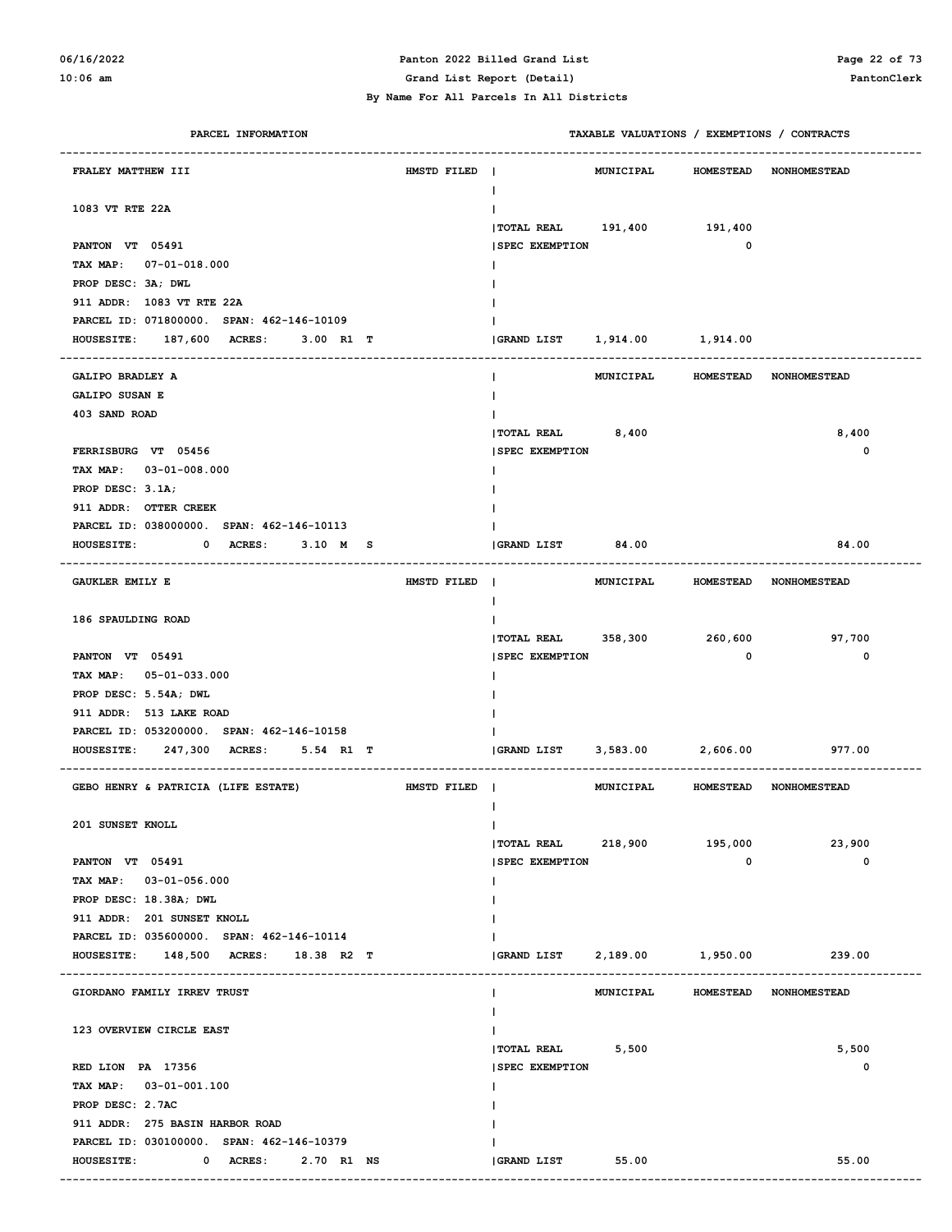### **06/16/2022 Panton 2022 Billed Grand List Page 22 of 73**

**10:06 am Grand List Report (Detail) PantonClerk**

 **By Name For All Parcels In All Districts**

| PARCEL INFORMATION                            |                               |                                                     | TAXABLE VALUATIONS / EXEMPTIONS / CONTRACTS |                               |
|-----------------------------------------------|-------------------------------|-----------------------------------------------------|---------------------------------------------|-------------------------------|
| FRALEY MATTHEW III                            | HMSTD FILED<br>$\blacksquare$ | MUNICIPAL                                           |                                             | HOMESTEAD NONHOMESTEAD        |
|                                               |                               | L                                                   |                                             |                               |
| 1083 VT RTE 22A                               |                               |                                                     |                                             |                               |
|                                               |                               | $ $ TOTAL REAL $191,400$                            | 191,400                                     |                               |
| PANTON VT 05491                               |                               | <b>SPEC EXEMPTION</b>                               | 0                                           |                               |
| TAX MAP: 07-01-018.000                        |                               |                                                     |                                             |                               |
| PROP DESC: 3A; DWL                            |                               |                                                     |                                             |                               |
| 911 ADDR: 1083 VT RTE 22A                     |                               |                                                     |                                             |                               |
| PARCEL ID: 071800000. SPAN: 462-146-10109     |                               |                                                     |                                             |                               |
| HOUSESITE: 187,600 ACRES: 3.00 R1 T           |                               | GRAND LIST 1,914.00                                 | 1,914.00                                    |                               |
|                                               |                               |                                                     |                                             |                               |
| GALIPO BRADLEY A                              |                               | MUNICIPAL<br>L                                      |                                             | HOMESTEAD NONHOMESTEAD        |
| <b>GALIPO SUSAN E</b>                         |                               |                                                     |                                             |                               |
| 403 SAND ROAD                                 |                               |                                                     |                                             |                               |
|                                               |                               | <b>TOTAL REAL</b><br>8,400<br><b>SPEC EXEMPTION</b> |                                             | 8,400                         |
| FERRISBURG VT 05456<br>TAX MAP: 03-01-008.000 |                               |                                                     |                                             | 0                             |
| PROP DESC: 3.1A;                              |                               |                                                     |                                             |                               |
| 911 ADDR: OTTER CREEK                         |                               |                                                     |                                             |                               |
| PARCEL ID: 038000000. SPAN: 462-146-10113     |                               |                                                     |                                             |                               |
| <b>HOUSESITE:</b><br>0 ACRES: 3.10 M S        |                               | 84.00<br><b>GRAND LIST</b>                          |                                             | 84.00                         |
|                                               |                               |                                                     |                                             |                               |
| <b>GAUKLER EMILY E</b>                        | HMSTD FILED                   |                                                     | MUNICIPAL HOMESTEAD NONHOMESTEAD            |                               |
|                                               |                               | L                                                   |                                             |                               |
| 186 SPAULDING ROAD                            |                               |                                                     |                                             |                               |
|                                               |                               | TOTAL REAL 358,300                                  | 260,600                                     | 97,700                        |
| PANTON VT 05491                               |                               | <b>SPEC EXEMPTION</b>                               | 0                                           | 0                             |
| TAX MAP: 05-01-033.000                        |                               |                                                     |                                             |                               |
| PROP DESC: 5.54A; DWL                         |                               |                                                     |                                             |                               |
| 911 ADDR: 513 LAKE ROAD                       |                               |                                                     |                                             |                               |
| PARCEL ID: 053200000. SPAN: 462-146-10158     |                               |                                                     |                                             |                               |
| 247,300 ACRES: 5.54 R1 T<br><b>HOUSESITE:</b> |                               | GRAND LIST<br>3,583.00                              | 2,606.00                                    | 977.00                        |
|                                               |                               |                                                     |                                             |                               |
| GEBO HENRY & PATRICIA (LIFE ESTATE)           | HMSTD FILED                   | MUNICIPAL                                           |                                             | <b>HOMESTEAD NONHOMESTEAD</b> |
|                                               |                               |                                                     |                                             |                               |
| 201 SUNSET KNOLL                              |                               |                                                     |                                             | 23,900                        |
| PANTON VT 05491                               |                               | TOTAL REAL 218,900<br><b>SPEC EXEMPTION</b>         | 195,000<br>$\mathbf 0$                      | 0                             |
| TAX MAP: 03-01-056.000                        |                               |                                                     |                                             |                               |
| PROP DESC: 18.38A; DWL                        |                               |                                                     |                                             |                               |
| 911 ADDR: 201 SUNSET KNOLL                    |                               |                                                     |                                             |                               |
| PARCEL ID: 035600000. SPAN: 462-146-10114     |                               |                                                     |                                             |                               |
| HOUSESITE: 148,500 ACRES: 18.38 R2 T          |                               | 2,189.00<br><b>GRAND LIST</b>                       | 1,950.00                                    | 239.00                        |
|                                               |                               |                                                     |                                             |                               |
| GIORDANO FAMILY IRREV TRUST                   |                               | MUNICIPAL<br>L                                      |                                             | HOMESTEAD NONHOMESTEAD        |
|                                               |                               | L                                                   |                                             |                               |
| 123 OVERVIEW CIRCLE EAST                      |                               |                                                     |                                             |                               |
|                                               |                               | <b>TOTAL REAL</b><br>5,500                          |                                             | 5,500                         |
| RED LION PA 17356                             |                               | <b>SPEC EXEMPTION</b>                               |                                             | 0                             |
| TAX MAP: 03-01-001.100                        |                               |                                                     |                                             |                               |
| PROP DESC: 2.7AC                              |                               |                                                     |                                             |                               |
| 911 ADDR: 275 BASIN HARBOR ROAD               |                               |                                                     |                                             |                               |
| PARCEL ID: 030100000. SPAN: 462-146-10379     |                               |                                                     |                                             |                               |
|                                               |                               | <b>GRAND LIST</b>                                   | 55.00                                       | 55.00                         |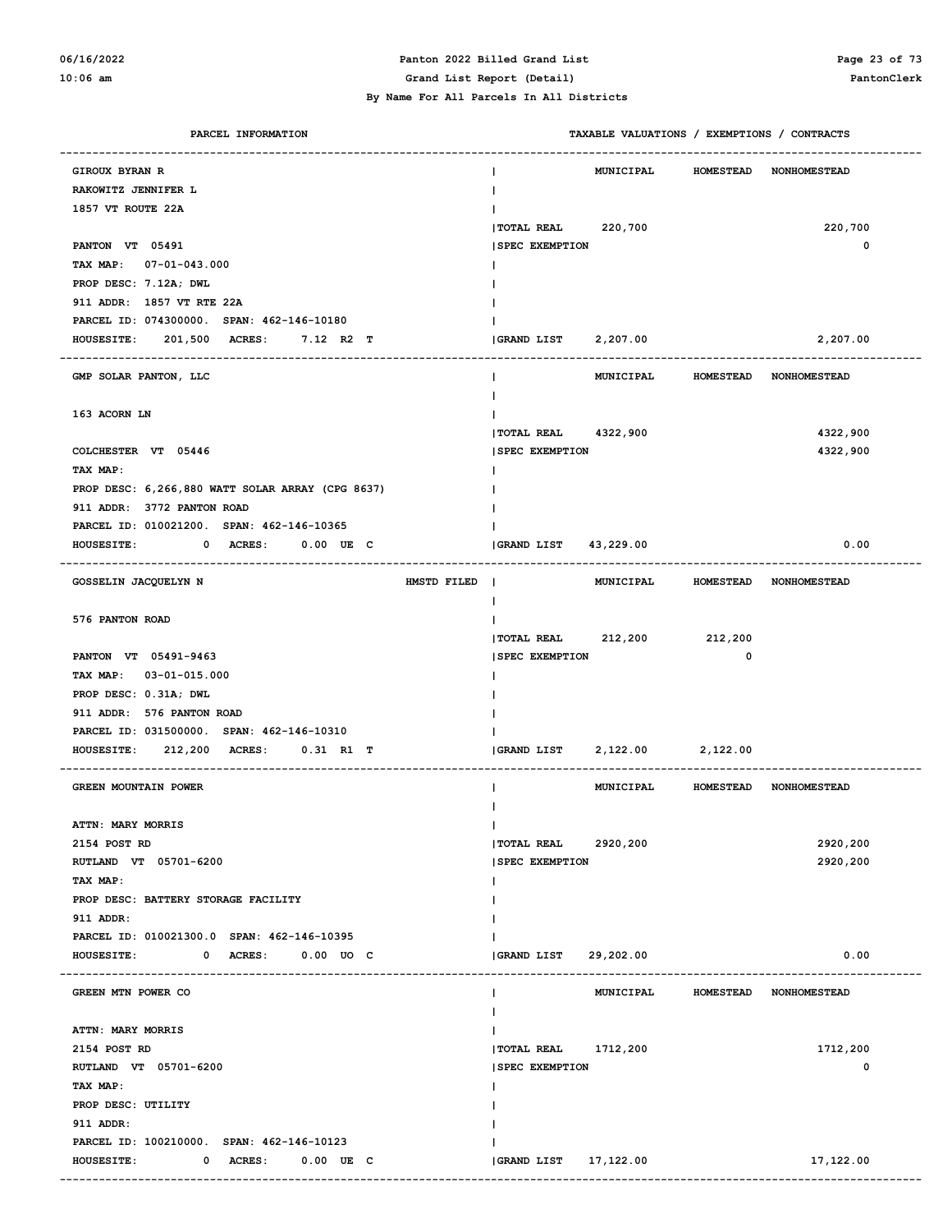#### **06/16/2022 Panton 2022 Billed Grand List Page 23 of 73 10:06 am Grand List Report (Detail) PantonClerk**

| PARCEL INFORMATION                               | TAXABLE VALUATIONS / EXEMPTIONS / CONTRACTS    |                  |                                  |
|--------------------------------------------------|------------------------------------------------|------------------|----------------------------------|
| <b>GIROUX BYRAN R</b>                            | <b>MUNICIPAL</b>                               | <b>HOMESTEAD</b> | <b>NONHOMESTEAD</b>              |
| RAKOWITZ JENNIFER L                              | $\mathbf{I}$                                   |                  |                                  |
| 1857 VT ROUTE 22A                                |                                                |                  |                                  |
|                                                  | TOTAL REAL 220,700                             |                  | 220,700                          |
| PANTON VT 05491                                  | <b>SPEC EXEMPTION</b>                          |                  | 0                                |
| TAX MAP: 07-01-043.000                           |                                                |                  |                                  |
| PROP DESC: 7.12A; DWL                            |                                                |                  |                                  |
| 911 ADDR: 1857 VT RTE 22A                        |                                                |                  |                                  |
| PARCEL ID: 074300000. SPAN: 462-146-10180        |                                                |                  |                                  |
| HOUSESITE: 201,500 ACRES: 7.12 R2 T              | 2,207.00<br>GRAND LIST                         |                  | 2,207.00                         |
|                                                  |                                                |                  |                                  |
| GMP SOLAR PANTON, LLC                            | MUNICIPAL<br>Ι.                                | <b>HOMESTEAD</b> | <b>NONHOMESTEAD</b>              |
|                                                  |                                                |                  |                                  |
| 163 ACORN LN                                     |                                                |                  |                                  |
|                                                  | TOTAL REAL 4322,900                            |                  | 4322,900                         |
| COLCHESTER VT 05446                              | <b>SPEC EXEMPTION</b>                          |                  | 4322,900                         |
| TAX MAP:                                         |                                                |                  |                                  |
| PROP DESC: 6,266,880 WATT SOLAR ARRAY (CPG 8637) |                                                |                  |                                  |
| 911 ADDR: 3772 PANTON ROAD                       |                                                |                  |                                  |
| PARCEL ID: 010021200. SPAN: 462-146-10365        |                                                |                  |                                  |
| $0$ ACRES: $0.00$ UE C<br><b>HOUSESITE:</b>      | GRAND LIST<br>43,229.00                        |                  | 0.00                             |
|                                                  |                                                |                  |                                  |
| GOSSELIN JACQUELYN N<br>HMSTD FILED              | $\Box$                                         |                  | MUNICIPAL HOMESTEAD NONHOMESTEAD |
|                                                  | Ι.                                             |                  |                                  |
| 576 PANTON ROAD                                  |                                                |                  |                                  |
|                                                  | TOTAL REAL 212,200 212,200                     |                  |                                  |
| PANTON VT 05491-9463                             | <b>SPEC EXEMPTION</b>                          | 0                |                                  |
| TAX MAP: 03-01-015.000                           |                                                |                  |                                  |
| PROP DESC: 0.31A; DWL                            |                                                |                  |                                  |
| 911 ADDR: 576 PANTON ROAD                        |                                                |                  |                                  |
| PARCEL ID: 031500000. SPAN: 462-146-10310        |                                                |                  |                                  |
| HOUSESITE: 212,200 ACRES: 0.31 R1 T              | 2,122.00 2,122.00<br><b>GRAND LIST</b>         |                  |                                  |
|                                                  |                                                |                  |                                  |
| <b>GREEN MOUNTAIN POWER</b>                      | MUNICIPAL                                      |                  | HOMESTEAD NONHOMESTEAD           |
|                                                  |                                                |                  |                                  |
| <b>ATTN: MARY MORRIS</b>                         | $\mathsf{I}$                                   |                  |                                  |
| 2154 POST RD                                     | TOTAL REAL<br>2920,200                         |                  | 2920,200                         |
| RUTLAND VT 05701-6200                            | <b>SPEC EXEMPTION</b>                          |                  | 2920,200                         |
| TAX MAP:                                         | Ι.                                             |                  |                                  |
| PROP DESC: BATTERY STORAGE FACILITY              |                                                |                  |                                  |
| 911 ADDR:                                        |                                                |                  |                                  |
| PARCEL ID: 010021300.0 SPAN: 462-146-10395       |                                                |                  |                                  |
| <b>HOUSESITE:</b><br>0 ACRES:<br>$0.00$ $UO$ $C$ | GRAND LIST<br>29,202.00                        |                  | 0.00                             |
|                                                  | <b>MUNICIPAL</b>                               |                  |                                  |
| GREEN MTN POWER CO                               | $\mathbf{I}$                                   | <b>HOMESTEAD</b> | <b>NONHOMESTEAD</b>              |
| <b>ATTN: MARY MORRIS</b>                         | $\mathbf{I}$                                   |                  |                                  |
| 2154 POST RD                                     | $\mathbf{I}$<br>1712,200<br><b> TOTAL REAL</b> |                  | 1712,200                         |
| RUTLAND VT 05701-6200                            | <b>SPEC EXEMPTION</b>                          |                  | 0                                |
| TAX MAP:                                         | Ι.                                             |                  |                                  |
| PROP DESC: UTILITY                               |                                                |                  |                                  |
| 911 ADDR:                                        |                                                |                  |                                  |
| PARCEL ID: 100210000. SPAN: 462-146-10123        |                                                |                  |                                  |
| <b>HOUSESITE:</b><br>0 ACRES:<br>$0.00$ UE C     | GRAND LIST 17,122.00                           |                  | 17,122.00                        |
|                                                  |                                                |                  |                                  |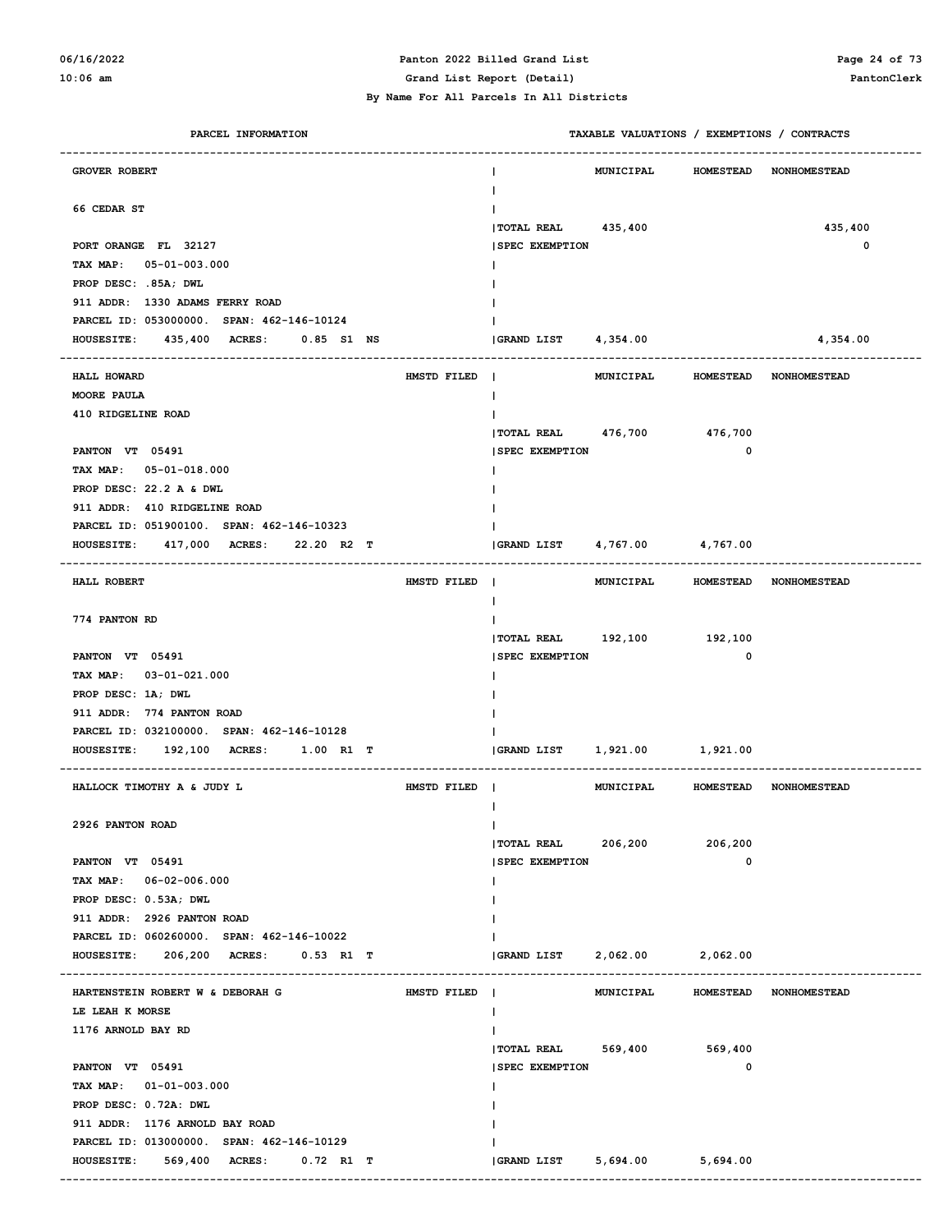# **06/16/2022 Panton 2022 Billed Grand List Page 24 of 73**

#### **By Name For All Parcels In All Districts**

**10:06 am Grand List Report (Detail) PantonClerk**

### **PARCEL INFORMATION TAXABLE VALUATIONS / EXEMPTIONS / CONTRACTS ------------------------------------------------------------------------------------------------------------------------------------ GROVER ROBERT CONFIDENT CONFIDENT EXAMPLE OF A GROVER ROBERT CONFIDENT CONFIDENT CONFIDENT CONFIDENT CONFIDENTI | 66 CEDAR ST | |TOTAL REAL 435,400 435,400 PORT ORANGE FL 32127 |SPEC EXEMPTION 0 TAX MAP: 05-01-003.000 | PROP DESC: .85A; DWL | 911 ADDR: 1330 ADAMS FERRY ROAD | PARCEL ID: 053000000. SPAN: 462-146-10124 | HOUSESITE: 435,400 ACRES: 0.85 S1 NS |GRAND LIST 4,354.00 4,354.00 ------------------------------------------------------------------------------------------------------------------------------------ HALL HOWARD HMSTD FILED | MUNICIPAL HOMESTEAD NONHOMESTEAD MOORE PAULA | 410 RIDGELINE ROAD | |TOTAL REAL 476,700 476,700 PANTON VT 05491** 0  **TAX MAP: 05-01-018.000 | PROP DESC: 22.2 A & DWL | 911 ADDR: 410 RIDGELINE ROAD | PARCEL ID: 051900100. SPAN: 462-146-10323 | HOUSESITE: 417,000 ACRES: 22.20 R2 T |GRAND LIST 4,767.00 4,767.00 ------------------------------------------------------------------------------------------------------------------------------------ HALL ROBERT HMSTD FILED | MUNICIPAL HOMESTEAD NONHOMESTEAD | 774 PANTON RD | |TOTAL REAL 192,100 192,100 PANTON VT 05491** 0 **0 TAX MAP: 03-01-021.000 | PROP DESC: 1A; DWL | 911 ADDR: 774 PANTON ROAD | PARCEL ID: 032100000. SPAN: 462-146-10128 | HOUSESITE: 192,100 ACRES: 1.00 R1 T |GRAND LIST 1,921.00 1,921.00 ------------------------------------------------------------------------------------------------------------------------------------ HALLOCK TIMOTHY A & JUDY L HMSTD FILED | MUNICIPAL HOMESTEAD NONHOMESTEAD | 2926 PANTON ROAD | |TOTAL REAL 206,200 206,200 PANTON VT 05491** 0 **0 TAX MAP: 06-02-006.000 | PROP DESC: 0.53A; DWL | 911 ADDR: 2926 PANTON ROAD | PARCEL ID: 060260000. SPAN: 462-146-10022 | HOUSESITE: 206,200 ACRES: 0.53 R1 T |GRAND LIST 2,062.00 2,062.00 ------------------------------------------------------------------------------------------------------------------------------------ HARTENSTEIN ROBERT W & DEBORAH G HMSTD FILED | MUNICIPAL HOMESTEAD NONHOMESTEAD LE LEAH K MORSE | 1176 ARNOLD BAY RD | |TOTAL REAL 569,400 569,400 PANTON VT 05491** 0 **0 TAX MAP: 01-01-003.000 | PROP DESC: 0.72A: DWL | 911 ADDR: 1176 ARNOLD BAY ROAD | PARCEL ID: 013000000. SPAN: 462-146-10129 | HOUSESITE: 569,400 ACRES: 0.72 R1 T |GRAND LIST 5,694.00 5,694.00 ------------------------------------------------------------------------------------------------------------------------------------**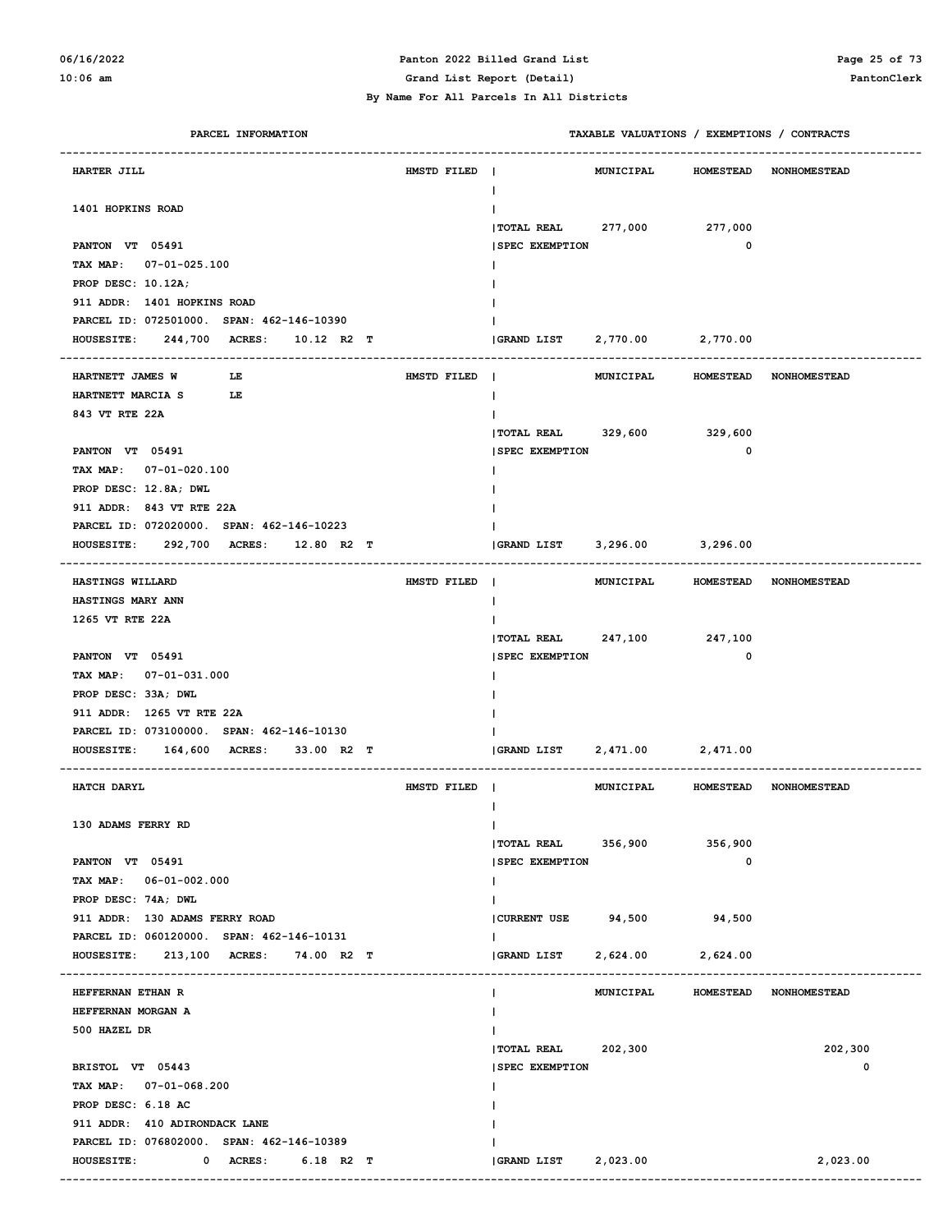### **06/16/2022 Panton 2022 Billed Grand List Page 25 of 73**

**10:06 am Grand List Report (Detail) PantonClerk**

 **By Name For All Parcels In All Districts**

| PARCEL INFORMATION                                                       |             | TAXABLE VALUATIONS / EXEMPTIONS / CONTRACTS           |
|--------------------------------------------------------------------------|-------------|-------------------------------------------------------|
| HARTER JILL                                                              | HMSTD FILED | MUNICIPAL<br>HOMESTEAD NONHOMESTEAD<br>Ι.             |
| 1401 HOPKINS ROAD                                                        |             |                                                       |
|                                                                          |             | TOTAL REAL 277,000 277,000                            |
| PANTON VT 05491                                                          |             | 0<br><b>SPEC EXEMPTION</b>                            |
| TAX MAP: 07-01-025.100                                                   |             |                                                       |
| PROP DESC: 10.12A;                                                       |             |                                                       |
| 911 ADDR: 1401 HOPKINS ROAD                                              |             |                                                       |
| PARCEL ID: 072501000. SPAN: 462-146-10390<br>244,700 ACRES: 10.12 R2 T   |             | GRAND LIST 2,770.00 2,770.00                          |
| <b>HOUSESITE:</b><br>--------------------------------------              |             |                                                       |
| HARTNETT JAMES W<br>LE                                                   | HMSTD FILED | $\blacksquare$<br>MUNICIPAL<br>HOMESTEAD NONHOMESTEAD |
| HARTNETT MARCIA S<br>LE                                                  |             | Ι.                                                    |
| 843 VT RTE 22A                                                           |             |                                                       |
|                                                                          |             | TOTAL REAL 329,600 329,600                            |
| PANTON VT 05491                                                          |             | 0<br><b>SPEC EXEMPTION</b>                            |
| TAX MAP: 07-01-020.100                                                   |             |                                                       |
| PROP DESC: 12.8A; DWL                                                    |             |                                                       |
| 911 ADDR: 843 VT RTE 22A                                                 |             |                                                       |
| PARCEL ID: 072020000. SPAN: 462-146-10223                                |             |                                                       |
| 292,700 ACRES: 12.80 R2 T<br><b>HOUSESITE:</b><br>---------------------- |             | (GRAND LIST 3,296.00 3,296.00                         |
| HASTINGS WILLARD                                                         | HMSTD FILED | $\blacksquare$<br>MUNICIPAL<br>HOMESTEAD NONHOMESTEAD |
| HASTINGS MARY ANN                                                        |             | $\mathbf{I}$                                          |
| 1265 VT RTE 22A                                                          |             |                                                       |
|                                                                          |             | TOTAL REAL 247,100 247,100                            |
| PANTON VT 05491                                                          |             | <b>SPEC EXEMPTION</b><br>0                            |
| TAX MAP: 07-01-031.000                                                   |             |                                                       |
| PROP DESC: 33A; DWL                                                      |             |                                                       |
| 911 ADDR: 1265 VT RTE 22A                                                |             |                                                       |
| PARCEL ID: 073100000. SPAN: 462-146-10130                                |             |                                                       |
| <b>HOUSESITE:</b><br><b>164,600 ACRES:</b><br>33.00 R2 T                 |             | 2,471.00 2,471.00<br><b>GRAND LIST</b>                |
| HATCH DARYL                                                              | HMSTD FILED | MUNICIPAL<br>HOMESTEAD NONHOMESTEAD                   |
|                                                                          |             |                                                       |
| 130 ADAMS FERRY RD                                                       |             | $\mathbf{I}$                                          |
|                                                                          |             | $ $ TOTAL REAL 356,900<br>356,900                     |
| PANTON VT 05491                                                          |             | 0<br><b>SPEC EXEMPTION</b>                            |
| TAX MAP: 06-01-002.000                                                   |             | $\mathbf{I}$                                          |
| PROP DESC: 74A; DWL                                                      |             | $\mathbf{I}$                                          |
| 911 ADDR: 130 ADAMS FERRY ROAD                                           |             | CURRENT USE 94,500 94,500                             |
| PARCEL ID: 060120000. SPAN: 462-146-10131                                |             | Ι.                                                    |
| 213,100 ACRES: 74.00 R2 T<br><b>HOUSESITE:</b>                           |             | <b>GRAND LIST</b><br>2,624.00<br>2,624.00             |
| HEFFERNAN ETHAN R                                                        |             | MUNICIPAL<br>HOMESTEAD NONHOMESTEAD<br>I.             |
| HEFFERNAN MORGAN A                                                       |             |                                                       |
| 500 HAZEL DR                                                             |             |                                                       |
|                                                                          |             | 202,300<br> TOTAL REAL 202,300                        |
| BRISTOL VT 05443                                                         |             | 0<br><b>SPEC EXEMPTION</b>                            |
| TAX MAP: 07-01-068.200                                                   |             |                                                       |
| PROP DESC: 6.18 AC                                                       |             |                                                       |
| 911 ADDR: 410 ADIRONDACK LANE                                            |             |                                                       |
| PARCEL ID: 076802000. SPAN: 462-146-10389                                |             |                                                       |
| 0 ACRES: 6.18 R2 T<br><b>HOUSESITE:</b>                                  |             | 2,023.00<br>2,023.00<br><b>GRAND LIST</b>             |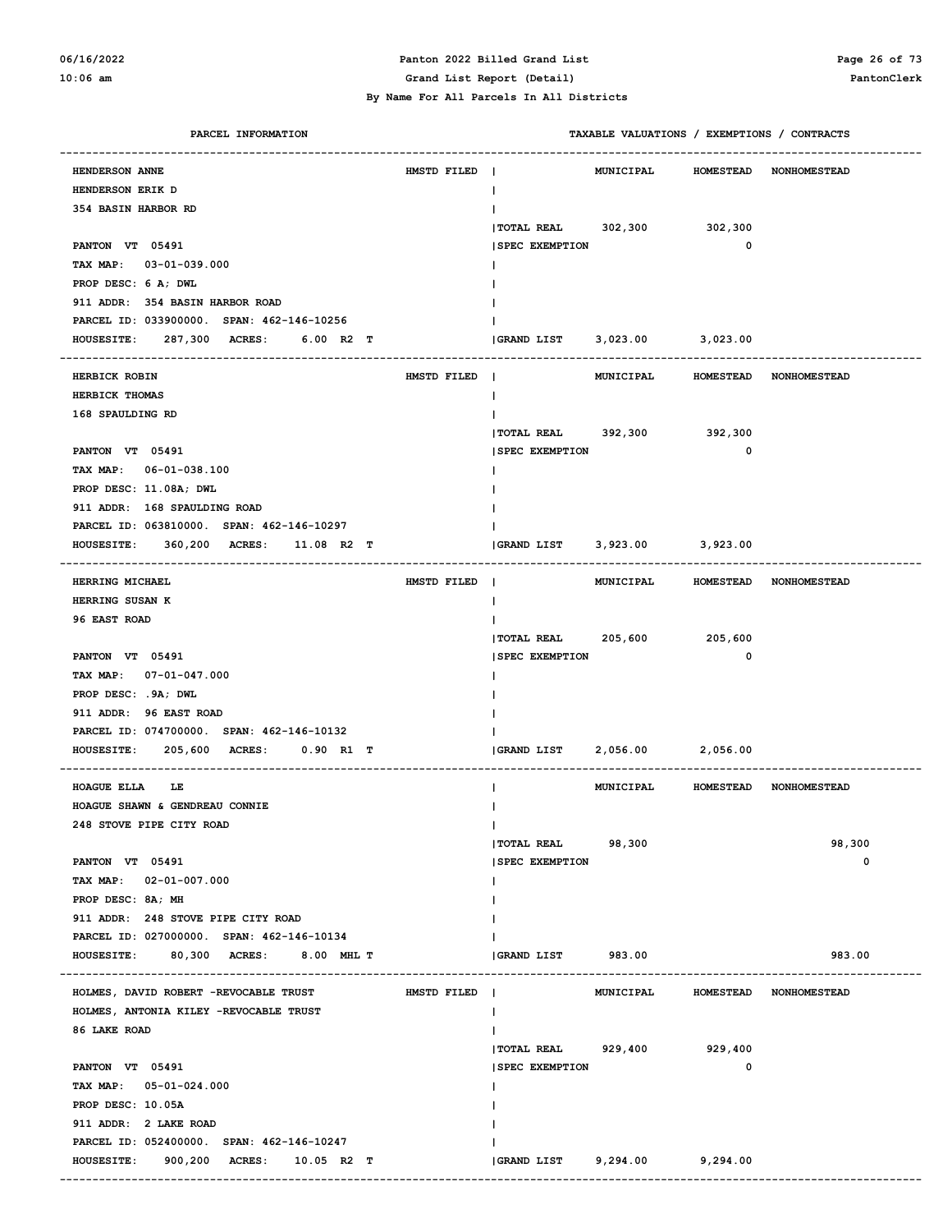#### **06/16/2022 Panton 2022 Billed Grand List Page 26 of 73 10:06 am Grand List Report (Detail) PantonClerk**

| PARCEL INFORMATION                                            |             | TAXABLE VALUATIONS / EXEMPTIONS / CONTRACTS |                   |                                  |
|---------------------------------------------------------------|-------------|---------------------------------------------|-------------------|----------------------------------|
| <b>HENDERSON ANNE</b>                                         | HMSTD FILED | MUNICIPAL                                   |                   | HOMESTEAD NONHOMESTEAD           |
| <b>HENDERSON ERIK D</b>                                       |             | L                                           |                   |                                  |
| <b>354 BASIN HARBOR RD</b>                                    |             |                                             |                   |                                  |
|                                                               |             | <b>TOTAL REAL</b><br>302,300                | 302,300           |                                  |
| PANTON VT 05491                                               |             | <b>SPEC EXEMPTION</b>                       | 0                 |                                  |
| TAX MAP: 03-01-039.000                                        |             |                                             |                   |                                  |
| PROP DESC: 6 A; DWL                                           |             |                                             |                   |                                  |
| 911 ADDR: 354 BASIN HARBOR ROAD                               |             |                                             |                   |                                  |
| PARCEL ID: 033900000. SPAN: 462-146-10256                     |             |                                             |                   |                                  |
| <b>HOUSESITE:</b><br>287,300 ACRES:<br>$6.00$ R2 T            |             | GRAND LIST                                  | 3,023.00 3,023.00 |                                  |
|                                                               |             |                                             |                   |                                  |
| <b>HERBICK ROBIN</b>                                          | HMSTD FILED | MUNICIPAL<br>$\mathbf{I}$                   |                   | HOMESTEAD NONHOMESTEAD           |
| <b>HERBICK THOMAS</b>                                         |             | L                                           |                   |                                  |
| 168 SPAULDING RD                                              |             |                                             |                   |                                  |
|                                                               |             | <b>TOTAL REAL</b>                           | 392,300 392,300   |                                  |
| PANTON VT 05491                                               |             | <b>SPEC EXEMPTION</b>                       | 0                 |                                  |
| TAX MAP: 06-01-038.100                                        |             |                                             |                   |                                  |
| PROP DESC: 11.08A; DWL                                        |             |                                             |                   |                                  |
| 911 ADDR: 168 SPAULDING ROAD                                  |             |                                             |                   |                                  |
| PARCEL ID: 063810000. SPAN: 462-146-10297                     |             |                                             |                   |                                  |
| <b>HOUSESITE:</b><br>360,200 ACRES:<br>11.08 R2 T             |             | <b>GRAND LIST</b>                           | 3,923.00 3,923.00 |                                  |
| HERRING MICHAEL                                               | HMSTD FILED | $\blacksquare$                              |                   | MUNICIPAL HOMESTEAD NONHOMESTEAD |
| <b>HERRING SUSAN K</b>                                        |             | L                                           |                   |                                  |
| 96 EAST ROAD                                                  |             |                                             |                   |                                  |
|                                                               |             | <b>TOTAL REAL</b>                           | 205,600 205,600   |                                  |
| PANTON VT 05491                                               |             | <b>SPEC EXEMPTION</b>                       | 0                 |                                  |
| TAX MAP: 07-01-047.000                                        |             |                                             |                   |                                  |
| PROP DESC: .9A; DWL                                           |             |                                             |                   |                                  |
| 911 ADDR: 96 EAST ROAD                                        |             |                                             |                   |                                  |
| PARCEL ID: 074700000. SPAN: 462-146-10132                     |             |                                             |                   |                                  |
| <b>HOUSESITE:</b><br>205,600<br><b>ACRES :</b><br>$0.90$ R1 T |             | GRAND LIST                                  | 2,056.00 2,056.00 |                                  |
|                                                               |             |                                             |                   |                                  |
| <b>HOAGUE ELLA</b><br>LE                                      |             |                                             |                   | MUNICIPAL HOMESTEAD NONHOMESTEAD |
| HOAGUE SHAWN & GENDREAU CONNIE                                |             |                                             |                   |                                  |
| 248 STOVE PIPE CITY ROAD                                      |             | L                                           |                   |                                  |
|                                                               |             | 98,300<br><b>TOTAL REAL</b>                 |                   | 98,300                           |
| PANTON VT 05491                                               |             | <b>SPEC EXEMPTION</b>                       |                   | 0                                |
| TAX MAP: 02-01-007.000                                        |             |                                             |                   |                                  |
| PROP DESC: 8A; MH                                             |             |                                             |                   |                                  |
| 911 ADDR: 248 STOVE PIPE CITY ROAD                            |             |                                             |                   |                                  |
| PARCEL ID: 027000000. SPAN: 462-146-10134                     |             |                                             |                   |                                  |
| HOUSESITE: 80,300 ACRES: 8.00 MHL T                           |             | GRAND LIST 983.00                           |                   | 983.00                           |
| HOLMES, DAVID ROBERT -REVOCABLE TRUST                         | HMSTD FILED | MUNICIPAL                                   | <b>HOMESTEAD</b>  | <b>NONHOMESTEAD</b>              |
| HOLMES, ANTONIA KILEY -REVOCABLE TRUST                        |             |                                             |                   |                                  |
| 86 LAKE ROAD                                                  |             |                                             |                   |                                  |
|                                                               |             | TOTAL REAL 929,400 929,400                  |                   |                                  |
| PANTON VT 05491                                               |             | <b>SPEC EXEMPTION</b>                       | 0                 |                                  |
| TAX MAP: 05-01-024.000                                        |             |                                             |                   |                                  |
| PROP DESC: 10.05A                                             |             |                                             |                   |                                  |
| 911 ADDR: 2 LAKE ROAD                                         |             |                                             |                   |                                  |
| PARCEL ID: 052400000. SPAN: 462-146-10247                     |             |                                             |                   |                                  |
| 900,200 ACRES: 10.05 R2 T<br><b>HOUSESITE:</b>                |             | GRAND LIST 9,294.00 9,294.00                |                   |                                  |
|                                                               |             |                                             |                   |                                  |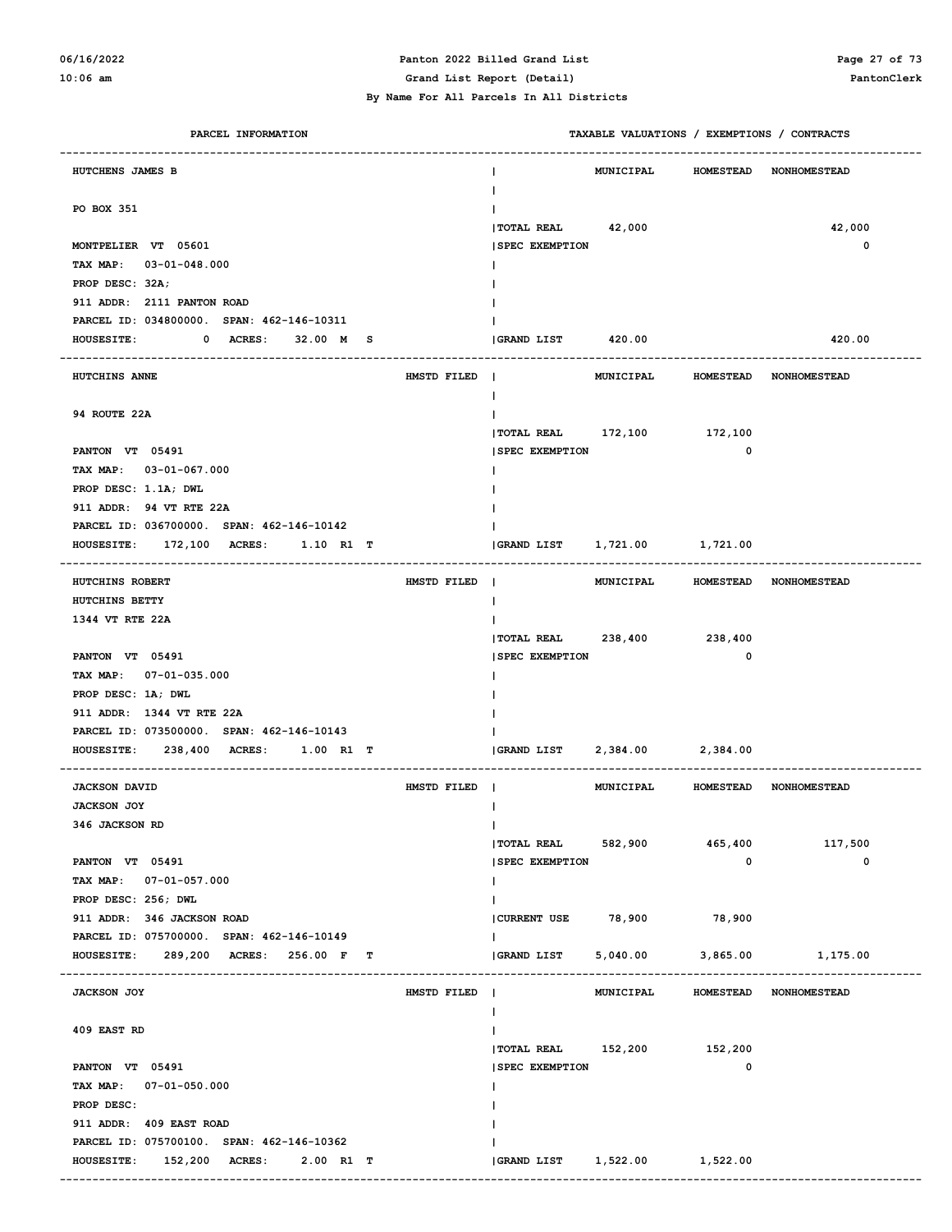# **06/16/2022 Panton 2022 Billed Grand List Page 27 of 73**

#### **By Name For All Parcels In All Districts**

**10:06 am Grand List Report (Detail) PantonClerk**

| PARCEL INFORMATION                                      |             |                            |                   |                  | TAXABLE VALUATIONS / EXEMPTIONS / CONTRACTS |
|---------------------------------------------------------|-------------|----------------------------|-------------------|------------------|---------------------------------------------|
| HUTCHENS JAMES B                                        |             |                            | MUNICIPAL         | <b>HOMESTEAD</b> | <b>NONHOMESTEAD</b>                         |
| PO BOX 351                                              |             |                            |                   |                  |                                             |
|                                                         |             | <b> TOTAL REAL</b>         | 42,000            |                  | 42,000                                      |
| MONTPELIER VT 05601                                     |             | <b>SPEC EXEMPTION</b>      |                   |                  | 0                                           |
| TAX MAP: 03-01-048.000                                  |             |                            |                   |                  |                                             |
| PROP DESC: 32A;                                         |             |                            |                   |                  |                                             |
| 911 ADDR: 2111 PANTON ROAD                              |             |                            |                   |                  |                                             |
| PARCEL ID: 034800000. SPAN: 462-146-10311               |             |                            |                   |                  |                                             |
| <b>HOUSESITE:</b><br>0 ACRES:<br>32.00 M S              |             | GRAND LIST                 | 420.00            |                  | 420.00                                      |
|                                                         |             |                            |                   |                  |                                             |
| HUTCHINS ANNE                                           | HMSTD FILED | $\mathbf{I}$               | <b>MUNICIPAL</b>  | <b>HOMESTEAD</b> | <b>NONHOMESTEAD</b>                         |
| 94 ROUTE 22A                                            |             |                            |                   |                  |                                             |
|                                                         |             | TOTAL REAL 172,100 172,100 |                   |                  |                                             |
| PANTON VT 05491                                         |             | <b>SPEC EXEMPTION</b>      |                   | 0                |                                             |
| TAX MAP: 03-01-067.000                                  |             |                            |                   |                  |                                             |
| PROP DESC: 1.1A; DWL                                    |             |                            |                   |                  |                                             |
| 911 ADDR: 94 VT RTE 22A                                 |             |                            |                   |                  |                                             |
| PARCEL ID: 036700000. SPAN: 462-146-10142               |             |                            |                   |                  |                                             |
| <b>HOUSESITE:</b><br><b>172,100 ACRES:</b><br>1.10 R1 T |             | GRAND LIST                 | 1,721.00 1,721.00 |                  |                                             |
| HUTCHINS ROBERT                                         | HMSTD FILED | $\blacksquare$             | <b>MUNICIPAL</b>  | <b>HOMESTEAD</b> | <b>NONHOMESTEAD</b>                         |
| HUTCHINS BETTY                                          |             |                            |                   |                  |                                             |
| 1344 VT RTE 22A                                         |             |                            |                   |                  |                                             |
|                                                         |             | <b>TOTAL REAL</b>          | 238,400 238,400   |                  |                                             |
| PANTON VT 05491                                         |             | <b>SPEC EXEMPTION</b>      |                   | 0                |                                             |
| TAX MAP: 07-01-035.000                                  |             |                            |                   |                  |                                             |
| PROP DESC: 1A; DWL                                      |             |                            |                   |                  |                                             |
| 911 ADDR: 1344 VT RTE 22A                               |             |                            |                   |                  |                                             |
| PARCEL ID: 073500000. SPAN: 462-146-10143               |             |                            |                   |                  |                                             |
| <b>HOUSESITE:</b><br>238,400 ACRES:<br>$1.00$ R1 T      |             | GRAND LIST                 | 2,384.00 2,384.00 |                  |                                             |
| <b>JACKSON DAVID</b>                                    | HMSTD FILED |                            | MUNICIPAL         | <b>HOMESTEAD</b> | <b>NONHOMESTEAD</b>                         |
| <b>JACKSON JOY</b>                                      |             |                            |                   |                  |                                             |
| 346 JACKSON RD                                          |             | L                          |                   |                  |                                             |
|                                                         |             | <b>TOTAL REAL</b>          | 582,900           | 465,400          | 117,500                                     |
| PANTON VT 05491                                         |             | <b>SPEC EXEMPTION</b>      |                   | 0                | 0                                           |
| TAX MAP: 07-01-057.000                                  |             |                            |                   |                  |                                             |
| PROP DESC: 256; DWL                                     |             |                            |                   |                  |                                             |
| 911 ADDR: 346 JACKSON ROAD                              |             | CURRENT USE 78,900         |                   | 78,900           |                                             |
| PARCEL ID: 075700000. SPAN: 462-146-10149               |             |                            |                   |                  |                                             |
| <b>HOUSESITE:</b><br>289,200 ACRES: 256.00 F<br>т       |             | <b>GRAND LIST</b>          | 5,040.00          | 3,865.00         | 1,175.00                                    |
| <b>JACKSON JOY</b>                                      | HMSTD FILED | $\mathbf{I}$               | MUNICIPAL         | <b>HOMESTEAD</b> | <b>NONHOMESTEAD</b>                         |
|                                                         |             |                            |                   |                  |                                             |
| 409 EAST RD                                             |             |                            |                   |                  |                                             |
|                                                         |             | $ $ TOTAL REAL $152,200$   |                   | 152,200          |                                             |
| PANTON VT 05491                                         |             | <b>SPEC EXEMPTION</b>      |                   | 0                |                                             |
| TAX MAP: 07-01-050.000                                  |             |                            |                   |                  |                                             |
| PROP DESC:                                              |             |                            |                   |                  |                                             |
| 911 ADDR: 409 EAST ROAD                                 |             |                            |                   |                  |                                             |
| PARCEL ID: 075700100. SPAN: 462-146-10362               |             |                            |                   |                  |                                             |
| <b>HOUSESITE:</b><br>152,200 ACRES:<br>2.00 R1 T        |             | GRAND LIST                 | 1,522.00          | 1,522.00         |                                             |
|                                                         |             |                            |                   |                  |                                             |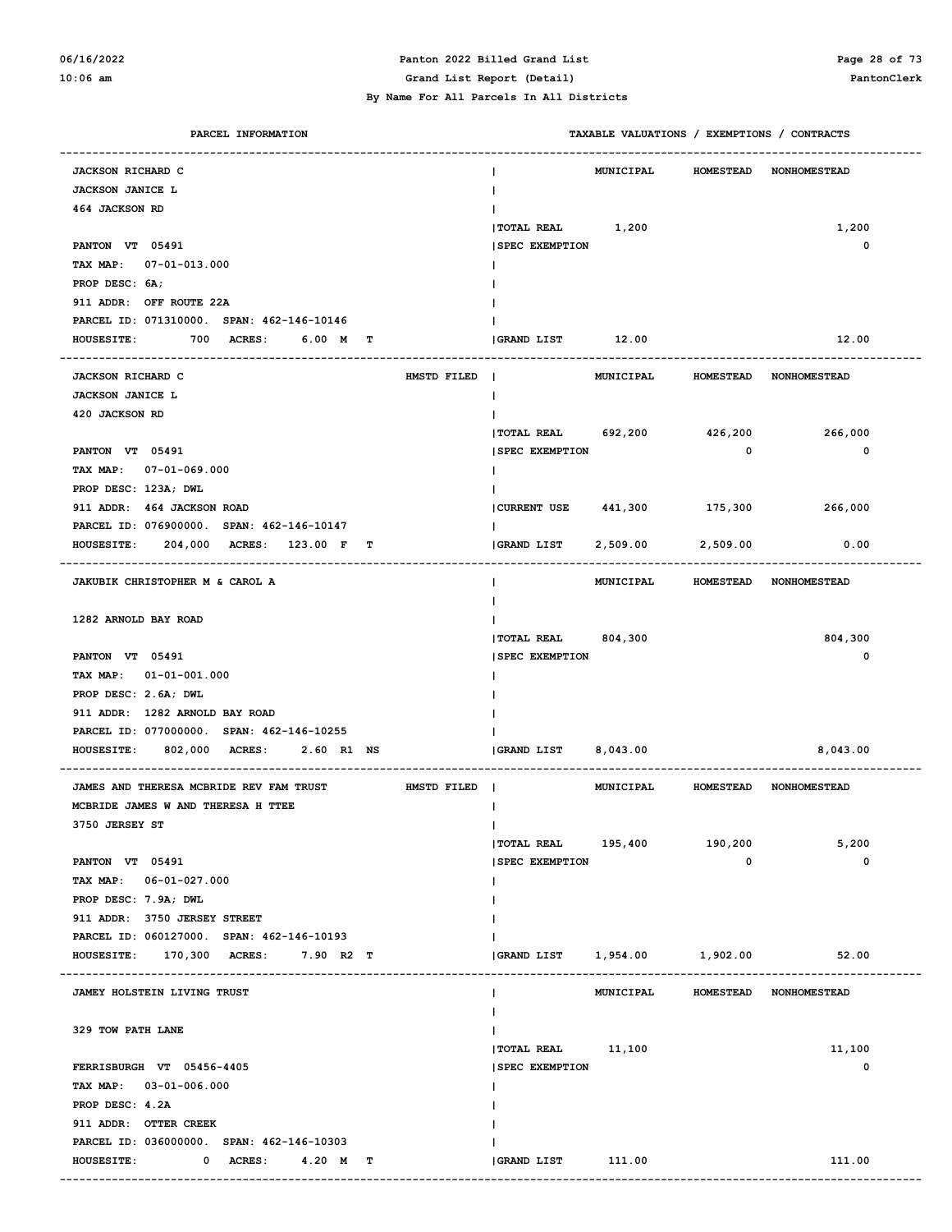#### **06/16/2022 Panton 2022 Billed Grand List Page 28 of 73 10:06 am Grand List Report (Detail) PantonClerk**

| PARCEL INFORMATION                                     | TAXABLE VALUATIONS / EXEMPTIONS / CONTRACTS |                   |                  |                        |
|--------------------------------------------------------|---------------------------------------------|-------------------|------------------|------------------------|
| <b>JACKSON RICHARD C</b>                               |                                             | MUNICIPAL         | <b>HOMESTEAD</b> | <b>NONHOMESTEAD</b>    |
| <b>JACKSON JANICE L</b>                                |                                             |                   |                  |                        |
| 464 JACKSON RD                                         |                                             |                   |                  |                        |
|                                                        | TOTAL REAL 1,200                            |                   |                  | 1,200                  |
| PANTON VT 05491                                        | <b>SPEC EXEMPTION</b>                       |                   |                  | 0                      |
| TAX MAP:<br>07-01-013.000                              |                                             |                   |                  |                        |
| PROP DESC: 6A:                                         |                                             |                   |                  |                        |
| 911 ADDR: OFF ROUTE 22A                                |                                             |                   |                  |                        |
| PARCEL ID: 071310000. SPAN: 462-146-10146              |                                             |                   |                  |                        |
| 700 ACRES:<br><b>HOUSESITE:</b><br>6.00 M<br>т         | GRAND LIST 12.00                            |                   |                  | 12.00                  |
|                                                        |                                             |                   |                  |                        |
| <b>JACKSON RICHARD C</b><br>HMSTD FILED                | $\mathbf{I}$                                | <b>MUNICIPAL</b>  | <b>HOMESTEAD</b> | <b>NONHOMESTEAD</b>    |
| <b>JACKSON JANICE L</b>                                |                                             |                   |                  |                        |
| 420 JACKSON RD                                         |                                             |                   |                  |                        |
|                                                        | <b>TOTAL REAL</b>                           | 692,200           | 426,200          | 266,000                |
| PANTON VT 05491                                        | <b>SPEC EXEMPTION</b>                       |                   | 0                | $\mathbf 0$            |
| TAX MAP: 07-01-069.000                                 |                                             |                   |                  |                        |
| PROP DESC: 123A; DWL                                   |                                             |                   |                  |                        |
| 911 ADDR: 464 JACKSON ROAD                             | CURRENT USE 441,300                         |                   | 175,300          | 266,000                |
| PARCEL ID: 076900000. SPAN: 462-146-10147              |                                             |                   |                  |                        |
| 204,000 ACRES:<br><b>HOUSESITE:</b><br>123.00 F<br>т   | GRAND LIST                                  | 2,509.00          | 2,509.00         | 0.00                   |
|                                                        |                                             |                   |                  |                        |
| JAKUBIK CHRISTOPHER M & CAROL A                        |                                             | <b>MUNICIPAL</b>  | <b>HOMESTEAD</b> | <b>NONHOMESTEAD</b>    |
|                                                        |                                             |                   |                  |                        |
| 1282 ARNOLD BAY ROAD                                   |                                             |                   |                  |                        |
|                                                        | <b> TOTAL REAL</b>                          | 804,300           |                  | 804,300                |
| PANTON VT 05491                                        | <b>SPEC EXEMPTION</b>                       |                   |                  | 0                      |
| TAX MAP:<br>$01 - 01 - 001.000$                        |                                             |                   |                  |                        |
| PROP DESC: 2.6A; DWL                                   |                                             |                   |                  |                        |
| 911 ADDR: 1282 ARNOLD BAY ROAD                         |                                             |                   |                  |                        |
| PARCEL ID: 077000000. SPAN: 462-146-10255              |                                             |                   |                  |                        |
| 802,000 ACRES:<br><b>HOUSESITE:</b><br>2.60 R1 NS      | GRAND LIST                                  | 8,043.00          |                  | 8,043.00               |
|                                                        |                                             |                   |                  |                        |
| JAMES AND THERESA MCBRIDE REV FAM TRUST<br>HMSTD FILED | $\blacksquare$                              | <b>MUNICIPAL</b>  | <b>HOMESTEAD</b> | <b>NONHOMESTEAD</b>    |
| MCBRIDE JAMES W AND THERESA H TTEE                     |                                             |                   |                  |                        |
| 3750 JERSEY ST                                         | T                                           |                   |                  |                        |
|                                                        | $ $ TOTAL REAL $195,400$                    |                   | 190,200          | 5,200                  |
| PANTON VT 05491                                        | <b>SPEC EXEMPTION</b>                       |                   | 0                | 0                      |
| TAX MAP: 06-01-027.000                                 |                                             |                   |                  |                        |
| PROP DESC: 7.9A; DWL                                   |                                             |                   |                  |                        |
| 911 ADDR: 3750 JERSEY STREET                           |                                             |                   |                  |                        |
| PARCEL ID: 060127000. SPAN: 462-146-10193              |                                             |                   |                  |                        |
| HOUSESITE: 170,300 ACRES: 7.90 R2 T                    | <b>GRAND LIST</b>                           | 1,954.00 1,902.00 |                  | 52.00                  |
|                                                        |                                             |                   |                  |                        |
| JAMEY HOLSTEIN LIVING TRUST                            |                                             | <b>MUNICIPAL</b>  |                  | HOMESTEAD NONHOMESTEAD |
|                                                        |                                             |                   |                  |                        |
| 329 TOW PATH LANE                                      |                                             |                   |                  |                        |
|                                                        | TOTAL REAL 11,100                           |                   |                  | 11,100                 |
| FERRISBURGH VT 05456-4405                              | <b>SPEC EXEMPTION</b>                       |                   |                  | 0                      |
| TAX MAP: 03-01-006.000                                 |                                             |                   |                  |                        |
| PROP DESC: 4.2A                                        |                                             |                   |                  |                        |
| 911 ADDR: OTTER CREEK                                  |                                             |                   |                  |                        |
| PARCEL ID: 036000000. SPAN: 462-146-10303              |                                             |                   |                  |                        |
| <b>HOUSESITE:</b><br>0 ACRES:<br>4.20 M T              | GRAND LIST                                  | 111.00            |                  | 111.00                 |
|                                                        |                                             |                   |                  |                        |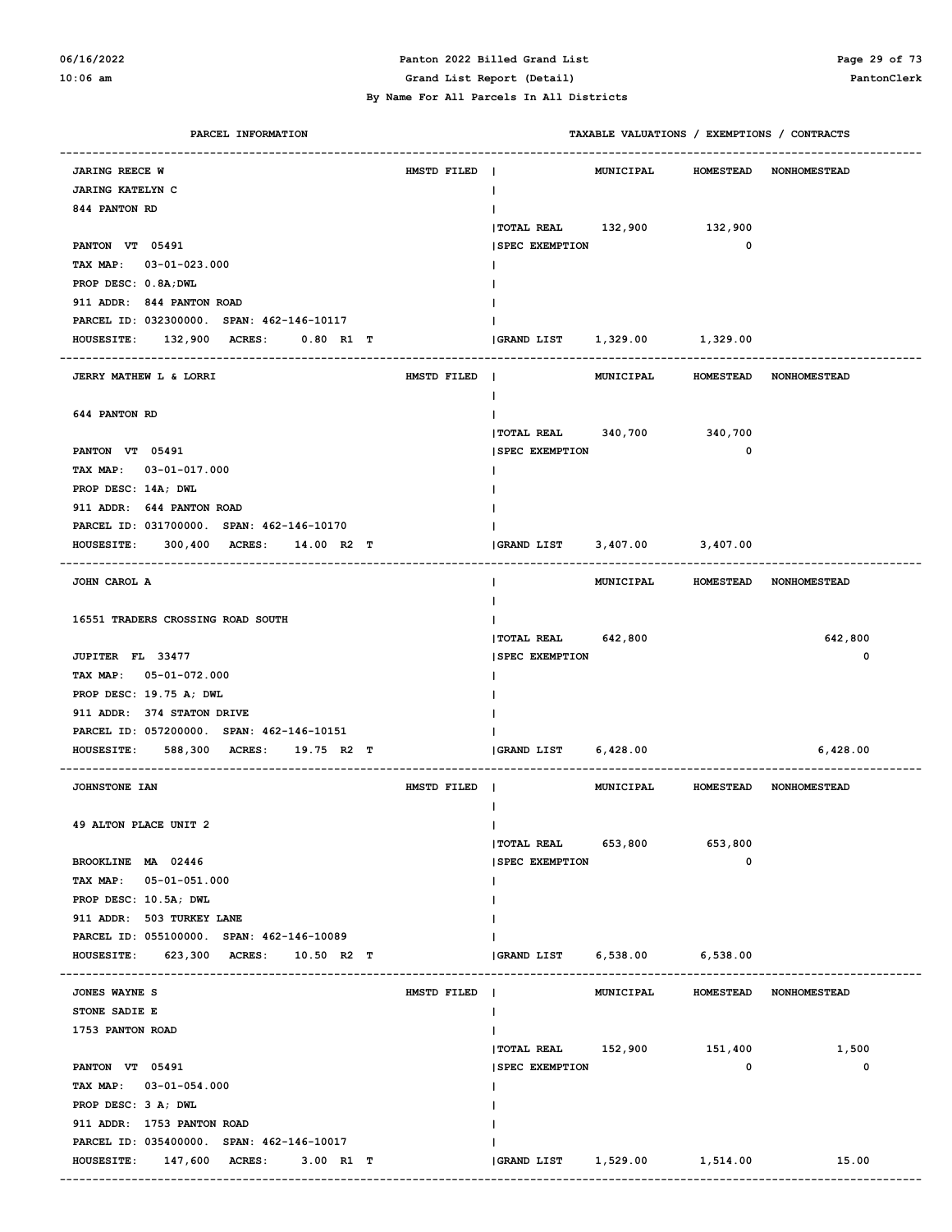#### **06/16/2022 Panton 2022 Billed Grand List Page 29 of 73 10:06 am Grand List Report (Detail) PantonClerk**

| PARCEL INFORMATION                                 |             | TAXABLE VALUATIONS / EXEMPTIONS / CONTRACTS |
|----------------------------------------------------|-------------|---------------------------------------------|
| <b>JARING REECE W</b>                              | HMSTD FILED | MUNICIPAL<br>HOMESTEAD NONHOMESTEAD         |
| <b>JARING KATELYN C</b>                            |             | $\mathbf{I}$                                |
| 844 PANTON RD                                      |             |                                             |
|                                                    |             | TOTAL REAL 132,900 132,900                  |
| PANTON VT 05491                                    |             | $\mathbf 0$<br><b>SPEC EXEMPTION</b>        |
| TAX MAP: 03-01-023.000                             |             |                                             |
| PROP DESC: 0.8A; DWL                               |             |                                             |
| 911 ADDR: 844 PANTON ROAD                          |             |                                             |
| PARCEL ID: 032300000. SPAN: 462-146-10117          |             |                                             |
| 132,900 ACRES:<br>$0.80$ R1 T<br><b>HOUSESITE:</b> |             | 1,329.00 1,329.00<br><b>GRAND LIST</b>      |
|                                                    |             |                                             |
| JERRY MATHEW L & LORRI                             | HMSTD FILED | MUNICIPAL<br>HOMESTEAD NONHOMESTEAD         |
|                                                    |             | $\mathbf{I}$                                |
| 644 PANTON RD                                      |             |                                             |
|                                                    |             | TOTAL REAL 340,700 340,700                  |
| PANTON VT 05491                                    |             | $\mathbf 0$<br><b>SPEC EXEMPTION</b>        |
| TAX MAP: 03-01-017.000                             |             |                                             |
| PROP DESC: 14A; DWL                                |             |                                             |
| 911 ADDR: 644 PANTON ROAD                          |             |                                             |
| PARCEL ID: 031700000. SPAN: 462-146-10170          |             |                                             |
| 300,400 ACRES:<br><b>HOUSESITE:</b><br>14.00 R2 T  |             | 3,407.00 3,407.00<br>GRAND LIST             |
|                                                    |             |                                             |
| JOHN CAROL A                                       |             | MUNICIPAL HOMESTEAD NONHOMESTEAD            |
|                                                    |             |                                             |
| 16551 TRADERS CROSSING ROAD SOUTH                  |             |                                             |
|                                                    |             | 642,800<br> TOTAL REAL 642,800              |
| JUPITER FL 33477                                   |             | 0<br><b>SPEC EXEMPTION</b>                  |
| TAX MAP: 05-01-072.000                             |             |                                             |
| PROP DESC: 19.75 A; DWL                            |             |                                             |
| 911 ADDR: 374 STATON DRIVE                         |             |                                             |
| PARCEL ID: 057200000. SPAN: 462-146-10151          |             |                                             |
| 588,300 ACRES:<br><b>HOUSESITE:</b><br>19.75 R2 T  |             | GRAND LIST<br>6,428.00<br>6,428.00          |
| JOHNSTONE IAN                                      | HMSTD FILED | MUNICIPAL HOMESTEAD NONHOMESTEAD            |
|                                                    |             |                                             |
| 49 ALTON PLACE UNIT 2                              |             | $\mathbf{I}$                                |
|                                                    |             | $ $ TOTAL REAL 653,800<br>653,800           |
| BROOKLINE MA 02446                                 |             | 0<br><b>SPEC EXEMPTION</b>                  |
| TAX MAP: 05-01-051.000                             |             |                                             |
| PROP DESC: 10.5A; DWL                              |             |                                             |
| 911 ADDR: 503 TURKEY LANE                          |             |                                             |
| PARCEL ID: 055100000. SPAN: 462-146-10089          |             |                                             |
| HOUSESITE: 623,300 ACRES: 10.50 R2 T               |             | GRAND LIST 6,538.00 6,538.00                |
|                                                    |             |                                             |
| JONES WAYNE S                                      | HMSTD FILED | HOMESTEAD NONHOMESTEAD<br>MUNICIPAL         |
| STONE SADIE E                                      |             |                                             |
| 1753 PANTON ROAD                                   |             |                                             |
|                                                    |             | TOTAL REAL 152,900 151,400<br>1,500         |
| PANTON VT 05491                                    |             | <b>SPEC EXEMPTION</b><br>$\mathbf 0$<br>0   |
| TAX MAP: 03-01-054.000                             |             |                                             |
| PROP DESC: 3 A; DWL                                |             |                                             |
| 911 ADDR: 1753 PANTON ROAD                         |             |                                             |
| PARCEL ID: 035400000. SPAN: 462-146-10017          |             |                                             |
| HOUSESITE: 147,600 ACRES: 3.00 R1 T                |             | GRAND LIST 1,529.00 1,514.00<br>15.00       |
|                                                    |             |                                             |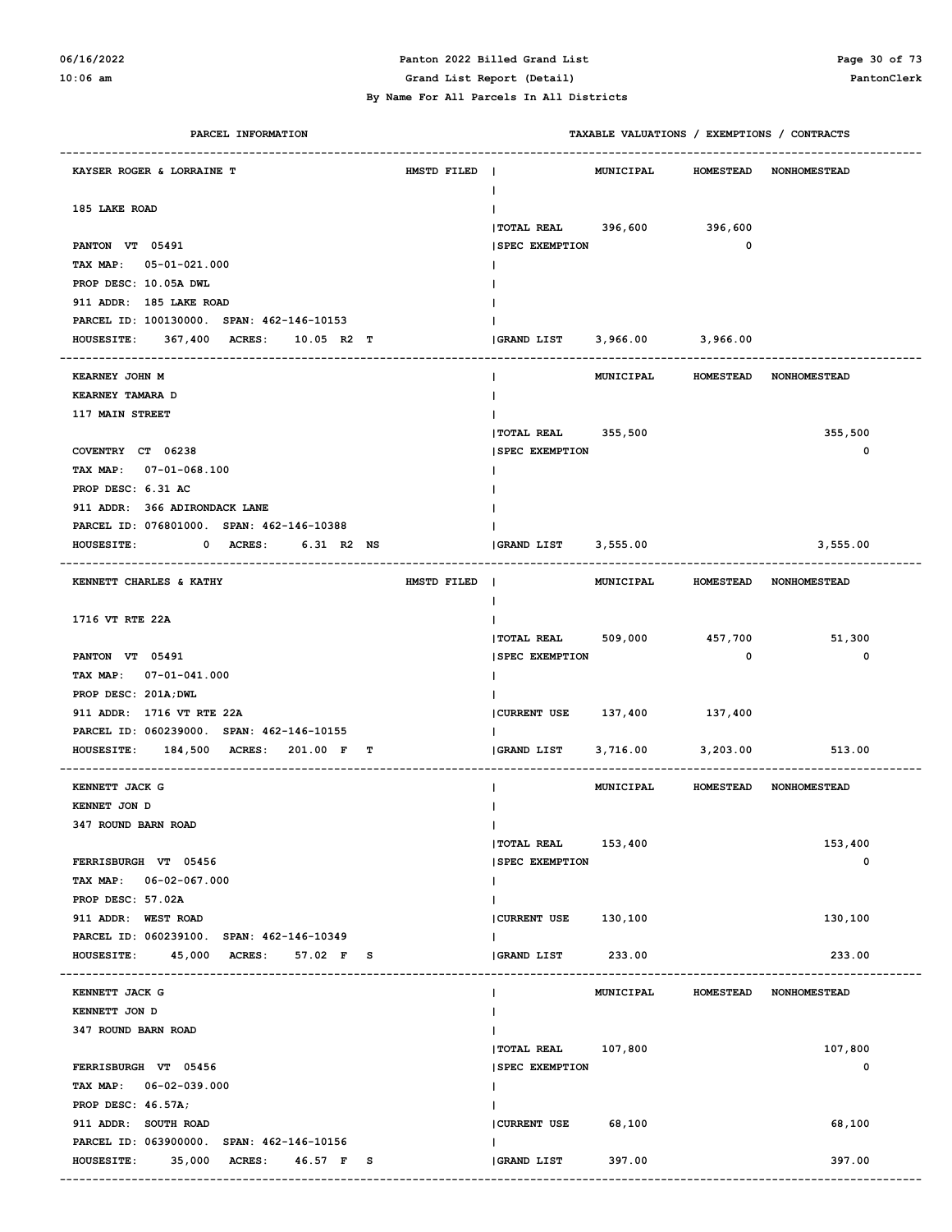### **06/16/2022 Panton 2022 Billed Grand List Page 30 of 73**

**10:06 am Grand List Report (Detail) PantonClerk**

 **By Name For All Parcels In All Districts**

| PARCEL INFORMATION                        |             |                               | TAXABLE VALUATIONS / EXEMPTIONS / CONTRACTS |             |                        |
|-------------------------------------------|-------------|-------------------------------|---------------------------------------------|-------------|------------------------|
| KAYSER ROGER & LORRAINE T                 | HMSTD FILED |                               | MUNICIPAL HOMESTEAD NONHOMESTEAD            |             |                        |
| 185 LAKE ROAD                             |             |                               |                                             |             |                        |
|                                           |             | TOTAL REAL 396,600 396,600    |                                             |             |                        |
| PANTON VT 05491                           |             | <b>SPEC EXEMPTION</b>         |                                             | 0           |                        |
| TAX MAP: 05-01-021.000                    |             |                               |                                             |             |                        |
| PROP DESC: 10.05A DWL                     |             |                               |                                             |             |                        |
| 911 ADDR: 185 LAKE ROAD                   |             |                               |                                             |             |                        |
| PARCEL ID: 100130000. SPAN: 462-146-10153 |             |                               |                                             |             |                        |
| HOUSESITE: 367,400 ACRES: 10.05 R2 T      |             | (GRAND LIST 3,966.00 3,966.00 |                                             |             |                        |
|                                           |             |                               |                                             |             |                        |
| KEARNEY JOHN M                            |             |                               | MUNICIPAL HOMESTEAD NONHOMESTEAD            |             |                        |
| KEARNEY TAMARA D                          |             |                               |                                             |             |                        |
| 117 MAIN STREET                           |             |                               |                                             |             |                        |
|                                           |             | TOTAL REAL 355,500            |                                             |             | 355,500                |
| COVENTRY CT 06238                         |             | <b>SPEC EXEMPTION</b>         |                                             |             | 0                      |
| TAX MAP: 07-01-068.100                    |             |                               |                                             |             |                        |
| PROP DESC: 6.31 AC                        |             |                               |                                             |             |                        |
| 911 ADDR: 366 ADIRONDACK LANE             |             |                               |                                             |             |                        |
| PARCEL ID: 076801000. SPAN: 462-146-10388 |             |                               |                                             |             |                        |
| <b>HOUSESITE:</b><br>0 ACRES: 6.31 R2 NS  |             | $ GRAND$ $LIST$ 3,555.00      |                                             |             | 3,555.00               |
| KENNETT CHARLES & KATHY                   | HMSTD FILED |                               | MUNICIPAL HOMESTEAD NONHOMESTEAD            |             |                        |
|                                           |             |                               |                                             |             |                        |
| 1716 VT RTE 22A                           |             |                               |                                             |             |                        |
|                                           |             | $ $ TOTAL REAL 509,000        |                                             | 457,700     | 51,300                 |
| PANTON VT 05491                           |             | <b>SPEC EXEMPTION</b>         |                                             | $\mathbf 0$ | 0                      |
| TAX MAP: 07-01-041.000                    |             |                               |                                             |             |                        |
| PROP DESC: 201A; DWL                      |             |                               |                                             |             |                        |
| 911 ADDR: 1716 VT RTE 22A                 |             | CURRENT USE 137,400 137,400   |                                             |             |                        |
| PARCEL ID: 060239000. SPAN: 462-146-10155 |             |                               |                                             |             |                        |
| HOUSESITE: 184,500 ACRES: 201.00 F T      |             | GRAND LIST                    | 3,716.00                                    | 3,203.00    | 513.00                 |
| KENNETT JACK G                            |             |                               | MUNICIPAL HOMESTEAD NONHOMESTEAD            |             |                        |
| KENNET JON D                              |             |                               |                                             |             |                        |
| 347 ROUND BARN ROAD                       |             |                               |                                             |             |                        |
|                                           |             | TOTAL REAL 153,400            |                                             |             | 153,400                |
| FERRISBURGH VT 05456                      |             | <b>SPEC EXEMPTION</b>         |                                             |             | 0                      |
| TAX MAP: 06-02-067.000                    |             |                               |                                             |             |                        |
| PROP DESC: 57.02A                         |             |                               |                                             |             |                        |
| 911 ADDR: WEST ROAD                       |             | CURRENT USE 130,100           |                                             |             | 130,100                |
| PARCEL ID: 060239100. SPAN: 462-146-10349 |             |                               |                                             |             |                        |
| HOUSESITE: 45,000 ACRES: 57.02 F S        |             | <b>GRAND LIST</b>             | 233.00                                      |             | 233.00                 |
|                                           |             |                               |                                             |             |                        |
| KENNETT JACK G                            |             |                               | <b>MUNICIPAL</b>                            |             | HOMESTEAD NONHOMESTEAD |
| KENNETT JON D                             |             |                               |                                             |             |                        |
| 347 ROUND BARN ROAD                       |             |                               |                                             |             |                        |
|                                           |             | TOTAL REAL 107,800            |                                             |             | 107,800                |
| FERRISBURGH VT 05456                      |             | <b>SPEC EXEMPTION</b>         |                                             |             | 0                      |
| TAX MAP: 06-02-039.000                    |             |                               |                                             |             |                        |
| PROP DESC: 46.57A;                        |             |                               |                                             |             |                        |
| 911 ADDR: SOUTH ROAD                      |             | CURRENT USE                   | 68,100                                      |             | 68,100                 |
| PARCEL ID: 063900000. SPAN: 462-146-10156 |             |                               |                                             |             |                        |
| HOUSESITE: 35,000 ACRES: 46.57 F S        |             | GRAND LIST                    | 397.00                                      |             | 397.00                 |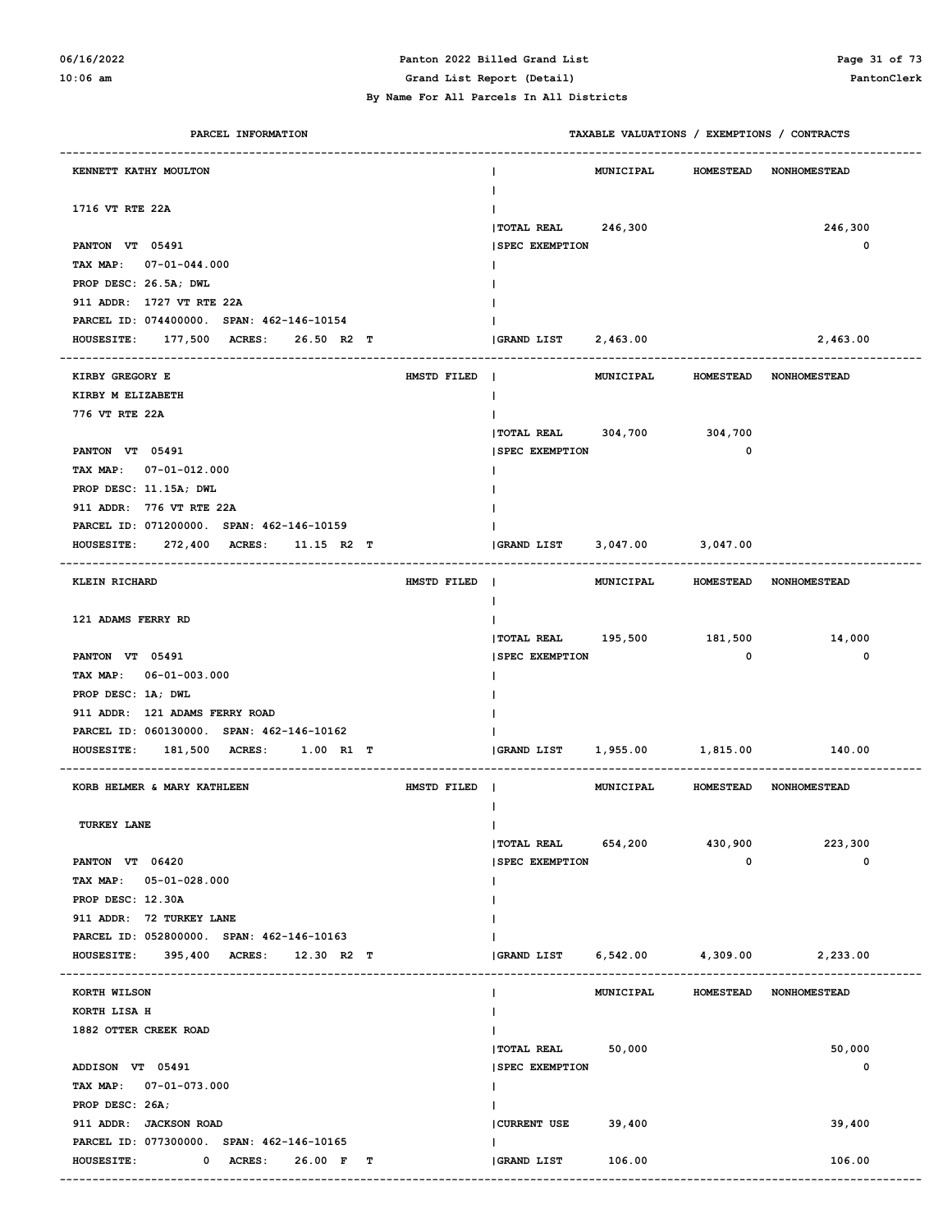# **06/16/2022 Panton 2022 Billed Grand List Page 31 of 73**

#### **By Name For All Parcels In All Districts**

**10:06 am Grand List Report (Detail) PantonClerk**

| PARCEL INFORMATION                                                                | TAXABLE VALUATIONS / EXEMPTIONS / CONTRACTS                 |
|-----------------------------------------------------------------------------------|-------------------------------------------------------------|
| KENNETT KATHY MOULTON                                                             | HOMESTEAD NONHOMESTEAD<br><b>MUNICIPAL</b>                  |
| 1716 VT RTE 22A                                                                   |                                                             |
| PANTON VT 05491                                                                   | TOTAL REAL 246,300<br>246,300<br><b>SPEC EXEMPTION</b><br>0 |
| TAX MAP: 07-01-044.000                                                            |                                                             |
| PROP DESC: 26.5A; DWL                                                             |                                                             |
| 911 ADDR: 1727 VT RTE 22A                                                         |                                                             |
| PARCEL ID: 074400000. SPAN: 462-146-10154<br>HOUSESITE: 177,500 ACRES: 26.50 R2 T | GRAND LIST 2,463.00<br>2,463.00                             |
|                                                                                   |                                                             |
| KIRBY GREGORY E<br>HMSTD FILED                                                    | MUNICIPAL HOMESTEAD NONHOMESTEAD                            |
| KIRBY M ELIZABETH                                                                 |                                                             |
| 776 VT RTE 22A                                                                    | TOTAL REAL 304,700 304,700                                  |
| PANTON VT 05491                                                                   | <b>SPEC EXEMPTION</b><br>$\mathbf{o}$                       |
| TAX MAP: 07-01-012.000                                                            |                                                             |
| PROP DESC: 11.15A; DWL                                                            |                                                             |
| 911 ADDR: 776 VT RTE 22A                                                          |                                                             |
| PARCEL ID: 071200000. SPAN: 462-146-10159                                         |                                                             |
| HOUSESITE: 272,400 ACRES: 11.15 R2 T                                              | GRAND LIST<br>3,047.00 3,047.00                             |
| KLEIN RICHARD<br>HMSTD FILED                                                      | MUNICIPAL HOMESTEAD NONHOMESTEAD<br>$\blacksquare$          |
| 121 ADAMS FERRY RD                                                                | TOTAL REAL 195,500 181,500<br>14,000                        |
| PANTON VT 05491                                                                   | <b>SPEC EXEMPTION</b><br>$\mathbf 0$<br>0                   |
| TAX MAP: 06-01-003.000                                                            |                                                             |
| PROP DESC: 1A; DWL                                                                |                                                             |
| 911 ADDR: 121 ADAMS FERRY ROAD                                                    |                                                             |
| PARCEL ID: 060130000. SPAN: 462-146-10162                                         |                                                             |
| HOUSESITE: 181,500 ACRES: 1.00 R1 T                                               | (GRAND LIST 1,955.00 1,815.00 140.00                        |
| KORB HELMER & MARY KATHLEEN<br>HMSTD FILED                                        | MUNICIPAL HOMESTEAD NONHOMESTEAD                            |
| TURKEY LANE                                                                       | $\mathbf{I}$                                                |
|                                                                                   | <b> TOTAL REAL</b><br>654,200<br>430,900<br>223,300         |
| PANTON VT 06420                                                                   | 0<br>0<br><b>SPEC EXEMPTION</b>                             |
| TAX MAP: 05-01-028.000<br>PROP DESC: 12.30A                                       |                                                             |
| 911 ADDR: 72 TURKEY LANE                                                          |                                                             |
| PARCEL ID: 052800000. SPAN: 462-146-10163                                         |                                                             |
| HOUSESITE: 395,400 ACRES: 12.30 R2 T                                              | $ GRAND$ $LIST$ $6,542.00$<br>4,309.00<br>2,233.00          |
| --------------------------<br>KORTH WILSON                                        | MUNICIPAL HOMESTEAD NONHOMESTEAD<br>J.                      |
| KORTH LISA H                                                                      |                                                             |
| 1882 OTTER CREEK ROAD                                                             |                                                             |
|                                                                                   | <b>TOTAL REAL</b><br>50,000<br>50,000                       |
| ADDISON VT 05491                                                                  | <b>SPEC EXEMPTION</b><br>0                                  |
| TAX MAP: 07-01-073.000                                                            | J.                                                          |
| PROP DESC: 26A;                                                                   |                                                             |
| 911 ADDR: JACKSON ROAD                                                            | <b>CURRENT USE</b><br>39,400<br>39,400                      |
| PARCEL ID: 077300000. SPAN: 462-146-10165                                         | ı.                                                          |
| <b>HOUSESITE:</b><br>0 ACRES: 26.00 F T                                           | GRAND LIST<br>106.00<br>106.00                              |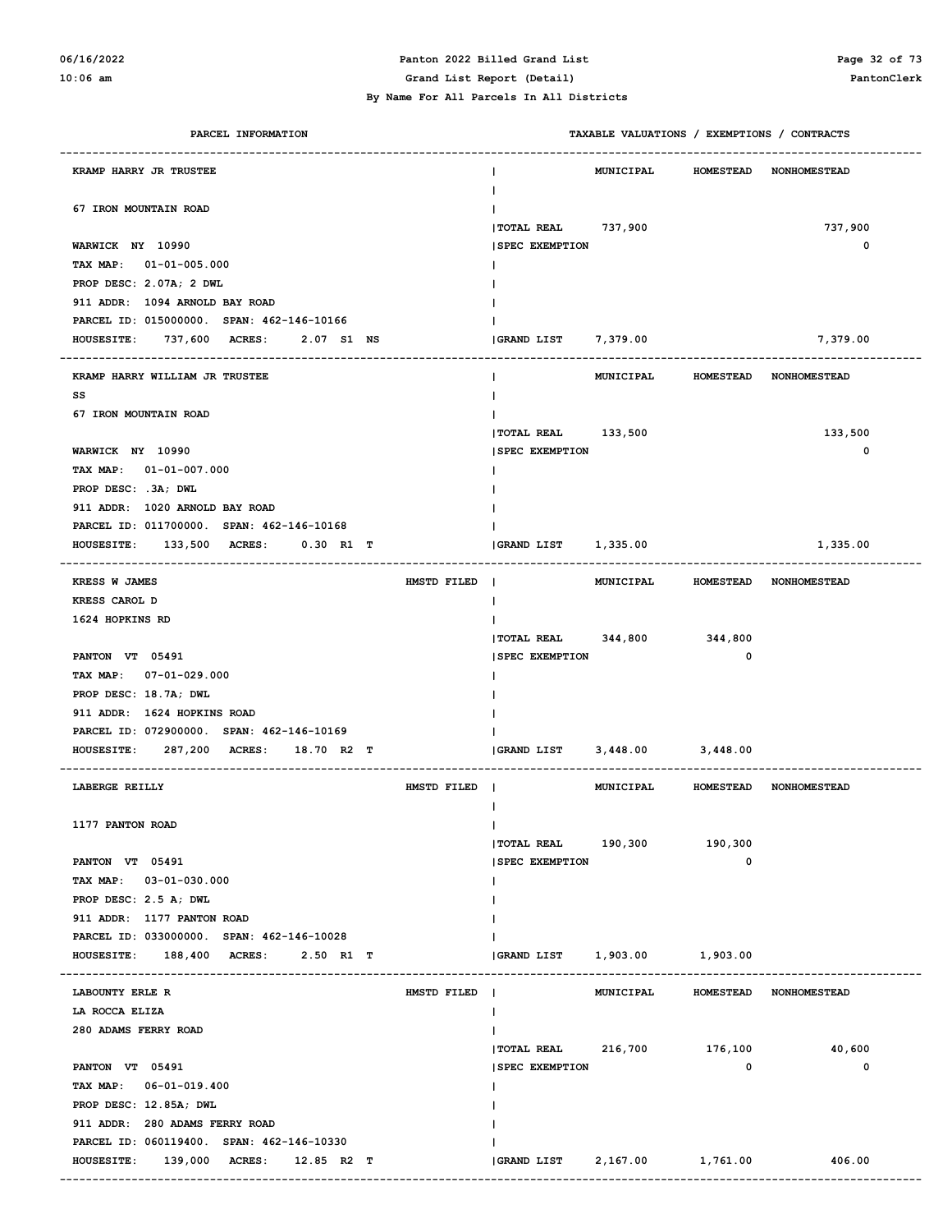# **06/16/2022 Panton 2022 Billed Grand List Page 32 of 73**

**10:06 am Grand List Report (Detail) PantonClerk**

| PARCEL INFORMATION                                | TAXABLE VALUATIONS / EXEMPTIONS / CONTRACTS                        |
|---------------------------------------------------|--------------------------------------------------------------------|
| <b>KRAMP HARRY JR TRUSTEE</b>                     | <b>MUNICIPAL</b><br>HOMESTEAD NONHOMESTEAD                         |
| 67 IRON MOUNTAIN ROAD                             | TOTAL REAL 737,900<br>737,900                                      |
| WARWICK NY 10990                                  | 0<br><b>SPEC EXEMPTION</b>                                         |
| TAX MAP: $01-01-005.000$                          |                                                                    |
| PROP DESC: 2.07A; 2 DWL                           |                                                                    |
| 911 ADDR: 1094 ARNOLD BAY ROAD                    |                                                                    |
| PARCEL ID: 015000000. SPAN: 462-146-10166         |                                                                    |
| 737,600 ACRES:<br>2.07 S1 NS<br><b>HOUSESITE:</b> | GRAND LIST 7,379.00<br>7,379.00                                    |
|                                                   |                                                                    |
| KRAMP HARRY WILLIAM JR TRUSTEE<br>SS              | MUNICIPAL<br><b>HOMESTEAD NONHOMESTEAD</b>                         |
| 67 IRON MOUNTAIN ROAD                             |                                                                    |
|                                                   | TOTAL REAL 133,500<br>133,500                                      |
| WARWICK NY 10990                                  | 0<br><b>SPEC EXEMPTION</b>                                         |
| TAX MAP: $01-01-007.000$                          |                                                                    |
| PROP DESC: .3A; DWL                               |                                                                    |
| 911 ADDR: 1020 ARNOLD BAY ROAD                    |                                                                    |
| PARCEL ID: 011700000. SPAN: 462-146-10168         |                                                                    |
| HOUSESITE: 133,500 ACRES:<br>$0.30$ R1 T          | GRAND LIST 1,335.00<br>1,335.00                                    |
|                                                   |                                                                    |
| KRESS W JAMES<br>HMSTD FILED                      | MUNICIPAL HOMESTEAD NONHOMESTEAD                                   |
| KRESS CAROL D                                     | J.                                                                 |
| 1624 HOPKINS RD                                   |                                                                    |
|                                                   | TOTAL REAL 344,800 344,800                                         |
| PANTON VT 05491                                   | <b>SPEC EXEMPTION</b><br>0                                         |
| TAX MAP: 07-01-029.000                            |                                                                    |
| PROP DESC: 18.7A; DWL                             |                                                                    |
| 911 ADDR: 1624 HOPKINS ROAD                       |                                                                    |
| PARCEL ID: 072900000. SPAN: 462-146-10169         |                                                                    |
| 287,200 ACRES:<br><b>HOUSESITE:</b><br>18.70 R2 T | $3,448.00$ $3,448.00$<br>GRAND LIST                                |
| LABERGE REILLY<br>HMSTD FILED                     | MUNICIPAL<br>HOMESTEAD NONHOMESTEAD                                |
|                                                   |                                                                    |
| 1177 PANTON ROAD                                  | T                                                                  |
| PANTON VT 05491                                   | $ $ TOTAL REAL $190, 300$<br>190,300<br><b>SPEC EXEMPTION</b><br>0 |
| TAX MAP: 03-01-030.000                            |                                                                    |
| PROP DESC: 2.5 A; DWL                             |                                                                    |
| 911 ADDR: 1177 PANTON ROAD                        |                                                                    |
| PARCEL ID: 033000000. SPAN: 462-146-10028         |                                                                    |
| HOUSESITE: 188,400 ACRES: 2.50 R1 T               | GRAND LIST<br>1,903.00 1,903.00                                    |
|                                                   |                                                                    |
| LABOUNTY ERLE R<br>HMSTD FILED                    | MUNICIPAL<br>HOMESTEAD NONHOMESTEAD                                |
| LA ROCCA ELIZA                                    |                                                                    |
| 280 ADAMS FERRY ROAD                              |                                                                    |
|                                                   | TOTAL REAL 216,700 176,100<br>40,600                               |
| PANTON VT 05491                                   | <b>SPEC EXEMPTION</b><br>$\mathbf{o}$<br>0                         |
| TAX MAP: 06-01-019.400                            |                                                                    |
| PROP DESC: 12.85A; DWL                            |                                                                    |
| 911 ADDR: 280 ADAMS FERRY ROAD                    |                                                                    |
| PARCEL ID: 060119400. SPAN: 462-146-10330         |                                                                    |
| HOUSESITE: 139,000 ACRES: 12.85 R2 T              | GRAND LIST<br>2,167.00 1,761.00 406.00                             |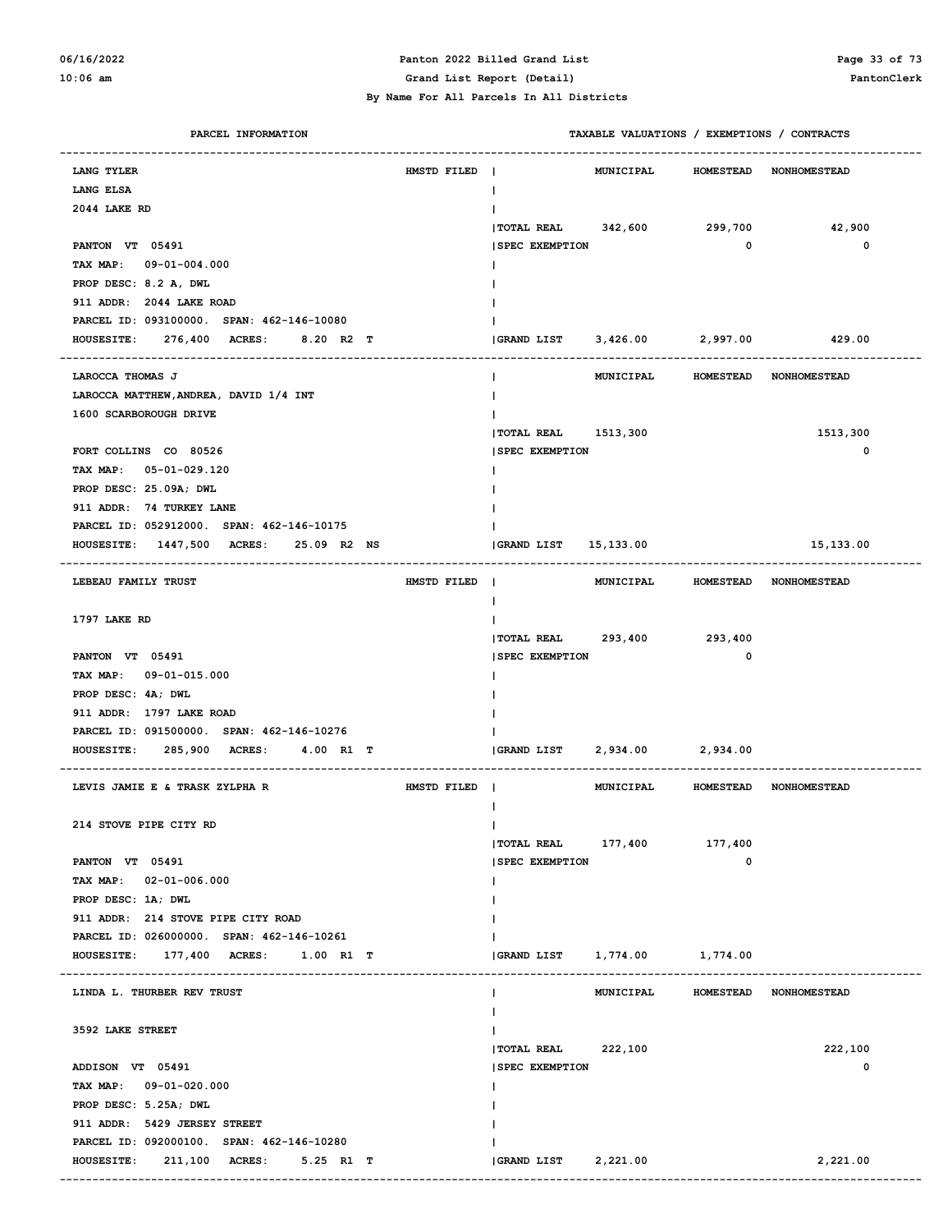#### **06/16/2022 Panton 2022 Billed Grand List Page 33 of 73 10:06 am Grand List Report (Detail) PantonClerk**

| PARCEL INFORMATION                               |             |                                      | TAXABLE VALUATIONS / EXEMPTIONS / CONTRACTS |             |                        |
|--------------------------------------------------|-------------|--------------------------------------|---------------------------------------------|-------------|------------------------|
| LANG TYLER                                       | HMSTD FILED |                                      | MUNICIPAL                                   |             | HOMESTEAD NONHOMESTEAD |
| LANG ELSA                                        |             | L                                    |                                             |             |                        |
| 2044 LAKE RD                                     |             |                                      |                                             |             |                        |
|                                                  |             | <b>TOTAL REAL</b>                    | 342,600                                     | 299,700     | 42,900                 |
| PANTON VT 05491                                  |             | <b>SPEC EXEMPTION</b>                |                                             | $\mathbf 0$ | $\mathbf 0$            |
| TAX MAP: 09-01-004.000                           |             |                                      |                                             |             |                        |
| PROP DESC: 8.2 A, DWL                            |             |                                      |                                             |             |                        |
| 911 ADDR: 2044 LAKE ROAD                         |             |                                      |                                             |             |                        |
| PARCEL ID: 093100000. SPAN: 462-146-10080        |             |                                      |                                             |             |                        |
| HOUSESITE: 276,400 ACRES:<br>8.20 R2 T           |             | (GRAND LIST 3,426.00 2,997.00 429.00 |                                             |             |                        |
|                                                  |             |                                      |                                             |             |                        |
| LAROCCA THOMAS J                                 |             |                                      | MUNICIPAL HOMESTEAD NONHOMESTEAD            |             |                        |
| LAROCCA MATTHEW, ANDREA, DAVID 1/4 INT           |             |                                      |                                             |             |                        |
| 1600 SCARBOROUGH DRIVE                           |             |                                      |                                             |             |                        |
|                                                  |             | TOTAL REAL 1513,300                  |                                             |             | 1513,300               |
| FORT COLLINS CO 80526                            |             | <b>SPEC EXEMPTION</b>                |                                             |             | $\mathbf 0$            |
| TAX MAP: 05-01-029.120                           |             |                                      |                                             |             |                        |
| PROP DESC: 25.09A; DWL                           |             |                                      |                                             |             |                        |
| 911 ADDR: 74 TURKEY LANE                         |             |                                      |                                             |             |                        |
| PARCEL ID: 052912000. SPAN: 462-146-10175        |             |                                      |                                             |             |                        |
| HOUSESITE: 1447,500 ACRES: 25.09 R2 NS           |             | GRAND LIST 15,133.00                 |                                             |             | 15,133.00              |
| LEBEAU FAMILY TRUST                              | HMSTD FILED |                                      | MUNICIPAL HOMESTEAD NONHOMESTEAD            |             |                        |
|                                                  |             |                                      |                                             |             |                        |
| 1797 LAKE RD                                     |             |                                      |                                             |             |                        |
|                                                  |             | TOTAL REAL 293,400 293,400           |                                             |             |                        |
| PANTON VT 05491                                  |             | <b>SPEC EXEMPTION</b>                |                                             | 0           |                        |
| TAX MAP: 09-01-015.000                           |             |                                      |                                             |             |                        |
| PROP DESC: 4A; DWL                               |             |                                      |                                             |             |                        |
| 911 ADDR: 1797 LAKE ROAD                         |             |                                      |                                             |             |                        |
| PARCEL ID: 091500000. SPAN: 462-146-10276        |             |                                      |                                             |             |                        |
| 285,900 ACRES:<br><b>HOUSESITE:</b><br>4.00 R1 T |             | GRAND LIST 2,934.00 2,934.00         |                                             |             |                        |
|                                                  |             |                                      |                                             |             |                        |
| LEVIS JAMIE E & TRASK ZYLPHA R                   | HMSTD FILED |                                      | MUNICIPAL HOMESTEAD NONHOMESTEAD            |             |                        |
|                                                  |             |                                      |                                             |             |                        |
| 214 STOVE PIPE CITY RD                           |             |                                      |                                             |             |                        |
|                                                  |             | $ $ TOTAL REAL $177,400$             |                                             | 177,400     |                        |
| PANTON VT 05491                                  |             | <b>SPEC EXEMPTION</b>                |                                             | 0           |                        |
| TAX MAP: 02-01-006.000                           |             |                                      |                                             |             |                        |
| PROP DESC: 1A; DWL                               |             |                                      |                                             |             |                        |
| 911 ADDR: 214 STOVE PIPE CITY ROAD               |             |                                      |                                             |             |                        |
| PARCEL ID: 026000000. SPAN: 462-146-10261        |             |                                      |                                             |             |                        |
| HOUSESITE: 177,400 ACRES: 1.00 R1 T              |             | GRAND LIST    1,774.00    1,774.00   |                                             |             |                        |
| LINDA L. THURBER REV TRUST                       |             |                                      | MUNICIPAL                                   |             | HOMESTEAD NONHOMESTEAD |
|                                                  |             |                                      |                                             |             |                        |
| 3592 LAKE STREET                                 |             |                                      |                                             |             |                        |
|                                                  |             | TOTAL REAL 222,100                   |                                             |             | 222,100                |
| ADDISON VT 05491                                 |             | <b>SPEC EXEMPTION</b>                |                                             |             | 0                      |
| TAX MAP: 09-01-020.000                           |             |                                      |                                             |             |                        |
| PROP DESC: 5.25A; DWL                            |             |                                      |                                             |             |                        |
| 911 ADDR: 5429 JERSEY STREET                     |             |                                      |                                             |             |                        |
| PARCEL ID: 092000100. SPAN: 462-146-10280        |             |                                      |                                             |             |                        |
| <b>HOUSESITE:</b><br>211,100 ACRES: 5.25 R1 T    |             | GRAND LIST 2,221.00                  |                                             |             | 2,221.00               |
|                                                  |             |                                      |                                             |             |                        |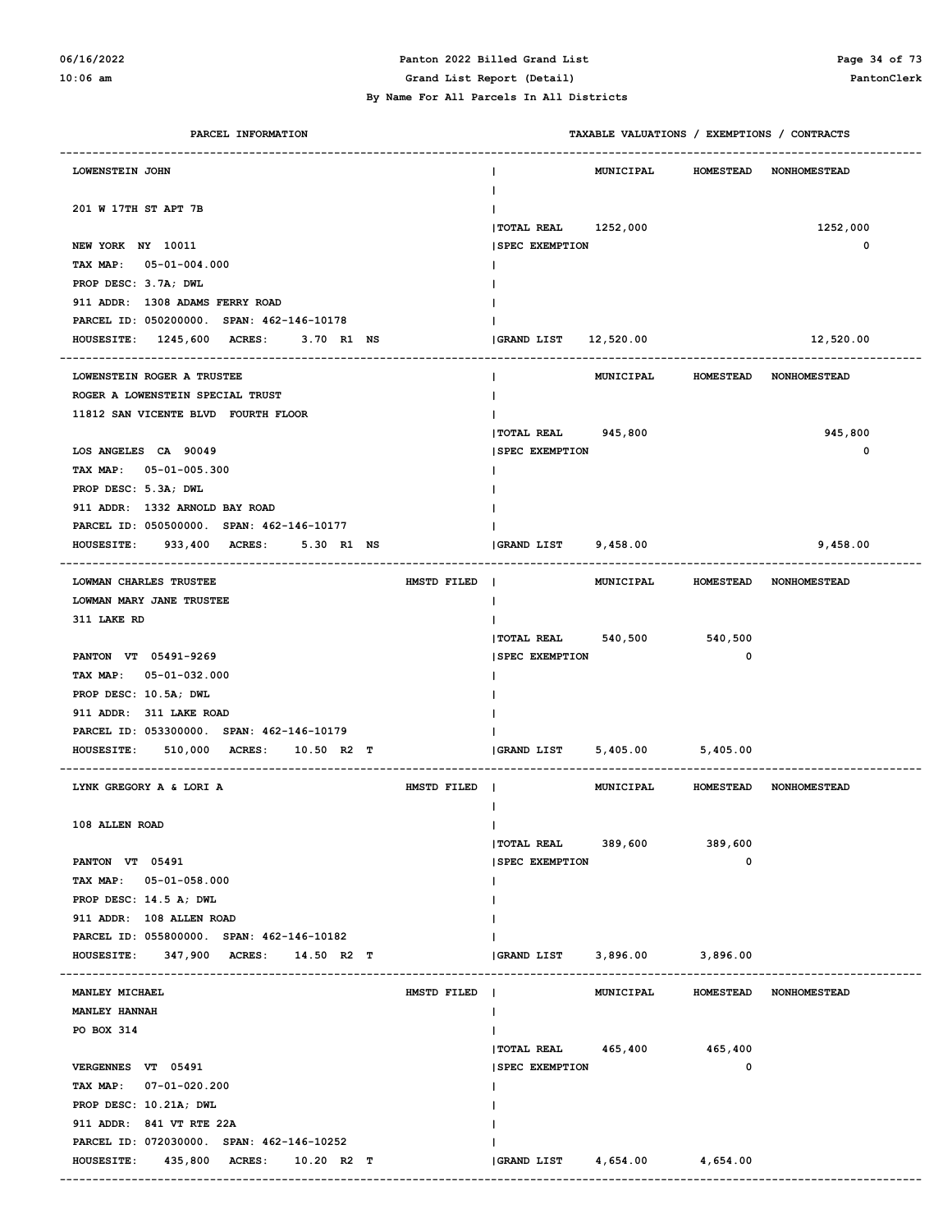# **06/16/2022 Panton 2022 Billed Grand List Page 34 of 73**

#### **10:06 am Grand List Report (Detail) PantonClerk**

 **By Name For All Parcels In All Districts**

| PARCEL INFORMATION                                                                         | TAXABLE VALUATIONS / EXEMPTIONS / CONTRACTS                 |  |
|--------------------------------------------------------------------------------------------|-------------------------------------------------------------|--|
| LOWENSTEIN JOHN                                                                            | <b>MUNICIPAL</b><br><b>HOMESTEAD</b><br><b>NONHOMESTEAD</b> |  |
| 201 W 17TH ST APT 7B                                                                       | Ι.                                                          |  |
|                                                                                            | TOTAL REAL 1252,000<br>1252,000                             |  |
| NEW YORK NY 10011                                                                          | <b>SPEC EXEMPTION</b><br>$\mathbf 0$                        |  |
| TAX MAP: 05-01-004.000                                                                     |                                                             |  |
| PROP DESC: 3.7A; DWL                                                                       |                                                             |  |
| 911 ADDR: 1308 ADAMS FERRY ROAD                                                            |                                                             |  |
| PARCEL ID: 050200000. SPAN: 462-146-10178                                                  |                                                             |  |
| 1245,600 ACRES:<br><b>HOUSESITE:</b><br>3.70 R1 NS<br>------------------------------------ | GRAND LIST<br>12,520.00<br>12,520.00                        |  |
| LOWENSTEIN ROGER A TRUSTEE                                                                 | MUNICIPAL<br><b>HOMESTEAD</b><br><b>NONHOMESTEAD</b>        |  |
| ROGER A LOWENSTEIN SPECIAL TRUST                                                           | Ι.                                                          |  |
| 11812 SAN VICENTE BLVD FOURTH FLOOR                                                        |                                                             |  |
|                                                                                            | TOTAL REAL 945,800<br>945,800                               |  |
| LOS ANGELES CA 90049                                                                       | $\mathbf 0$<br><b>SPEC EXEMPTION</b>                        |  |
| TAX MAP: 05-01-005.300                                                                     |                                                             |  |
| PROP DESC: 5.3A; DWL                                                                       |                                                             |  |
| 911 ADDR: 1332 ARNOLD BAY ROAD                                                             |                                                             |  |
| PARCEL ID: 050500000. SPAN: 462-146-10177                                                  |                                                             |  |
| 933,400 ACRES:<br><b>HOUSESITE:</b><br>5.30 R1 NS<br>----------------------------------    | GRAND LIST 9,458.00<br>9,458.00                             |  |
| LOWMAN CHARLES TRUSTEE<br>HMSTD FILED                                                      | $\blacksquare$<br>MUNICIPAL<br>HOMESTEAD NONHOMESTEAD       |  |
| LOWMAN MARY JANE TRUSTEE                                                                   | $\mathbf{I}$                                                |  |
| 311 LAKE RD                                                                                |                                                             |  |
|                                                                                            | TOTAL REAL 540,500<br>540,500                               |  |
| PANTON VT 05491-9269                                                                       | $\mathbf 0$<br><b>SPEC EXEMPTION</b>                        |  |
| TAX MAP: 05-01-032.000                                                                     |                                                             |  |
| PROP DESC: 10.5A; DWL                                                                      |                                                             |  |
| 911 ADDR: 311 LAKE ROAD                                                                    |                                                             |  |
| PARCEL ID: 053300000. SPAN: 462-146-10179                                                  |                                                             |  |
| 510,000 ACRES:<br><b>HOUSESITE:</b><br>10.50 R2 T                                          | 5,405.00 5,405.00<br>GRAND LIST                             |  |
| LYNK GREGORY A & LORI A<br>HMSTD FILED                                                     | MUNICIPAL<br>HOMESTEAD NONHOMESTEAD                         |  |
|                                                                                            | ш                                                           |  |
| 108 ALLEN ROAD                                                                             | $\mathbf{I}$                                                |  |
|                                                                                            | TOTAL REAL 389,600<br>389,600                               |  |
| PANTON VT 05491                                                                            | 0<br><b>SPEC EXEMPTION</b>                                  |  |
| TAX MAP: 05-01-058.000                                                                     | Ι.                                                          |  |
| PROP DESC: 14.5 A; DWL                                                                     |                                                             |  |
| 911 ADDR: 108 ALLEN ROAD                                                                   |                                                             |  |
| PARCEL ID: 055800000. SPAN: 462-146-10182                                                  |                                                             |  |
| 347,900 ACRES: 14.50 R2 T<br><b>HOUSESITE:</b>                                             | <b>GRAND LIST</b><br>3,896.00 3,896.00                      |  |
| MANLEY MICHAEL<br>HMSTD FILED                                                              | MUNICIPAL<br><b>HOMESTEAD</b><br><b>NONHOMESTEAD</b>        |  |
| <b>MANLEY HANNAH</b>                                                                       | $\mathbf{I}$                                                |  |
| PO BOX 314                                                                                 | Ι.                                                          |  |
|                                                                                            | TOTAL REAL 465,400 465,400                                  |  |
| VERGENNES VT 05491                                                                         | <b>SPEC EXEMPTION</b><br>0                                  |  |
| TAX MAP: 07-01-020.200                                                                     | Ι.                                                          |  |
| PROP DESC: 10.21A; DWL                                                                     |                                                             |  |
| 911 ADDR: 841 VT RTE 22A                                                                   |                                                             |  |
| PARCEL ID: 072030000. SPAN: 462-146-10252                                                  |                                                             |  |
| HOUSESITE: 435,800 ACRES: 10.20 R2 T                                                       | 4,654.00<br>4,654.00<br>GRAND LIST                          |  |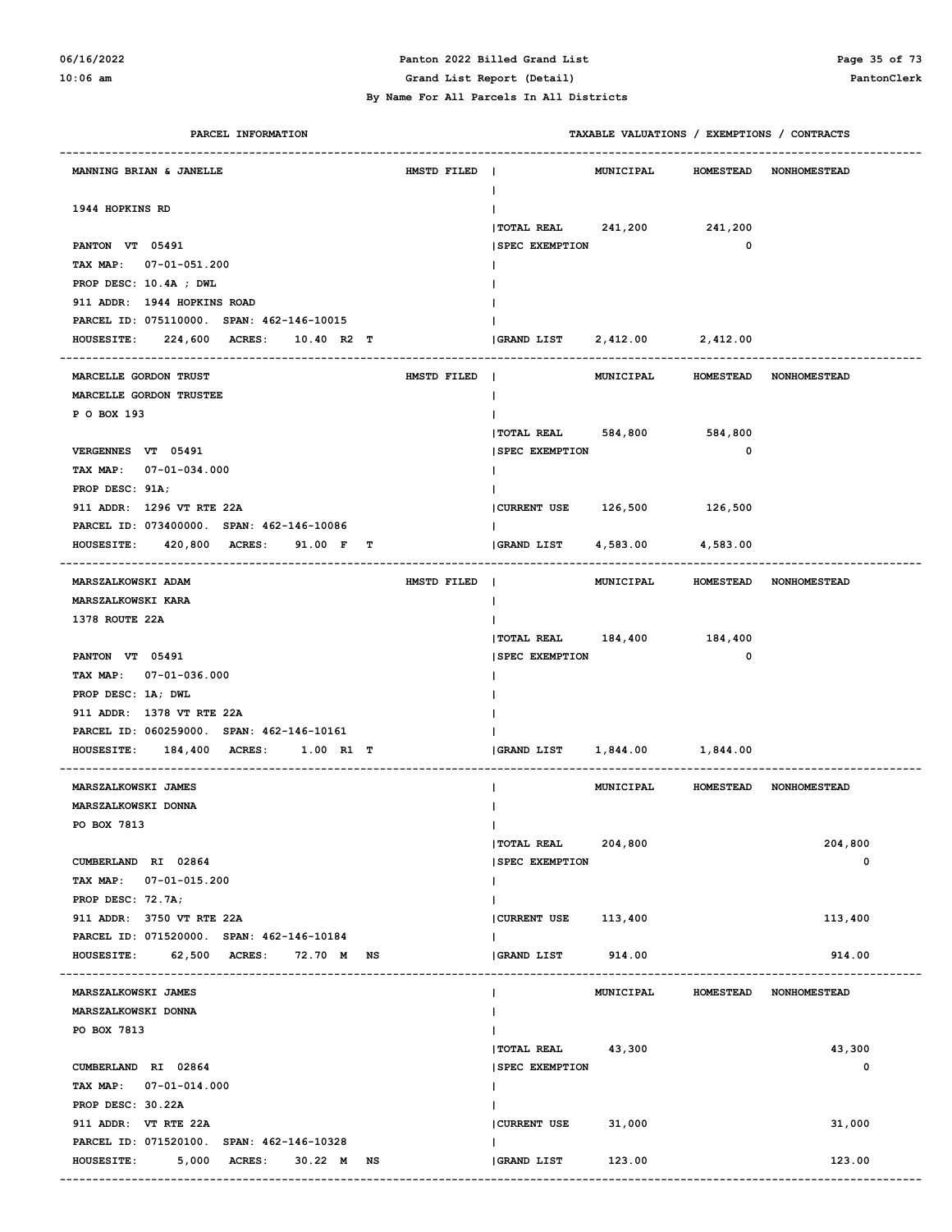# **06/16/2022 Panton 2022 Billed Grand List Page 35 of 73**

#### **By Name For All Parcels In All Districts**

**10:06 am Grand List Report (Detail) PantonClerk**

| PARCEL INFORMATION                            |             |                             | TAXABLE VALUATIONS / EXEMPTIONS / CONTRACTS |                  |                                  |
|-----------------------------------------------|-------------|-----------------------------|---------------------------------------------|------------------|----------------------------------|
| MANNING BRIAN & JANELLE                       | HMSTD FILED | $\mathbf{I}$<br>I.          | <b>MUNICIPAL</b>                            |                  | HOMESTEAD NONHOMESTEAD           |
| 1944 HOPKINS RD                               |             |                             |                                             |                  |                                  |
|                                               |             | TOTAL REAL 241,200 241,200  |                                             |                  |                                  |
| PANTON VT 05491                               |             | <b>SPEC EXEMPTION</b>       |                                             | 0                |                                  |
| TAX MAP: 07-01-051.200                        |             |                             |                                             |                  |                                  |
| PROP DESC: 10.4A ; DWL                        |             |                             |                                             |                  |                                  |
| 911 ADDR: 1944 HOPKINS ROAD                   |             |                             |                                             |                  |                                  |
| PARCEL ID: 075110000. SPAN: 462-146-10015     |             |                             |                                             |                  |                                  |
| HOUSESITE: 224,600 ACRES: 10.40 R2 T          |             |                             |                                             |                  |                                  |
| MARCELLE GORDON TRUST                         | HMSTD FILED | $\blacksquare$              |                                             |                  | MUNICIPAL HOMESTEAD NONHOMESTEAD |
| MARCELLE GORDON TRUSTEE                       |             | Ι.                          |                                             |                  |                                  |
| P O BOX 193                                   |             |                             |                                             |                  |                                  |
|                                               |             | TOTAL REAL 584,800 584,800  |                                             |                  |                                  |
| VERGENNES VT 05491                            |             | <b>SPEC EXEMPTION</b>       |                                             | 0                |                                  |
| TAX MAP: 07-01-034.000                        |             |                             |                                             |                  |                                  |
| PROP DESC: 91A;                               |             |                             |                                             |                  |                                  |
| 911 ADDR: 1296 VT RTE 22A                     |             | CURRENT USE 126,500 126,500 |                                             |                  |                                  |
| PARCEL ID: 073400000. SPAN: 462-146-10086     |             |                             |                                             |                  |                                  |
| HOUSESITE: 420,800 ACRES:<br>91.00 F T        |             | GRAND LIST                  | 4,583.00                                    | 4,583.00         |                                  |
| MARSZALKOWSKI ADAM                            | HMSTD FILED | $\blacksquare$              | MUNICIPAL                                   |                  | HOMESTEAD NONHOMESTEAD           |
| MARSZALKOWSKI KARA                            |             | $\mathbf{I}$                |                                             |                  |                                  |
| 1378 ROUTE 22A                                |             |                             |                                             |                  |                                  |
|                                               |             | TOTAL REAL 184,400 184,400  |                                             |                  |                                  |
| PANTON VT 05491                               |             | <b>SPEC EXEMPTION</b>       |                                             | 0                |                                  |
| TAX MAP: 07-01-036.000                        |             |                             |                                             |                  |                                  |
| PROP DESC: 1A; DWL                            |             |                             |                                             |                  |                                  |
| 911 ADDR: 1378 VT RTE 22A                     |             |                             |                                             |                  |                                  |
| PARCEL ID: 060259000. SPAN: 462-146-10161     |             |                             |                                             |                  |                                  |
| 184,400 ACRES: 1.00 R1 T<br><b>HOUSESITE:</b> |             | GRAND LIST                  | 1,844.00 1,844.00                           |                  |                                  |
|                                               |             |                             |                                             |                  |                                  |
| MARSZALKOWSKI JAMES                           |             |                             | MUNICIPAL                                   |                  | HOMESTEAD NONHOMESTEAD           |
| MARSZALKOWSKI DONNA                           |             |                             |                                             |                  |                                  |
| PO BOX 7813                                   |             | Ι.                          |                                             |                  |                                  |
|                                               |             | TOTAL REAL 204,800          |                                             |                  | 204,800                          |
| CUMBERLAND RI 02864                           |             | <b>SPEC EXEMPTION</b>       |                                             |                  | 0                                |
| TAX MAP: 07-01-015.200                        |             |                             |                                             |                  |                                  |
| PROP DESC: 72.7A;                             |             |                             |                                             |                  |                                  |
| 911 ADDR: 3750 VT RTE 22A                     |             | CURRENT USE 113,400         |                                             |                  | 113,400                          |
| PARCEL ID: 071520000. SPAN: 462-146-10184     |             |                             |                                             |                  |                                  |
| HOUSESITE: 62,500 ACRES: 72.70 M NS           |             | <b>GRAND LIST</b>           | 914.00                                      |                  | 914.00                           |
| MARSZALKOWSKI JAMES                           |             |                             | MUNICIPAL                                   | <b>HOMESTEAD</b> | <b>NONHOMESTEAD</b>              |
| MARSZALKOWSKI DONNA                           |             |                             |                                             |                  |                                  |
| PO BOX 7813                                   |             |                             |                                             |                  |                                  |
|                                               |             | $ TOTAL REAL$ 43,300        |                                             |                  | 43,300                           |
| CUMBERLAND RI 02864                           |             | <b>SPEC EXEMPTION</b>       |                                             |                  | 0                                |
| TAX MAP: 07-01-014.000                        |             | $\mathbf{I}$                |                                             |                  |                                  |
| PROP DESC: 30.22A                             |             |                             |                                             |                  |                                  |
| 911 ADDR: VT RTE 22A                          |             | CURRENT USE                 | 31,000                                      |                  | 31,000                           |
| PARCEL ID: 071520100. SPAN: 462-146-10328     |             |                             |                                             |                  |                                  |
| HOUSESITE: 5,000 ACRES:<br>30.22 M NS         |             | GRAND LIST                  | 123.00                                      |                  | 123.00                           |
|                                               |             |                             |                                             |                  |                                  |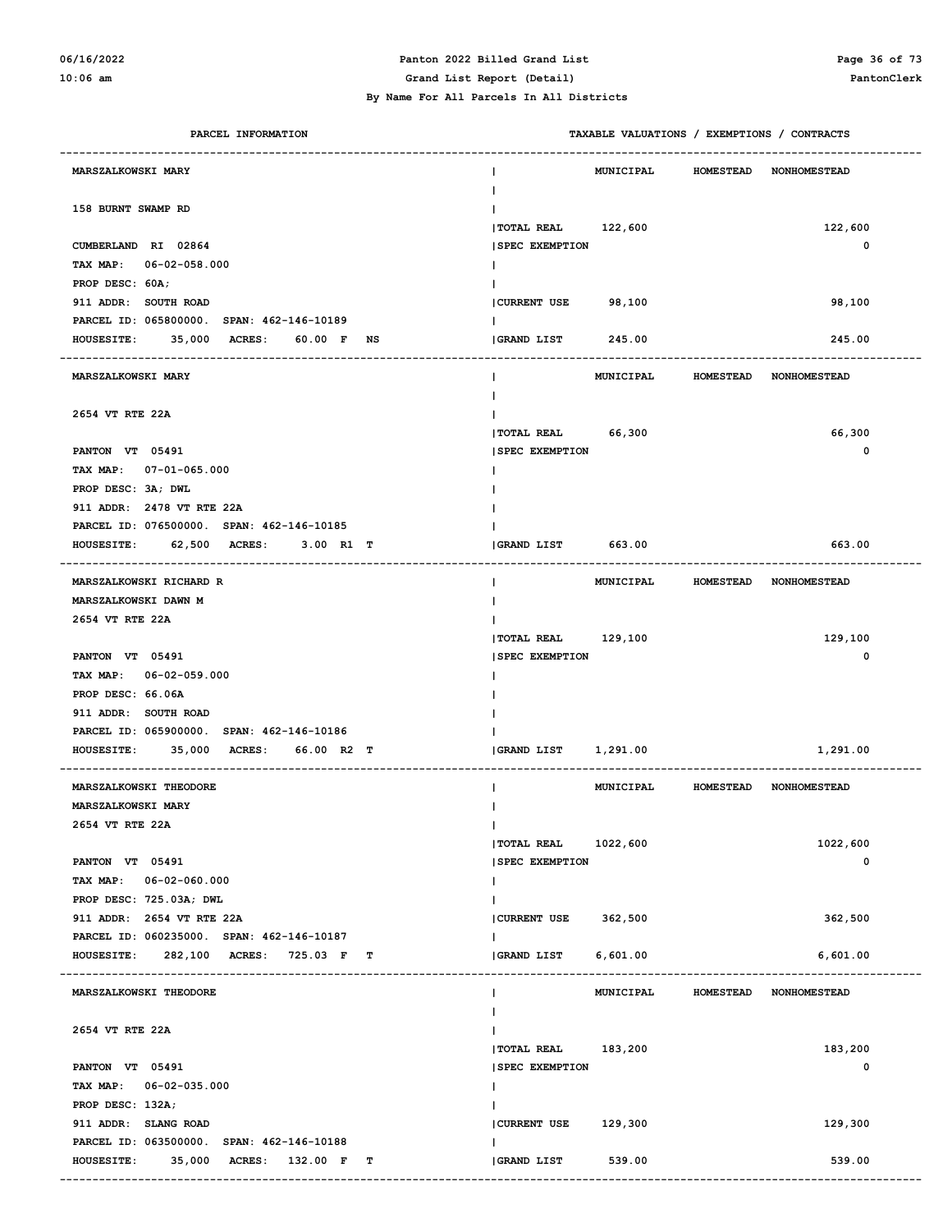### **06/16/2022 Panton 2022 Billed Grand List Page 36 of 73**

**10:06 am Grand List Report (Detail) PantonClerk**

| PARCEL INFORMATION                                                                   | TAXABLE VALUATIONS / EXEMPTIONS / CONTRACTS |                  |                  |                        |  |
|--------------------------------------------------------------------------------------|---------------------------------------------|------------------|------------------|------------------------|--|
| <b>MARSZALKOWSKI MARY</b>                                                            |                                             | MUNICIPAL        | <b>HOMESTEAD</b> | <b>NONHOMESTEAD</b>    |  |
| 158 BURNT SWAMP RD                                                                   |                                             |                  |                  |                        |  |
|                                                                                      | TOTAL REAL                                  | 122,600          |                  | 122,600                |  |
| CUMBERLAND RI 02864                                                                  | <b>SPEC EXEMPTION</b>                       |                  |                  | 0                      |  |
| TAX MAP:<br>$06 - 02 - 058.000$<br>PROP DESC: 60A;                                   |                                             |                  |                  |                        |  |
| 911 ADDR: SOUTH ROAD                                                                 | <b>CURRENT USE</b>                          | 98,100           |                  | 98,100                 |  |
| PARCEL ID: 065800000. SPAN: 462-146-10189                                            |                                             |                  |                  |                        |  |
| 35,000 ACRES:<br>60.00 F<br><b>HOUSESITE:</b><br>NS                                  | GRAND LIST                                  | 245.00           |                  | 245.00                 |  |
|                                                                                      |                                             |                  |                  |                        |  |
| <b>MARSZALKOWSKI MARY</b>                                                            |                                             | MUNICIPAL        | <b>HOMESTEAD</b> | <b>NONHOMESTEAD</b>    |  |
|                                                                                      |                                             |                  |                  |                        |  |
| 2654 VT RTE 22A                                                                      |                                             |                  |                  |                        |  |
| PANTON VT 05491                                                                      | <b> TOTAL REAL</b><br><b>SPEC EXEMPTION</b> | 66,300           |                  | 66,300<br>0            |  |
| TAX MAP: 07-01-065.000                                                               |                                             |                  |                  |                        |  |
| PROP DESC: 3A; DWL                                                                   |                                             |                  |                  |                        |  |
| 911 ADDR: 2478 VT RTE 22A                                                            |                                             |                  |                  |                        |  |
| PARCEL ID: 076500000. SPAN: 462-146-10185                                            |                                             |                  |                  |                        |  |
| 62,500 ACRES:<br>3.00 R1 T<br><b>HOUSESITE:</b>                                      | <b>GRAND LIST</b>                           | 663.00           |                  | 663.00                 |  |
| MARSZALKOWSKI RICHARD R                                                              | I.                                          | MUNICIPAL        | <b>HOMESTEAD</b> | <b>NONHOMESTEAD</b>    |  |
| MARSZALKOWSKI DAWN M                                                                 |                                             |                  |                  |                        |  |
| 2654 VT RTE 22A                                                                      |                                             |                  |                  |                        |  |
|                                                                                      | <b> TOTAL REAL</b>                          | 129,100          |                  | 129,100                |  |
| PANTON VT 05491                                                                      | <b>SPEC EXEMPTION</b>                       |                  |                  | 0                      |  |
| TAX MAP: 06-02-059.000                                                               |                                             |                  |                  |                        |  |
| PROP DESC: 66.06A                                                                    |                                             |                  |                  |                        |  |
| 911 ADDR: SOUTH ROAD                                                                 |                                             |                  |                  |                        |  |
| PARCEL ID: 065900000. SPAN: 462-146-10186                                            |                                             |                  |                  |                        |  |
| 35,000 ACRES:<br>66.00 R2 T<br><b>HOUSESITE:</b>                                     | GRAND LIST                                  | 1,291.00         |                  | 1,291.00               |  |
| MARSZALKOWSKI THEODORE                                                               |                                             | <b>MUNICIPAL</b> |                  | HOMESTEAD NONHOMESTEAD |  |
| MARSZALKOWSKI MARY                                                                   |                                             |                  |                  |                        |  |
| 2654 VT RTE 22A                                                                      | T                                           |                  |                  |                        |  |
|                                                                                      | <b> TOTAL REAL</b>                          | 1022,600         |                  | 1022,600               |  |
| PANTON VT 05491                                                                      | <b>SPEC EXEMPTION</b>                       |                  |                  | 0                      |  |
| TAX MAP: 06-02-060.000<br>PROP DESC: 725.03A; DWL                                    | L                                           |                  |                  |                        |  |
| 911 ADDR: 2654 VT RTE 22A                                                            | <b>CURRENT USE</b>                          | 362,500          |                  | 362,500                |  |
| PARCEL ID: 060235000. SPAN: 462-146-10187                                            | L                                           |                  |                  |                        |  |
| HOUSESITE: 282,100 ACRES: 725.03 F<br>т                                              | GRAND LIST                                  | 6,601.00         |                  | 6,601.00               |  |
| MARSZALKOWSKI THEODORE                                                               | I.                                          | MUNICIPAL        | <b>HOMESTEAD</b> | NONHOMESTEAD           |  |
|                                                                                      |                                             |                  |                  |                        |  |
| 2654 VT RTE 22A                                                                      |                                             |                  |                  |                        |  |
|                                                                                      | <b> TOTAL REAL</b>                          | 183,200          |                  | 183,200                |  |
| PANTON VT 05491                                                                      | <b>SPEC EXEMPTION</b>                       |                  |                  | 0                      |  |
| TAX MAP: 06-02-035.000                                                               | L                                           |                  |                  |                        |  |
| PROP DESC: 132A;                                                                     |                                             |                  |                  |                        |  |
| 911 ADDR: SLANG ROAD                                                                 | CURRENT USE                                 | 129,300          |                  | 129,300                |  |
| PARCEL ID: 063500000. SPAN: 462-146-10188<br><b>HOUSESITE:</b><br><b>ACRES:</b><br>т | GRAND LIST                                  | 539.00           |                  | 539.00                 |  |
| 35,000<br>132.00 F                                                                   |                                             |                  |                  |                        |  |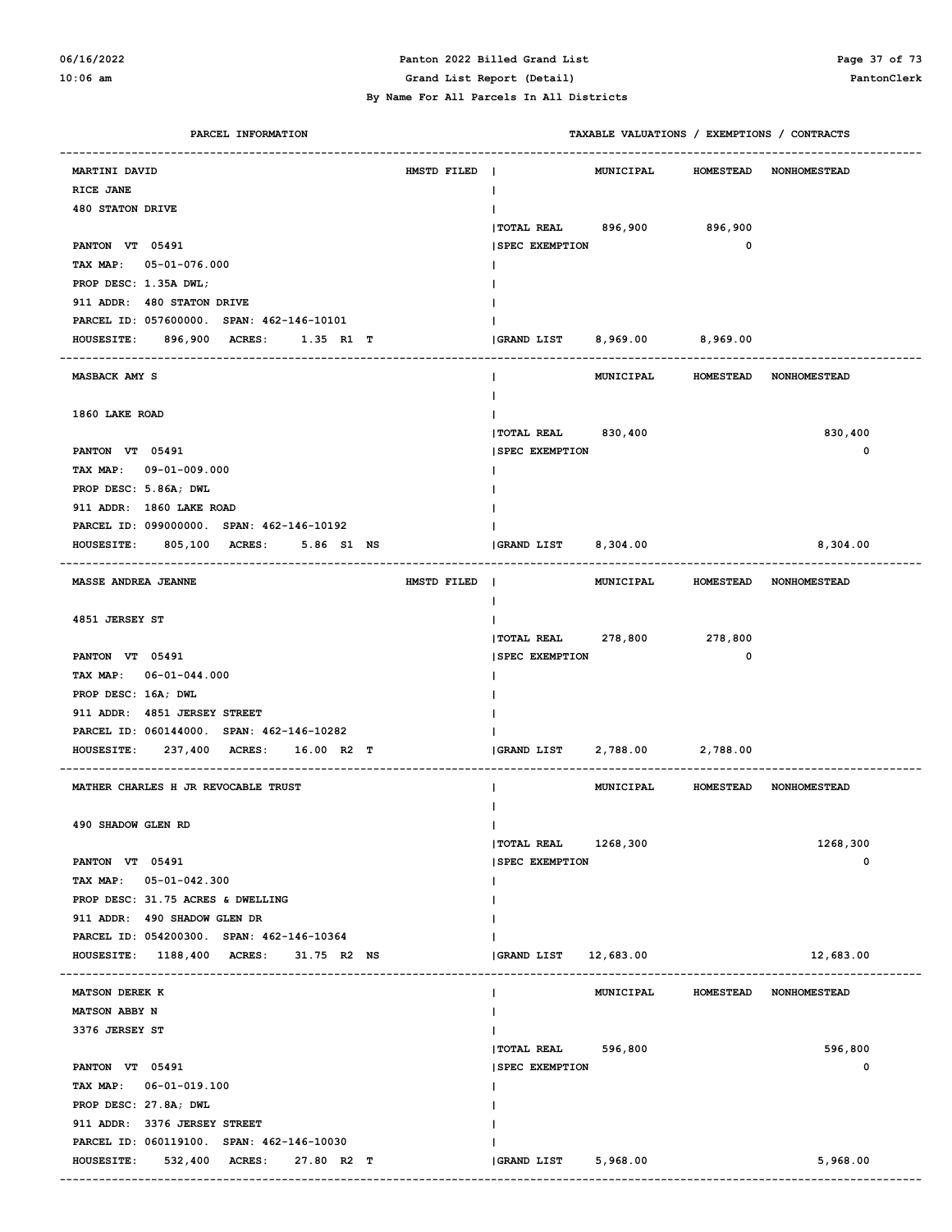#### **06/16/2022 Panton 2022 Billed Grand List Page 37 of 73 10:06 am Grand List Report (Detail) PantonClerk**

 **By Name For All Parcels In All Districts**

| PARCEL INFORMATION                                |             | TAXABLE VALUATIONS / EXEMPTIONS / CONTRACTS |                                  |                        |  |
|---------------------------------------------------|-------------|---------------------------------------------|----------------------------------|------------------------|--|
| MARTINI DAVID                                     | HMSTD FILED | MUNICIPAL<br>$\mathbf{I}$                   |                                  | HOMESTEAD NONHOMESTEAD |  |
| RICE JANE                                         |             | T                                           |                                  |                        |  |
| <b>480 STATON DRIVE</b>                           |             |                                             |                                  |                        |  |
|                                                   |             | TOTAL REAL 896,900 896,900                  |                                  |                        |  |
| PANTON VT 05491                                   |             | <b>SPEC EXEMPTION</b>                       | $\mathbf 0$                      |                        |  |
| TAX MAP: 05-01-076.000                            |             |                                             |                                  |                        |  |
| PROP DESC: 1.35A DWL;                             |             |                                             |                                  |                        |  |
| 911 ADDR: 480 STATON DRIVE                        |             |                                             |                                  |                        |  |
| PARCEL ID: 057600000. SPAN: 462-146-10101         |             |                                             |                                  |                        |  |
|                                                   |             | GRAND LIST 8,969.00 8,969.00                |                                  |                        |  |
| HOUSESITE: 896,900 ACRES: 1.35 R1 T               |             |                                             |                                  |                        |  |
| <b>MASBACK AMY S</b>                              |             |                                             | MUNICIPAL HOMESTEAD NONHOMESTEAD |                        |  |
|                                                   |             |                                             |                                  |                        |  |
| 1860 LAKE ROAD                                    |             |                                             |                                  |                        |  |
|                                                   |             | <b> TOTAL REAL</b><br>830,400               |                                  | 830,400                |  |
| PANTON VT 05491                                   |             | <b>SPEC EXEMPTION</b>                       |                                  | 0                      |  |
| TAX MAP: 09-01-009.000                            |             |                                             |                                  |                        |  |
| PROP DESC: 5.86A; DWL                             |             |                                             |                                  |                        |  |
| 911 ADDR: 1860 LAKE ROAD                          |             |                                             |                                  |                        |  |
| PARCEL ID: 099000000. SPAN: 462-146-10192         |             |                                             |                                  |                        |  |
| 805,100 ACRES:<br>5.86 S1 NS<br><b>HOUSESITE:</b> |             | GRAND LIST 8,304.00                         |                                  | 8,304.00               |  |
| <b>MASSE ANDREA JEANNE</b>                        | HMSTD FILED | MUNICIPAL<br>$\blacksquare$                 |                                  | HOMESTEAD NONHOMESTEAD |  |
|                                                   |             | T                                           |                                  |                        |  |
| 4851 JERSEY ST                                    |             |                                             |                                  |                        |  |
|                                                   |             | <b> TOTAL REAL</b><br>278,800               | 278,800                          |                        |  |
| PANTON VT 05491                                   |             | <b>SPEC EXEMPTION</b>                       | $\mathbf 0$                      |                        |  |
| TAX MAP: 06-01-044.000                            |             |                                             |                                  |                        |  |
| PROP DESC: 16A; DWL                               |             |                                             |                                  |                        |  |
| 911 ADDR: 4851 JERSEY STREET                      |             |                                             |                                  |                        |  |
| PARCEL ID: 060144000. SPAN: 462-146-10282         |             |                                             |                                  |                        |  |
| 237,400 ACRES:<br>16.00 R2 T<br><b>HOUSESITE:</b> |             | GRAND LIST                                  | 2,788.00 2,788.00                |                        |  |
| MATHER CHARLES H JR REVOCABLE TRUST               |             | MUNICIPAL                                   |                                  | HOMESTEAD NONHOMESTEAD |  |
|                                                   |             |                                             |                                  |                        |  |
| <b>490 SHADOW GLEN RD</b>                         |             | L                                           |                                  |                        |  |
|                                                   |             | TOTAL REAL 1268,300                         |                                  | 1268,300               |  |
| PANTON VT 05491                                   |             | <b>SPEC EXEMPTION</b>                       |                                  | 0                      |  |
| TAX MAP: 05-01-042.300                            |             |                                             |                                  |                        |  |
| PROP DESC: 31.75 ACRES & DWELLING                 |             |                                             |                                  |                        |  |
| 911 ADDR: 490 SHADOW GLEN DR                      |             |                                             |                                  |                        |  |
| PARCEL ID: 054200300. SPAN: 462-146-10364         |             |                                             |                                  |                        |  |
| HOUSESITE: 1188,400 ACRES: 31.75 R2 NS            |             | <b>GRAND LIST</b><br>12,683.00              |                                  | 12,683.00              |  |
|                                                   |             |                                             |                                  |                        |  |
| MATSON DEREK K                                    |             | MUNICIPAL<br>L                              | <b>HOMESTEAD</b>                 | <b>NONHOMESTEAD</b>    |  |
| MATSON ABBY N                                     |             |                                             |                                  |                        |  |
| 3376 JERSEY ST                                    |             |                                             |                                  |                        |  |
|                                                   |             | <b> TOTAL REAL</b><br>596,800               |                                  | 596,800                |  |
| PANTON VT 05491                                   |             | <b>SPEC EXEMPTION</b>                       |                                  | 0                      |  |
| TAX MAP: 06-01-019.100                            |             |                                             |                                  |                        |  |
| PROP DESC: 27.8A; DWL                             |             |                                             |                                  |                        |  |
| 911 ADDR: 3376 JERSEY STREET                      |             |                                             |                                  |                        |  |
| PARCEL ID: 060119100. SPAN: 462-146-10030         |             |                                             |                                  |                        |  |
| <b>HOUSESITE:</b><br>532,400 ACRES:<br>27.80 R2 T |             | GRAND LIST<br>5,968.00                      |                                  | 5,968.00               |  |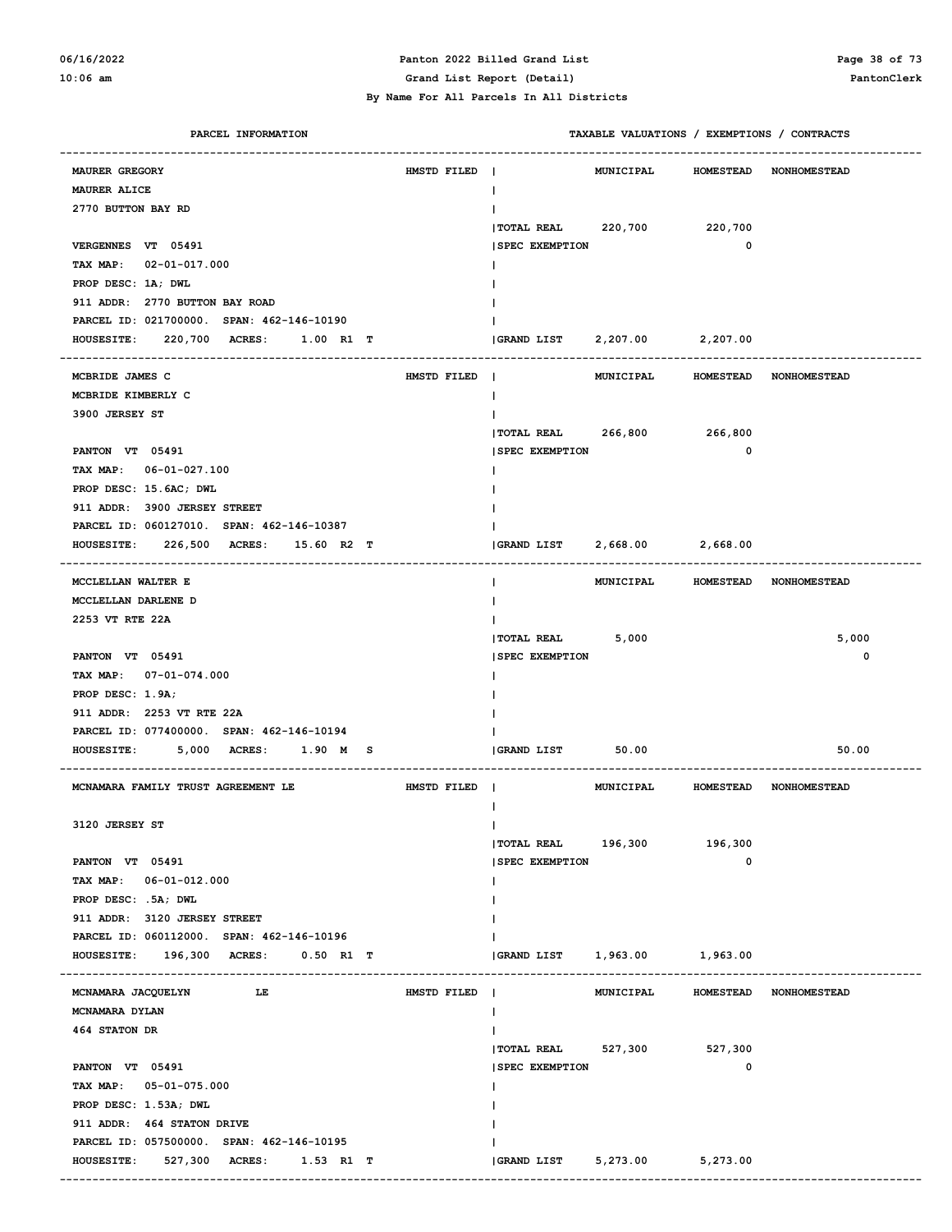#### **06/16/2022 Panton 2022 Billed Grand List Page 38 of 73 10:06 am Grand List Report (Detail) PantonClerk**

| PARCEL INFORMATION                            |             |                             |           |                  | TAXABLE VALUATIONS / EXEMPTIONS / CONTRACTS |
|-----------------------------------------------|-------------|-----------------------------|-----------|------------------|---------------------------------------------|
| <b>MAURER GREGORY</b>                         | HMSTD FILED | -1                          | MUNICIPAL | <b>HOMESTEAD</b> | <b>NONHOMESTEAD</b>                         |
| MAURER ALICE                                  |             |                             |           |                  |                                             |
| 2770 BUTTON BAY RD                            |             |                             |           |                  |                                             |
|                                               |             | TOTAL REAL 220,700          |           | 220,700          |                                             |
| VERGENNES VT 05491                            |             | <b>SPEC EXEMPTION</b>       |           | 0                |                                             |
| TAX MAP: 02-01-017.000                        |             |                             |           |                  |                                             |
| PROP DESC: 1A; DWL                            |             |                             |           |                  |                                             |
| 911 ADDR: 2770 BUTTON BAY ROAD                |             |                             |           |                  |                                             |
| PARCEL ID: 021700000. SPAN: 462-146-10190     |             |                             |           |                  |                                             |
| HOUSESITE: 220,700 ACRES:<br>1.00 R1 T        |             | $ GRAND$ $LIST$ $2, 207.00$ |           | 2,207.00         |                                             |
|                                               |             |                             |           |                  |                                             |
| MCBRIDE JAMES C                               | HMSTD FILED | $\blacksquare$              | MUNICIPAL | <b>HOMESTEAD</b> | <b>NONHOMESTEAD</b>                         |
| MCBRIDE KIMBERLY C<br>3900 JERSEY ST          |             |                             |           |                  |                                             |
|                                               |             | TOTAL REAL 266,800          |           | 266,800          |                                             |
| PANTON VT 05491                               |             | <b>SPEC EXEMPTION</b>       |           | 0                |                                             |
| TAX MAP: 06-01-027.100                        |             |                             |           |                  |                                             |
| PROP DESC: 15.6AC; DWL                        |             |                             |           |                  |                                             |
| 911 ADDR: 3900 JERSEY STREET                  |             |                             |           |                  |                                             |
| PARCEL ID: 060127010. SPAN: 462-146-10387     |             |                             |           |                  |                                             |
| HOUSESITE: 226,500 ACRES: 15.60 R2 T          |             | <b>GRAND LIST</b>           | 2,668.00  | 2,668.00         |                                             |
|                                               |             |                             |           |                  |                                             |
| MCCLELLAN WALTER E                            |             | L                           |           |                  | MUNICIPAL HOMESTEAD NONHOMESTEAD            |
| MCCLELLAN DARLENE D                           |             |                             |           |                  |                                             |
| 2253 VT RTE 22A                               |             |                             |           |                  |                                             |
|                                               |             | TOTAL REAL 5,000            |           |                  | 5,000                                       |
| PANTON VT 05491                               |             | <b>SPEC EXEMPTION</b>       |           |                  | 0                                           |
| TAX MAP: 07-01-074.000                        |             |                             |           |                  |                                             |
| PROP DESC: 1.9A;                              |             |                             |           |                  |                                             |
| 911 ADDR: 2253 VT RTE 22A                     |             |                             |           |                  |                                             |
| PARCEL ID: 077400000. SPAN: 462-146-10194     |             |                             |           |                  |                                             |
| <b>HOUSESITE:</b><br>5,000 ACRES:<br>1.90 M S |             | GRAND LIST                  | 50.00     |                  | 50.00                                       |
| MCNAMARA FAMILY TRUST AGREEMENT LE            | HMSTD FILED |                             |           |                  | MUNICIPAL HOMESTEAD NONHOMESTEAD            |
|                                               |             |                             |           |                  |                                             |
| 3120 JERSEY ST                                |             | ı                           |           |                  |                                             |
|                                               |             | TOTAL REAL 196,300          |           | 196,300          |                                             |
| PANTON VT 05491                               |             | <b>ISPEC EXEMPTION</b>      |           | 0                |                                             |
| TAX MAP: 06-01-012.000                        |             |                             |           |                  |                                             |
| PROP DESC: .5A; DWL                           |             |                             |           |                  |                                             |
| 911 ADDR: 3120 JERSEY STREET                  |             |                             |           |                  |                                             |
| PARCEL ID: 060112000. SPAN: 462-146-10196     |             |                             |           |                  |                                             |
| HOUSESITE: 196,300 ACRES: 0.50 R1 T           |             | GRAND LIST 1,963.00         |           | 1,963.00         |                                             |
| MCNAMARA JACQUELYN                            |             |                             | MUNICIPAL |                  |                                             |
| $L_E$                                         | HMSTD FILED |                             |           |                  | HOMESTEAD NONHOMESTEAD                      |
| MCNAMARA DYLAN                                |             |                             |           |                  |                                             |
| 464 STATON DR                                 |             | $ $ TOTAL REAL 527,300      |           | 527,300          |                                             |
| PANTON VT 05491                               |             | <b>SPEC EXEMPTION</b>       |           | 0                |                                             |
| TAX MAP: 05-01-075.000                        |             |                             |           |                  |                                             |
| PROP DESC: 1.53A; DWL                         |             |                             |           |                  |                                             |
| 911 ADDR: 464 STATON DRIVE                    |             |                             |           |                  |                                             |
| PARCEL ID: 057500000. SPAN: 462-146-10195     |             |                             |           |                  |                                             |
| HOUSESITE: 527,300 ACRES: 1.53 R1 T           |             | GRAND LIST 5, 273.00        |           | 5,273.00         |                                             |
|                                               |             |                             |           |                  |                                             |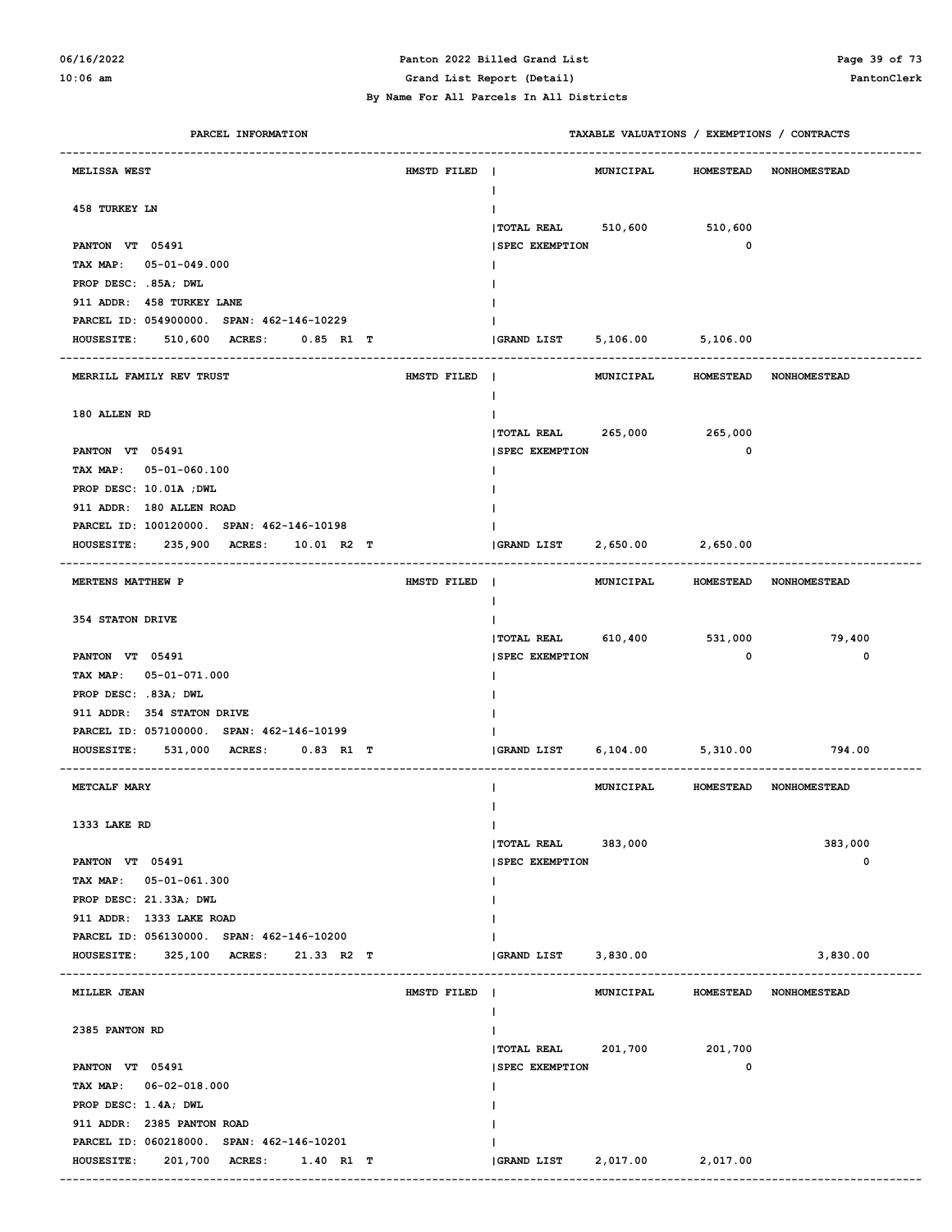## **06/16/2022 Panton 2022 Billed Grand List Page 39 of 73**

| PARCEL INFORMATION                        |             |                               | TAXABLE VALUATIONS / EXEMPTIONS / CONTRACTS |             |                                  |
|-------------------------------------------|-------------|-------------------------------|---------------------------------------------|-------------|----------------------------------|
| MELISSA WEST                              | HMSTD FILED |                               |                                             |             | MUNICIPAL HOMESTEAD NONHOMESTEAD |
| 458 TURKEY LN                             |             | T                             |                                             |             |                                  |
|                                           |             | TOTAL REAL 510,600 510,600    |                                             |             |                                  |
| PANTON VT 05491                           |             | <b>SPEC EXEMPTION</b>         |                                             | 0           |                                  |
| TAX MAP: 05-01-049.000                    |             |                               |                                             |             |                                  |
| PROP DESC: .85A; DWL                      |             |                               |                                             |             |                                  |
| 911 ADDR: 458 TURKEY LANE                 |             |                               |                                             |             |                                  |
| PARCEL ID: 054900000. SPAN: 462-146-10229 |             |                               |                                             |             |                                  |
| HOUSESITE: 510,600 ACRES: 0.85 R1 T       |             | GRAND LIST 5,106.00 5,106.00  |                                             |             |                                  |
| MERRILL FAMILY REV TRUST                  | HMSTD FILED | L                             | MUNICIPAL                                   |             | HOMESTEAD NONHOMESTEAD           |
| 180 ALLEN RD                              |             |                               |                                             |             |                                  |
|                                           |             | TOTAL REAL 265,000 265,000    |                                             |             |                                  |
| PANTON VT 05491                           |             | <b>SPEC EXEMPTION</b>         |                                             | $\mathbf 0$ |                                  |
| TAX MAP: 05-01-060.100                    |             |                               |                                             |             |                                  |
| PROP DESC: 10.01A ; DWL                   |             |                               |                                             |             |                                  |
| 911 ADDR: 180 ALLEN ROAD                  |             |                               |                                             |             |                                  |
| PARCEL ID: 100120000. SPAN: 462-146-10198 |             |                               |                                             |             |                                  |
| HOUSESITE: 235,900 ACRES: 10.01 R2 T      |             | (GRAND LIST 2,650.00 2,650.00 |                                             |             |                                  |
| <b>MERTENS MATTHEW P</b>                  | HMSTD FILED | L                             | MUNICIPAL                                   |             | HOMESTEAD NONHOMESTEAD           |
| 354 STATON DRIVE                          |             |                               |                                             |             |                                  |
|                                           |             | TOTAL REAL 610,400 531,000    |                                             |             | 79,400                           |
| PANTON VT 05491                           |             | <b>SPEC EXEMPTION</b>         |                                             | $\mathbf 0$ | 0                                |
| TAX MAP: 05-01-071.000                    |             |                               |                                             |             |                                  |
| PROP DESC: .83A; DWL                      |             |                               |                                             |             |                                  |
| 911 ADDR: 354 STATON DRIVE                |             |                               |                                             |             |                                  |
| PARCEL ID: 057100000. SPAN: 462-146-10199 |             |                               |                                             |             |                                  |
| HOUSESITE: 531,000 ACRES: 0.83 R1 T       |             | <b>GRAND LIST</b>             | 6,104.00 5,310.00                           |             | 794.00                           |
| METCALF MARY                              |             |                               | MUNICIPAL                                   |             | HOMESTEAD NONHOMESTEAD           |
|                                           |             |                               |                                             |             |                                  |
| 1333 LAKE RD                              |             | $\mathbf{I}$                  |                                             |             |                                  |
|                                           |             | TOTAL REAL 383,000            |                                             |             | 383,000<br>0                     |
| PANTON VT 05491<br>TAX MAP: 05-01-061.300 |             | <b>SPEC EXEMPTION</b>         |                                             |             |                                  |
| PROP DESC: 21.33A; DWL                    |             |                               |                                             |             |                                  |
| 911 ADDR: 1333 LAKE ROAD                  |             |                               |                                             |             |                                  |
| PARCEL ID: 056130000. SPAN: 462-146-10200 |             |                               |                                             |             |                                  |
| HOUSESITE: 325,100 ACRES: 21.33 R2 T      |             | GRAND LIST 3,830.00           |                                             |             | 3,830.00                         |
|                                           |             |                               |                                             |             |                                  |
| MILLER JEAN                               | HMSTD FILED | L                             |                                             |             | MUNICIPAL HOMESTEAD NONHOMESTEAD |
| 2385 PANTON RD                            |             |                               |                                             |             |                                  |
|                                           |             | TOTAL REAL 201,700 201,700    |                                             |             |                                  |
| PANTON VT 05491                           |             | <b>SPEC EXEMPTION</b>         |                                             | 0           |                                  |
| TAX MAP: 06-02-018.000                    |             |                               |                                             |             |                                  |
| PROP DESC: 1.4A; DWL                      |             |                               |                                             |             |                                  |
| 911 ADDR: 2385 PANTON ROAD                |             |                               |                                             |             |                                  |
| PARCEL ID: 060218000. SPAN: 462-146-10201 |             |                               |                                             |             |                                  |
| HOUSESITE: 201,700 ACRES: 1.40 R1 T       |             |                               |                                             |             |                                  |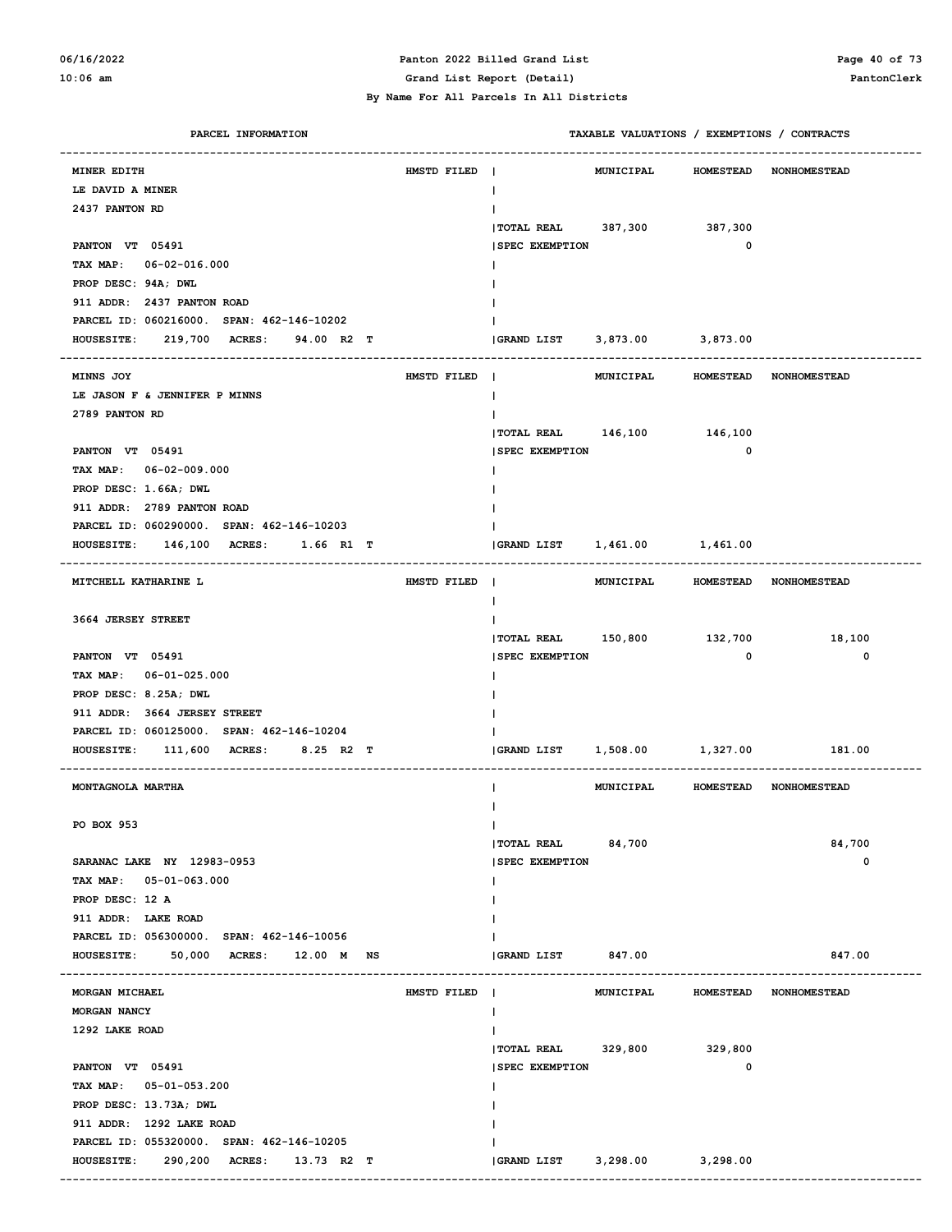#### **06/16/2022 Panton 2022 Billed Grand List Page 40 of 73 10:06 am Grand List Report (Detail) PantonClerk**

| PARCEL INFORMATION                                         |                               | TAXABLE VALUATIONS / EXEMPTIONS / CONTRACTS          |             |
|------------------------------------------------------------|-------------------------------|------------------------------------------------------|-------------|
| MINER EDITH                                                | HMSTD FILED                   | MUNICIPAL<br><b>HOMESTEAD</b><br><b>NONHOMESTEAD</b> |             |
| LE DAVID A MINER                                           |                               | L                                                    |             |
| 2437 PANTON RD                                             |                               |                                                      |             |
|                                                            |                               | <b>TOTAL REAL</b><br>387,300<br>387,300              |             |
| PANTON VT 05491                                            |                               | 0<br><b>SPEC EXEMPTION</b>                           |             |
| 06-02-016.000<br><b>TAX MAP:</b>                           |                               |                                                      |             |
| PROP DESC: 94A; DWL                                        |                               |                                                      |             |
| 911 ADDR: 2437 PANTON ROAD                                 |                               |                                                      |             |
| PARCEL ID: 060216000. SPAN: 462-146-10202                  |                               |                                                      |             |
| 219,700 ACRES:<br><b>HOUSESITE:</b><br>94.00 R2 T          |                               | GRAND LIST 3,873.00 3,873.00                         |             |
|                                                            |                               |                                                      |             |
| <b>MINNS JOY</b>                                           | HMSTD FILED                   | MUNICIPAL<br>HOMESTEAD NONHOMESTEAD<br>$\mathbf{I}$  |             |
| LE JASON F & JENNIFER P MINNS                              |                               | L                                                    |             |
| 2789 PANTON RD                                             |                               |                                                      |             |
|                                                            |                               | TOTAL REAL 146,100 146,100                           |             |
| PANTON VT 05491                                            |                               | 0<br><b>SPEC EXEMPTION</b>                           |             |
| TAX MAP: 06-02-009.000                                     |                               |                                                      |             |
| PROP DESC: 1.66A; DWL                                      |                               |                                                      |             |
| 911 ADDR: 2789 PANTON ROAD                                 |                               |                                                      |             |
| PARCEL ID: 060290000. SPAN: 462-146-10203                  |                               |                                                      |             |
| <b>HOUSESITE:</b><br><b>146,100 ACRES:</b><br>1.66 R1 T    |                               | GRAND LIST 1,461.00 1,461.00                         |             |
| <b>MITCHELL KATHARINE L</b>                                | HMSTD FILED<br>$\blacksquare$ | MUNICIPAL<br>HOMESTEAD NONHOMESTEAD                  |             |
|                                                            |                               | L                                                    |             |
| 3664 JERSEY STREET                                         |                               |                                                      |             |
|                                                            |                               | TOTAL REAL 150,800 132,700                           | 18,100      |
| PANTON VT 05491                                            |                               | 0<br><b>SPEC EXEMPTION</b>                           | $\mathbf 0$ |
| $06 - 01 - 025.000$<br><b>TAX MAP:</b>                     |                               |                                                      |             |
| PROP DESC: 8.25A; DWL                                      |                               |                                                      |             |
| 911 ADDR: 3664 JERSEY STREET                               |                               |                                                      |             |
| PARCEL ID: 060125000. SPAN: 462-146-10204                  |                               |                                                      |             |
| <b>HOUSESITE:</b><br>111,600<br><b>ACRES:</b><br>8.25 R2 T |                               | 1,508.00 1,327.00<br>GRAND LIST                      | 181.00      |
| MONTAGNOLA MARTHA                                          |                               | MUNICIPAL HOMESTEAD NONHOMESTEAD                     |             |
|                                                            |                               |                                                      |             |
| PO BOX 953                                                 |                               | L                                                    |             |
|                                                            |                               | 84,700<br><b>TOTAL REAL</b>                          | 84,700      |
| SARANAC LAKE NY 12983-0953                                 |                               | <b>SPEC EXEMPTION</b>                                | 0           |
| TAX MAP: 05-01-063.000                                     |                               |                                                      |             |
| PROP DESC: 12 A                                            |                               |                                                      |             |
| 911 ADDR: LAKE ROAD                                        |                               |                                                      |             |
| PARCEL ID: 056300000. SPAN: 462-146-10056                  |                               |                                                      |             |
| 50,000<br><b>HOUSESITE:</b><br>ACRES: 12.00 M<br>NS        |                               | GRAND LIST 847.00                                    | 847.00      |
|                                                            |                               |                                                      |             |
| MORGAN MICHAEL                                             | HMSTD FILED<br>$\blacksquare$ | MUNICIPAL<br><b>HOMESTEAD</b><br><b>NONHOMESTEAD</b> |             |
| MORGAN NANCY                                               |                               |                                                      |             |
| 1292 LAKE ROAD                                             |                               |                                                      |             |
|                                                            |                               | TOTAL REAL 329,800<br>329,800                        |             |
| PANTON VT 05491                                            |                               | <b>SPEC EXEMPTION</b><br>0                           |             |
| TAX MAP: 05-01-053.200                                     |                               |                                                      |             |
| PROP DESC: 13.73A; DWL                                     |                               |                                                      |             |
| 911 ADDR: 1292 LAKE ROAD                                   |                               |                                                      |             |
| PARCEL ID: 055320000. SPAN: 462-146-10205                  |                               |                                                      |             |
| 290,200 ACRES: 13.73 R2 T<br><b>HOUSESITE:</b>             |                               | 3,298.00<br>3,298.00<br>GRAND LIST                   |             |
|                                                            |                               |                                                      |             |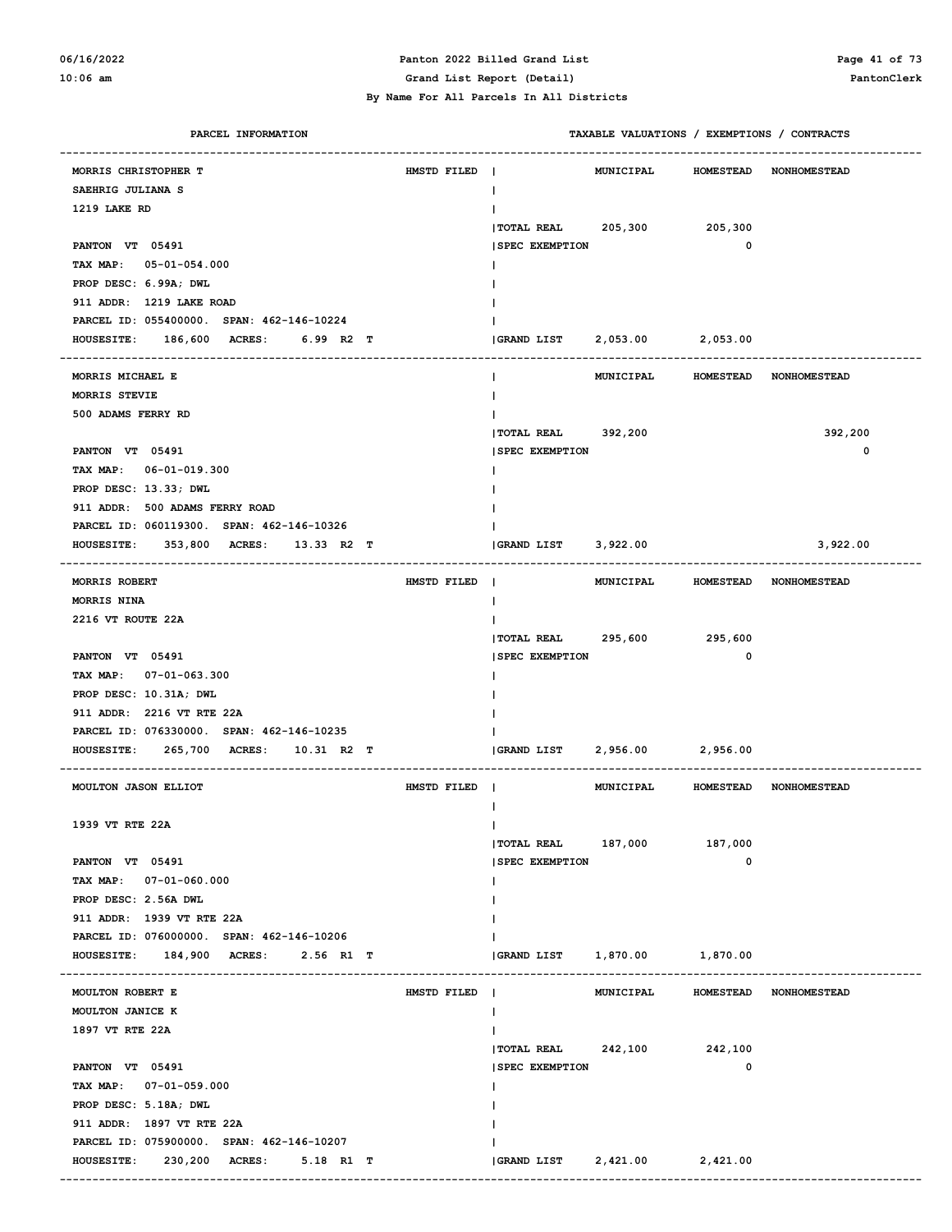#### **06/16/2022 Panton 2022 Billed Grand List Page 41 of 73 10:06 am Grand List Report (Detail) PantonClerk**

| PARCEL INFORMATION                             |             |                               | TAXABLE VALUATIONS / EXEMPTIONS / CONTRACTS |             |                               |
|------------------------------------------------|-------------|-------------------------------|---------------------------------------------|-------------|-------------------------------|
| MORRIS CHRISTOPHER T                           | HMSTD FILED | $\sim$ 1.                     | MUNICIPAL                                   |             | <b>HOMESTEAD NONHOMESTEAD</b> |
| SAEHRIG JULIANA S                              |             | L                             |                                             |             |                               |
| 1219 LAKE RD                                   |             |                               |                                             |             |                               |
|                                                |             | TOTAL REAL 205,300 205,300    |                                             |             |                               |
| PANTON VT 05491                                |             | <b>SPEC EXEMPTION</b>         |                                             | 0           |                               |
| TAX MAP: 05-01-054.000                         |             |                               |                                             |             |                               |
| PROP DESC: 6.99A; DWL                          |             |                               |                                             |             |                               |
| 911 ADDR: 1219 LAKE ROAD                       |             |                               |                                             |             |                               |
| PARCEL ID: 055400000. SPAN: 462-146-10224      |             |                               |                                             |             |                               |
| HOUSESITE: 186,600 ACRES: 6.99 R2 T            |             | (GRAND LIST 2,053.00 2,053.00 |                                             |             |                               |
|                                                |             |                               |                                             |             |                               |
| MORRIS MICHAEL E                               |             |                               | MUNICIPAL HOMESTEAD NONHOMESTEAD            |             |                               |
| MORRIS STEVIE                                  |             |                               |                                             |             |                               |
| 500 ADAMS FERRY RD                             |             |                               |                                             |             |                               |
|                                                |             | TOTAL REAL 392,200            |                                             |             | 392,200                       |
| PANTON VT 05491                                |             | <b>SPEC EXEMPTION</b>         |                                             |             | 0                             |
| TAX MAP: 06-01-019.300                         |             |                               |                                             |             |                               |
| PROP DESC: 13.33; DWL                          |             |                               |                                             |             |                               |
| 911 ADDR: 500 ADAMS FERRY ROAD                 |             |                               |                                             |             |                               |
| PARCEL ID: 060119300. SPAN: 462-146-10326      |             |                               |                                             |             |                               |
| HOUSESITE: 353,800 ACRES: 13.33 R2 T           |             | GRAND LIST 3,922.00           |                                             |             | 3,922.00                      |
|                                                |             |                               |                                             |             |                               |
| <b>MORRIS ROBERT</b>                           | HMSTD FILED |                               | MUNICIPAL HOMESTEAD NONHOMESTEAD            |             |                               |
| MORRIS NINA                                    |             | L                             |                                             |             |                               |
| 2216 VT ROUTE 22A                              |             |                               |                                             |             |                               |
|                                                |             | TOTAL REAL 295,600 295,600    |                                             |             |                               |
| PANTON VT 05491                                |             | <b>SPEC EXEMPTION</b>         |                                             | $\mathbf 0$ |                               |
| TAX MAP: 07-01-063.300                         |             |                               |                                             |             |                               |
| PROP DESC: 10.31A; DWL                         |             |                               |                                             |             |                               |
| 911 ADDR: 2216 VT RTE 22A                      |             |                               |                                             |             |                               |
| PARCEL ID: 076330000. SPAN: 462-146-10235      |             |                               |                                             |             |                               |
| 265,700 ACRES: 10.31 R2 T<br><b>HOUSESITE:</b> |             | $ GRAND$ $LIST$ $2,956.00$    |                                             | 2,956.00    |                               |
|                                                |             |                               |                                             |             |                               |
| MOULTON JASON ELLIOT                           | HMSTD FILED |                               | MUNICIPAL                                   |             | HOMESTEAD NONHOMESTEAD        |
|                                                |             | ı                             |                                             |             |                               |
| 1939 VT RTE 22A                                |             | Ι.                            |                                             |             |                               |
|                                                |             | TOTAL REAL 187,000 187,000    |                                             |             |                               |
| PANTON VT 05491                                |             | <b>SPEC EXEMPTION</b>         |                                             | 0           |                               |
| TAX MAP: 07-01-060.000                         |             |                               |                                             |             |                               |
| PROP DESC: 2.56A DWL                           |             |                               |                                             |             |                               |
| 911 ADDR: 1939 VT RTE 22A                      |             |                               |                                             |             |                               |
| PARCEL ID: 076000000. SPAN: 462-146-10206      |             |                               |                                             |             |                               |
| HOUSESITE: 184,900 ACRES: 2.56 R1 T            |             | GRAND LIST 1,870.00           |                                             | 1,870.00    |                               |
|                                                |             |                               |                                             |             |                               |
| MOULTON ROBERT E                               | HMSTD FILED |                               | MUNICIPAL                                   |             | HOMESTEAD NONHOMESTEAD        |
| MOULTON JANICE K                               |             | L                             |                                             |             |                               |
| 1897 VT RTE 22A                                |             |                               |                                             |             |                               |
|                                                |             | TOTAL REAL 242,100 242,100    |                                             |             |                               |
| PANTON VT 05491                                |             | <b>SPEC EXEMPTION</b>         |                                             | 0           |                               |
| TAX MAP: 07-01-059.000                         |             |                               |                                             |             |                               |
| PROP DESC: 5.18A; DWL                          |             |                               |                                             |             |                               |
| 911 ADDR: 1897 VT RTE 22A                      |             |                               |                                             |             |                               |
| PARCEL ID: 075900000. SPAN: 462-146-10207      |             |                               |                                             |             |                               |
| HOUSESITE: 230,200 ACRES: 5.18 R1 T            |             |                               |                                             |             |                               |
|                                                |             |                               |                                             |             |                               |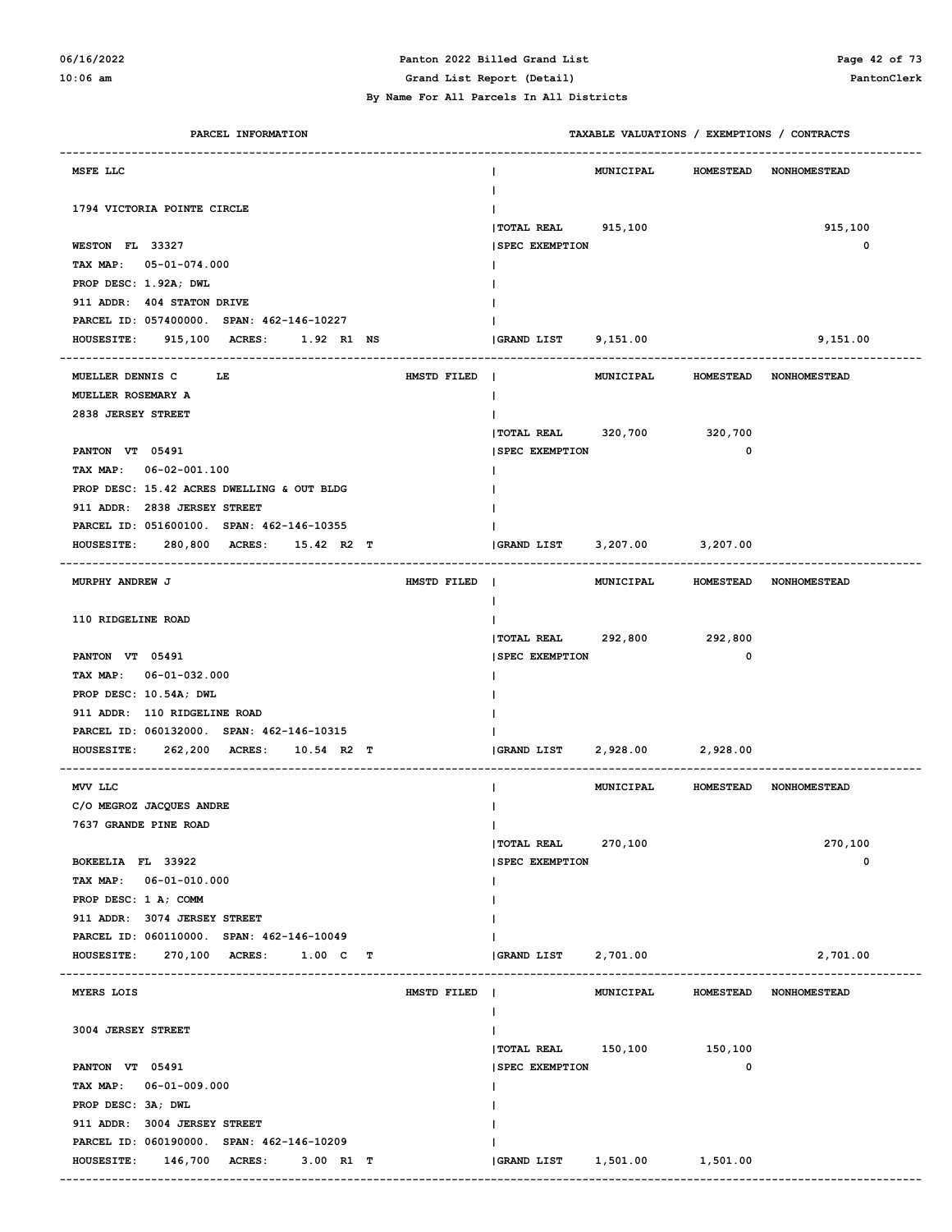### **06/16/2022 Panton 2022 Billed Grand List Page 42 of 73**

**10:06 am Grand List Report (Detail) PantonClerk**

#### **By Name For All Parcels In All Districts**

| PARCEL INFORMATION                                                        | TAXABLE VALUATIONS / EXEMPTIONS / CONTRACTS                                   |   |
|---------------------------------------------------------------------------|-------------------------------------------------------------------------------|---|
| MSFE LLC                                                                  | <b>HOMESTEAD</b><br>MUNICIPAL<br><b>NONHOMESTEAD</b>                          |   |
| 1794 VICTORIA POINTE CIRCLE                                               |                                                                               |   |
| WESTON FL 33327                                                           | 915,100<br>  TOTAL REAL 915,100<br><b>SPEC EXEMPTION</b>                      | 0 |
| TAX MAP: 05-01-074.000                                                    |                                                                               |   |
| PROP DESC: 1.92A; DWL                                                     |                                                                               |   |
| 911 ADDR: 404 STATON DRIVE                                                |                                                                               |   |
| PARCEL ID: 057400000. SPAN: 462-146-10227                                 |                                                                               |   |
| HOUSESITE: 915,100 ACRES: 1.92 R1 NS                                      | GRAND LIST 9,151.00<br>9,151.00                                               |   |
|                                                                           |                                                                               |   |
| MUELLER DENNIS C<br>LE<br>HMSTD FILED                                     | $\blacksquare$<br><b>MUNICIPAL</b><br><b>HOMESTEAD</b><br><b>NONHOMESTEAD</b> |   |
| MUELLER ROSEMARY A                                                        | L                                                                             |   |
| 2838 JERSEY STREET                                                        |                                                                               |   |
|                                                                           | TOTAL REAL 320,700<br>320,700                                                 |   |
| PANTON VT 05491                                                           | <b>SPEC EXEMPTION</b><br>0                                                    |   |
| TAX MAP: 06-02-001.100                                                    |                                                                               |   |
| PROP DESC: 15.42 ACRES DWELLING & OUT BLDG                                |                                                                               |   |
| 911 ADDR: 2838 JERSEY STREET<br>PARCEL ID: 051600100. SPAN: 462-146-10355 |                                                                               |   |
|                                                                           |                                                                               |   |
| HOUSESITE: 280,800 ACRES:<br>15.42 R2 T                                   | <b>GRAND LIST</b><br>3,207.00<br>3,207.00                                     |   |
| MURPHY ANDREW J<br>HMSTD FILED                                            | MUNICIPAL<br>HOMESTEAD NONHOMESTEAD                                           |   |
| 110 RIDGELINE ROAD                                                        |                                                                               |   |
|                                                                           | TOTAL REAL 292,800<br>292,800                                                 |   |
| PANTON VT 05491                                                           | <b>SPEC EXEMPTION</b><br>0                                                    |   |
| TAX MAP: 06-01-032.000                                                    |                                                                               |   |
| PROP DESC: 10.54A; DWL                                                    |                                                                               |   |
| 911 ADDR: 110 RIDGELINE ROAD                                              |                                                                               |   |
| PARCEL ID: 060132000. SPAN: 462-146-10315                                 |                                                                               |   |
| HOUSESITE: 262,200 ACRES: 10.54 R2 T                                      | 2,928.00<br><b>GRAND LIST</b><br>2,928.00                                     |   |
| MVV LLC                                                                   | <b>MUNICIPAL</b><br>HOMESTEAD NONHOMESTEAD<br>ı                               |   |
| C/O MEGROZ JACQUES ANDRE                                                  |                                                                               |   |
| 7637 GRANDE PINE ROAD                                                     | L                                                                             |   |
|                                                                           | TOTAL REAL 270,100<br>270,100                                                 |   |
| BOKEELIA FL 33922                                                         | <b>SPEC EXEMPTION</b>                                                         | 0 |
| TAX MAP: 06-01-010.000                                                    | L                                                                             |   |
| PROP DESC: 1 A; COMM                                                      |                                                                               |   |
| 911 ADDR: 3074 JERSEY STREET                                              |                                                                               |   |
| PARCEL ID: 060110000. SPAN: 462-146-10049                                 |                                                                               |   |
| 270,100 ACRES: 1.00 C T<br><b>HOUSESITE:</b>                              | 2,701.00<br>2,701.00<br><b>GRAND LIST</b>                                     |   |
| MYERS LOIS<br>HMSTD FILED                                                 | MUNICIPAL<br>HOMESTEAD NONHOMESTEAD                                           |   |
|                                                                           | L                                                                             |   |
| 3004 JERSEY STREET                                                        |                                                                               |   |
| PANTON VT 05491                                                           | $ $ TOTAL REAL $150, 100$<br>150,100<br>0                                     |   |
| TAX MAP: 06-01-009.000                                                    | <b>SPEC EXEMPTION</b>                                                         |   |
|                                                                           | L                                                                             |   |
| PROP DESC: 3A; DWL<br>911 ADDR: 3004 JERSEY STREET                        |                                                                               |   |
| PARCEL ID: 060190000. SPAN: 462-146-10209                                 |                                                                               |   |
| 146,700 ACRES:<br><b>HOUSESITE:</b><br>$3.00$ R1 T                        | GRAND LIST<br>1,501.00<br>1,501.00                                            |   |
|                                                                           |                                                                               |   |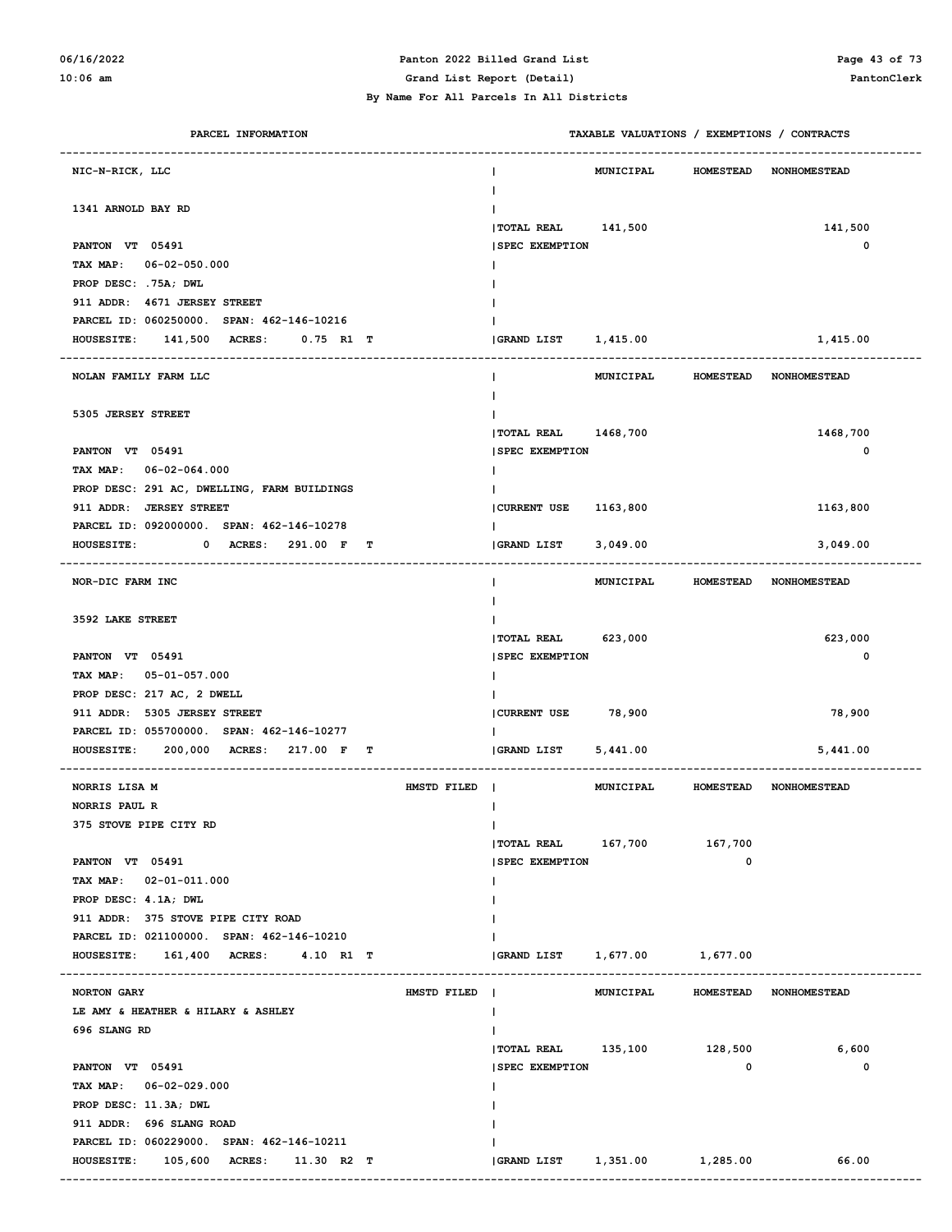# **06/16/2022 Panton 2022 Billed Grand List Page 43 of 73**

| PARCEL INFORMATION                                 |             |                              | TAXABLE VALUATIONS / EXEMPTIONS / CONTRACTS |                  |                        |
|----------------------------------------------------|-------------|------------------------------|---------------------------------------------|------------------|------------------------|
| NIC-N-RICK, LLC                                    |             |                              | MUNICIPAL                                   | <b>HOMESTEAD</b> | <b>NONHOMESTEAD</b>    |
| 1341 ARNOLD BAY RD                                 |             |                              |                                             |                  |                        |
|                                                    |             | TOTAL REAL 141,500           |                                             |                  | 141,500                |
| PANTON VT 05491                                    |             | <b>SPEC EXEMPTION</b>        |                                             |                  | $\mathbf 0$            |
| TAX MAP: 06-02-050.000                             |             |                              |                                             |                  |                        |
| PROP DESC: .75A; DWL                               |             |                              |                                             |                  |                        |
| 911 ADDR: 4671 JERSEY STREET                       |             |                              |                                             |                  |                        |
| PARCEL ID: 060250000. SPAN: 462-146-10216          |             |                              |                                             |                  |                        |
| 141,500 ACRES:<br>$0.75$ R1 T<br><b>HOUSESITE:</b> |             | GRAND LIST 1,415.00          |                                             |                  | 1,415.00               |
| NOLAN FAMILY FARM LLC                              |             |                              | MUNICIPAL HOMESTEAD NONHOMESTEAD            |                  |                        |
| 5305 JERSEY STREET                                 |             |                              |                                             |                  |                        |
|                                                    |             | TOTAL REAL 1468, 700         |                                             |                  | 1468,700               |
| PANTON VT 05491                                    |             | <b>SPEC EXEMPTION</b>        |                                             |                  | $\mathbf 0$            |
| TAX MAP: 06-02-064.000                             |             |                              |                                             |                  |                        |
| PROP DESC: 291 AC, DWELLING, FARM BUILDINGS        |             |                              |                                             |                  |                        |
| 911 ADDR: JERSEY STREET                            |             | CURRENT USE                  | 1163,800                                    |                  | 1163,800               |
| PARCEL ID: 092000000. SPAN: 462-146-10278          |             |                              |                                             |                  |                        |
| 0 ACRES: 291.00 F T<br><b>HOUSESITE:</b>           |             | <b>GRAND LIST</b>            | 3,049.00                                    |                  | 3,049.00               |
| NOR-DIC FARM INC                                   |             |                              | MUNICIPAL HOMESTEAD NONHOMESTEAD            |                  |                        |
| 3592 LAKE STREET                                   |             |                              |                                             |                  |                        |
|                                                    |             | <b>TOTAL REAL</b>            | 623,000                                     |                  | 623,000                |
| PANTON VT 05491                                    |             | <b>SPEC EXEMPTION</b>        |                                             |                  | $\mathbf 0$            |
| TAX MAP: 05-01-057.000                             |             |                              |                                             |                  |                        |
| PROP DESC: 217 AC, 2 DWELL                         |             |                              |                                             |                  |                        |
| 911 ADDR: 5305 JERSEY STREET                       |             | CURRENT USE 78,900           |                                             |                  | 78,900                 |
| PARCEL ID: 055700000. SPAN: 462-146-10277          |             |                              |                                             |                  |                        |
| 200,000 ACRES: 217.00 F T<br><b>HOUSESITE:</b>     |             | <b>GRAND LIST</b>            | 5,441.00                                    |                  | 5,441.00               |
| NORRIS LISA M                                      | HMSTD FILED |                              | MUNICIPAL                                   |                  | HOMESTEAD NONHOMESTEAD |
| NORRIS PAUL R                                      |             |                              |                                             |                  |                        |
| 375 STOVE PIPE CITY RD                             |             |                              |                                             |                  |                        |
|                                                    |             | $ $ TOTAL REAL $167,700$     |                                             | 167,700          |                        |
| PANTON VT 05491                                    |             | <b>SPEC EXEMPTION</b>        |                                             | 0                |                        |
| TAX MAP: 02-01-011.000                             |             |                              |                                             |                  |                        |
| PROP DESC: 4.1A; DWL                               |             |                              |                                             |                  |                        |
| 911 ADDR: 375 STOVE PIPE CITY ROAD                 |             |                              |                                             |                  |                        |
| PARCEL ID: 021100000. SPAN: 462-146-10210          |             |                              |                                             |                  |                        |
| HOUSESTTE: 161,400 ACRES: 4.10 R1 T                |             |                              |                                             |                  |                        |
| NORTON GARY                                        | HMSTD FILED |                              | MUNICIPAL                                   |                  | HOMESTEAD NONHOMESTEAD |
| LE AMY & HEATHER & HILARY & ASHLEY                 |             |                              |                                             |                  |                        |
| 696 SLANG RD                                       |             |                              |                                             |                  |                        |
|                                                    |             | TOTAL REAL 135,100 128,500   |                                             |                  | 6,600                  |
| PANTON VT 05491                                    |             | <b>SPEC EXEMPTION</b>        |                                             | 0                | 0                      |
| TAX MAP: 06-02-029.000                             |             |                              |                                             |                  |                        |
| PROP DESC: 11.3A; DWL                              |             |                              |                                             |                  |                        |
| 911 ADDR: 696 SLANG ROAD                           |             |                              |                                             |                  |                        |
| PARCEL ID: 060229000. SPAN: 462-146-10211          |             |                              |                                             |                  |                        |
| HOUSESITE: 105,600 ACRES: 11.30 R2 T               |             | GRAND LIST 1,351.00 1,285.00 |                                             |                  | 66.00                  |
|                                                    |             |                              |                                             |                  |                        |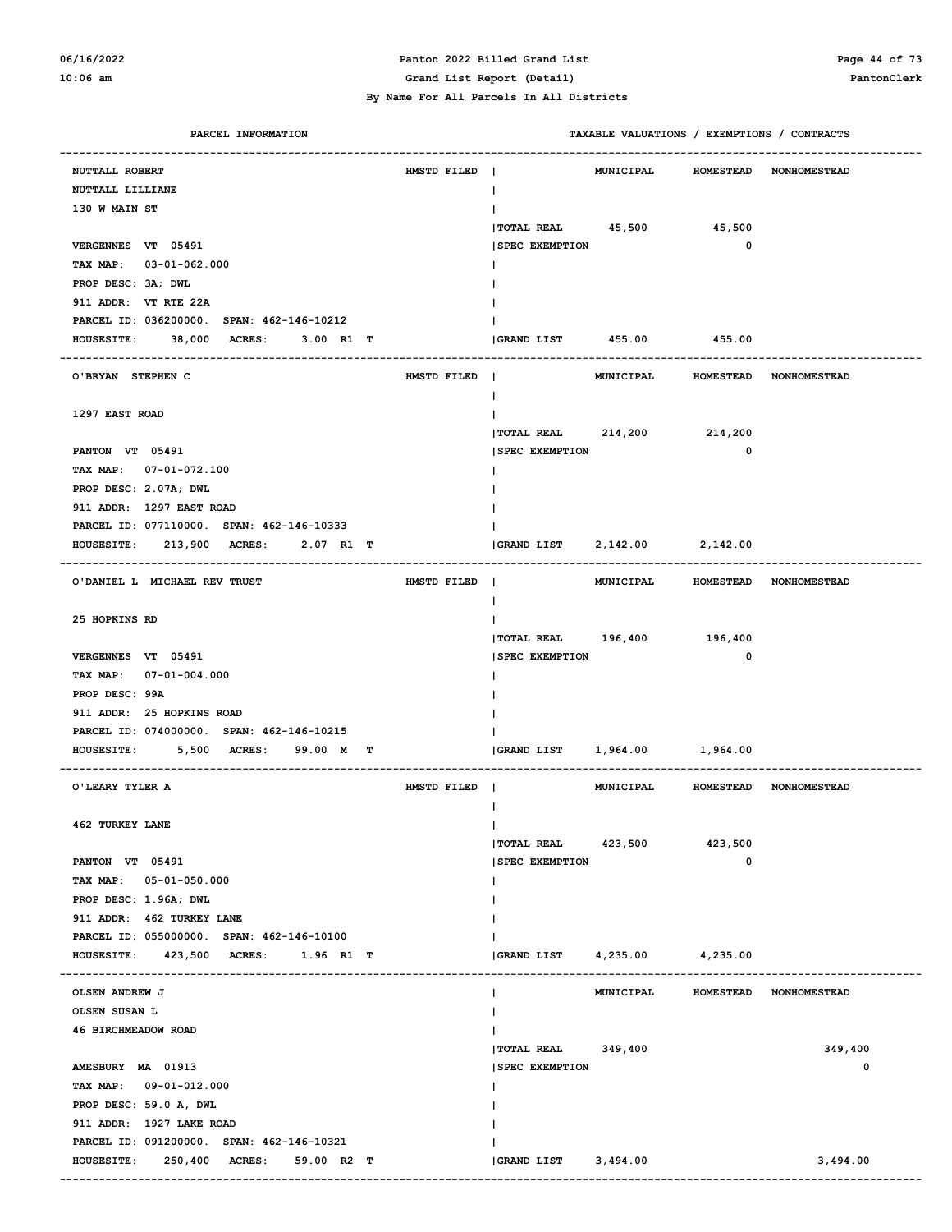#### **06/16/2022 Panton 2022 Billed Grand List Page 44 of 73 10:06 am Grand List Report (Detail) PantonClerk**

| PARCEL INFORMATION                              |             | TAXABLE VALUATIONS / EXEMPTIONS / CONTRACTS |                  |                                  |
|-------------------------------------------------|-------------|---------------------------------------------|------------------|----------------------------------|
| NUTTALL ROBERT                                  | HMSTD FILED | <b>MUNICIPAL</b><br>-1                      |                  | HOMESTEAD NONHOMESTEAD           |
| NUTTALL LILLIANE                                |             | н                                           |                  |                                  |
| 130 W MAIN ST                                   |             |                                             |                  |                                  |
|                                                 |             | TOTAL REAL 45,500 45,500                    |                  |                                  |
| VERGENNES VT 05491                              |             | <b>SPEC EXEMPTION</b>                       | $\mathbf 0$      |                                  |
| TAX MAP: 03-01-062.000                          |             |                                             |                  |                                  |
| PROP DESC: 3A; DWL                              |             |                                             |                  |                                  |
| 911 ADDR: VT RTE 22A                            |             |                                             |                  |                                  |
| PARCEL ID: 036200000. SPAN: 462-146-10212       |             |                                             |                  |                                  |
| 38,000 ACRES:<br>3.00 R1 T<br><b>HOUSESITE:</b> |             | GRAND LIST 455.00 455.00                    |                  |                                  |
|                                                 |             |                                             |                  |                                  |
| O'BRYAN STEPHEN C                               | HMSTD FILED |                                             |                  | MUNICIPAL HOMESTEAD NONHOMESTEAD |
|                                                 |             |                                             |                  |                                  |
| 1297 EAST ROAD                                  |             |                                             |                  |                                  |
|                                                 |             | TOTAL REAL 214,200 214,200                  |                  |                                  |
| PANTON VT 05491                                 |             | <b>SPEC EXEMPTION</b>                       | $\mathbf 0$      |                                  |
| TAX MAP: 07-01-072.100                          |             |                                             |                  |                                  |
| PROP DESC: 2.07A; DWL                           |             |                                             |                  |                                  |
| 911 ADDR: 1297 EAST ROAD                        |             |                                             |                  |                                  |
| PARCEL ID: 077110000. SPAN: 462-146-10333       |             |                                             |                  |                                  |
| HOUSESITE: 213,900 ACRES:<br>2.07 R1 T          |             |                                             |                  |                                  |
|                                                 |             |                                             |                  |                                  |
| O'DANIEL L MICHAEL REV TRUST                    | HMSTD FILED |                                             |                  | MUNICIPAL HOMESTEAD NONHOMESTEAD |
|                                                 |             |                                             |                  |                                  |
| 25 HOPKINS RD                                   |             |                                             |                  |                                  |
|                                                 |             | TOTAL REAL 196,400 196,400                  |                  |                                  |
| VERGENNES VT 05491                              |             | <b>SPEC EXEMPTION</b>                       | $\mathbf 0$      |                                  |
| TAX MAP: 07-01-004.000                          |             |                                             |                  |                                  |
| PROP DESC: 99A                                  |             |                                             |                  |                                  |
| 911 ADDR: 25 HOPKINS ROAD                       |             |                                             |                  |                                  |
| PARCEL ID: 074000000. SPAN: 462-146-10215       |             |                                             |                  |                                  |
| 5,500 ACRES:<br><b>HOUSESITE:</b><br>99.00 M T  |             | GRAND LIST    1,964.00    1,964.00          |                  |                                  |
|                                                 |             |                                             |                  |                                  |
| O'LEARY TYLER A                                 | HMSTD FILED |                                             |                  | MUNICIPAL HOMESTEAD NONHOMESTEAD |
|                                                 |             |                                             |                  |                                  |
| 462 TURKEY LANE                                 |             | L                                           |                  |                                  |
|                                                 |             | <b>TOTAL REAL</b><br>423,500                | 423,500          |                                  |
| PANTON VT 05491                                 |             | <b>SPEC EXEMPTION</b>                       | 0                |                                  |
| TAX MAP: 05-01-050.000                          |             |                                             |                  |                                  |
| PROP DESC: 1.96A; DWL                           |             |                                             |                  |                                  |
| 911 ADDR: 462 TURKEY LANE                       |             |                                             |                  |                                  |
| PARCEL ID: 055000000. SPAN: 462-146-10100       |             |                                             |                  |                                  |
| HOUSESITE: 423,500 ACRES:<br>1.96 R1 T          |             | <b>GRAND LIST</b><br>$4,235.00$ $4,235.00$  |                  |                                  |
|                                                 |             |                                             |                  |                                  |
| OLSEN ANDREW J                                  |             | MUNICIPAL                                   | <b>HOMESTEAD</b> | <b>NONHOMESTEAD</b>              |
| OLSEN SUSAN L                                   |             |                                             |                  |                                  |
| 46 BIRCHMEADOW ROAD                             |             |                                             |                  |                                  |
|                                                 |             | $ TOTAL RELL$ 349,400                       |                  | 349,400                          |
| AMESBURY MA 01913                               |             | <b>SPEC EXEMPTION</b>                       |                  | 0                                |
| TAX MAP: 09-01-012.000                          |             |                                             |                  |                                  |
| PROP DESC: 59.0 A, DWL                          |             |                                             |                  |                                  |
| 911 ADDR: 1927 LAKE ROAD                        |             |                                             |                  |                                  |
| PARCEL ID: 091200000. SPAN: 462-146-10321       |             |                                             |                  |                                  |
| <b>HOUSESITE:</b><br>250,400 ACRES: 59.00 R2 T  |             | GRAND LIST 3,494.00                         |                  | 3,494.00                         |
|                                                 |             |                                             |                  |                                  |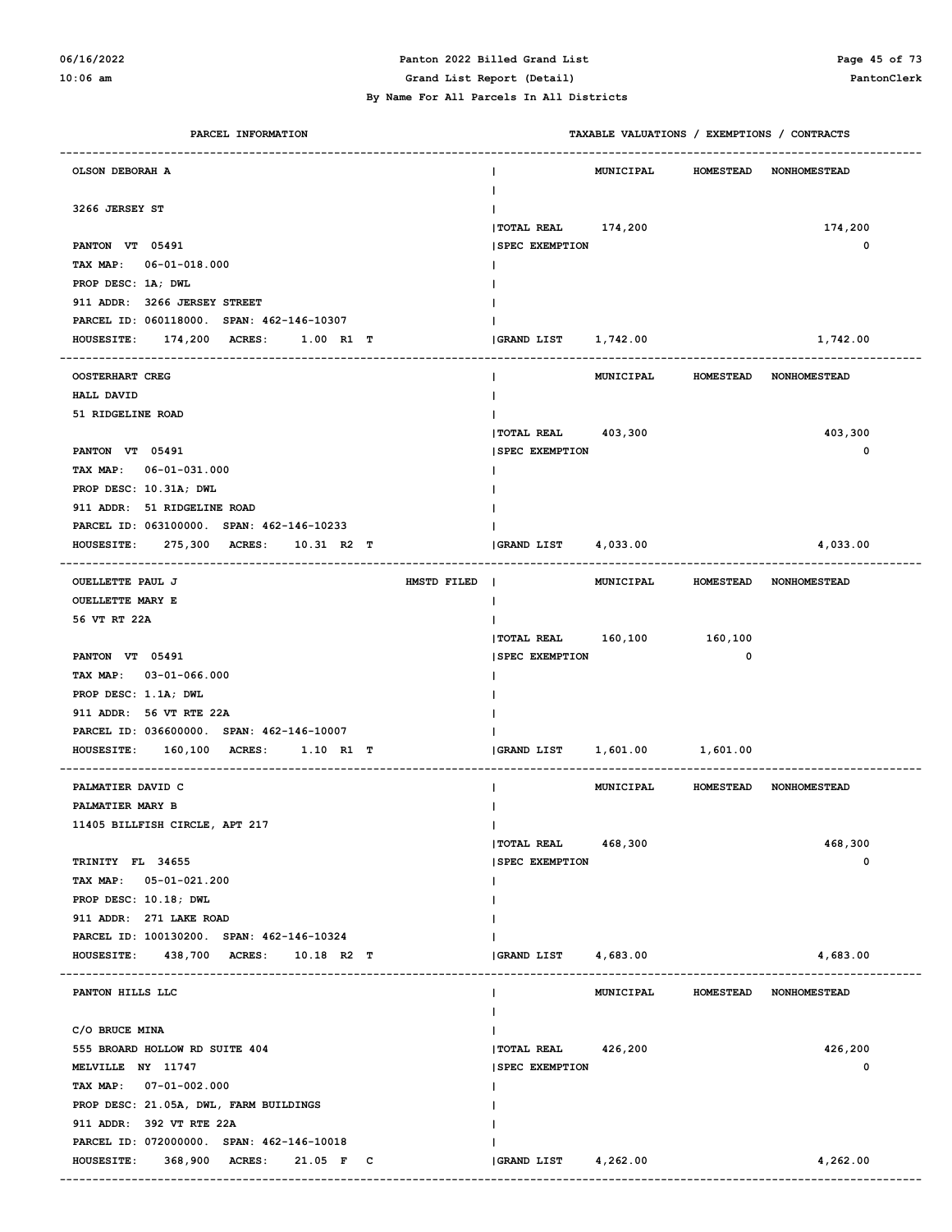### **06/16/2022 Panton 2022 Billed Grand List Page 45 of 73**

| PARCEL INFORMATION                                 |                            | TAXABLE VALUATIONS / EXEMPTIONS / CONTRACTS |                  |                     |
|----------------------------------------------------|----------------------------|---------------------------------------------|------------------|---------------------|
| OLSON DEBORAH A                                    |                            | <b>MUNICIPAL</b>                            | <b>HOMESTEAD</b> | <b>NONHOMESTEAD</b> |
| 3266 JERSEY ST                                     |                            |                                             |                  |                     |
|                                                    | TOTAL REAL 174,200         |                                             |                  | 174,200             |
| PANTON VT 05491                                    | <b>SPEC EXEMPTION</b>      |                                             |                  | 0                   |
| TAX MAP: 06-01-018.000                             |                            |                                             |                  |                     |
| PROP DESC: 1A; DWL<br>911 ADDR: 3266 JERSEY STREET |                            |                                             |                  |                     |
| PARCEL ID: 060118000. SPAN: 462-146-10307          |                            |                                             |                  |                     |
| 174,200 ACRES:<br><b>HOUSESITE:</b><br>1.00 R1 T   | GRAND LIST 1,742.00        |                                             |                  | 1,742.00            |
|                                                    |                            |                                             |                  |                     |
| <b>OOSTERHART CREG</b>                             |                            | MUNICIPAL HOMESTEAD NONHOMESTEAD            |                  |                     |
| <b>HALL DAVID</b>                                  |                            |                                             |                  |                     |
| 51 RIDGELINE ROAD                                  |                            |                                             |                  |                     |
|                                                    | TOTAL REAL 403,300         |                                             |                  | 403,300             |
| PANTON VT 05491                                    | <b>ISPEC EXEMPTION</b>     |                                             |                  | 0                   |
| TAX MAP: 06-01-031.000                             |                            |                                             |                  |                     |
| PROP DESC: 10.31A; DWL                             |                            |                                             |                  |                     |
| 911 ADDR: 51 RIDGELINE ROAD                        |                            |                                             |                  |                     |
| PARCEL ID: 063100000. SPAN: 462-146-10233          |                            |                                             |                  |                     |
| 275,300 ACRES:<br><b>HOUSESITE:</b><br>10.31 R2 T  | <b>GRAND LIST</b>          | 4,033.00                                    |                  | 4,033.00            |
| <b>OUELLETTE PAUL J</b><br>HMSTD FILED             |                            | MUNICIPAL HOMESTEAD NONHOMESTEAD            |                  |                     |
| <b>OUELLETTE MARY E</b>                            |                            |                                             |                  |                     |
| 56 VT RT 22A                                       |                            |                                             |                  |                     |
|                                                    | TOTAL REAL 160,100 160,100 |                                             |                  |                     |
| PANTON VT 05491                                    | <b>SPEC EXEMPTION</b>      |                                             | 0                |                     |
| TAX MAP: 03-01-066.000                             |                            |                                             |                  |                     |
| PROP DESC: 1.1A; DWL                               |                            |                                             |                  |                     |
| 911 ADDR: 56 VT RTE 22A                            |                            |                                             |                  |                     |
| PARCEL ID: 036600000. SPAN: 462-146-10007          |                            |                                             |                  |                     |
| <b>HOUSESITE:</b><br>160,100 ACRES: 1.10 R1 T      | <b>GRAND LIST</b>          | 1,601.00 1,601.00                           |                  |                     |
|                                                    |                            |                                             |                  |                     |
| PALMATIER DAVID C                                  |                            | MUNICIPAL HOMESTEAD NONHOMESTEAD            |                  |                     |
| PALMATIER MARY B                                   |                            |                                             |                  |                     |
| 11405 BILLFISH CIRCLE, APT 217                     | L                          |                                             |                  |                     |
|                                                    | $ TOTAL RELL$ 468,300      |                                             |                  | 468,300             |
| TRINITY FL 34655                                   | <b>SPEC EXEMPTION</b>      |                                             |                  | 0                   |
| TAX MAP: 05-01-021.200                             |                            |                                             |                  |                     |
| PROP DESC: 10.18; DWL<br>911 ADDR: 271 LAKE ROAD   |                            |                                             |                  |                     |
| PARCEL ID: 100130200. SPAN: 462-146-10324          |                            |                                             |                  |                     |
| HOUSESITE: 438,700 ACRES: 10.18 R2 T               | GRAND LIST                 | 4,683.00                                    |                  | 4,683.00            |
|                                                    |                            |                                             |                  |                     |
| PANTON HILLS LLC                                   |                            | MUNICIPAL                                   | <b>HOMESTEAD</b> | NONHOMESTEAD        |
| C/O BRUCE MINA                                     |                            |                                             |                  |                     |
| 555 BROARD HOLLOW RD SUITE 404                     | TOTAL REAL 426,200         |                                             |                  | 426,200             |
| MELVILLE NY 11747                                  | <b>SPEC EXEMPTION</b>      |                                             |                  | 0                   |
| TAX MAP: 07-01-002.000                             |                            |                                             |                  |                     |
| PROP DESC: 21.05A, DWL, FARM BUILDINGS             |                            |                                             |                  |                     |
| 911 ADDR: 392 VT RTE 22A                           |                            |                                             |                  |                     |
| PARCEL ID: 072000000. SPAN: 462-146-10018          |                            |                                             |                  |                     |
| <b>HOUSESITE:</b><br>368,900 ACRES: 21.05 F C      | GRAND LIST 4,262.00        |                                             |                  | 4,262.00            |
|                                                    |                            |                                             |                  |                     |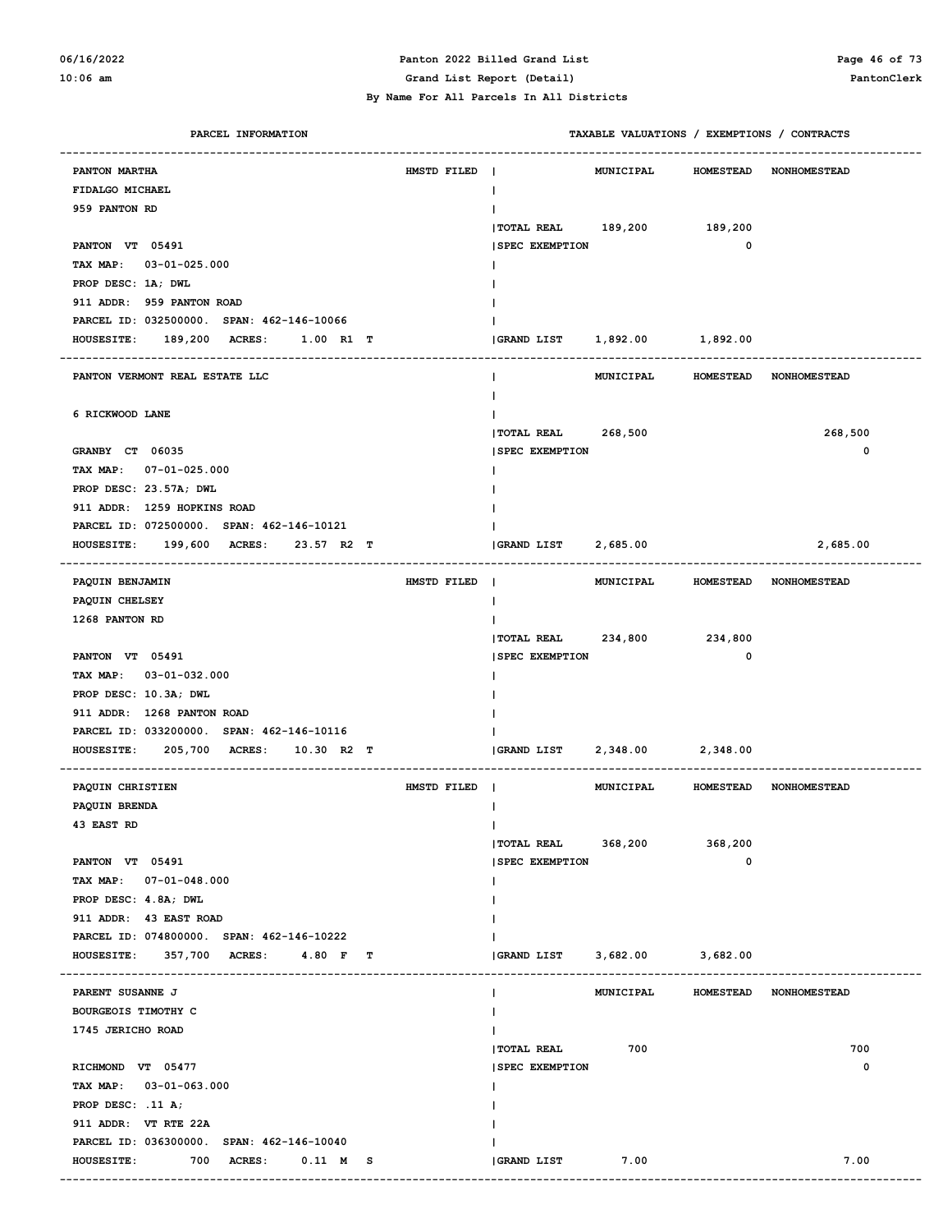#### **06/16/2022 Panton 2022 Billed Grand List Page 46 of 73 10:06 am Grand List Report (Detail) PantonClerk**

| PARCEL INFORMATION                                                               |             |                               |                       |                        | TAXABLE VALUATIONS / EXEMPTIONS / CONTRACTS |
|----------------------------------------------------------------------------------|-------------|-------------------------------|-----------------------|------------------------|---------------------------------------------|
| PANTON MARTHA                                                                    | HMSTD FILED | $\mathbf{I}$                  | <b>MUNICIPAL</b>      |                        | HOMESTEAD NONHOMESTEAD                      |
| FIDALGO MICHAEL                                                                  |             | $\mathbf{I}$                  |                       |                        |                                             |
| 959 PANTON RD                                                                    |             |                               |                       |                        |                                             |
|                                                                                  |             | <b>TOTAL REAL</b>             | 189,200 189,200       |                        |                                             |
| PANTON VT 05491                                                                  |             | <b>SPEC EXEMPTION</b>         |                       | $\mathbf 0$            |                                             |
| TAX MAP: 03-01-025.000                                                           |             |                               |                       |                        |                                             |
| PROP DESC: 1A; DWL                                                               |             |                               |                       |                        |                                             |
| 911 ADDR: 959 PANTON ROAD                                                        |             |                               |                       |                        |                                             |
| PARCEL ID: 032500000. SPAN: 462-146-10066                                        |             |                               |                       |                        |                                             |
| <b>HOUSESITE:</b><br>189,200 ACRES:<br>1.00 R1 T                                 |             | (GRAND LIST 1,892.00 1,892.00 |                       |                        |                                             |
| PANTON VERMONT REAL ESTATE LLC                                                   |             |                               | MUNICIPAL             |                        | HOMESTEAD NONHOMESTEAD                      |
| 6 RICKWOOD LANE                                                                  |             |                               |                       |                        |                                             |
|                                                                                  |             | <b> TOTAL REAL</b>            | 268,500               |                        | 268,500                                     |
| GRANBY CT 06035                                                                  |             | <b>SPEC EXEMPTION</b>         |                       |                        | 0                                           |
| TAX MAP: 07-01-025.000                                                           |             |                               |                       |                        |                                             |
| PROP DESC: 23.57A; DWL                                                           |             |                               |                       |                        |                                             |
| 911 ADDR: 1259 HOPKINS ROAD                                                      |             |                               |                       |                        |                                             |
| PARCEL ID: 072500000. SPAN: 462-146-10121                                        |             |                               |                       |                        |                                             |
| 199,600<br><b>ACRES:</b><br>23.57 R2 T<br><b>HOUSESITE:</b>                      |             | <b>GRAND LIST</b>             | 2,685.00              |                        | 2,685.00                                    |
| ------------------------------------<br>PAQUIN BENJAMIN                          | HMSTD FILED |                               | MUNICIPAL             |                        | HOMESTEAD NONHOMESTEAD                      |
| PAQUIN CHELSEY                                                                   |             | $\mathbf{I}$                  |                       |                        |                                             |
| 1268 PANTON RD                                                                   |             |                               |                       |                        |                                             |
|                                                                                  |             | <b> TOTAL REAL</b>            | 234,800               | 234,800                |                                             |
| PANTON VT 05491                                                                  |             | <b>SPEC EXEMPTION</b>         |                       | $\mathbf 0$            |                                             |
| TAX MAP: 03-01-032.000                                                           |             |                               |                       |                        |                                             |
| PROP DESC: 10.3A; DWL                                                            |             |                               |                       |                        |                                             |
| 911 ADDR: 1268 PANTON ROAD                                                       |             |                               |                       |                        |                                             |
| PARCEL ID: 033200000. SPAN: 462-146-10116                                        |             |                               |                       |                        |                                             |
| 205,700 ACRES: 10.30 R2 T<br><b>HOUSESITE:</b>                                   |             | <b>GRAND LIST</b>             | 2,348.00 2,348.00     |                        |                                             |
|                                                                                  |             |                               |                       |                        |                                             |
| PAQUIN CHRISTIEN                                                                 | HMSTD FILED |                               | MUNICIPAL             |                        | HOMESTEAD NONHOMESTEAD                      |
| PAQUIN BRENDA                                                                    |             |                               |                       |                        |                                             |
| 43 EAST RD                                                                       |             |                               |                       |                        |                                             |
|                                                                                  |             | TOTAL REAL 368,200            |                       | 368,200<br>$\mathbf 0$ |                                             |
| PANTON VT 05491<br>TAX MAP: 07-01-048.000                                        |             | <b>SPEC EXEMPTION</b>         |                       |                        |                                             |
| PROP DESC: 4.8A; DWL                                                             |             |                               |                       |                        |                                             |
| 911 ADDR: 43 EAST ROAD                                                           |             |                               |                       |                        |                                             |
| PARCEL ID: 074800000. SPAN: 462-146-10222                                        |             |                               |                       |                        |                                             |
| HOUSESITE: 357,700 ACRES: 4.80 F T                                               |             | GRAND LIST                    | $3,682.00$ $3,682.00$ |                        |                                             |
|                                                                                  |             |                               |                       |                        |                                             |
| PARENT SUSANNE J                                                                 |             |                               | MUNICIPAL             |                        | HOMESTEAD NONHOMESTEAD                      |
| <b>BOURGEOIS TIMOTHY C</b>                                                       |             |                               |                       |                        |                                             |
| 1745 JERICHO ROAD                                                                |             |                               |                       |                        |                                             |
|                                                                                  |             | <b>TOTAL REAL</b>             | 700                   |                        | 700                                         |
| RICHMOND VT 05477                                                                |             | <b>SPEC EXEMPTION</b>         |                       |                        | 0                                           |
| TAX MAP: 03-01-063.000                                                           |             |                               |                       |                        |                                             |
| PROP DESC: .11 A;                                                                |             |                               |                       |                        |                                             |
| 911 ADDR: VT RTE 22A                                                             |             |                               |                       |                        |                                             |
| PARCEL ID: 036300000. SPAN: 462-146-10040<br>HOUSESITE: 700 ACRES:<br>$0.11$ M S |             | GRAND LIST 7.00               |                       |                        | 7.00                                        |
|                                                                                  |             |                               |                       |                        |                                             |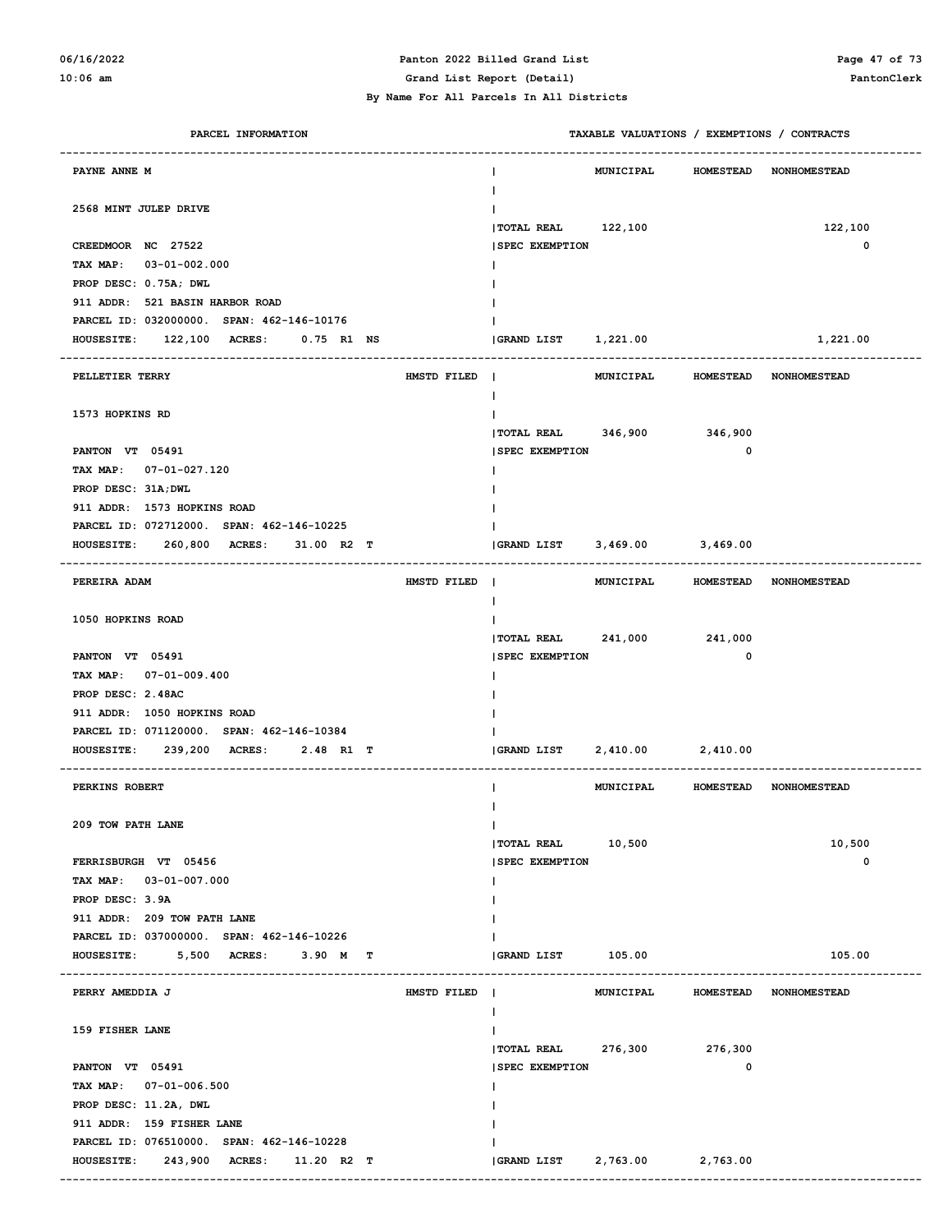# **06/16/2022 Panton 2022 Billed Grand List Page 47 of 73**

#### **By Name For All Parcels In All Districts**

**10:06 am Grand List Report (Detail) PantonClerk**

| PARCEL INFORMATION                                | TAXABLE VALUATIONS / EXEMPTIONS / CONTRACTS |                                         |
|---------------------------------------------------|---------------------------------------------|-----------------------------------------|
| PAYNE ANNE M                                      | <b>MUNICIPAL</b><br>J.                      | HOMESTEAD NONHOMESTEAD                  |
| 2568 MINT JULEP DRIVE                             | TOTAL REAL 122,100                          | 122,100                                 |
| CREEDMOOR NC 27522                                | <b>SPEC EXEMPTION</b>                       | $\mathbf 0$                             |
| TAX MAP: 03-01-002.000                            |                                             |                                         |
| PROP DESC: 0.75A; DWL                             |                                             |                                         |
| 911 ADDR: 521 BASIN HARBOR ROAD                   |                                             |                                         |
| PARCEL ID: 032000000. SPAN: 462-146-10176         |                                             |                                         |
| 122,100 ACRES:<br>0.75 R1 NS<br><b>HOUSESITE:</b> | GRAND LIST 1,221.00                         | 1,221.00                                |
|                                                   |                                             |                                         |
| HMSTD FILED  <br>PELLETIER TERRY                  | $\mathbf{I}$                                | MUNICIPAL HOMESTEAD NONHOMESTEAD        |
| 1573 HOPKINS RD                                   |                                             |                                         |
|                                                   | TOTAL REAL 346,900 346,900                  |                                         |
| PANTON VT 05491                                   | <b>SPEC EXEMPTION</b>                       | 0                                       |
| TAX MAP: 07-01-027.120                            |                                             |                                         |
| PROP DESC: 31A; DWL                               |                                             |                                         |
| 911 ADDR: 1573 HOPKINS ROAD                       |                                             |                                         |
| PARCEL ID: 072712000. SPAN: 462-146-10225         |                                             |                                         |
| HOUSESITE: 260,800 ACRES:<br>31.00 R2 T           | 3,469.00 3,469.00<br>GRAND LIST             |                                         |
| PEREIRA ADAM<br>HMSTD FILED                       |                                             | MUNICIPAL HOMESTEAD NONHOMESTEAD        |
| 1050 HOPKINS ROAD                                 | $\mathbf{I}$                                |                                         |
|                                                   | TOTAL REAL 241,000 241,000                  |                                         |
| PANTON VT 05491                                   | <b>SPEC EXEMPTION</b>                       | 0                                       |
| TAX MAP: 07-01-009.400                            |                                             |                                         |
| PROP DESC: 2.48AC                                 |                                             |                                         |
| 911 ADDR: 1050 HOPKINS ROAD                       |                                             |                                         |
| PARCEL ID: 071120000. SPAN: 462-146-10384         |                                             |                                         |
| 239,200 ACRES:<br><b>HOUSESITE:</b><br>2.48 R1 T  | 2,410.00 2,410.00<br>GRAND LIST             |                                         |
|                                                   |                                             |                                         |
| PERKINS ROBERT                                    |                                             | MUNICIPAL HOMESTEAD NONHOMESTEAD        |
|                                                   |                                             |                                         |
| 209 TOW PATH LANE                                 | $\mathsf{I}$                                |                                         |
|                                                   | <b>TOTAL REAL</b><br>10,500                 | 10,500                                  |
| FERRISBURGH VT 05456                              | <b>SPEC EXEMPTION</b>                       | 0                                       |
| TAX MAP: 03-01-007.000                            |                                             |                                         |
| PROP DESC: 3.9A                                   |                                             |                                         |
| 911 ADDR: 209 TOW PATH LANE                       |                                             |                                         |
| PARCEL ID: 037000000. SPAN: 462-146-10226         |                                             |                                         |
| 5,500 ACRES:<br>3.90 M T<br><b>HOUSESITE:</b>     | GRAND LIST 105.00                           | 105.00                                  |
| PERRY AMEDDIA J<br>HMSTD FILED                    | MUNICIPAL<br>I.                             | <b>HOMESTEAD</b><br><b>NONHOMESTEAD</b> |
| 159 FISHER LANE                                   | Ι.                                          |                                         |
|                                                   | $ $ TOTAL REAL 276,300                      | 276,300                                 |
| PANTON VT 05491                                   | <b>SPEC EXEMPTION</b>                       | 0                                       |
| TAX MAP: 07-01-006.500                            |                                             |                                         |
| PROP DESC: 11.2A, DWL                             |                                             |                                         |
| 911 ADDR: 159 FISHER LANE                         |                                             |                                         |
| PARCEL ID: 076510000. SPAN: 462-146-10228         |                                             |                                         |
| <b>HOUSESITE:</b><br>243,900 ACRES: 11.20 R2 T    | GRAND LIST<br>2,763.00                      | 2,763.00                                |
|                                                   |                                             |                                         |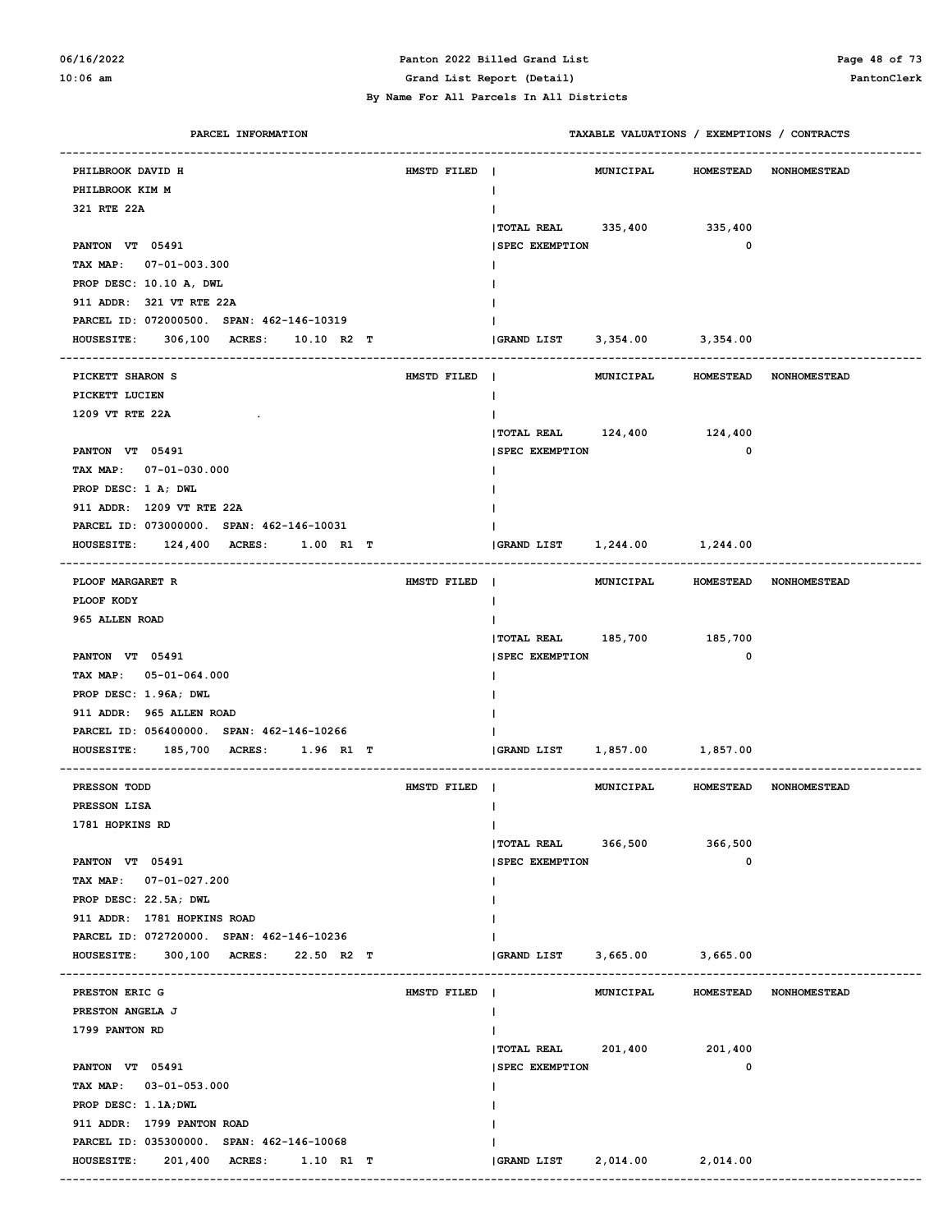### **06/16/2022 Panton 2022 Billed Grand List Page 48 of 73 10:06 am Grand List Report (Detail) PantonClerk**

| PARCEL INFORMATION                                |             | TAXABLE VALUATIONS / EXEMPTIONS / CONTRACTS         |
|---------------------------------------------------|-------------|-----------------------------------------------------|
| PHILBROOK DAVID H                                 | HMSTD FILED | MUNICIPAL<br>HOMESTEAD NONHOMESTEAD<br>$\mathbf{I}$ |
| PHILBROOK KIM M                                   |             | $\mathbf{I}$                                        |
| 321 RTE 22A                                       |             | Ι.                                                  |
|                                                   |             | TOTAL REAL 335,400 335,400                          |
| PANTON VT 05491                                   |             | $\mathbf 0$<br><b>SPEC EXEMPTION</b>                |
| TAX MAP: 07-01-003.300                            |             |                                                     |
| PROP DESC: 10.10 A, DWL                           |             |                                                     |
| 911 ADDR: 321 VT RTE 22A                          |             |                                                     |
| PARCEL ID: 072000500. SPAN: 462-146-10319         |             |                                                     |
| 306,100 ACRES: 10.10 R2 T<br><b>HOUSESITE:</b>    |             | GRAND LIST 3,354.00 3,354.00                        |
|                                                   |             |                                                     |
| PICKETT SHARON S                                  | HMSTD FILED | MUNICIPAL<br>HOMESTEAD NONHOMESTEAD                 |
| PICKETT LUCIEN                                    |             | $\mathbf{I}$                                        |
| 1209 VT RTE 22A                                   |             | $\mathbf{I}$                                        |
|                                                   |             | TOTAL REAL 124,400 124,400                          |
| PANTON VT 05491                                   |             | $\mathbf 0$<br><b>SPEC EXEMPTION</b>                |
| TAX MAP: 07-01-030.000                            |             |                                                     |
| PROP DESC: 1 A; DWL                               |             |                                                     |
| 911 ADDR: 1209 VT RTE 22A                         |             |                                                     |
| PARCEL ID: 073000000. SPAN: 462-146-10031         |             |                                                     |
| 124,400 ACRES: 1.00 R1 T<br><b>HOUSESITE:</b>     |             | 1,244.00 1,244.00<br><b>GRAND LIST</b>              |
| ---------------------<br>PLOOF MARGARET R         | HMSTD FILED | MUNICIPAL<br>HOMESTEAD NONHOMESTEAD                 |
| PLOOF KODY                                        |             | $\mathbf{I}$                                        |
| 965 ALLEN ROAD                                    |             | Ι.                                                  |
|                                                   |             | TOTAL REAL 185,700 185,700                          |
| PANTON VT 05491                                   |             | $\mathbf 0$<br><b>SPEC EXEMPTION</b>                |
| TAX MAP: 05-01-064.000                            |             |                                                     |
| PROP DESC: 1.96A; DWL                             |             |                                                     |
| 911 ADDR: 965 ALLEN ROAD                          |             |                                                     |
| PARCEL ID: 056400000. SPAN: 462-146-10266         |             |                                                     |
| 185,700 ACRES:<br><b>HOUSESITE:</b><br>1.96 R1 T  |             | 1,857.00 1,857.00<br><b>GRAND LIST</b>              |
|                                                   |             |                                                     |
| PRESSON TODD                                      | HMSTD FILED | MUNICIPAL<br>HOMESTEAD NONHOMESTEAD                 |
| PRESSON LISA                                      |             | $\mathbf{I}$                                        |
| 1781 HOPKINS RD                                   |             | $\mathbf{I}$                                        |
|                                                   |             | $ $ TOTAL REAL 366,500<br>366,500                   |
| PANTON VT 05491                                   |             | 0<br><b>SPEC EXEMPTION</b>                          |
| TAX MAP: 07-01-027.200                            |             | I.                                                  |
| PROP DESC: 22.5A; DWL                             |             |                                                     |
| 911 ADDR: 1781 HOPKINS ROAD                       |             |                                                     |
| PARCEL ID: 072720000. SPAN: 462-146-10236         |             |                                                     |
| 300,100 ACRES:<br><b>HOUSESITE:</b><br>22.50 R2 T |             | <b>GRAND LIST</b><br>3,665.00 3,665.00              |
| PRESTON ERIC G                                    | HMSTD FILED | <b>MUNICIPAL</b><br>HOMESTEAD NONHOMESTEAD          |
| PRESTON ANGELA J                                  |             | $\mathbf{I}$                                        |
| 1799 PANTON RD                                    |             | L                                                   |
|                                                   |             | TOTAL REAL 201,400<br>201,400                       |
| PANTON VT 05491                                   |             | 0<br><b>SPEC EXEMPTION</b>                          |
| TAX MAP: 03-01-053.000                            |             | Ι.                                                  |
| PROP DESC: 1.1A; DWL                              |             |                                                     |
| 911 ADDR: 1799 PANTON ROAD                        |             |                                                     |
| PARCEL ID: 035300000. SPAN: 462-146-10068         |             |                                                     |
| 201,400 ACRES: 1.10 R1 T<br><b>HOUSESITE:</b>     |             | GRAND LIST<br>2,014.00 2,014.00                     |
|                                                   |             |                                                     |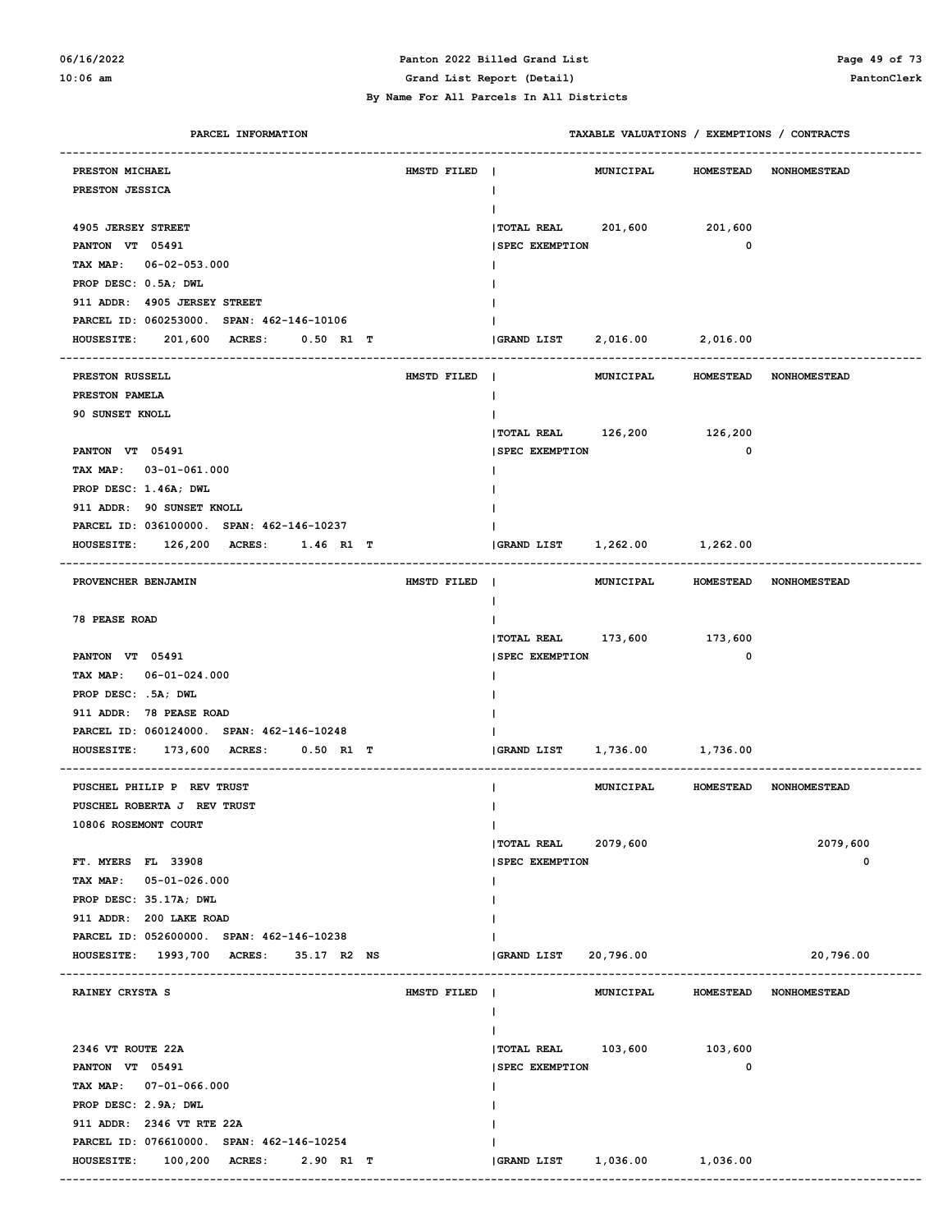#### **06/16/2022 Panton 2022 Billed Grand List Page 49 of 73 10:06 am Grand List Report (Detail) PantonClerk**

| PARCEL INFORMATION                                 |             |                                        | TAXABLE VALUATIONS / EXEMPTIONS / CONTRACTS |
|----------------------------------------------------|-------------|----------------------------------------|---------------------------------------------|
| PRESTON MICHAEL                                    | HMSTD FILED | MUNICIPAL                              | <b>HOMESTEAD</b><br><b>NONHOMESTEAD</b>     |
| PRESTON JESSICA                                    |             | $\mathbf{I}$                           |                                             |
|                                                    |             |                                        |                                             |
| 4905 JERSEY STREET                                 |             | TOTAL REAL 201,600 201,600             |                                             |
| PANTON VT 05491                                    |             | <b>SPEC EXEMPTION</b>                  | $\mathbf 0$                                 |
| TAX MAP: 06-02-053.000                             |             |                                        |                                             |
| PROP DESC: 0.5A; DWL                               |             |                                        |                                             |
| 911 ADDR: 4905 JERSEY STREET                       |             |                                        |                                             |
| PARCEL ID: 060253000. SPAN: 462-146-10106          |             |                                        |                                             |
| <b>HOUSESITE:</b><br>201,600 ACRES:<br>$0.50$ R1 T |             | 2,016.00 2,016.00<br><b>GRAND LIST</b> |                                             |
| PRESTON RUSSELL                                    | HMSTD FILED | MUNICIPAL<br>$\blacksquare$            | <b>HOMESTEAD</b><br><b>NONHOMESTEAD</b>     |
| PRESTON PAMELA                                     |             | $\mathbf{I}$                           |                                             |
| 90 SUNSET KNOLL                                    |             |                                        |                                             |
|                                                    |             | TOTAL REAL 126,200 126,200             |                                             |
| PANTON VT 05491                                    |             | <b>SPEC EXEMPTION</b>                  | $\mathbf 0$                                 |
| TAX MAP: 03-01-061.000                             |             |                                        |                                             |
| PROP DESC: 1.46A; DWL                              |             |                                        |                                             |
| 911 ADDR: 90 SUNSET KNOLL                          |             |                                        |                                             |
| PARCEL ID: 036100000. SPAN: 462-146-10237          |             |                                        |                                             |
| <b>HOUSESITE:</b><br>126,200 ACRES:<br>1.46 R1 T   |             | 1,262.00 1,262.00<br><b>GRAND LIST</b> |                                             |
|                                                    |             |                                        |                                             |
| PROVENCHER BENJAMIN                                | HMSTD FILED | MUNICIPAL<br>$\blacksquare$            | HOMESTEAD NONHOMESTEAD                      |
|                                                    |             | $\mathbf{I}$                           |                                             |
| <b>78 PEASE ROAD</b>                               |             |                                        |                                             |
|                                                    |             | TOTAL REAL 173,600 173,600             |                                             |
| PANTON VT 05491                                    |             | <b>SPEC EXEMPTION</b>                  | $\mathbf 0$                                 |
| TAX MAP: 06-01-024.000                             |             |                                        |                                             |
| PROP DESC: .5A; DWL                                |             |                                        |                                             |
| 911 ADDR: 78 PEASE ROAD                            |             |                                        |                                             |
| PARCEL ID: 060124000. SPAN: 462-146-10248          |             |                                        |                                             |
| 173,600 ACRES:<br><b>HOUSESITE:</b><br>$0.50$ R1 T |             | 1,736.00 1,736.00<br>GRAND LIST        |                                             |
| PUSCHEL PHILIP P REV TRUST                         |             | MUNICIPAL                              | HOMESTEAD NONHOMESTEAD                      |
| PUSCHEL ROBERTA J REV TRUST                        |             |                                        |                                             |
| 10806 ROSEMONT COURT                               |             | $\mathsf{I}$                           |                                             |
|                                                    |             | TOTAL REAL 2079,600                    | 2079,600                                    |
| FT. MYERS FL 33908                                 |             | <b>SPEC EXEMPTION</b>                  | 0                                           |
| TAX MAP:<br>05-01-026.000                          |             |                                        |                                             |
| PROP DESC: 35.17A; DWL                             |             |                                        |                                             |
| 911 ADDR: 200 LAKE ROAD                            |             |                                        |                                             |
| PARCEL ID: 052600000. SPAN: 462-146-10238          |             |                                        |                                             |
| HOUSESITE: 1993,700 ACRES:<br>35.17 R2 NS          |             | <b>GRAND LIST</b><br>20,796.00         | 20,796.00                                   |
|                                                    |             |                                        |                                             |
| RAINEY CRYSTA S                                    | HMSTD FILED | MUNICIPAL                              | <b>HOMESTEAD</b><br><b>NONHOMESTEAD</b>     |
|                                                    |             |                                        |                                             |
|                                                    |             |                                        |                                             |
| 2346 VT ROUTE 22A                                  |             | TOTAL REAL 103,600 103,600             | 0                                           |
| PANTON VT 05491                                    |             | <b>SPEC EXEMPTION</b>                  |                                             |
| TAX MAP: 07-01-066.000<br>PROP DESC: 2.9A; DWL     |             |                                        |                                             |
| 911 ADDR: 2346 VT RTE 22A                          |             |                                        |                                             |
| PARCEL ID: 076610000. SPAN: 462-146-10254          |             |                                        |                                             |
| <b>HOUSESITE:</b><br>100,200 ACRES:<br>2.90 R1 T   |             | <b>GRAND LIST</b><br>1,036.00          | 1,036.00                                    |
|                                                    |             |                                        |                                             |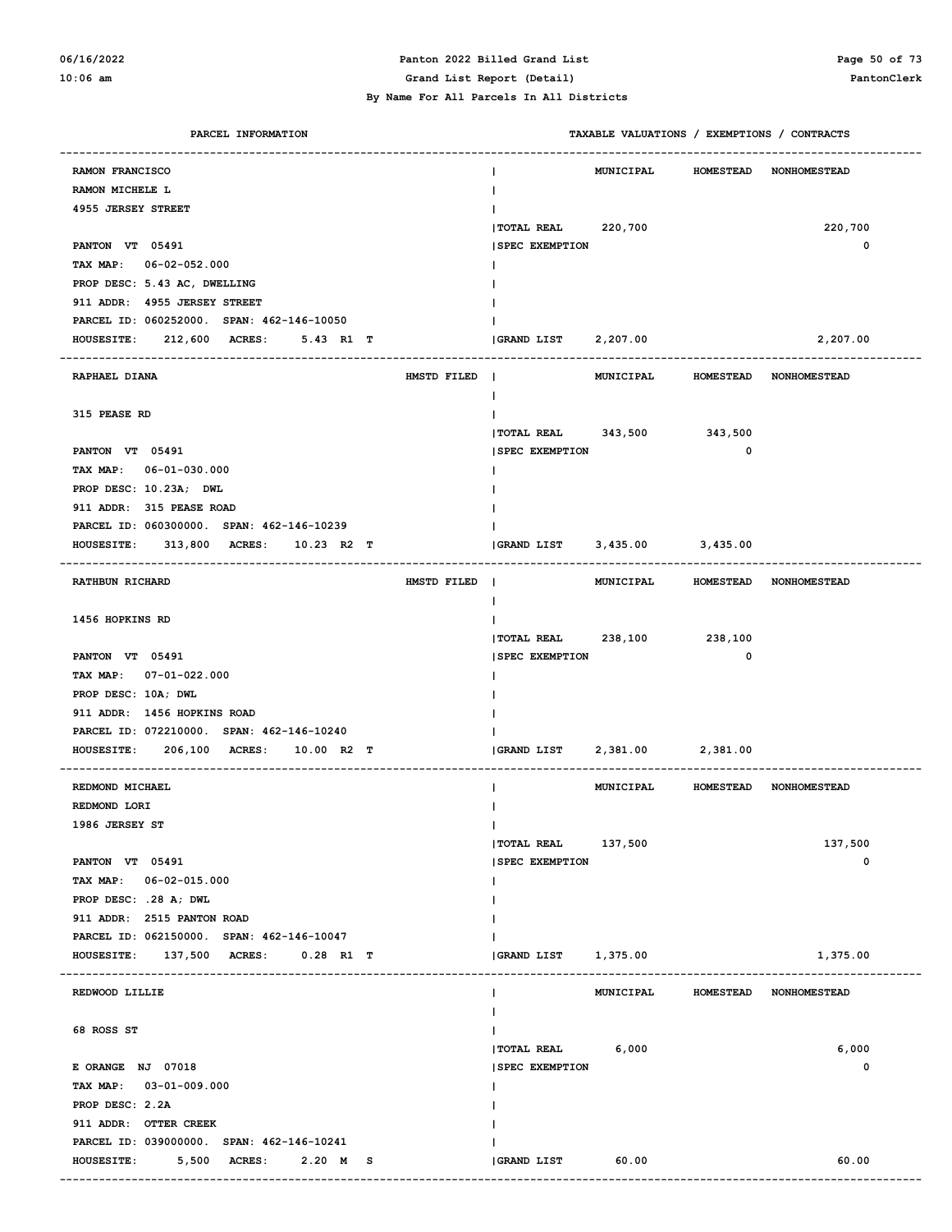### **06/16/2022 Panton 2022 Billed Grand List Page 50 of 73 10:06 am Grand List Report (Detail) PantonClerk**

| PARCEL INFORMATION                             | TAXABLE VALUATIONS / EXEMPTIONS / CONTRACTS |                  |                                  |
|------------------------------------------------|---------------------------------------------|------------------|----------------------------------|
| RAMON FRANCISCO                                | MUNICIPAL                                   |                  | HOMESTEAD NONHOMESTEAD           |
| RAMON MICHELE L                                |                                             |                  |                                  |
| 4955 JERSEY STREET                             |                                             |                  |                                  |
|                                                | <b>TOTAL REAL</b><br>220,700                |                  | 220,700                          |
| PANTON VT 05491                                | <b>SPEC EXEMPTION</b>                       |                  | $\mathbf 0$                      |
| TAX MAP: 06-02-052.000                         |                                             |                  |                                  |
| PROP DESC: 5.43 AC, DWELLING                   |                                             |                  |                                  |
| 911 ADDR: 4955 JERSEY STREET                   |                                             |                  |                                  |
| PARCEL ID: 060252000. SPAN: 462-146-10050      |                                             |                  |                                  |
| HOUSESITE: 212,600 ACRES:<br>5.43 R1 T         | GRAND LIST 2,207.00                         |                  | 2,207.00                         |
|                                                |                                             |                  |                                  |
| HMSTD FILED  <br>RAPHAEL DIANA                 |                                             |                  | MUNICIPAL HOMESTEAD NONHOMESTEAD |
|                                                |                                             |                  |                                  |
| 315 PEASE RD                                   |                                             |                  |                                  |
|                                                | TOTAL REAL 343,500 343,500                  |                  |                                  |
| PANTON VT 05491                                | <b>SPEC EXEMPTION</b>                       | 0                |                                  |
| TAX MAP: 06-01-030.000                         |                                             |                  |                                  |
| PROP DESC: 10.23A; DWL                         |                                             |                  |                                  |
| 911 ADDR: 315 PEASE ROAD                       |                                             |                  |                                  |
| PARCEL ID: 060300000. SPAN: 462-146-10239      |                                             |                  |                                  |
| 313,800 ACRES: 10.23 R2 T<br><b>HOUSESITE:</b> | GRAND LIST 3,435.00 3,435.00                |                  |                                  |
| <b>RATHBUN RICHARD</b><br>HMSTD FILED          |                                             |                  | MUNICIPAL HOMESTEAD NONHOMESTEAD |
|                                                |                                             |                  |                                  |
| 1456 HOPKINS RD                                |                                             |                  |                                  |
|                                                | TOTAL REAL 238,100 238,100                  |                  |                                  |
| PANTON VT 05491                                | <b>SPEC EXEMPTION</b>                       | 0                |                                  |
| TAX MAP: 07-01-022.000                         |                                             |                  |                                  |
| PROP DESC: 10A; DWL                            |                                             |                  |                                  |
| 911 ADDR: 1456 HOPKINS ROAD                    |                                             |                  |                                  |
| PARCEL ID: 072210000. SPAN: 462-146-10240      |                                             |                  |                                  |
| 206,100 ACRES: 10.00 R2 T<br><b>HOUSESITE:</b> |                                             |                  |                                  |
|                                                |                                             |                  |                                  |
| REDMOND MICHAEL                                |                                             |                  | MUNICIPAL HOMESTEAD NONHOMESTEAD |
| REDMOND LORI                                   |                                             |                  |                                  |
| 1986 JERSEY ST                                 |                                             |                  |                                  |
|                                                | TOTAL REAL 137,500                          |                  | 137,500                          |
| PANTON VT 05491                                | <b>SPEC EXEMPTION</b>                       |                  | 0                                |
| TAX MAP: 06-02-015.000                         |                                             |                  |                                  |
| PROP DESC: .28 A; DWL                          |                                             |                  |                                  |
| 911 ADDR: 2515 PANTON ROAD                     |                                             |                  |                                  |
| PARCEL ID: 062150000. SPAN: 462-146-10047      |                                             |                  |                                  |
| HOUSESITE: 137,500 ACRES:<br>$0.28$ R1 T       | GRAND LIST 1,375.00                         |                  | 1,375.00                         |
| REDWOOD LILLIE                                 | MUNICIPAL                                   | <b>HOMESTEAD</b> | NONHOMESTEAD                     |
|                                                |                                             |                  |                                  |
| 68 ROSS ST                                     |                                             |                  |                                  |
|                                                | TOTAL REAL 6,000                            |                  | 6,000                            |
| E ORANGE NJ 07018                              | <b>SPEC EXEMPTION</b>                       |                  | 0                                |
| TAX MAP: 03-01-009.000                         |                                             |                  |                                  |
| PROP DESC: 2.2A                                |                                             |                  |                                  |
| 911 ADDR: OTTER CREEK                          |                                             |                  |                                  |
| PARCEL ID: 039000000. SPAN: 462-146-10241      |                                             |                  |                                  |
| <b>HOUSESITE:</b><br>5,500 ACRES: 2.20 M S     | GRAND LIST<br>60.00                         |                  | 60.00                            |
|                                                |                                             |                  |                                  |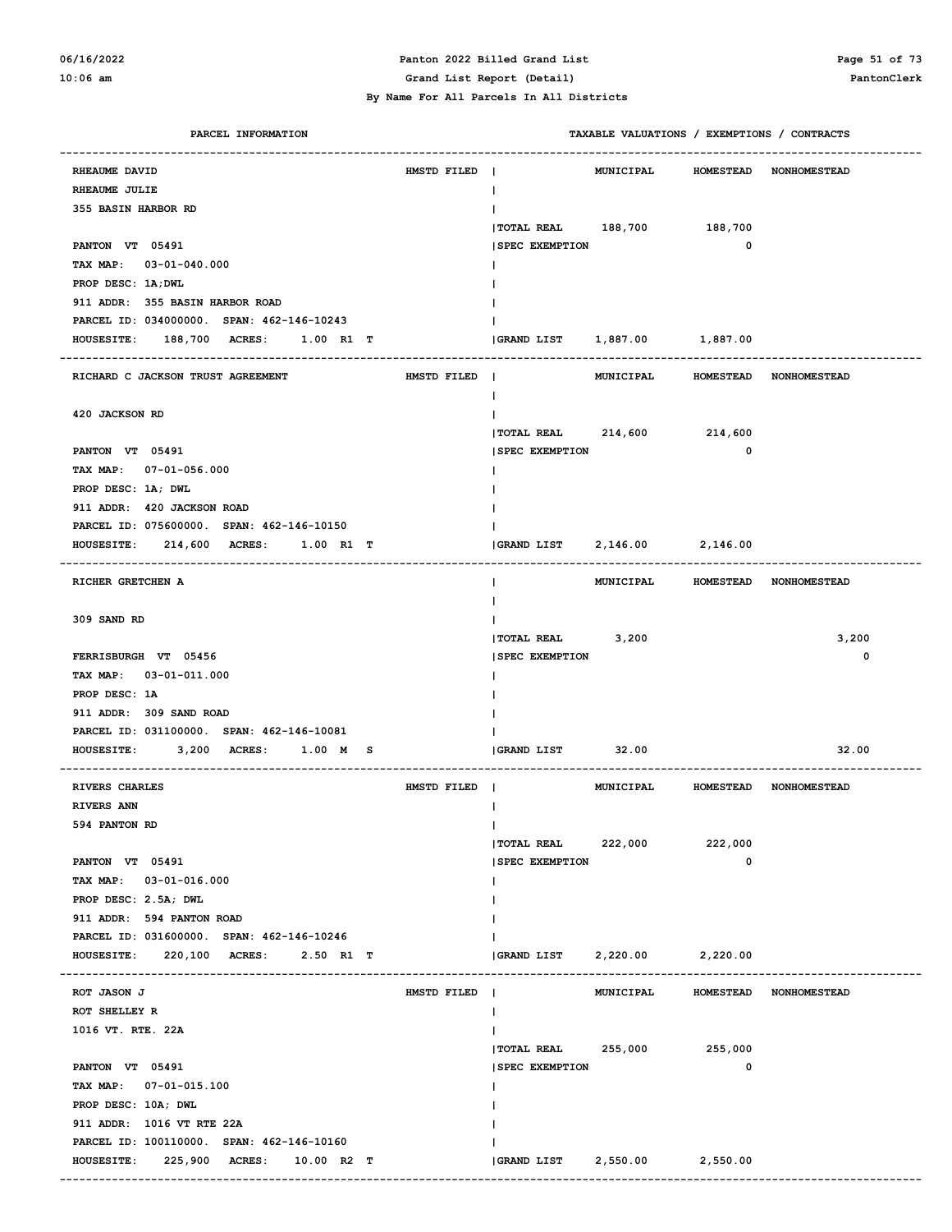#### **06/16/2022 Panton 2022 Billed Grand List Page 51 of 73 10:06 am Grand List Report (Detail) PantonClerk**

| PARCEL INFORMATION                               |             | TAXABLE VALUATIONS / EXEMPTIONS / CONTRACTS           |
|--------------------------------------------------|-------------|-------------------------------------------------------|
| RHEAUME DAVID                                    | HMSTD FILED | MUNICIPAL<br><b>HOMESTEAD</b><br><b>NONHOMESTEAD</b>  |
| RHEAUME JULIE                                    |             | $\mathbf{I}$                                          |
| 355 BASIN HARBOR RD                              |             |                                                       |
|                                                  |             | TOTAL REAL 188,700 188,700                            |
| PANTON VT 05491                                  |             | $\mathbf 0$<br><b>SPEC EXEMPTION</b>                  |
| TAX MAP: 03-01-040.000                           |             |                                                       |
| PROP DESC: 1A; DWL                               |             |                                                       |
| 911 ADDR: 355 BASIN HARBOR ROAD                  |             |                                                       |
| PARCEL ID: 034000000. SPAN: 462-146-10243        |             |                                                       |
| <b>HOUSESITE:</b><br>188,700 ACRES:<br>1.00 R1 T |             | 1,887.00 1,887.00<br><b>GRAND LIST</b>                |
|                                                  |             |                                                       |
| RICHARD C JACKSON TRUST AGREEMENT                | HMSTD FILED | MUNICIPAL<br>HOMESTEAD NONHOMESTEAD<br>$\blacksquare$ |
|                                                  |             | Ι.                                                    |
| 420 JACKSON RD                                   |             |                                                       |
|                                                  |             | TOTAL REAL 214,600 214,600                            |
| PANTON VT 05491                                  |             | $\mathbf 0$<br><b>SPEC EXEMPTION</b>                  |
| TAX MAP: 07-01-056.000                           |             |                                                       |
| PROP DESC: 1A; DWL                               |             |                                                       |
| 911 ADDR: 420 JACKSON ROAD                       |             |                                                       |
| PARCEL ID: 075600000. SPAN: 462-146-10150        |             |                                                       |
| <b>HOUSESITE:</b><br>214,600 ACRES:<br>1.00 R1 T |             | 2,146.00 2,146.00<br>GRAND LIST                       |
|                                                  |             |                                                       |
| RICHER GRETCHEN A                                |             | MUNICIPAL<br>HOMESTEAD NONHOMESTEAD<br>$\mathbf{I}$   |
|                                                  |             |                                                       |
| 309 SAND RD                                      |             |                                                       |
|                                                  |             | TOTAL REAL 3,200<br>3,200                             |
| FERRISBURGH VT 05456                             |             | 0<br><b>SPEC EXEMPTION</b>                            |
| TAX MAP: 03-01-011.000                           |             |                                                       |
| PROP DESC: 1A                                    |             |                                                       |
| 911 ADDR: 309 SAND ROAD                          |             |                                                       |
| PARCEL ID: 031100000. SPAN: 462-146-10081        |             |                                                       |
| 3,200 ACRES:<br>1.00 M S<br><b>HOUSESITE:</b>    |             | GRAND LIST<br>32.00<br>32.00                          |
|                                                  | HMSTD FILED | HOMESTEAD NONHOMESTEAD                                |
| <b>RIVERS CHARLES</b><br><b>RIVERS ANN</b>       |             | MUNICIPAL                                             |
| 594 PANTON RD                                    |             | $\mathbf{I}$                                          |
|                                                  |             | 222,000<br>222,000<br><b>TOTAL REAL</b>               |
| PANTON VT 05491                                  |             | 0<br><b>SPEC EXEMPTION</b>                            |
| TAX MAP: 03-01-016.000                           |             |                                                       |
| PROP DESC: 2.5A; DWL                             |             |                                                       |
| 911 ADDR: 594 PANTON ROAD                        |             |                                                       |
| PARCEL ID: 031600000. SPAN: 462-146-10246        |             |                                                       |
| <b>HOUSESITE:</b><br>220,100 ACRES: 2.50 R1 T    |             | GRAND LIST<br>2,220.00<br>2,220.00                    |
|                                                  |             |                                                       |
| ROT JASON J                                      | HMSTD FILED | MUNICIPAL<br>HOMESTEAD NONHOMESTEAD                   |
| ROT SHELLEY R                                    |             | $\mathbf{I}$                                          |
| 1016 VT. RTE. 22A                                |             |                                                       |
|                                                  |             | $ $ TOTAL REAL 255,000<br>255,000                     |
| PANTON VT 05491                                  |             | 0<br><b>SPEC EXEMPTION</b>                            |
| TAX MAP: 07-01-015.100                           |             |                                                       |
| PROP DESC: 10A; DWL                              |             |                                                       |
| 911 ADDR: 1016 VT RTE 22A                        |             |                                                       |
| PARCEL ID: 100110000. SPAN: 462-146-10160        |             |                                                       |
| HOUSESITE: 225,900 ACRES: 10.00 R2 T             |             | <b>GRAND LIST</b><br>2,550.00<br>2,550.00             |
|                                                  |             |                                                       |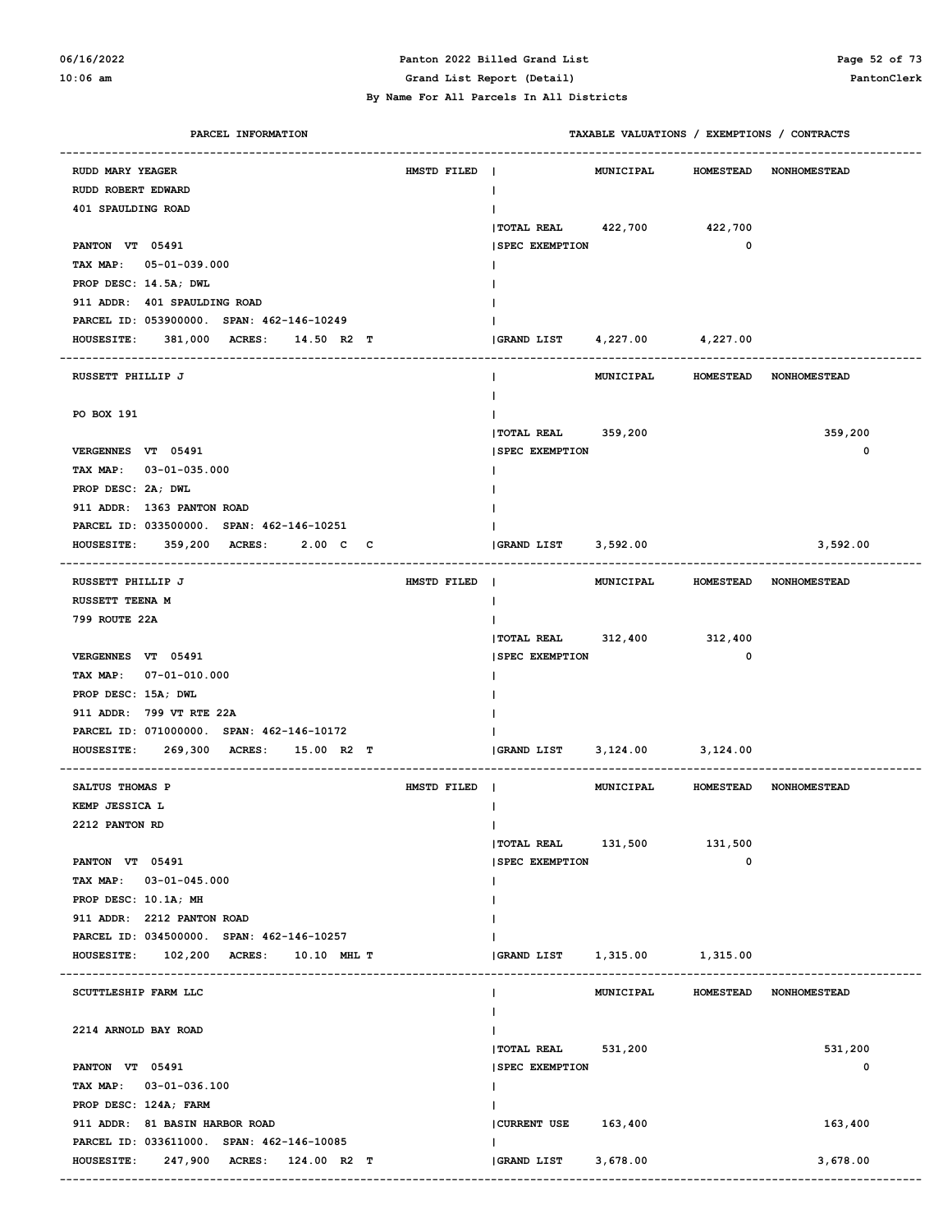#### **06/16/2022 Panton 2022 Billed Grand List Page 52 of 73 10:06 am Grand List Report (Detail) PantonClerk**

| PARCEL INFORMATION                                |             |                                 | TAXABLE VALUATIONS / EXEMPTIONS / CONTRACTS |             |                                  |
|---------------------------------------------------|-------------|---------------------------------|---------------------------------------------|-------------|----------------------------------|
| RUDD MARY YEAGER                                  | HMSTD FILED |                                 | <b>MUNICIPAL</b>                            |             | HOMESTEAD NONHOMESTEAD           |
| RUDD ROBERT EDWARD                                |             |                                 |                                             |             |                                  |
| 401 SPAULDING ROAD                                |             |                                 |                                             |             |                                  |
|                                                   |             | TOTAL REAL 422,700 422,700      |                                             |             |                                  |
| PANTON VT 05491                                   |             | <b>SPEC EXEMPTION</b>           |                                             | 0           |                                  |
| TAX MAP: 05-01-039.000                            |             |                                 |                                             |             |                                  |
| PROP DESC: 14.5A; DWL                             |             |                                 |                                             |             |                                  |
| 911 ADDR: 401 SPAULDING ROAD                      |             |                                 |                                             |             |                                  |
| PARCEL ID: 053900000. SPAN: 462-146-10249         |             |                                 |                                             |             |                                  |
| 381,000 ACRES: 14.50 R2 T<br><b>HOUSESITE:</b>    |             | (GRAND LIST 4, 227.00 4, 227.00 |                                             |             |                                  |
|                                                   |             |                                 |                                             |             |                                  |
| RUSSETT PHILLIP J                                 |             |                                 |                                             |             | MUNICIPAL HOMESTEAD NONHOMESTEAD |
|                                                   |             |                                 |                                             |             |                                  |
| PO BOX 191                                        |             |                                 |                                             |             |                                  |
|                                                   |             | TOTAL REAL 359,200              |                                             |             | 359,200                          |
| VERGENNES VT 05491                                |             | <b>ISPEC EXEMPTION</b>          |                                             |             | $\mathbf 0$                      |
| TAX MAP: 03-01-035.000                            |             |                                 |                                             |             |                                  |
| PROP DESC: 2A; DWL                                |             |                                 |                                             |             |                                  |
| 911 ADDR: 1363 PANTON ROAD                        |             |                                 |                                             |             |                                  |
| PARCEL ID: 033500000. SPAN: 462-146-10251         |             |                                 |                                             |             |                                  |
| 359,200 ACRES:<br>2.00 C C<br><b>HOUSESITE:</b>   |             | GRAND LIST 3,592.00             |                                             |             | 3,592.00                         |
|                                                   |             |                                 |                                             |             |                                  |
| RUSSETT PHILLIP J                                 | HMSTD FILED |                                 |                                             |             | MUNICIPAL HOMESTEAD NONHOMESTEAD |
| RUSSETT TEENA M<br>799 ROUTE 22A                  |             |                                 |                                             |             |                                  |
|                                                   |             | TOTAL REAL 312,400 312,400      |                                             |             |                                  |
| VERGENNES VT 05491                                |             | <b>SPEC EXEMPTION</b>           |                                             | $\mathbf 0$ |                                  |
| TAX MAP: 07-01-010.000                            |             |                                 |                                             |             |                                  |
| PROP DESC: 15A; DWL                               |             |                                 |                                             |             |                                  |
| 911 ADDR: 799 VT RTE 22A                          |             |                                 |                                             |             |                                  |
| PARCEL ID: 071000000. SPAN: 462-146-10172         |             |                                 |                                             |             |                                  |
| 269,300 ACRES:<br><b>HOUSESITE:</b><br>15.00 R2 T |             | GRAND LIST                      | 3, 124.00 3, 124.00                         |             |                                  |
|                                                   |             |                                 |                                             |             |                                  |
| SALTUS THOMAS P                                   | HMSTD FILED |                                 | MUNICIPAL                                   |             | HOMESTEAD NONHOMESTEAD           |
| KEMP JESSICA L                                    |             |                                 |                                             |             |                                  |
| 2212 PANTON RD                                    |             |                                 |                                             |             |                                  |
|                                                   |             | $ $ TOTAL REAL $131,500$        |                                             | 131,500     |                                  |
| PANTON VT 05491                                   |             | <b>SPEC EXEMPTION</b>           |                                             | 0           |                                  |
| TAX MAP: 03-01-045.000                            |             |                                 |                                             |             |                                  |
| PROP DESC: 10.1A; MH                              |             |                                 |                                             |             |                                  |
| 911 ADDR: 2212 PANTON ROAD                        |             |                                 |                                             |             |                                  |
| PARCEL ID: 034500000. SPAN: 462-146-10257         |             |                                 |                                             |             |                                  |
| HOUSESITE: 102,200 ACRES:<br>10.10 MHL T          |             | GRAND LIST                      | 1,315.00 1,315.00                           |             |                                  |
| SCUTTLESHIP FARM LLC                              |             |                                 | MUNICIPAL                                   |             | HOMESTEAD NONHOMESTEAD           |
|                                                   |             |                                 |                                             |             |                                  |
| 2214 ARNOLD BAY ROAD                              |             |                                 |                                             |             |                                  |
|                                                   |             | TOTAL REAL 531,200              |                                             |             | 531,200                          |
| PANTON VT 05491                                   |             | <b>SPEC EXEMPTION</b>           |                                             |             | 0                                |
| TAX MAP: 03-01-036.100                            |             |                                 |                                             |             |                                  |
| PROP DESC: 124A; FARM                             |             |                                 |                                             |             |                                  |
| 911 ADDR: 81 BASIN HARBOR ROAD                    |             | CURRENT USE 163,400             |                                             |             | 163,400                          |
| PARCEL ID: 033611000. SPAN: 462-146-10085         |             |                                 |                                             |             |                                  |
| <b>HOUSESITE:</b><br>247,900 ACRES: 124.00 R2 T   |             | GRAND LIST                      | 3,678.00                                    |             | 3,678.00                         |
|                                                   |             |                                 |                                             |             |                                  |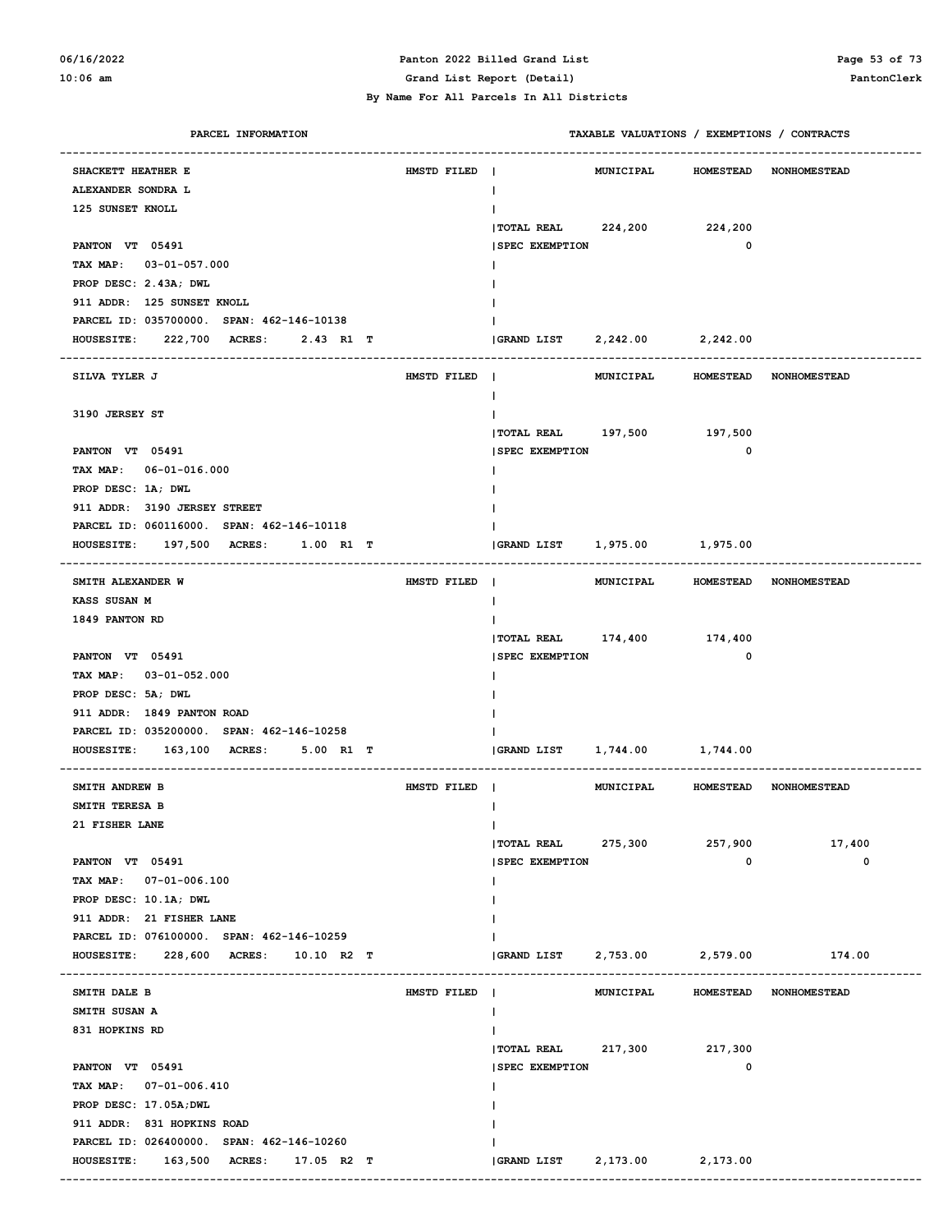#### **06/16/2022 Panton 2022 Billed Grand List Page 53 of 73 10:06 am Grand List Report (Detail) PantonClerk**

| PARCEL INFORMATION                               |             | TAXABLE VALUATIONS / EXEMPTIONS / CONTRACTS |                   |                        |
|--------------------------------------------------|-------------|---------------------------------------------|-------------------|------------------------|
| SHACKETT HEATHER E                               | HMSTD FILED | <b>MUNICIPAL</b>                            | <b>HOMESTEAD</b>  | <b>NONHOMESTEAD</b>    |
| ALEXANDER SONDRA L                               |             | L                                           |                   |                        |
| 125 SUNSET KNOLL                                 |             |                                             |                   |                        |
|                                                  |             | TOTAL REAL 224,200 224,200                  |                   |                        |
| PANTON VT 05491                                  |             | <b>SPEC EXEMPTION</b>                       | $\mathbf 0$       |                        |
| TAX MAP: 03-01-057.000                           |             |                                             |                   |                        |
| PROP DESC: 2.43A; DWL                            |             |                                             |                   |                        |
| 911 ADDR: 125 SUNSET KNOLL                       |             |                                             |                   |                        |
| PARCEL ID: 035700000. SPAN: 462-146-10138        |             |                                             |                   |                        |
| HOUSESITE: 222,700 ACRES:<br>2.43 R1 T           |             | GRAND LIST                                  | 2,242.00 2,242.00 |                        |
|                                                  |             |                                             |                   |                        |
| SILVA TYLER J                                    | HMSTD FILED | MUNICIPAL<br>$\blacksquare$                 |                   | HOMESTEAD NONHOMESTEAD |
|                                                  |             | L                                           |                   |                        |
| 3190 JERSEY ST                                   |             |                                             |                   |                        |
|                                                  |             | TOTAL REAL 197,500 197,500                  |                   |                        |
| PANTON VT 05491                                  |             | <b>SPEC EXEMPTION</b>                       | $\mathbf 0$       |                        |
| TAX MAP: 06-01-016.000                           |             |                                             |                   |                        |
| PROP DESC: 1A; DWL                               |             |                                             |                   |                        |
| 911 ADDR: 3190 JERSEY STREET                     |             |                                             |                   |                        |
| PARCEL ID: 060116000. SPAN: 462-146-10118        |             |                                             |                   |                        |
| 197,500 ACRES:<br><b>HOUSESITE:</b><br>1.00 R1 T |             | 1,975.00 1,975.00<br><b>GRAND LIST</b>      |                   |                        |
| SMITH ALEXANDER W                                | HMSTD FILED | MUNICIPAL                                   |                   | HOMESTEAD NONHOMESTEAD |
| KASS SUSAN M                                     |             | н                                           |                   |                        |
| 1849 PANTON RD                                   |             |                                             |                   |                        |
|                                                  |             | TOTAL REAL 174,400 174,400                  |                   |                        |
| PANTON VT 05491                                  |             | <b>SPEC EXEMPTION</b>                       | $\mathbf 0$       |                        |
| TAX MAP: 03-01-052.000                           |             |                                             |                   |                        |
| PROP DESC: 5A; DWL                               |             |                                             |                   |                        |
| 911 ADDR: 1849 PANTON ROAD                       |             |                                             |                   |                        |
| PARCEL ID: 035200000. SPAN: 462-146-10258        |             |                                             |                   |                        |
| $HOUSESTTE: 163,100$ ACRES:<br>5.00 R1 T         |             | 1,744.00 1,744.00<br><b>GRAND LIST</b>      |                   |                        |
| SMITH ANDREW B                                   | HMSTD FILED | <b>MUNICIPAL</b>                            |                   | HOMESTEAD NONHOMESTEAD |
| SMITH TERESA B                                   |             |                                             |                   |                        |
| 21 FISHER LANE                                   |             | T                                           |                   |                        |
|                                                  |             | <b>TOTAL REAL</b><br>275,300                | 257,900           | 17,400                 |
| PANTON VT 05491                                  |             | <b>SPEC EXEMPTION</b>                       | $\mathbf 0$       | 0                      |
| TAX MAP: 07-01-006.100                           |             |                                             |                   |                        |
| PROP DESC: 10.1A; DWL                            |             |                                             |                   |                        |
| 911 ADDR: 21 FISHER LANE                         |             |                                             |                   |                        |
| PARCEL ID: 076100000. SPAN: 462-146-10259        |             |                                             |                   |                        |
| 228,600 ACRES: 10.10 R2 T<br><b>HOUSESITE:</b>   |             | <b>GRAND LIST</b><br>2,753.00               | 2,579.00          | 174.00                 |
|                                                  |             |                                             |                   |                        |
| SMITH DALE B                                     | HMSTD FILED | MUNICIPAL                                   |                   | HOMESTEAD NONHOMESTEAD |
| SMITH SUSAN A                                    |             | L                                           |                   |                        |
| 831 HOPKINS RD                                   |             |                                             |                   |                        |
|                                                  |             | $ $ TOTAL REAL 217,300                      | 217,300           |                        |
| PANTON VT 05491                                  |             | <b>SPEC EXEMPTION</b>                       | 0                 |                        |
| TAX MAP: 07-01-006.410                           |             |                                             |                   |                        |
| PROP DESC: 17.05A; DWL                           |             |                                             |                   |                        |
| 911 ADDR: 831 HOPKINS ROAD                       |             |                                             |                   |                        |
| PARCEL ID: 026400000. SPAN: 462-146-10260        |             |                                             |                   |                        |
| <b>HOUSESITE:</b><br>163,500 ACRES: 17.05 R2 T   |             | <b>GRAND LIST</b><br>2,173.00               | 2,173.00          |                        |
|                                                  |             |                                             |                   |                        |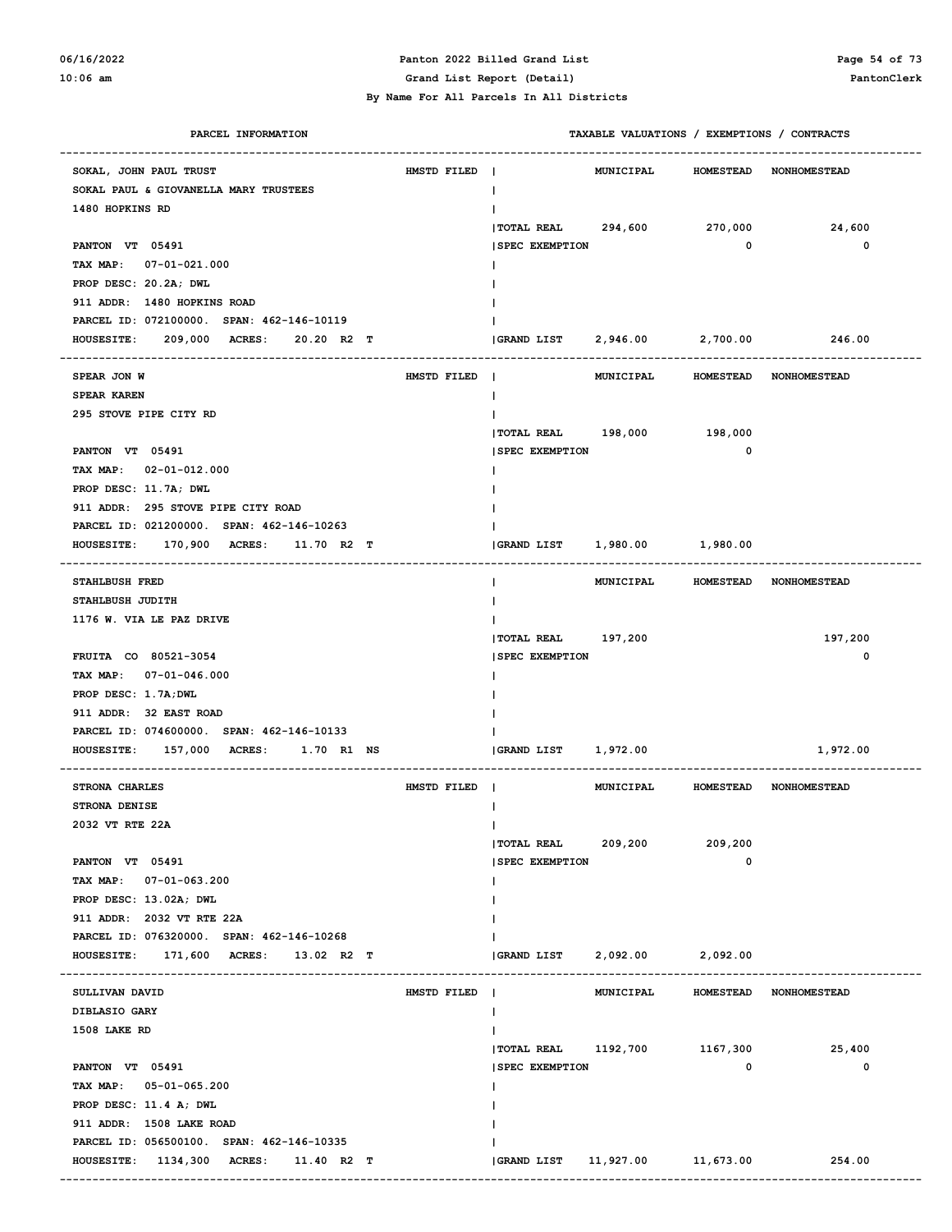# **06/16/2022 Panton 2022 Billed Grand List Page 54 of 73**

| PARCEL INFORMATION                                           |             | TAXABLE VALUATIONS / EXEMPTIONS / CONTRACTS                 |
|--------------------------------------------------------------|-------------|-------------------------------------------------------------|
| SOKAL, JOHN PAUL TRUST                                       | HMSTD FILED | <b>MUNICIPAL</b><br>HOMESTEAD NONHOMESTEAD<br>$\mathbf{I}$  |
| SOKAL PAUL & GIOVANELLA MARY TRUSTEES                        |             | T                                                           |
| 1480 HOPKINS RD                                              |             |                                                             |
|                                                              |             | <b>TOTAL REAL</b><br>294,600<br>270,000<br>24,600           |
| PANTON VT 05491                                              |             | <b>SPEC EXEMPTION</b><br>0<br>0                             |
| TAX MAP: 07-01-021.000                                       |             |                                                             |
| PROP DESC: 20.2A; DWL                                        |             |                                                             |
| 911 ADDR: 1480 HOPKINS ROAD                                  |             |                                                             |
| PARCEL ID: 072100000. SPAN: 462-146-10119                    |             |                                                             |
| 209,000<br><b>ACRES :</b><br><b>HOUSESITE:</b><br>20.20 R2 T |             | 2,946.00 2,700.00<br>GRAND LIST<br>246.00                   |
| SPEAR JON W                                                  | HMSTD FILED | MUNICIPAL<br>HOMESTEAD NONHOMESTEAD                         |
| SPEAR KAREN                                                  |             | $\mathbf{I}$                                                |
| 295 STOVE PIPE CITY RD                                       |             |                                                             |
|                                                              |             | TOTAL REAL 198,000 198,000                                  |
| PANTON VT 05491                                              |             | <b>SPEC EXEMPTION</b><br>$\mathbf 0$                        |
| TAX MAP: 02-01-012.000                                       |             |                                                             |
| PROP DESC: 11.7A; DWL                                        |             |                                                             |
| 911 ADDR: 295 STOVE PIPE CITY ROAD                           |             |                                                             |
| PARCEL ID: 021200000. SPAN: 462-146-10263                    |             |                                                             |
| 170,900<br><b>ACRES:</b><br><b>HOUSESITE:</b><br>11.70 R2 T  |             | GRAND LIST<br>1,980.00 1,980.00                             |
|                                                              |             |                                                             |
| STAHLBUSH FRED                                               |             | HOMESTEAD NONHOMESTEAD<br>MUNICIPAL                         |
| STAHLBUSH JUDITH                                             |             |                                                             |
| 1176 W. VIA LE PAZ DRIVE                                     |             |                                                             |
|                                                              |             | 197,200<br><b> TOTAL REAL</b><br>197,200                    |
| FRUITA CO 80521-3054                                         |             | 0<br><b>SPEC EXEMPTION</b>                                  |
| TAX MAP: 07-01-046.000                                       |             |                                                             |
| PROP DESC: 1.7A; DWL                                         |             |                                                             |
| 911 ADDR: 32 EAST ROAD                                       |             |                                                             |
| PARCEL ID: 074600000. SPAN: 462-146-10133                    |             |                                                             |
| <b>HOUSESITE:</b><br>157,000<br><b>ACRES :</b><br>1.70 R1 NS |             | 1,972.00<br>1,972.00<br><b>GRAND LIST</b>                   |
| STRONA CHARLES                                               | HMSTD FILED | <b>MUNICIPAL</b><br>HOMESTEAD NONHOMESTEAD<br>$\sim$        |
| STRONA DENISE                                                |             |                                                             |
| 2032 VT RTE 22A                                              |             | $\mathbf{I}$                                                |
|                                                              |             | TOTAL REAL 209,200<br>209,200                               |
| PANTON VT 05491                                              |             | $\mathbf 0$<br><b>SPEC EXEMPTION</b>                        |
| TAX MAP: 07-01-063.200                                       |             |                                                             |
| PROP DESC: 13.02A; DWL                                       |             |                                                             |
| 911 ADDR: 2032 VT RTE 22A                                    |             |                                                             |
| PARCEL ID: 076320000. SPAN: 462-146-10268                    |             |                                                             |
| HOUSESITE: 171,600 ACRES: 13.02 R2 T                         |             | GRAND LIST<br>2,092.00 2,092.00                             |
|                                                              |             |                                                             |
| SULLIVAN DAVID                                               | HMSTD FILED | <b>MUNICIPAL</b><br><b>HOMESTEAD</b><br><b>NONHOMESTEAD</b> |
| DIBLASIO GARY                                                |             |                                                             |
| 1508 LAKE RD                                                 |             |                                                             |
|                                                              |             | TOTAL REAL 1192,700 1167,300 25,400                         |
| PANTON VT 05491                                              |             | $\mathbf 0$<br>0<br><b>SPEC EXEMPTION</b>                   |
| TAX MAP: 05-01-065.200                                       |             |                                                             |
| PROP DESC: 11.4 A; DWL                                       |             |                                                             |
| 911 ADDR: 1508 LAKE ROAD                                     |             |                                                             |
| PARCEL ID: 056500100. SPAN: 462-146-10335                    |             |                                                             |
| HOUSESITE: 1134,300 ACRES: 11.40 R2 T                        |             | (GRAND LIST 11,927.00 11,673.00 254.00                      |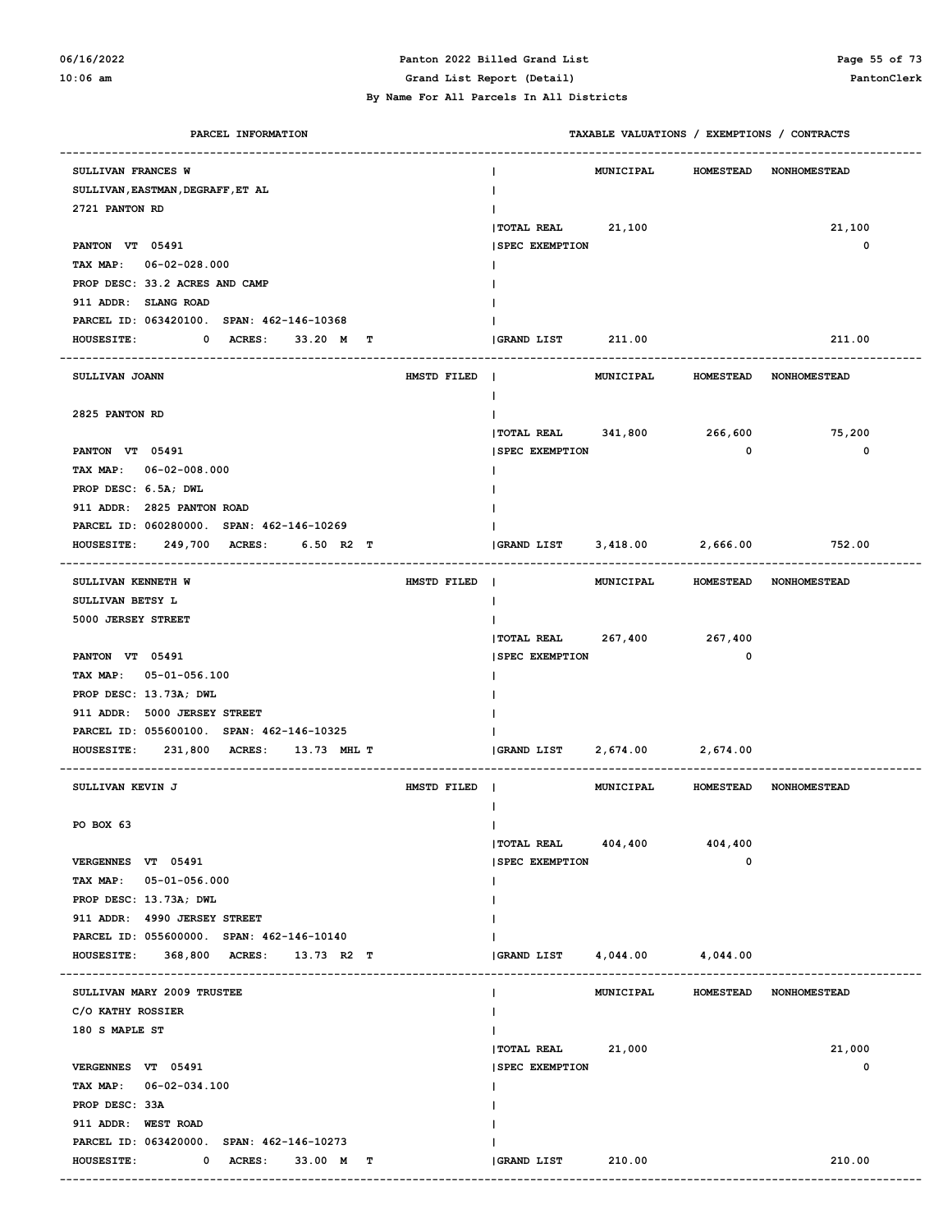#### **06/16/2022 Panton 2022 Billed Grand List Page 55 of 73 10:06 am Grand List Report (Detail) PantonClerk**

| PARCEL INFORMATION                                 | TAXABLE VALUATIONS / EXEMPTIONS / CONTRACTS                  |
|----------------------------------------------------|--------------------------------------------------------------|
| SULLIVAN FRANCES W                                 | <b>MUNICIPAL</b><br><b>HOMESTEAD</b><br><b>NONHOMESTEAD</b>  |
| SULLIVAN, EASTMAN, DEGRAFF, ET AL                  |                                                              |
| 2721 PANTON RD                                     |                                                              |
|                                                    | 21,100<br><b>TOTAL REAL</b><br>21,100                        |
| PANTON VT 05491                                    | 0<br><b>SPEC EXEMPTION</b>                                   |
| TAX MAP: 06-02-028.000                             |                                                              |
| PROP DESC: 33.2 ACRES AND CAMP                     |                                                              |
| 911 ADDR: SLANG ROAD                               |                                                              |
| PARCEL ID: 063420100. SPAN: 462-146-10368          |                                                              |
| 0 ACRES:<br><b>HOUSESITE:</b><br>33.20 M<br>т      | GRAND LIST<br>211.00<br>211.00                               |
|                                                    |                                                              |
| SULLIVAN JOANN<br>HMSTD FILED                      | MUNICIPAL<br><b>HOMESTEAD</b><br><b>NONHOMESTEAD</b><br>-1   |
|                                                    | I.                                                           |
| 2825 PANTON RD                                     |                                                              |
|                                                    | $ $ TOTAL REAL $341,800$<br>266,600<br>75,200                |
| PANTON VT 05491                                    | $\mathbf{o}$<br>0<br><b>SPEC EXEMPTION</b>                   |
| TAX MAP: 06-02-008.000                             |                                                              |
| PROP DESC: 6.5A; DWL                               |                                                              |
| 911 ADDR: 2825 PANTON ROAD                         |                                                              |
| PARCEL ID: 060280000. SPAN: 462-146-10269          |                                                              |
| 249,700 ACRES:<br><b>HOUSESITE:</b><br>6.50 R2 T   | 3,418.00 2,666.00<br>GRAND LIST<br>752.00                    |
| SULLIVAN KENNETH W<br>HMSTD FILED                  | $\blacksquare$<br><b>MUNICIPAL</b><br>HOMESTEAD NONHOMESTEAD |
| SULLIVAN BETSY L                                   |                                                              |
| 5000 JERSEY STREET                                 |                                                              |
|                                                    | 267,400<br><b>TOTAL REAL</b><br>267,400                      |
| PANTON VT 05491                                    | $\mathbf 0$<br><b>SPEC EXEMPTION</b>                         |
| TAX MAP: 05-01-056.100                             |                                                              |
| PROP DESC: 13.73A; DWL                             |                                                              |
| 911 ADDR: 5000 JERSEY STREET                       |                                                              |
| PARCEL ID: 055600100. SPAN: 462-146-10325          |                                                              |
| <b>HOUSESITE:</b><br>231,800 ACRES:<br>13.73 MHL T | <b>GRAND LIST</b><br>2,674.00<br>2,674.00                    |
| SULLIVAN KEVIN J<br>HMSTD FILED                    | MUNICIPAL<br>HOMESTEAD NONHOMESTEAD                          |
|                                                    |                                                              |
| PO BOX 63                                          | T                                                            |
|                                                    | $ $ TOTAL REAL $404,400$<br>404,400                          |
| VERGENNES VT 05491                                 | 0<br><b>ISPEC EXEMPTION</b>                                  |
| TAX MAP: 05-01-056.000                             |                                                              |
| PROP DESC: 13.73A; DWL                             |                                                              |
| 911 ADDR: 4990 JERSEY STREET                       |                                                              |
| PARCEL ID: 055600000. SPAN: 462-146-10140          |                                                              |
| HOUSESITE: 368,800 ACRES: 13.73 R2 T               | <b>GRAND LIST</b><br>4,044.00 4,044.00                       |
| SULLIVAN MARY 2009 TRUSTEE                         | HOMESTEAD NONHOMESTEAD<br>MUNICIPAL<br>Ι.                    |
| C/O KATHY ROSSIER                                  |                                                              |
| 180 S MAPLE ST                                     |                                                              |
|                                                    | TOTAL REAL 21,000<br>21,000                                  |
| VERGENNES VT 05491                                 | 0<br><b>SPEC EXEMPTION</b>                                   |
| TAX MAP: 06-02-034.100                             |                                                              |
| PROP DESC: 33A                                     |                                                              |
| 911 ADDR: WEST ROAD                                |                                                              |
| PARCEL ID: 063420000. SPAN: 462-146-10273          |                                                              |
| 0 ACRES:<br><b>HOUSESITE:</b><br>33.00 M T         | 210.00<br>210.00<br><b>GRAND LIST</b>                        |
|                                                    |                                                              |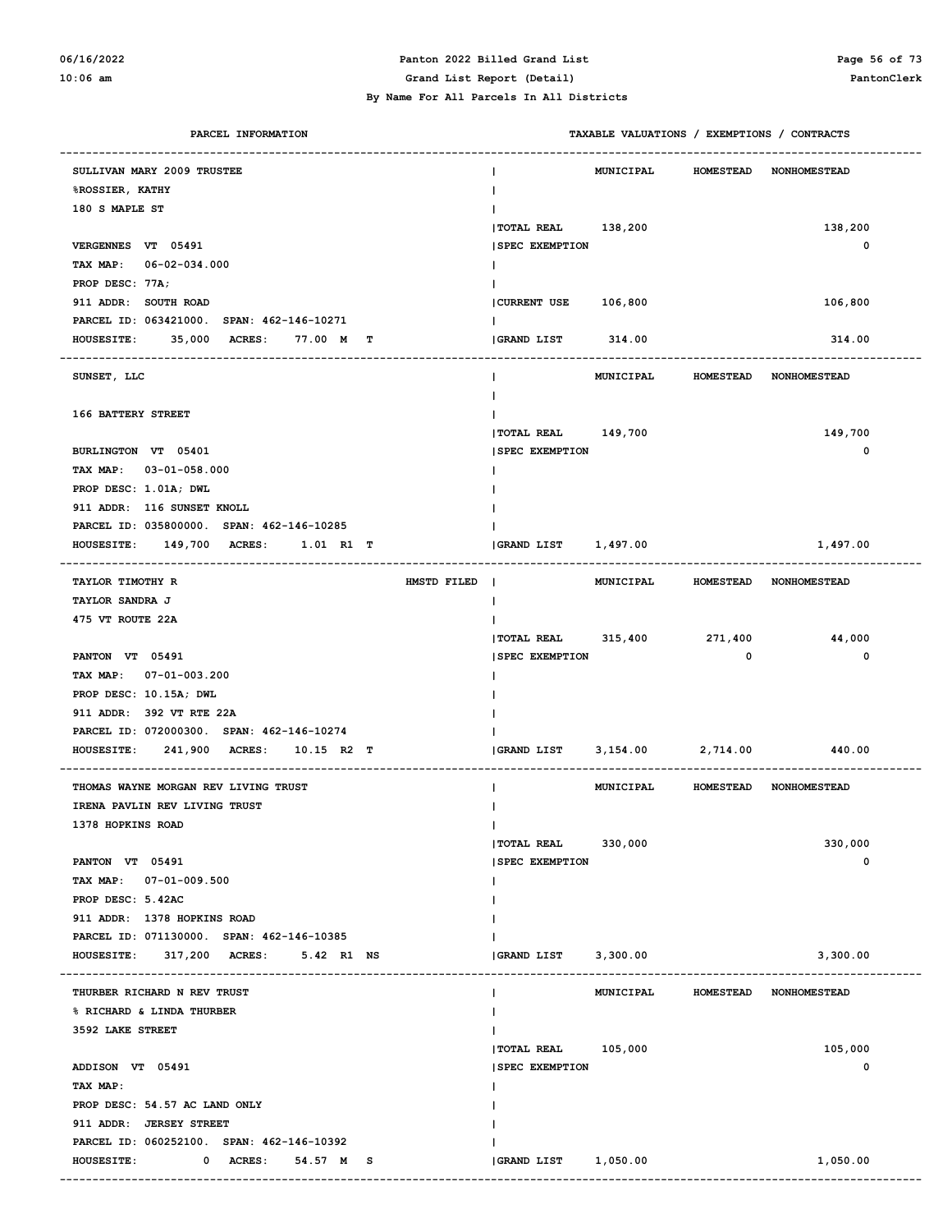#### **06/16/2022 Panton 2022 Billed Grand List Page 56 of 73 10:06 am Grand List Report (Detail) PantonClerk**

#### **By Name For All Parcels In All Districts**

| PARCEL INFORMATION                        |                               | TAXABLE VALUATIONS / EXEMPTIONS / CONTRACTS |                     |
|-------------------------------------------|-------------------------------|---------------------------------------------|---------------------|
| SULLIVAN MARY 2009 TRUSTEE                | <b>MUNICIPAL</b>              | <b>HOMESTEAD</b>                            | <b>NONHOMESTEAD</b> |
| <b>%ROSSIER, KATHY</b>                    |                               |                                             |                     |
| 180 S MAPLE ST                            |                               |                                             |                     |
|                                           | TOTAL REAL 138,200            |                                             | 138,200             |
| VERGENNES VT 05491                        | <b>SPEC EXEMPTION</b>         |                                             | 0                   |
| TAX MAP: 06-02-034.000                    |                               |                                             |                     |
| PROP DESC: 77A;                           |                               |                                             |                     |
| 911 ADDR: SOUTH ROAD                      | CURRENT USE 106,800           |                                             | 106,800             |
| PARCEL ID: 063421000. SPAN: 462-146-10271 |                               |                                             |                     |
| HOUSESITE: 35,000 ACRES: 77.00 M T        | <b>GRAND LIST</b><br>314.00   |                                             | 314.00              |
|                                           |                               |                                             |                     |
| SUNSET, LLC                               | MUNICIPAL                     | <b>HOMESTEAD</b>                            | <b>NONHOMESTEAD</b> |
|                                           |                               |                                             |                     |
| 166 BATTERY STREET                        |                               |                                             |                     |
|                                           | TOTAL REAL 149,700            |                                             | 149,700             |
| BURLINGTON VT 05401                       | <b>SPEC EXEMPTION</b>         |                                             | 0                   |
| TAX MAP: 03-01-058.000                    |                               |                                             |                     |
| PROP DESC: 1.01A; DWL                     |                               |                                             |                     |
| 911 ADDR: 116 SUNSET KNOLL                |                               |                                             |                     |
| PARCEL ID: 035800000. SPAN: 462-146-10285 |                               |                                             |                     |
| HOUSESITE: 149,700 ACRES:<br>1.01 R1 T    | <b>GRAND LIST</b><br>1,497.00 |                                             | 1,497.00            |
|                                           |                               |                                             |                     |
| TAYLOR TIMOTHY R<br>HMSTD FILED           | $\blacksquare$                | MUNICIPAL HOMESTEAD NONHOMESTEAD            |                     |
| TAYLOR SANDRA J                           |                               |                                             |                     |
| 475 VT ROUTE 22A                          |                               |                                             |                     |
|                                           | $ $ TOTAL REAL $315,400$      | 271,400                                     | 44,000              |
| PANTON VT 05491                           | <b>SPEC EXEMPTION</b>         | 0                                           | 0                   |
| TAX MAP: 07-01-003.200                    |                               |                                             |                     |
| PROP DESC: 10.15A; DWL                    |                               |                                             |                     |
| 911 ADDR: 392 VT RTE 22A                  |                               |                                             |                     |
| PARCEL ID: 072000300. SPAN: 462-146-10274 |                               |                                             |                     |
| HOUSESITE: 241,900 ACRES:<br>10.15 R2 T   | 3,154.00<br>GRAND LIST        | 2,714.00                                    | 440.00              |
|                                           |                               |                                             |                     |
| THOMAS WAYNE MORGAN REV LIVING TRUST      | <b>MUNICIPAL</b>              | HOMESTEAD NONHOMESTEAD                      |                     |
| IRENA PAVLIN REV LIVING TRUST             |                               |                                             |                     |
| 1378 HOPKINS ROAD                         | L                             |                                             |                     |
|                                           | 330,000<br><b> TOTAL REAL</b> |                                             | 330,000             |
| PANTON VT 05491                           | <b>SPEC EXEMPTION</b>         |                                             | 0                   |
| TAX MAP: 07-01-009.500                    | L                             |                                             |                     |
| PROP DESC: 5.42AC                         |                               |                                             |                     |
| 911 ADDR: 1378 HOPKINS ROAD               |                               |                                             |                     |
| PARCEL ID: 071130000. SPAN: 462-146-10385 |                               |                                             |                     |
| HOUSESITE: 317,200 ACRES: 5.42 R1 NS      | GRAND LIST 3,300.00           |                                             | 3,300.00            |
|                                           |                               |                                             |                     |
| THURBER RICHARD N REV TRUST               | MUNICIPAL<br>L                | HOMESTEAD NONHOMESTEAD                      |                     |
| % RICHARD & LINDA THURBER                 |                               |                                             |                     |
| 3592 LAKE STREET                          |                               |                                             |                     |
|                                           | TOTAL REAL 105,000            |                                             | 105,000             |
| ADDISON VT 05491                          | <b>SPEC EXEMPTION</b>         |                                             | 0                   |
| TAX MAP:                                  |                               |                                             |                     |
| PROP DESC: 54.57 AC LAND ONLY             |                               |                                             |                     |
| 911 ADDR: JERSEY STREET                   |                               |                                             |                     |
| PARCEL ID: 060252100. SPAN: 462-146-10392 |                               |                                             |                     |
|                                           |                               |                                             |                     |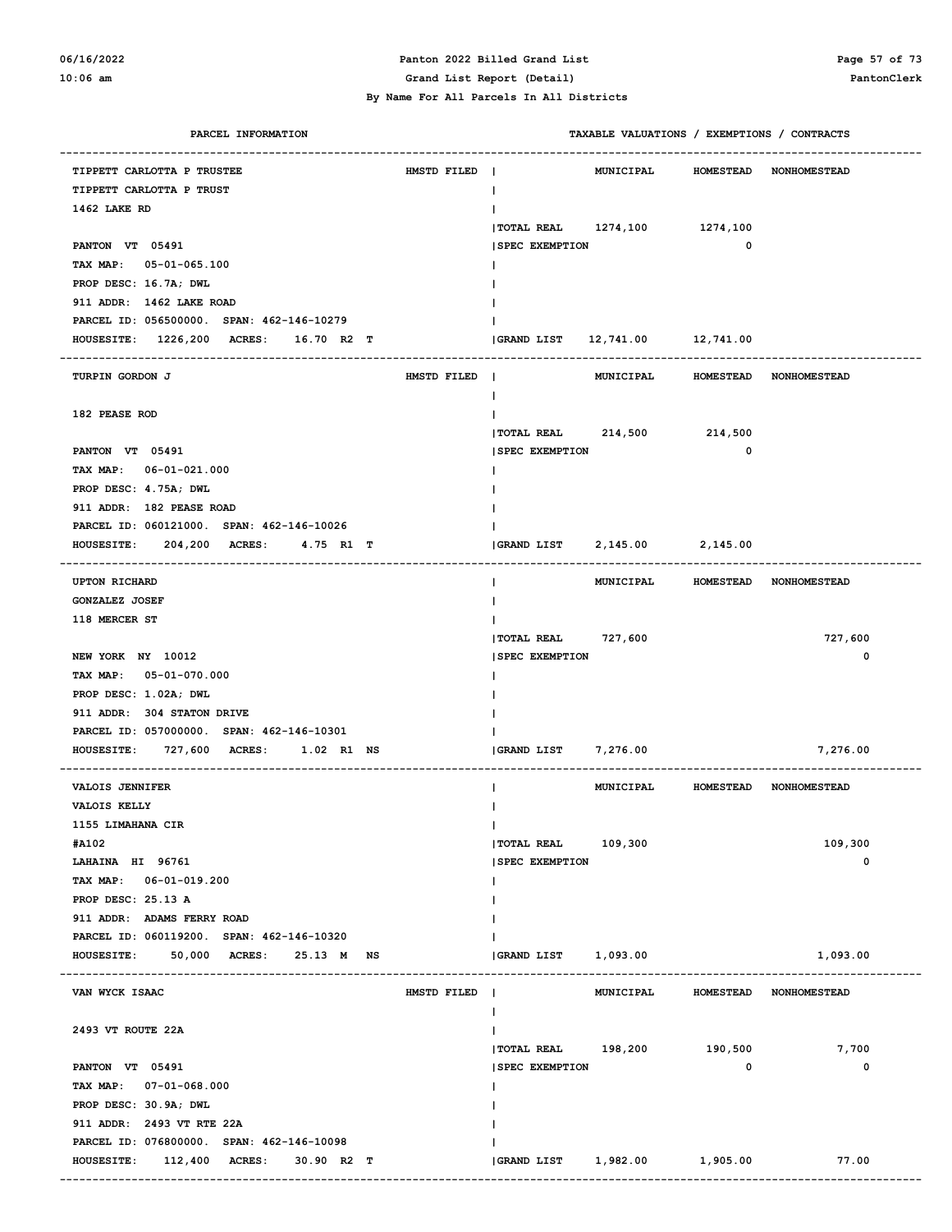#### **06/16/2022 Panton 2022 Billed Grand List Page 57 of 73 10:06 am Grand List Report (Detail) PantonClerk By Name For All Parcels In All Districts**

### **PARCEL INFORMATION TAXABLE VALUATIONS / EXEMPTIONS / CONTRACTS ------------------------------------------------------------------------------------------------------------------------------------ TIPPETT CARLOTTA P TRUSTEE HMSTD FILED | MUNICIPAL HOMESTEAD NONHOMESTEAD TIPPETT CARLOTTA P TRUST | 1462 LAKE RD | |TOTAL REAL 1274,100 1274,100 PANTON VT 05491** 0  **TAX MAP: 05-01-065.100 | PROP DESC: 16.7A; DWL | 911 ADDR: 1462 LAKE ROAD | PARCEL ID: 056500000. SPAN: 462-146-10279 | HOUSESITE: 1226,200 ACRES: 16.70 R2 T |GRAND LIST 12,741.00 12,741.00 ------------------------------------------------------------------------------------------------------------------------------------ TURPIN GORDON J HMSTD FILED | MUNICIPAL HOMESTEAD NONHOMESTEAD | 182 PEASE ROD | |TOTAL REAL 214,500 214,500 PANTON VT 05491** 0  **TAX MAP: 06-01-021.000 | PROP DESC: 4.75A; DWL | 911 ADDR: 182 PEASE ROAD | PARCEL ID: 060121000. SPAN: 462-146-10026 | HOUSESITE: 204,200 ACRES: 4.75 R1 T |GRAND LIST 2,145.00 2,145.00 ------------------------------------------------------------------------------------------------------------------------------------ UPTON RICHARD | MUNICIPAL HOMESTEAD NONHOMESTEAD GONZALEZ JOSEF | 118 MERCER ST | |TOTAL REAL 727,600 727,600 NEW YORK NY 10012** 0  **TAX MAP: 05-01-070.000 | PROP DESC: 1.02A; DWL | 911 ADDR: 304 STATON DRIVE | PARCEL ID: 057000000. SPAN: 462-146-10301 | HOUSESITE: 727,600 ACRES: 1.02 R1 NS |GRAND LIST 7,276.00 7,276.00 ------------------------------------------------------------------------------------------------------------------------------------ VALOIS JENNIFER | MUNICIPAL HOMESTEAD NONHOMESTEAD VALOIS KELLY | 1155 LIMAHANA CIR | #A102 |TOTAL REAL 109,300 109,300 EXEMPTION** AND **EXEMPTION** 196761 0  **TAX MAP: 06-01-019.200 | PROP DESC: 25.13 A | 911 ADDR: ADAMS FERRY ROAD | PARCEL ID: 060119200. SPAN: 462-146-10320 | HOUSESITE:** 50,000 ACRES: 25.13 M NS |GRAND LIST 1,093.00 1,093.00 1,093.00 **------------------------------------------------------------------------------------------------------------------------------------ VAN WYCK ISAAC WASHBALL HOMESTEAD HMSTD FILED | MUNICIPAL HOMESTEAD** NONHOMESTEAD  **| 2493 VT ROUTE 22A | |TOTAL REAL 198,200 190,500 7,700 PANTON VT 05491 |SPEC EXEMPTION 0 0 TAX MAP: 07-01-068.000 | PROP DESC: 30.9A; DWL | 911 ADDR: 2493 VT RTE 22A | PARCEL ID: 076800000. SPAN: 462-146-10098 | HOUSESITE: 112,400 ACRES: 30.90 R2 T |GRAND LIST 1,982.00 1,905.00 77.00**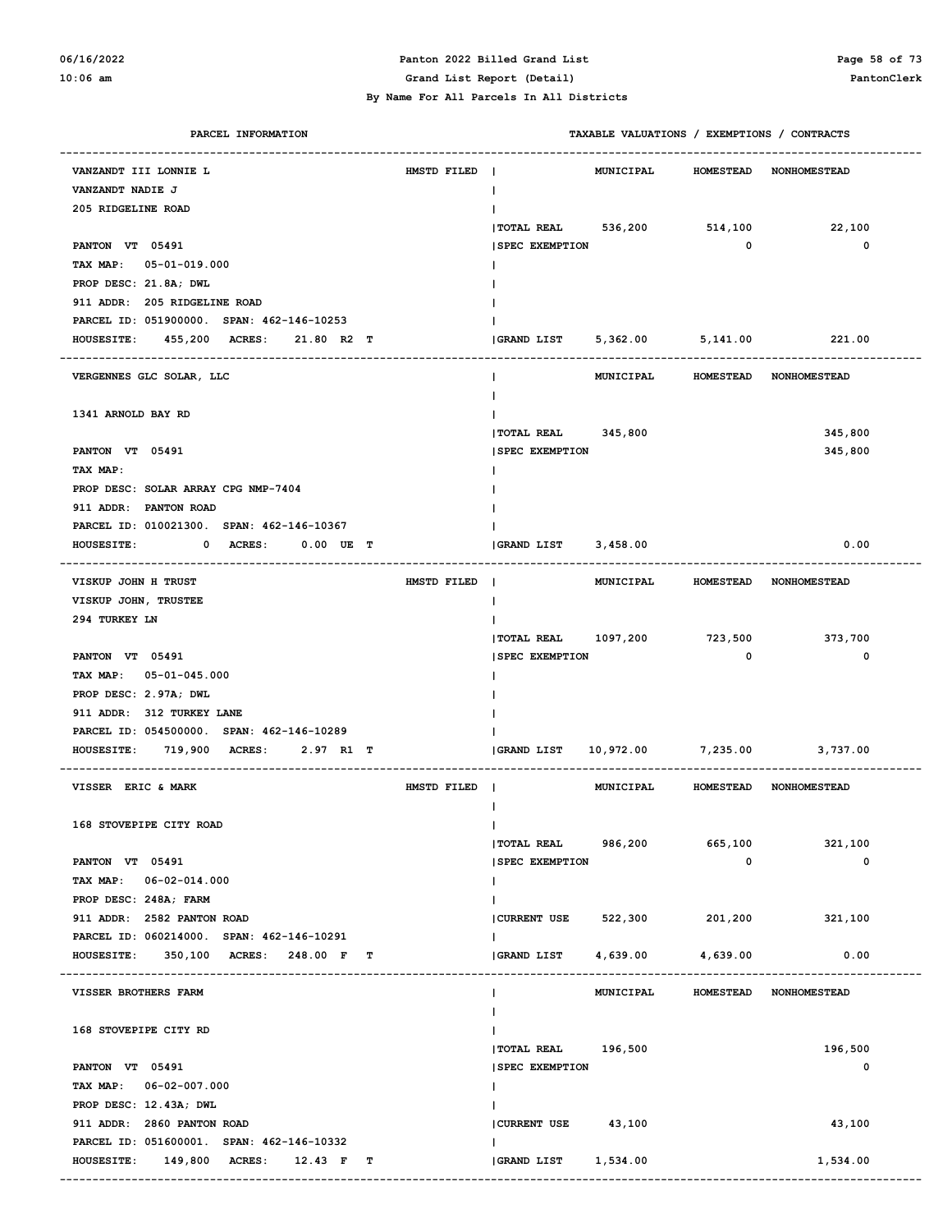#### **06/16/2022 Panton 2022 Billed Grand List Page 58 of 73 10:06 am Grand List Report (Detail) PantonClerk**

 **By Name For All Parcels In All Districts**

| PARCEL INFORMATION                                                               |             | TAXABLE VALUATIONS / EXEMPTIONS / CONTRACTS |             |                                  |
|----------------------------------------------------------------------------------|-------------|---------------------------------------------|-------------|----------------------------------|
| VANZANDT III LONNIE L                                                            | HMSTD FILED | <b>MUNICIPAL</b>                            |             | HOMESTEAD NONHOMESTEAD           |
| VANZANDT NADIE J                                                                 |             | $\mathbf{I}$                                |             |                                  |
| 205 RIDGELINE ROAD                                                               |             |                                             |             |                                  |
|                                                                                  |             | <b>TOTAL REAL</b><br>536,200                | 514,100     | 22,100                           |
| PANTON VT 05491                                                                  |             | <b>SPEC EXEMPTION</b>                       | 0           | $\mathbf 0$                      |
| TAX MAP: 05-01-019.000                                                           |             |                                             |             |                                  |
| PROP DESC: 21.8A; DWL                                                            |             |                                             |             |                                  |
| 911 ADDR: 205 RIDGELINE ROAD                                                     |             |                                             |             |                                  |
| PARCEL ID: 051900000. SPAN: 462-146-10253                                        |             |                                             |             |                                  |
| 455,200 ACRES:<br><b>HOUSESITE:</b><br>21.80 R2 T                                |             | 5,362.00 5,141.00<br>GRAND LIST             |             | 221.00                           |
|                                                                                  |             |                                             |             |                                  |
| VERGENNES GLC SOLAR, LLC                                                         |             |                                             |             | MUNICIPAL HOMESTEAD NONHOMESTEAD |
|                                                                                  |             |                                             |             |                                  |
| 1341 ARNOLD BAY RD                                                               |             |                                             |             |                                  |
|                                                                                  |             | TOTAL REAL 345,800                          |             | 345,800                          |
| PANTON VT 05491                                                                  |             | <b>SPEC EXEMPTION</b>                       |             | 345,800                          |
| TAX MAP:                                                                         |             |                                             |             |                                  |
| PROP DESC: SOLAR ARRAY CPG NMP-7404                                              |             |                                             |             |                                  |
| 911 ADDR: PANTON ROAD                                                            |             |                                             |             |                                  |
| PARCEL ID: 010021300. SPAN: 462-146-10367                                        |             |                                             |             |                                  |
| <b>HOUSESITE:</b><br>0 ACRES:<br>$0.00$ UE T                                     |             | <b>GRAND LIST</b><br>3,458.00               |             | 0.00                             |
|                                                                                  |             |                                             |             |                                  |
| VISKUP JOHN H TRUST                                                              | HMSTD FILED | MUNICIPAL                                   |             | HOMESTEAD NONHOMESTEAD           |
| VISKUP JOHN, TRUSTEE                                                             |             | $\mathbf{I}$                                |             |                                  |
| 294 TURKEY LN                                                                    |             |                                             |             |                                  |
|                                                                                  |             | TOTAL REAL 1097,200 723,500                 |             | 373,700                          |
| PANTON VT 05491                                                                  |             | <b>SPEC EXEMPTION</b>                       | 0           | $\mathbf 0$                      |
| TAX MAP: 05-01-045.000                                                           |             |                                             |             |                                  |
| PROP DESC: 2.97A; DWL                                                            |             |                                             |             |                                  |
| 911 ADDR: 312 TURKEY LANE                                                        |             |                                             |             |                                  |
| PARCEL ID: 054500000. SPAN: 462-146-10289                                        |             |                                             |             |                                  |
| 719,900 ACRES:<br>2.97 R1 T<br><b>HOUSESITE:</b>                                 |             | 10,972.00 7,235.00<br><b>GRAND LIST</b>     |             | 3,737.00                         |
|                                                                                  |             |                                             |             |                                  |
| VISSER ERIC & MARK                                                               | HMSTD FILED |                                             |             | MUNICIPAL HOMESTEAD NONHOMESTEAD |
|                                                                                  |             |                                             |             |                                  |
| 168 STOVEPIPE CITY ROAD                                                          |             | $\mathbf{I}$                                |             |                                  |
|                                                                                  |             | TOTAL REAL 986,200                          |             | 665,100<br>321,100               |
| PANTON VT 05491                                                                  |             | <b>SPEC EXEMPTION</b>                       | $\mathbf 0$ | $\mathbf 0$                      |
| TAX MAP: 06-02-014.000                                                           |             | $\mathbf{I}$                                |             |                                  |
| PROP DESC: 248A; FARM                                                            |             | $\mathbf{L}$                                |             |                                  |
| 911 ADDR: 2582 PANTON ROAD                                                       |             | CURRENT USE 522,300 201,200                 |             | 321,100                          |
| PARCEL ID: 060214000. SPAN: 462-146-10291                                        |             | $\mathbf{I}$                                |             |                                  |
| HOUSESITE: 350,100 ACRES: 248.00 F T                                             |             | GRAND LIST<br>4,639.00                      | 4,639.00    | 0.00                             |
|                                                                                  |             |                                             |             |                                  |
| VISSER BROTHERS FARM                                                             |             | MUNICIPAL<br>Ι.                             |             | HOMESTEAD NONHOMESTEAD           |
|                                                                                  |             |                                             |             |                                  |
| 168 STOVEPIPE CITY RD                                                            |             |                                             |             |                                  |
|                                                                                  |             | TOTAL REAL 196,500                          |             | 196,500                          |
| PANTON VT 05491                                                                  |             | <b>SPEC EXEMPTION</b>                       |             | 0                                |
| TAX MAP: 06-02-007.000                                                           |             | $\mathbf{I}$                                |             |                                  |
| PROP DESC: 12.43A; DWL                                                           |             |                                             |             |                                  |
| 911 ADDR: 2860 PANTON ROAD                                                       |             | CURRENT USE 43,100                          |             | 43,100                           |
| PARCEL ID: 051600001. SPAN: 462-146-10332<br>HOUSESITE: 149,800 ACRES: 12.43 F T |             | <b>GRAND LIST</b><br>1,534.00               |             | 1,534.00                         |
|                                                                                  |             |                                             |             |                                  |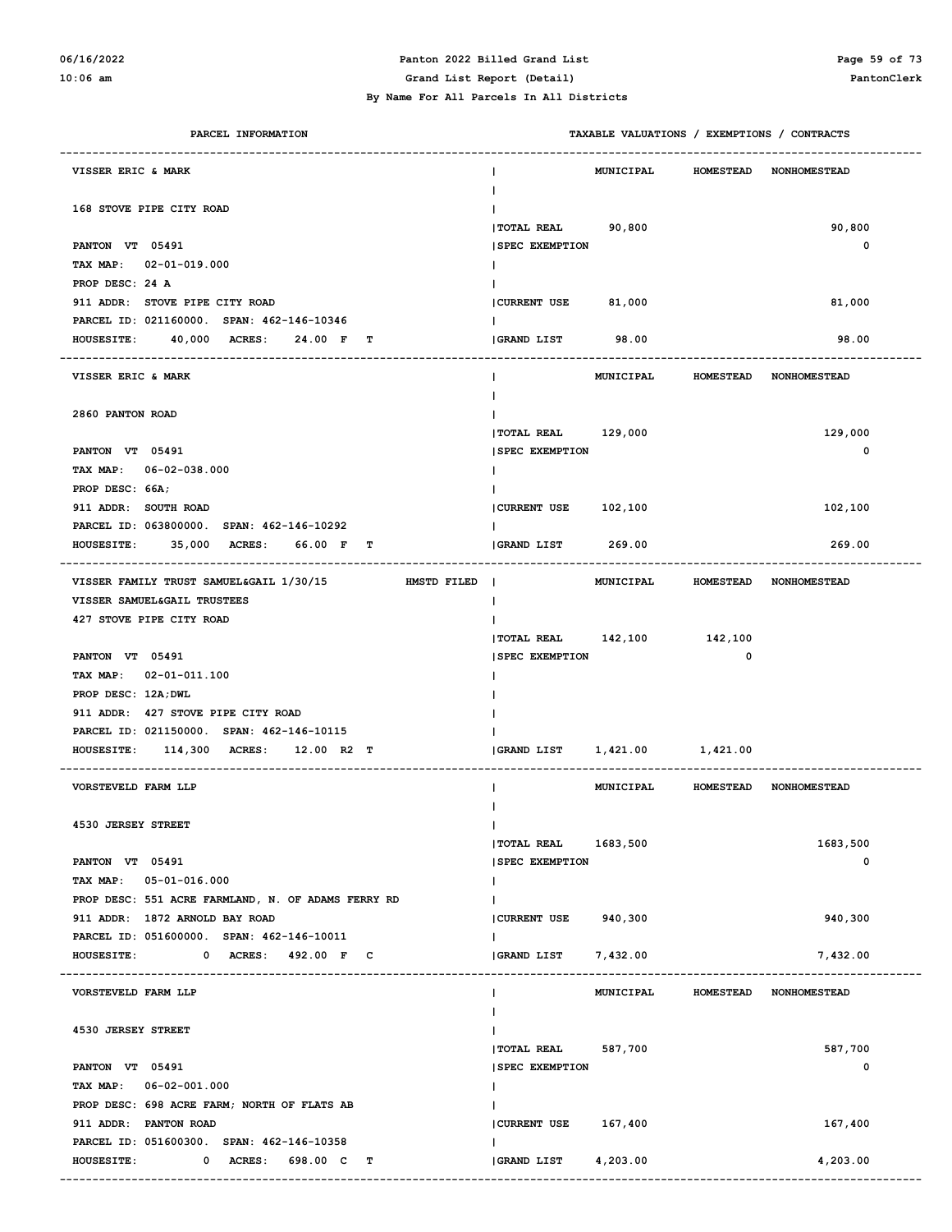### **06/16/2022 Panton 2022 Billed Grand List Page 59 of 73**

**10:06 am Grand List Report (Detail) PantonClerk**

| PARCEL INFORMATION                                     |                            | TAXABLE VALUATIONS / EXEMPTIONS / CONTRACTS |                  |                        |
|--------------------------------------------------------|----------------------------|---------------------------------------------|------------------|------------------------|
| VISSER ERIC & MARK                                     | Ι.                         | <b>MUNICIPAL</b>                            | <b>HOMESTEAD</b> | <b>NONHOMESTEAD</b>    |
| 168 STOVE PIPE CITY ROAD                               |                            |                                             |                  |                        |
|                                                        | <b> TOTAL REAL</b>         | 90,800                                      |                  | 90,800                 |
| PANTON VT 05491                                        | <b>SPEC EXEMPTION</b>      |                                             |                  | 0                      |
| TAX MAP: 02-01-019.000                                 |                            |                                             |                  |                        |
| PROP DESC: 24 A                                        |                            |                                             |                  |                        |
| 911 ADDR: STOVE PIPE CITY ROAD                         | CURRENT USE 81,000         |                                             |                  | 81,000                 |
| PARCEL ID: 021160000. SPAN: 462-146-10346              |                            |                                             |                  |                        |
| 40,000 ACRES:<br><b>HOUSESITE:</b><br>24.00 F T        | <b>GRAND LIST</b>          | 98.00                                       |                  | 98.00                  |
| <b>VISSER ERIC &amp; MARK</b>                          |                            | <b>MUNICIPAL</b>                            | <b>HOMESTEAD</b> | <b>NONHOMESTEAD</b>    |
| 2860 PANTON ROAD                                       |                            |                                             |                  |                        |
|                                                        | TOTAL REAL 129,000         |                                             |                  | 129,000                |
| PANTON VT 05491                                        | <b>SPEC EXEMPTION</b>      |                                             |                  | 0                      |
| TAX MAP: 06-02-038.000                                 |                            |                                             |                  |                        |
| PROP DESC: 66A;                                        |                            |                                             |                  |                        |
| 911 ADDR: SOUTH ROAD                                   | CURRENT USE 102,100        |                                             |                  | 102,100                |
| PARCEL ID: 063800000. SPAN: 462-146-10292              |                            |                                             |                  |                        |
| HOUSESITE: 35,000 ACRES:<br>66.00 F T                  | <b>GRAND LIST</b>          | 269.00                                      |                  | 269.00                 |
|                                                        |                            |                                             |                  |                        |
| VISSER FAMILY TRUST SAMUEL&GAIL 1/30/15<br>HMSTD FILED | $\perp$                    | <b>MUNICIPAL</b>                            |                  | HOMESTEAD NONHOMESTEAD |
| VISSER SAMUEL&GAIL TRUSTEES                            | Ι.                         |                                             |                  |                        |
| 427 STOVE PIPE CITY ROAD                               |                            |                                             |                  |                        |
|                                                        | TOTAL REAL 142,100 142,100 |                                             |                  |                        |
| PANTON VT 05491                                        | <b>SPEC EXEMPTION</b>      |                                             | $\mathbf 0$      |                        |
| TAX MAP: 02-01-011.100                                 |                            |                                             |                  |                        |
| PROP DESC: 12A; DWL                                    |                            |                                             |                  |                        |
| 911 ADDR: 427 STOVE PIPE CITY ROAD                     |                            |                                             |                  |                        |
| PARCEL ID: 021150000. SPAN: 462-146-10115              |                            |                                             |                  |                        |
| HOUSESITE: 114,300 ACRES: 12.00 R2 T                   | GRAND LIST                 | 1,421.00 1,421.00                           |                  |                        |
| VORSTEVELD FARM LLP                                    |                            | MUNICIPAL                                   |                  | HOMESTEAD NONHOMESTEAD |
| 4530 JERSEY STREET                                     | T                          |                                             |                  |                        |
|                                                        | <b> TOTAL REAL</b>         | 1683,500                                    |                  | 1683,500               |
| PANTON VT 05491                                        | <b>SPEC EXEMPTION</b>      |                                             |                  | 0                      |
| TAX MAP: 05-01-016.000                                 | T                          |                                             |                  |                        |
| PROP DESC: 551 ACRE FARMLAND, N. OF ADAMS FERRY RD     |                            |                                             |                  |                        |
| 911 ADDR: 1872 ARNOLD BAY ROAD                         | CURRENT USE                | 940,300                                     |                  | 940,300                |
| PARCEL ID: 051600000. SPAN: 462-146-10011              | I.                         |                                             |                  |                        |
| 0 ACRES: 492.00 F C<br><b>HOUSESITE:</b>               | <b>GRAND LIST</b>          | 7,432.00                                    |                  | 7,432.00               |
| VORSTEVELD FARM LLP                                    | ı.                         | <b>MUNICIPAL</b>                            | <b>HOMESTEAD</b> | <b>NONHOMESTEAD</b>    |
|                                                        |                            |                                             |                  |                        |
| 4530 JERSEY STREET                                     |                            |                                             |                  |                        |
|                                                        | <b>TOTAL REAL</b>          | 587,700                                     |                  | 587,700                |
| PANTON VT 05491                                        | <b>SPEC EXEMPTION</b>      |                                             |                  | 0                      |
| TAX MAP: 06-02-001.000                                 | T                          |                                             |                  |                        |
| PROP DESC: 698 ACRE FARM; NORTH OF FLATS AB            |                            |                                             |                  |                        |
| 911 ADDR: PANTON ROAD                                  | <b>CURRENT USE</b>         | 167,400                                     |                  | 167,400                |
| PARCEL ID: 051600300. SPAN: 462-146-10358              | I.                         |                                             |                  |                        |
| <b>HOUSESITE:</b><br>0 ACRES:<br>698.00 C<br>т         | GRAND LIST                 | 4,203.00                                    |                  | 4,203.00               |
|                                                        |                            |                                             |                  |                        |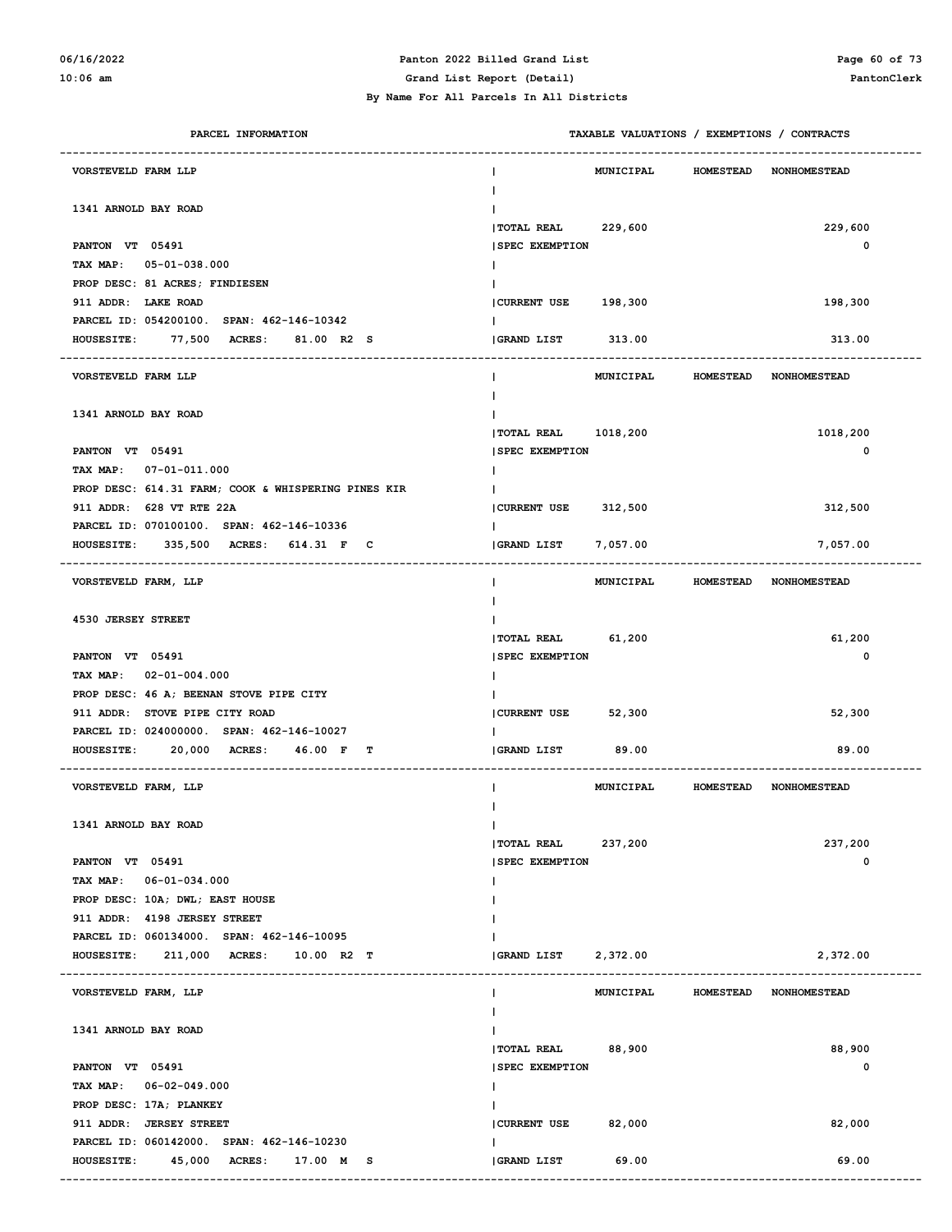### **06/16/2022 Panton 2022 Billed Grand List Page 60 of 73**

| PARCEL INFORMATION                                         |                       |           |                  | TAXABLE VALUATIONS / EXEMPTIONS / CONTRACTS |
|------------------------------------------------------------|-----------------------|-----------|------------------|---------------------------------------------|
| VORSTEVELD FARM LLP                                        |                       | MUNICIPAL | <b>HOMESTEAD</b> | <b>NONHOMESTEAD</b>                         |
| 1341 ARNOLD BAY ROAD                                       |                       |           |                  |                                             |
|                                                            | <b> TOTAL REAL</b>    | 229,600   |                  | 229,600                                     |
| PANTON VT 05491                                            | <b>SPEC EXEMPTION</b> |           |                  | 0                                           |
| TAX MAP:<br>$05 - 01 - 038.000$                            |                       |           |                  |                                             |
| PROP DESC: 81 ACRES; FINDIESEN                             |                       |           |                  |                                             |
| 911 ADDR: LAKE ROAD                                        | CURRENT USE 198,300   |           |                  | 198,300                                     |
| PARCEL ID: 054200100. SPAN: 462-146-10342                  |                       |           |                  |                                             |
| <b>HOUSESITE:</b><br>77,500<br><b>ACRES:</b><br>81.00 R2 S | GRAND LIST            | 313.00    |                  | 313.00                                      |
| VORSTEVELD FARM LLP                                        |                       | MUNICIPAL | <b>HOMESTEAD</b> | <b>NONHOMESTEAD</b>                         |
| 1341 ARNOLD BAY ROAD                                       |                       |           |                  |                                             |
|                                                            | <b> TOTAL REAL</b>    | 1018,200  |                  | 1018,200                                    |
| PANTON VT 05491                                            | <b>SPEC EXEMPTION</b> |           |                  | 0                                           |
| TAX MAP:<br>$07 - 01 - 011.000$                            |                       |           |                  |                                             |
| PROP DESC: 614.31 FARM; COOK & WHISPERING PINES KIR        |                       |           |                  |                                             |
| 911 ADDR: 628 VT RTE 22A                                   | CURRENT USE 312,500   |           |                  | 312,500                                     |
| PARCEL ID: 070100100. SPAN: 462-146-10336                  |                       |           |                  |                                             |
| 335,500 ACRES: 614.31 F C<br><b>HOUSESITE:</b>             | <b>GRAND LIST</b>     | 7,057.00  |                  | 7,057.00                                    |
| VORSTEVELD FARM, LLP                                       |                       | MUNICIPAL | <b>HOMESTEAD</b> | <b>NONHOMESTEAD</b>                         |
|                                                            |                       |           |                  |                                             |
| 4530 JERSEY STREET                                         |                       |           |                  |                                             |
|                                                            | TOTAL REAL            | 61,200    |                  | 61,200                                      |
| PANTON VT 05491                                            | <b>SPEC EXEMPTION</b> |           |                  | 0                                           |
| TAX MAP:<br>$02 - 01 - 004.000$                            |                       |           |                  |                                             |
| PROP DESC: 46 A; BEENAN STOVE PIPE CITY                    |                       |           |                  |                                             |
| 911 ADDR: STOVE PIPE CITY ROAD                             | CURRENT USE           | 52,300    |                  | 52,300                                      |
| PARCEL ID: 024000000. SPAN: 462-146-10027                  |                       |           |                  |                                             |
| 20,000 ACRES:<br>46.00 F T<br><b>HOUSESITE:</b>            | GRAND LIST            | 89.00     |                  | 89.00                                       |
| VORSTEVELD FARM, LLP                                       |                       | MUNICIPAL | <b>HOMESTEAD</b> | <b>NONHOMESTEAD</b>                         |
|                                                            |                       |           |                  |                                             |
| 1341 ARNOLD BAY ROAD                                       |                       |           |                  |                                             |
|                                                            | TOTAL REAL 237,200    |           |                  | 237,200                                     |
| PANTON VT 05491                                            | <b>SPEC EXEMPTION</b> |           |                  | 0                                           |
| TAX MAP: 06-01-034.000                                     |                       |           |                  |                                             |
| PROP DESC: 10A; DWL; EAST HOUSE                            |                       |           |                  |                                             |
| 911 ADDR: 4198 JERSEY STREET                               |                       |           |                  |                                             |
| PARCEL ID: 060134000. SPAN: 462-146-10095                  |                       |           |                  |                                             |
| HOUSESITE: 211,000 ACRES:<br>10.00 R2 T                    | <b>GRAND LIST</b>     | 2,372.00  |                  | 2,372.00                                    |
| VORSTEVELD FARM, LLP                                       | L                     | MUNICIPAL | <b>HOMESTEAD</b> | <b>NONHOMESTEAD</b>                         |
|                                                            |                       |           |                  |                                             |
| 1341 ARNOLD BAY ROAD                                       |                       |           |                  |                                             |
|                                                            | <b>TOTAL REAL</b>     | 88,900    |                  | 88,900                                      |
| PANTON VT 05491                                            | <b>SPEC EXEMPTION</b> |           |                  | 0                                           |
| TAX MAP: 06-02-049.000                                     | L                     |           |                  |                                             |
| PROP DESC: 17A; PLANKEY                                    |                       |           |                  |                                             |
| 911 ADDR: JERSEY STREET                                    | CURRENT USE           | 82,000    |                  | 82,000                                      |
| PARCEL ID: 060142000. SPAN: 462-146-10230                  |                       |           |                  |                                             |
| HOUSESITE: 45,000 ACRES: 17.00 M S                         | GRAND LIST            | 69.00     |                  | 69.00                                       |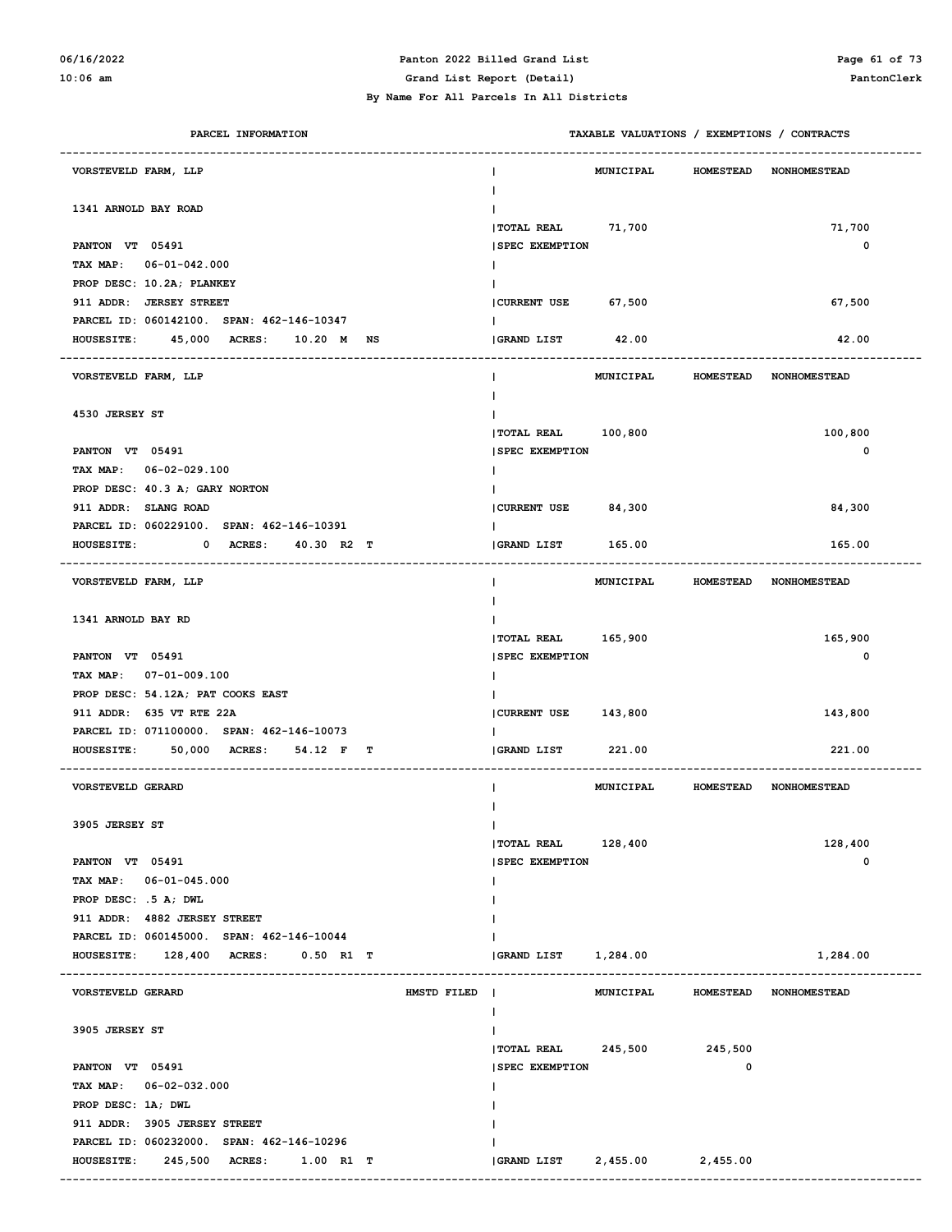#### **06/16/2022 Panton 2022 Billed Grand List Page 61 of 73**

**10:06 am Grand List Report (Detail) PantonClerk**

#### **By Name For All Parcels In All Districts**

| PARCEL INFORMATION                                 |                               | TAXABLE VALUATIONS / EXEMPTIONS / CONTRACTS |
|----------------------------------------------------|-------------------------------|---------------------------------------------|
| VORSTEVELD FARM, LLP                               | <b>MUNICIPAL</b>              | <b>HOMESTEAD</b><br><b>NONHOMESTEAD</b>     |
| 1341 ARNOLD BAY ROAD                               | <b> TOTAL REAL</b><br>71,700  | 71,700                                      |
| PANTON VT 05491                                    | <b>SPEC EXEMPTION</b>         | 0                                           |
| TAX MAP: 06-01-042.000                             |                               |                                             |
| PROP DESC: 10.2A; PLANKEY                          |                               |                                             |
| 911 ADDR: JERSEY STREET                            | CURRENT USE 67,500            | 67,500                                      |
| PARCEL ID: 060142100. SPAN: 462-146-10347          |                               |                                             |
| 45,000 ACRES: 10.20 M NS<br><b>HOUSESITE:</b>      | 42.00<br>GRAND LIST           | 42.00                                       |
|                                                    |                               |                                             |
| VORSTEVELD FARM, LLP                               | MUNICIPAL                     | <b>HOMESTEAD</b><br><b>NONHOMESTEAD</b>     |
|                                                    |                               |                                             |
| 4530 JERSEY ST                                     |                               |                                             |
|                                                    | TOTAL REAL 100,800            | 100,800                                     |
| PANTON VT 05491                                    | <b>SPEC EXEMPTION</b>         | 0                                           |
| TAX MAP: 06-02-029.100                             |                               |                                             |
| PROP DESC: 40.3 A; GARY NORTON                     |                               |                                             |
| 911 ADDR: SLANG ROAD                               | CURRENT USE 84,300            | 84,300                                      |
| PARCEL ID: 060229100. SPAN: 462-146-10391          |                               |                                             |
| 0 ACRES: 40.30 R2 T<br><b>HOUSESITE:</b>           | <b>GRAND LIST</b><br>165.00   | 165.00                                      |
| VORSTEVELD FARM, LLP                               | L                             | MUNICIPAL HOMESTEAD NONHOMESTEAD            |
| 1341 ARNOLD BAY RD                                 |                               |                                             |
|                                                    | TOTAL REAL 165,900            | 165,900                                     |
| PANTON VT 05491                                    | <b>SPEC EXEMPTION</b>         | 0                                           |
| TAX MAP: 07-01-009.100                             |                               |                                             |
| PROP DESC: 54.12A; PAT COOKS EAST                  |                               |                                             |
| 911 ADDR: 635 VT RTE 22A                           | CURRENT USE 143,800           | 143,800                                     |
| PARCEL ID: 071100000. SPAN: 462-146-10073          |                               |                                             |
| HOUSESITE: 50,000 ACRES: 54.12 F T                 | <b>GRAND LIST</b><br>221.00   | 221.00                                      |
| <b>VORSTEVELD GERARD</b>                           | <b>MUNICIPAL</b>              | <b>HOMESTEAD NONHOMESTEAD</b>               |
|                                                    |                               |                                             |
| 3905 JERSEY ST                                     | $\mathbf{I}$                  |                                             |
|                                                    | <b> TOTAL REAL</b><br>128,400 | 128,400                                     |
| PANTON VT 05491                                    | <b>SPEC EXEMPTION</b>         | 0                                           |
| TAX MAP: 06-01-045.000                             | I.                            |                                             |
| PROP DESC: .5 A; DWL                               |                               |                                             |
| 911 ADDR: 4882 JERSEY STREET                       |                               |                                             |
| PARCEL ID: 060145000. SPAN: 462-146-10044          |                               |                                             |
| HOUSESITE: 128,400 ACRES: 0.50 R1 T                | GRAND LIST 1,284.00           | 1,284.00                                    |
| VORSTEVELD GERARD<br>HMSTD FILED                   | MUNICIPAL                     | HOMESTEAD NONHOMESTEAD                      |
|                                                    | L                             |                                             |
| 3905 JERSEY ST                                     |                               |                                             |
|                                                    | TOTAL REAL 245,500            | 245,500                                     |
| PANTON VT 05491                                    | <b>SPEC EXEMPTION</b>         | 0                                           |
| TAX MAP: 06-02-032.000                             | T                             |                                             |
| PROP DESC: 1A; DWL<br>911 ADDR: 3905 JERSEY STREET |                               |                                             |
| PARCEL ID: 060232000. SPAN: 462-146-10296          |                               |                                             |
| HOUSESITE: 245,500 ACRES:<br>1.00 R1 T             | GRAND LIST<br>2,455.00        | 2,455.00                                    |
|                                                    |                               |                                             |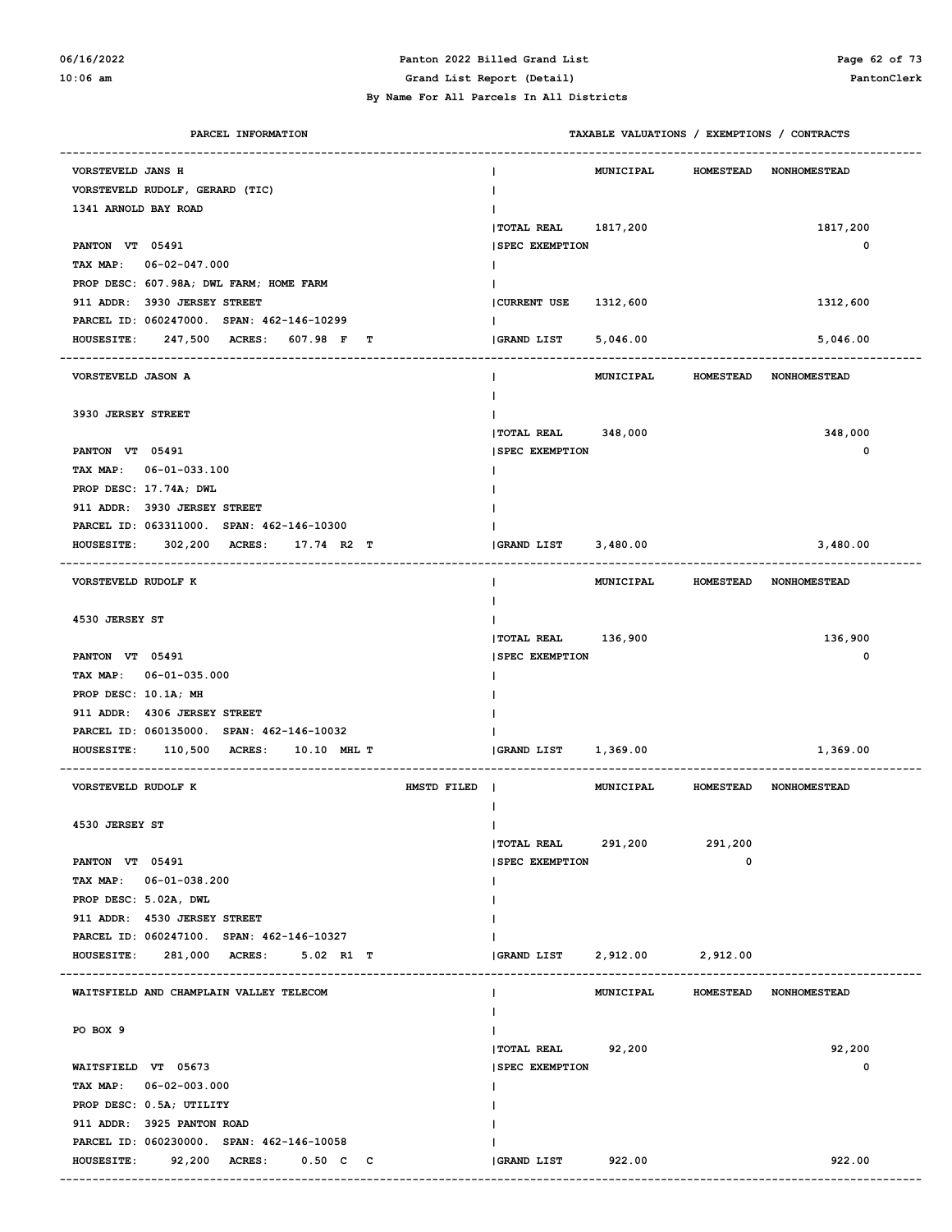#### **06/16/2022 Panton 2022 Billed Grand List Page 62 of 73 10:06 am Grand List Report (Detail) PantonClerk**

#### **By Name For All Parcels In All Districts**

| PARCEL INFORMATION                                   |                                 | TAXABLE VALUATIONS / EXEMPTIONS / CONTRACTS |                        |
|------------------------------------------------------|---------------------------------|---------------------------------------------|------------------------|
| VORSTEVELD JANS H                                    | <b>MUNICIPAL</b>                | <b>HOMESTEAD</b>                            | <b>NONHOMESTEAD</b>    |
| VORSTEVELD RUDOLF, GERARD (TIC)                      |                                 |                                             |                        |
| 1341 ARNOLD BAY ROAD                                 |                                 |                                             |                        |
|                                                      | <b>  TOTAL REAL</b><br>1817,200 |                                             | 1817,200               |
| PANTON VT 05491                                      | <b>SPEC EXEMPTION</b>           |                                             | 0                      |
| TAX MAP:<br>$06 - 02 - 047.000$                      |                                 |                                             |                        |
| PROP DESC: 607.98A; DWL FARM; HOME FARM              |                                 |                                             |                        |
| 911 ADDR: 3930 JERSEY STREET                         | <b>CURRENT USE</b><br>1312,600  |                                             | 1312,600               |
| PARCEL ID: 060247000. SPAN: 462-146-10299            |                                 |                                             |                        |
| 247,500 ACRES:<br>607.98 F<br><b>HOUSESITE:</b><br>т | <b>GRAND LIST</b><br>5,046.00   |                                             | 5,046.00               |
| VORSTEVELD JASON A                                   | <b>MUNICIPAL</b>                | <b>HOMESTEAD</b>                            | <b>NONHOMESTEAD</b>    |
|                                                      |                                 |                                             |                        |
| 3930 JERSEY STREET                                   |                                 |                                             |                        |
|                                                      | <b>  TOTAL REAL</b><br>348,000  |                                             | 348,000                |
| PANTON VT 05491                                      | <b>SPEC EXEMPTION</b>           |                                             | 0                      |
| TAX MAP: 06-01-033.100                               |                                 |                                             |                        |
| PROP DESC: 17.74A; DWL                               |                                 |                                             |                        |
| 911 ADDR: 3930 JERSEY STREET                         |                                 |                                             |                        |
| PARCEL ID: 063311000. SPAN: 462-146-10300            |                                 |                                             |                        |
| 302,200 ACRES:<br>17.74 R2 T<br><b>HOUSESITE:</b>    | 3,480.00<br><b>GRAND LIST</b>   |                                             | 3,480.00               |
| VORSTEVELD RUDOLF K                                  | <b>MUNICIPAL</b>                | <b>HOMESTEAD</b>                            | <b>NONHOMESTEAD</b>    |
| 4530 JERSEY ST                                       |                                 |                                             |                        |
|                                                      | <b> TOTAL REAL</b><br>136,900   |                                             | 136,900                |
| PANTON VT 05491                                      | <b>SPEC EXEMPTION</b>           |                                             | 0                      |
| TAX MAP: 06-01-035.000                               |                                 |                                             |                        |
| PROP DESC: 10.1A; MH                                 |                                 |                                             |                        |
| 911 ADDR: 4306 JERSEY STREET                         |                                 |                                             |                        |
| PARCEL ID: 060135000. SPAN: 462-146-10032            |                                 |                                             |                        |
| 110,500 ACRES:<br><b>HOUSESITE:</b><br>10.10 MHL T   | 1,369.00<br>GRAND LIST          |                                             | 1,369.00               |
| VORSTEVELD RUDOLF K<br>HMSTD FILED                   | MUNICIPAL                       | <b>HOMESTEAD</b>                            | <b>NONHOMESTEAD</b>    |
| 4530 JERSEY ST                                       | $\mathbf{I}$                    |                                             |                        |
|                                                      | TOTAL REAL 291,200              | 291,200                                     |                        |
| PANTON VT 05491                                      | <b>SPEC EXEMPTION</b>           | 0                                           |                        |
| TAX MAP: 06-01-038.200                               | I.                              |                                             |                        |
| PROP DESC: 5.02A, DWL                                |                                 |                                             |                        |
| 911 ADDR: 4530 JERSEY STREET                         |                                 |                                             |                        |
| PARCEL ID: 060247100. SPAN: 462-146-10327            |                                 |                                             |                        |
| HOUSESITE: 281,000 ACRES: 5.02 R1 T                  | <b>GRAND LIST</b><br>2,912.00   | 2,912.00                                    |                        |
|                                                      |                                 |                                             |                        |
| WAITSFIELD AND CHAMPLAIN VALLEY TELECOM              | MUNICIPAL<br>$\mathbf{I}$       |                                             | HOMESTEAD NONHOMESTEAD |
| PO BOX 9                                             |                                 |                                             |                        |
|                                                      | <b>TOTAL REAL</b><br>92,200     |                                             | 92,200                 |
| WAITSFIELD VT 05673                                  | <b>SPEC EXEMPTION</b>           |                                             | 0                      |
| TAX MAP: 06-02-003.000                               |                                 |                                             |                        |
| PROP DESC: 0.5A; UTILITY                             |                                 |                                             |                        |
| 911 ADDR: 3925 PANTON ROAD                           |                                 |                                             |                        |
| PARCEL ID: 060230000. SPAN: 462-146-10058            |                                 |                                             |                        |
|                                                      | <b>GRAND LIST</b><br>922.00     |                                             | 922.00                 |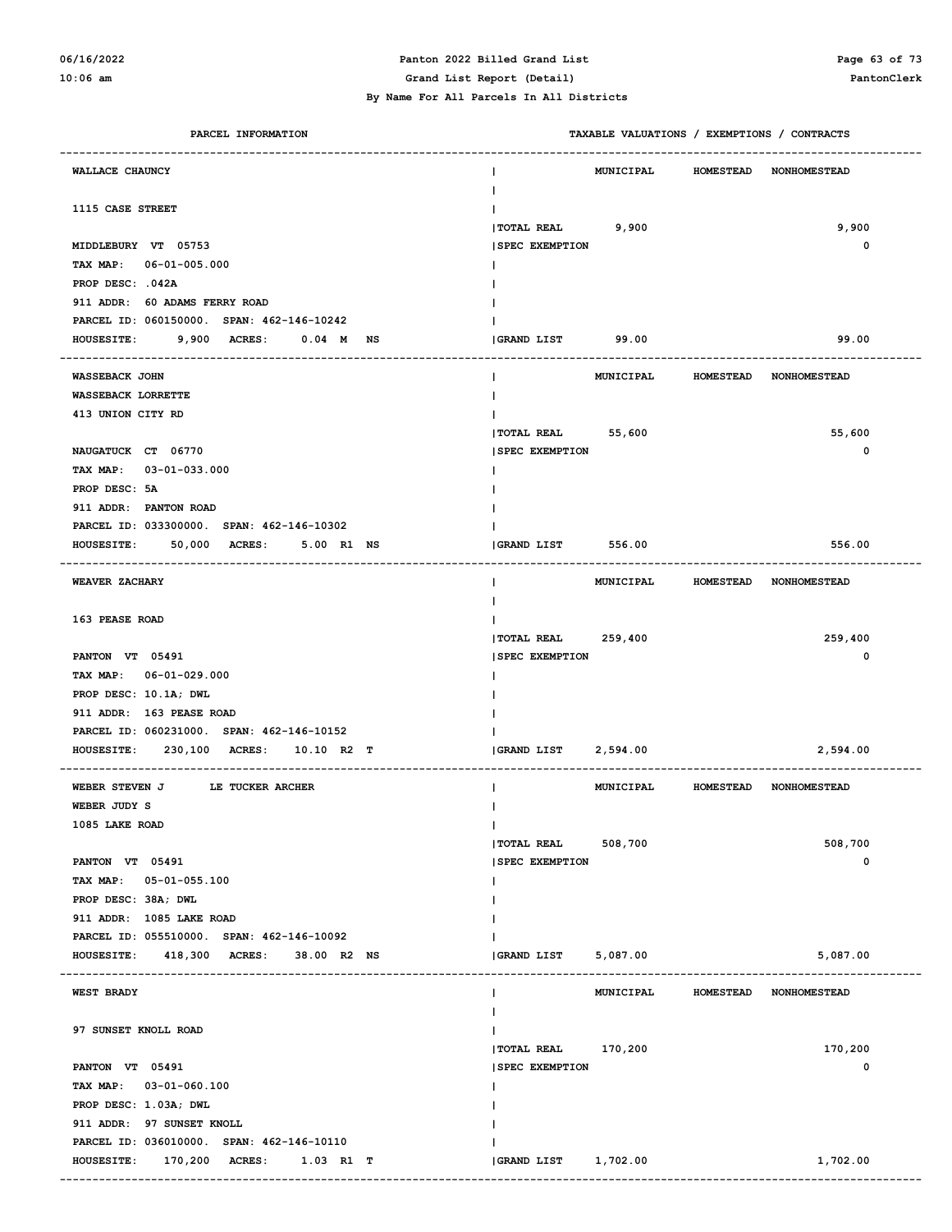### **06/16/2022 Panton 2022 Billed Grand List Page 63 of 73**

**10:06 am Grand List Report (Detail) PantonClerk**

 **By Name For All Parcels In All Districts**

| PARCEL INFORMATION                                | TAXABLE VALUATIONS / EXEMPTIONS / CONTRACTS |                  |                                  |
|---------------------------------------------------|---------------------------------------------|------------------|----------------------------------|
| WALLACE CHAUNCY                                   | <b>MUNICIPAL</b>                            | <b>HOMESTEAD</b> | <b>NONHOMESTEAD</b>              |
| 1115 CASE STREET                                  |                                             |                  |                                  |
|                                                   | TOTAL REAL 9,900                            |                  | 9,900                            |
| MIDDLEBURY VT 05753                               | <b>SPEC EXEMPTION</b>                       |                  | $\mathbf 0$                      |
| TAX MAP: 06-01-005.000                            |                                             |                  |                                  |
| PROP DESC: .042A                                  |                                             |                  |                                  |
| 911 ADDR: 60 ADAMS FERRY ROAD                     |                                             |                  |                                  |
| PARCEL ID: 060150000. SPAN: 462-146-10242         |                                             |                  |                                  |
| 9,900 ACRES:<br><b>HOUSESITE:</b><br>$0.04$ M NS  | GRAND LIST 99.00                            |                  | 99.00                            |
| <b>WASSEBACK JOHN</b>                             | MUNICIPAL                                   | <b>HOMESTEAD</b> | <b>NONHOMESTEAD</b>              |
| WASSEBACK LORRETTE                                |                                             |                  |                                  |
| 413 UNION CITY RD                                 |                                             |                  |                                  |
|                                                   | $ TOTAL REAL$ 55,600                        |                  | 55,600                           |
| NAUGATUCK CT 06770                                | <b>SPEC EXEMPTION</b>                       |                  | $\mathbf 0$                      |
| TAX MAP: 03-01-033.000                            |                                             |                  |                                  |
| PROP DESC: 5A                                     |                                             |                  |                                  |
| 911 ADDR: PANTON ROAD                             |                                             |                  |                                  |
| PARCEL ID: 033300000. SPAN: 462-146-10302         |                                             |                  |                                  |
| 50,000 ACRES:<br>5.00 R1 NS<br><b>HOUSESITE:</b>  | GRAND LIST 556.00                           |                  | 556.00                           |
| WEAVER ZACHARY                                    |                                             |                  | MUNICIPAL HOMESTEAD NONHOMESTEAD |
| 163 PEASE ROAD                                    |                                             |                  |                                  |
|                                                   | TOTAL REAL 259,400                          |                  | 259,400                          |
| PANTON VT 05491                                   | <b>SPEC EXEMPTION</b>                       |                  | $\mathbf 0$                      |
| TAX MAP: 06-01-029.000                            |                                             |                  |                                  |
| PROP DESC: 10.1A; DWL                             |                                             |                  |                                  |
| 911 ADDR: 163 PEASE ROAD                          |                                             |                  |                                  |
| PARCEL ID: 060231000. SPAN: 462-146-10152         |                                             |                  |                                  |
| 230,100 ACRES:<br><b>HOUSESITE:</b><br>10.10 R2 T | GRAND LIST 2,594.00                         |                  | 2,594.00                         |
| LE TUCKER ARCHER<br>WEBER STEVEN J                |                                             |                  | MUNICIPAL HOMESTEAD NONHOMESTEAD |
| WEBER JUDY S                                      |                                             |                  |                                  |
| 1085 LAKE ROAD                                    | $\mathbf{I}$                                |                  |                                  |
|                                                   | 508,700<br><b>TOTAL REAL</b>                |                  | 508,700                          |
| PANTON VT 05491                                   | <b>SPEC EXEMPTION</b>                       |                  | 0                                |
| TAX MAP: 05-01-055.100                            | Ι.                                          |                  |                                  |
| PROP DESC: 38A; DWL                               |                                             |                  |                                  |
| 911 ADDR: 1085 LAKE ROAD                          |                                             |                  |                                  |
| PARCEL ID: 055510000. SPAN: 462-146-10092         |                                             |                  |                                  |
| <b>HOUSESITE:</b><br>418,300 ACRES: 38.00 R2 NS   | GRAND LIST<br>5,087.00                      |                  | 5,087.00                         |
| WEST BRADY                                        | MUNICIPAL<br>Ι.                             | <b>HOMESTEAD</b> | <b>NONHOMESTEAD</b>              |
|                                                   |                                             |                  |                                  |
| 97 SUNSET KNOLL ROAD                              |                                             |                  |                                  |
|                                                   | TOTAL REAL 170,200                          |                  | 170,200                          |
| PANTON VT 05491                                   | <b>SPEC EXEMPTION</b>                       |                  | 0                                |
| TAX MAP: 03-01-060.100                            | I.                                          |                  |                                  |
| PROP DESC: 1.03A; DWL                             |                                             |                  |                                  |
| 911 ADDR: 97 SUNSET KNOLL                         |                                             |                  |                                  |
| PARCEL ID: 036010000. SPAN: 462-146-10110         |                                             |                  |                                  |
| <b>HOUSESITE:</b><br>170,200 ACRES: 1.03 R1 T     | <b>GRAND LIST</b><br>1,702.00               |                  | 1,702.00                         |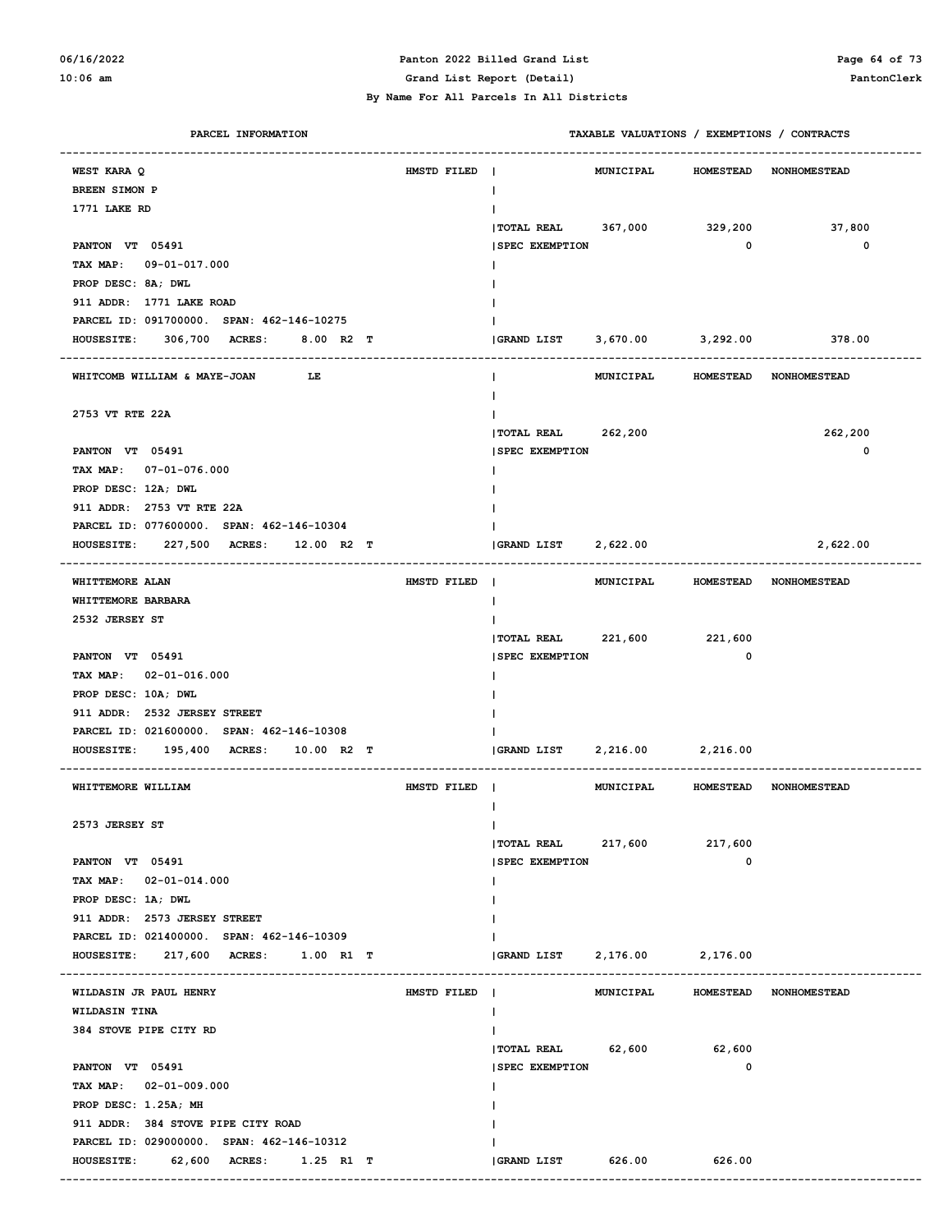#### **06/16/2022 Panton 2022 Billed Grand List Page 64 of 73 10:06 am Grand List Report (Detail) PantonClerk**

| PARCEL INFORMATION                                 |             |                        | TAXABLE VALUATIONS / EXEMPTIONS / CONTRACTS |                  |                        |
|----------------------------------------------------|-------------|------------------------|---------------------------------------------|------------------|------------------------|
| WEST KARA Q                                        | HMSTD FILED | -1                     | MUNICIPAL                                   | <b>HOMESTEAD</b> | <b>NONHOMESTEAD</b>    |
| <b>BREEN SIMON P</b>                               |             | Ι.                     |                                             |                  |                        |
| 1771 LAKE RD                                       |             |                        |                                             |                  |                        |
|                                                    |             | $ $ TOTAL REAL 367,000 |                                             | 329,200          | 37,800                 |
| PANTON VT 05491                                    |             | <b>SPEC EXEMPTION</b>  |                                             | $\mathbf 0$      | 0                      |
| TAX MAP: 09-01-017.000                             |             |                        |                                             |                  |                        |
| PROP DESC: 8A; DWL                                 |             |                        |                                             |                  |                        |
| 911 ADDR: 1771 LAKE ROAD                           |             |                        |                                             |                  |                        |
| PARCEL ID: 091700000. SPAN: 462-146-10275          |             |                        |                                             |                  |                        |
| HOUSESITE: 306,700 ACRES:<br>8.00 R2 T             |             | <b>GRAND LIST</b>      | 3,670.00                                    | 3,292.00         | 378.00                 |
| WHITCOMB WILLIAM & MAYE-JOAN<br>LE                 |             | Ι.                     | MUNICIPAL                                   |                  | HOMESTEAD NONHOMESTEAD |
| 2753 VT RTE 22A                                    |             |                        |                                             |                  |                        |
|                                                    |             | TOTAL REAL 262,200     |                                             |                  | 262,200                |
| PANTON VT 05491                                    |             | <b>SPEC EXEMPTION</b>  |                                             |                  | 0                      |
| TAX MAP: 07-01-076.000                             |             |                        |                                             |                  |                        |
| PROP DESC: 12A; DWL                                |             |                        |                                             |                  |                        |
| 911 ADDR: 2753 VT RTE 22A                          |             |                        |                                             |                  |                        |
| PARCEL ID: 077600000. SPAN: 462-146-10304          |             |                        |                                             |                  |                        |
| HOUSESITE: 227,500 ACRES: 12.00 R2 T               |             | GRAND LIST             | 2,622.00                                    |                  | 2,622.00               |
| WHITTEMORE ALAN                                    | HMSTD FILED | $\blacksquare$         | MUNICIPAL HOMESTEAD NONHOMESTEAD            |                  |                        |
| WHITTEMORE BARBARA                                 |             |                        |                                             |                  |                        |
| 2532 JERSEY ST                                     |             |                        |                                             |                  |                        |
|                                                    |             | $ $ TOTAL REAL 221,600 |                                             | 221,600          |                        |
| PANTON VT 05491                                    |             | <b>SPEC EXEMPTION</b>  |                                             | $\mathbf 0$      |                        |
| TAX MAP: 02-01-016.000                             |             |                        |                                             |                  |                        |
| PROP DESC: 10A; DWL                                |             |                        |                                             |                  |                        |
| 911 ADDR: 2532 JERSEY STREET                       |             |                        |                                             |                  |                        |
| PARCEL ID: 021600000. SPAN: 462-146-10308          |             |                        |                                             |                  |                        |
| HOUSESITE: 195,400 ACRES:<br>10.00 R2 T            |             | GRAND LIST             | 2,216.00                                    | 2,216.00         |                        |
| WHITTEMORE WILLIAM                                 | HMSTD FILED |                        | MUNICIPAL                                   |                  | HOMESTEAD NONHOMESTEAD |
|                                                    |             |                        |                                             |                  |                        |
| 2573 JERSEY ST                                     |             | T                      |                                             |                  |                        |
|                                                    |             | <b>TOTAL REAL</b>      | 217,600                                     | 217,600          |                        |
| PANTON VT 05491                                    |             | <b>SPEC EXEMPTION</b>  |                                             | 0                |                        |
| TAX MAP: 02-01-014.000                             |             | I.                     |                                             |                  |                        |
| PROP DESC: 1A; DWL<br>911 ADDR: 2573 JERSEY STREET |             |                        |                                             |                  |                        |
| PARCEL ID: 021400000. SPAN: 462-146-10309          |             |                        |                                             |                  |                        |
| HOUSESITE: 217,600 ACRES: 1.00 R1 T                |             | <b>GRAND LIST</b>      | 2,176.00                                    | 2,176.00         |                        |
|                                                    |             |                        |                                             |                  |                        |
| WILDASIN JR PAUL HENRY                             | HMSTD FILED |                        | MUNICIPAL                                   |                  | HOMESTEAD NONHOMESTEAD |
| WILDASIN TINA                                      |             | Ι.                     |                                             |                  |                        |
| 384 STOVE PIPE CITY RD                             |             |                        |                                             |                  |                        |
|                                                    |             | TOTAL REAL 62,600      |                                             | 62,600           |                        |
| PANTON VT 05491                                    |             | <b>SPEC EXEMPTION</b>  |                                             | 0                |                        |
| TAX MAP: 02-01-009.000                             |             | Ι.                     |                                             |                  |                        |
| PROP DESC: 1.25A; MH                               |             |                        |                                             |                  |                        |
| 911 ADDR: 384 STOVE PIPE CITY ROAD                 |             |                        |                                             |                  |                        |
| PARCEL ID: 029000000. SPAN: 462-146-10312          |             |                        |                                             |                  |                        |
| HOUSESITE: 62,600 ACRES: 1.25 R1 T                 |             | GRAND LIST             | 626.00                                      | 626.00           |                        |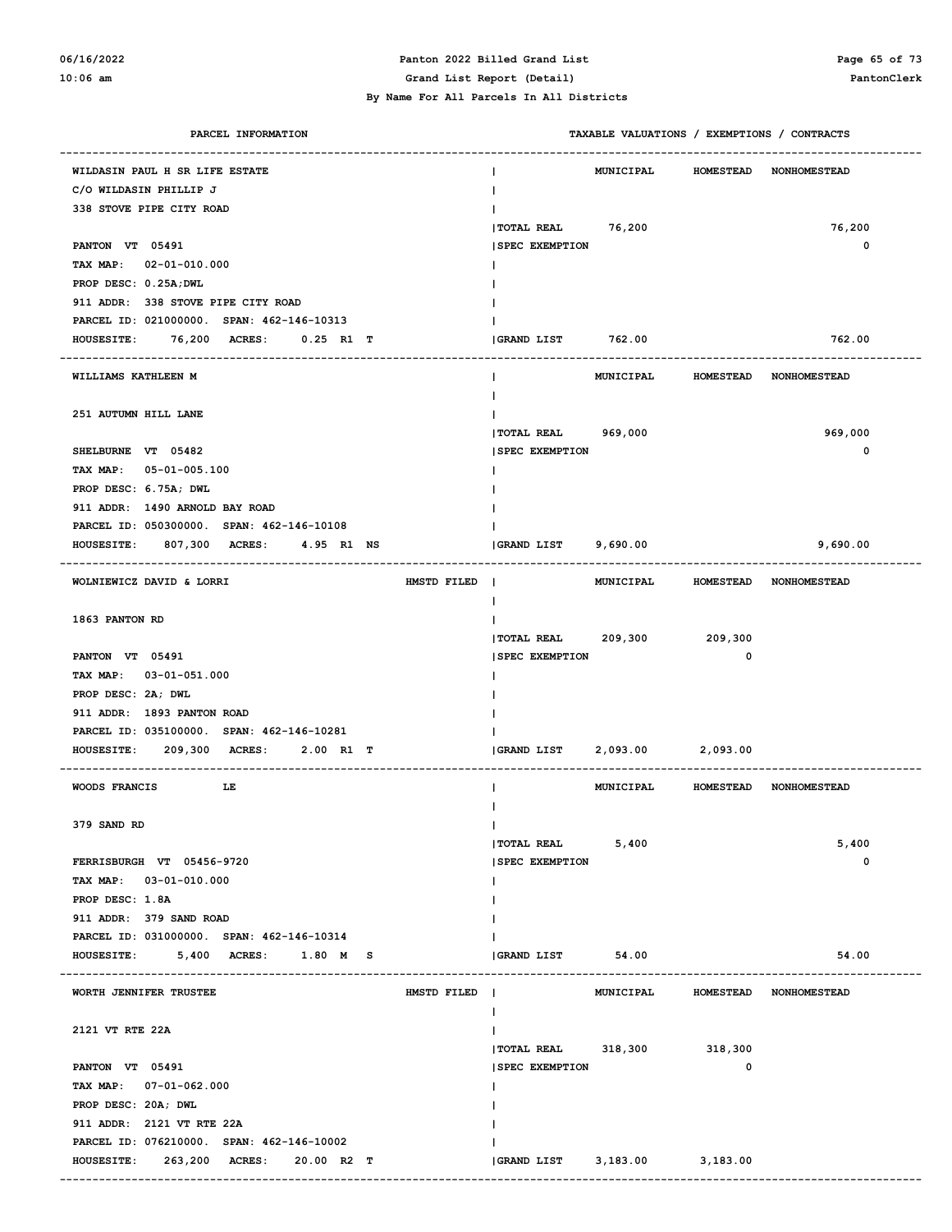#### **06/16/2022 Panton 2022 Billed Grand List Page 65 of 73 10:06 am Grand List Report (Detail) PantonClerk By Name For All Parcels In All Districts**

| PARCEL INFORMATION                                | TAXABLE VALUATIONS / EXEMPTIONS / CONTRACTS |                  |                                  |
|---------------------------------------------------|---------------------------------------------|------------------|----------------------------------|
| WILDASIN PAUL H SR LIFE ESTATE                    | <b>MUNICIPAL</b>                            | <b>HOMESTEAD</b> | <b>NONHOMESTEAD</b>              |
| C/O WILDASIN PHILLIP J                            | $\mathbf{I}$                                |                  |                                  |
| 338 STOVE PIPE CITY ROAD                          |                                             |                  |                                  |
|                                                   | <b> TOTAL REAL</b><br>76,200                |                  | 76,200                           |
| PANTON VT 05491                                   | <b>SPEC EXEMPTION</b>                       |                  | 0                                |
| TAX MAP: 02-01-010.000                            |                                             |                  |                                  |
| PROP DESC: 0.25A; DWL                             |                                             |                  |                                  |
| 911 ADDR: 338 STOVE PIPE CITY ROAD                |                                             |                  |                                  |
| PARCEL ID: 021000000. SPAN: 462-146-10313         |                                             |                  |                                  |
| HOUSESITE: 76,200 ACRES: 0.25 R1 T                | GRAND LIST<br>762.00                        |                  | 762.00                           |
|                                                   |                                             |                  |                                  |
| WILLIAMS KATHLEEN M                               | MUNICIPAL<br>I.                             | <b>HOMESTEAD</b> | <b>NONHOMESTEAD</b>              |
|                                                   |                                             |                  |                                  |
| 251 AUTUMN HILL LANE                              |                                             |                  |                                  |
|                                                   | TOTAL REAL 969,000                          |                  | 969,000                          |
| SHELBURNE VT 05482                                | <b>SPEC EXEMPTION</b>                       |                  | 0                                |
| TAX MAP: 05-01-005.100                            |                                             |                  |                                  |
| PROP DESC: 6.75A; DWL                             |                                             |                  |                                  |
| 911 ADDR: 1490 ARNOLD BAY ROAD                    |                                             |                  |                                  |
| PARCEL ID: 050300000. SPAN: 462-146-10108         |                                             |                  |                                  |
| HOUSESITE: 807,300 ACRES: 4.95 R1 NS              | GRAND LIST 9,690.00                         |                  | 9,690.00                         |
| WOLNIEWICZ DAVID & LORRI<br>HMSTD FILED           | $\blacksquare$                              |                  | MUNICIPAL HOMESTEAD NONHOMESTEAD |
|                                                   | L                                           |                  |                                  |
| 1863 PANTON RD                                    |                                             |                  |                                  |
|                                                   | TOTAL REAL 209,300 209,300                  |                  |                                  |
| PANTON VT 05491                                   | <b>SPEC EXEMPTION</b>                       | 0                |                                  |
| TAX MAP: 03-01-051.000                            |                                             |                  |                                  |
| PROP DESC: 2A; DWL                                |                                             |                  |                                  |
| 911 ADDR: 1893 PANTON ROAD                        |                                             |                  |                                  |
| PARCEL ID: 035100000. SPAN: 462-146-10281         |                                             |                  |                                  |
| HOUSESITE: 209,300 ACRES: 2.00 R1 T               | 2,093.00 2,093.00<br><b>GRAND LIST</b>      |                  |                                  |
| WOODS FRANCIS<br><b>THE TERM</b>                  | MUNICIPAL<br>L                              |                  | HOMESTEAD NONHOMESTEAD           |
| 379 SAND RD                                       | $\mathsf{I}$                                |                  |                                  |
|                                                   | 5,400<br>  TOTAL REAL                       |                  | 5,400                            |
| FERRISBURGH VT 05456-9720                         | <b>SPEC EXEMPTION</b>                       |                  | 0                                |
| TAX MAP: 03-01-010.000                            | L                                           |                  |                                  |
| PROP DESC: 1.8A                                   |                                             |                  |                                  |
| 911 ADDR: 379 SAND ROAD                           |                                             |                  |                                  |
| PARCEL ID: 031000000. SPAN: 462-146-10314         |                                             |                  |                                  |
| <b>HOUSESITE:</b><br>5,400 ACRES:<br>$1.80$ M S   | 54.00<br><b>GRAND LIST</b>                  |                  | 54.00                            |
|                                                   |                                             |                  |                                  |
| WORTH JENNIFER TRUSTEE<br>HMSTD FILED             | MUNICIPAL<br>$\mathbf{I}$                   |                  | HOMESTEAD NONHOMESTEAD           |
| 2121 VT RTE 22A                                   |                                             |                  |                                  |
|                                                   | $ $ TOTAL REAL 318,300                      | 318,300          |                                  |
| PANTON VT 05491                                   | <b>SPEC EXEMPTION</b>                       | 0                |                                  |
| TAX MAP: 07-01-062.000                            | L                                           |                  |                                  |
| PROP DESC: 20A; DWL                               |                                             |                  |                                  |
| 911 ADDR: 2121 VT RTE 22A                         |                                             |                  |                                  |
| PARCEL ID: 076210000. SPAN: 462-146-10002         |                                             |                  |                                  |
| <b>HOUSESITE:</b><br>263,200 ACRES:<br>20.00 R2 T | GRAND LIST<br>3,183.00                      | 3,183.00         |                                  |
|                                                   |                                             |                  |                                  |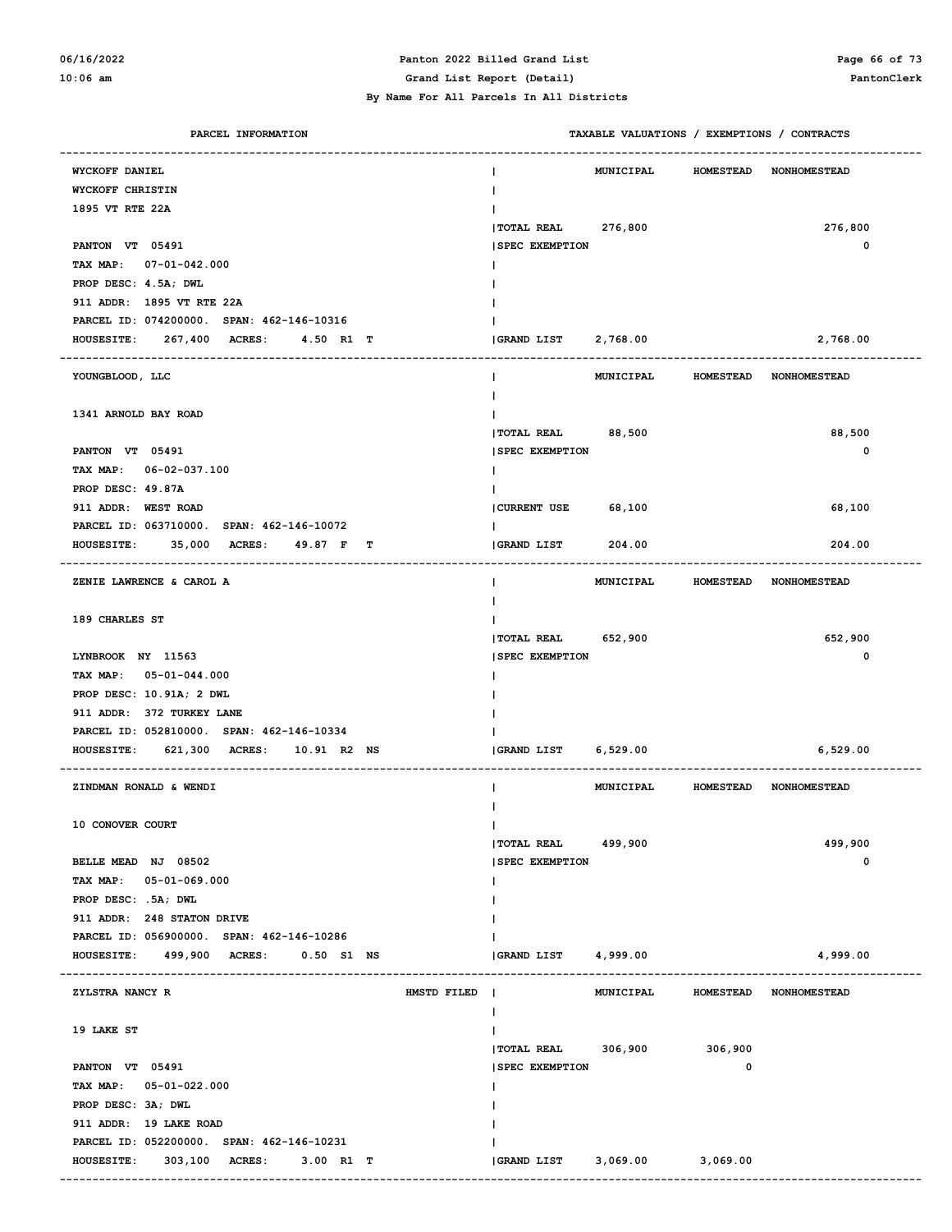#### **06/16/2022 Panton 2022 Billed Grand List Page 66 of 73 10:06 am Grand List Report (Detail) PantonClerk**

| PARCEL INFORMATION                                  |                       | TAXABLE VALUATIONS / EXEMPTIONS / CONTRACTS |                  |                     |
|-----------------------------------------------------|-----------------------|---------------------------------------------|------------------|---------------------|
| WYCKOFF DANIEL                                      |                       | <b>MUNICIPAL</b>                            | <b>HOMESTEAD</b> | <b>NONHOMESTEAD</b> |
| WYCKOFF CHRISTIN                                    |                       |                                             |                  |                     |
| 1895 VT RTE 22A                                     |                       |                                             |                  |                     |
|                                                     | TOTAL REAL            | 276,800                                     |                  | 276,800             |
| PANTON VT 05491                                     | <b>SPEC EXEMPTION</b> |                                             |                  | 0                   |
| TAX MAP:<br>$07 - 01 - 042.000$                     |                       |                                             |                  |                     |
| PROP DESC: 4.5A; DWL                                |                       |                                             |                  |                     |
| 911 ADDR: 1895 VT RTE 22A                           |                       |                                             |                  |                     |
| PARCEL ID: 074200000. SPAN: 462-146-10316           |                       |                                             |                  |                     |
| 267,400 ACRES:<br>4.50 R1 T<br><b>HOUSESITE:</b>    | <b>GRAND LIST</b>     | 2,768.00                                    |                  | 2,768.00            |
|                                                     |                       |                                             |                  |                     |
| YOUNGBLOOD, LLC                                     |                       | MUNICIPAL                                   | <b>HOMESTEAD</b> | <b>NONHOMESTEAD</b> |
|                                                     |                       |                                             |                  |                     |
| 1341 ARNOLD BAY ROAD                                |                       |                                             |                  |                     |
|                                                     | TOTAL REAL            | 88,500                                      |                  | 88,500              |
| PANTON VT 05491                                     | <b>SPEC EXEMPTION</b> |                                             |                  | 0                   |
| TAX MAP: 06-02-037.100                              |                       |                                             |                  |                     |
| PROP DESC: 49.87A                                   |                       |                                             |                  |                     |
| 911 ADDR: WEST ROAD                                 | <b>CURRENT USE</b>    | 68,100                                      |                  | 68,100              |
| PARCEL ID: 063710000. SPAN: 462-146-10072           |                       |                                             |                  |                     |
| 35,000 ACRES:<br><b>HOUSESITE:</b><br>49.87 F<br>т  | <b>GRAND LIST</b>     | 204.00                                      |                  | 204.00              |
|                                                     |                       |                                             |                  |                     |
| ZENIE LAWRENCE & CAROL A                            | I.                    | <b>MUNICIPAL</b>                            | <b>HOMESTEAD</b> | <b>NONHOMESTEAD</b> |
|                                                     |                       |                                             |                  |                     |
| 189 CHARLES ST                                      |                       |                                             |                  |                     |
|                                                     | <b> TOTAL REAL</b>    | 652,900                                     |                  | 652,900             |
| LYNBROOK NY 11563                                   | <b>SPEC EXEMPTION</b> |                                             |                  | 0                   |
| TAX MAP: 05-01-044.000                              |                       |                                             |                  |                     |
| PROP DESC: 10.91A; 2 DWL                            |                       |                                             |                  |                     |
| 911 ADDR: 372 TURKEY LANE                           |                       |                                             |                  |                     |
| PARCEL ID: 052810000. SPAN: 462-146-10334           |                       |                                             |                  |                     |
| 621,300 ACRES:<br><b>HOUSESITE:</b><br>10.91 R2 NS  | GRAND LIST            | 6,529.00                                    |                  | 6,529.00            |
|                                                     |                       |                                             |                  |                     |
| ZINDMAN RONALD & WENDI                              |                       | <b>MUNICIPAL</b>                            | <b>HOMESTEAD</b> | <b>NONHOMESTEAD</b> |
|                                                     |                       |                                             |                  |                     |
| 10 CONOVER COURT                                    | T                     |                                             |                  |                     |
|                                                     | <b> TOTAL REAL</b>    | 499,900                                     |                  | 499,900             |
| BELLE MEAD NJ 08502                                 | <b>SPEC EXEMPTION</b> |                                             |                  | 0                   |
| TAX MAP:<br>05-01-069.000                           |                       |                                             |                  |                     |
| PROP DESC: .5A; DWL                                 |                       |                                             |                  |                     |
| 911 ADDR: 248 STATON DRIVE                          |                       |                                             |                  |                     |
| PARCEL ID: 056900000. SPAN: 462-146-10286           |                       |                                             |                  |                     |
| <b>HOUSESITE:</b><br>499,900 ACRES:<br>$0.50$ S1 NS | GRAND LIST            | 4,999.00                                    |                  | 4,999.00            |
|                                                     |                       |                                             |                  |                     |
| ZYLSTRA NANCY R<br>HMSTD FILED                      |                       | MUNICIPAL                                   | <b>HOMESTEAD</b> | <b>NONHOMESTEAD</b> |
|                                                     |                       |                                             |                  |                     |
| 19 LAKE ST                                          |                       |                                             |                  |                     |
|                                                     | TOTAL REAL 306,900    |                                             | 306,900          |                     |
| PANTON VT 05491                                     | <b>SPEC EXEMPTION</b> |                                             | 0                |                     |
| TAX MAP: 05-01-022.000                              |                       |                                             |                  |                     |
| PROP DESC: 3A; DWL                                  |                       |                                             |                  |                     |
| 911 ADDR: 19 LAKE ROAD                              |                       |                                             |                  |                     |
| PARCEL ID: 052200000. SPAN: 462-146-10231           |                       |                                             |                  |                     |
| <b>HOUSESITE:</b><br>303,100 ACRES:<br>3.00 R1 T    | GRAND LIST            | 3,069.00                                    | 3,069.00         |                     |
|                                                     |                       |                                             |                  |                     |